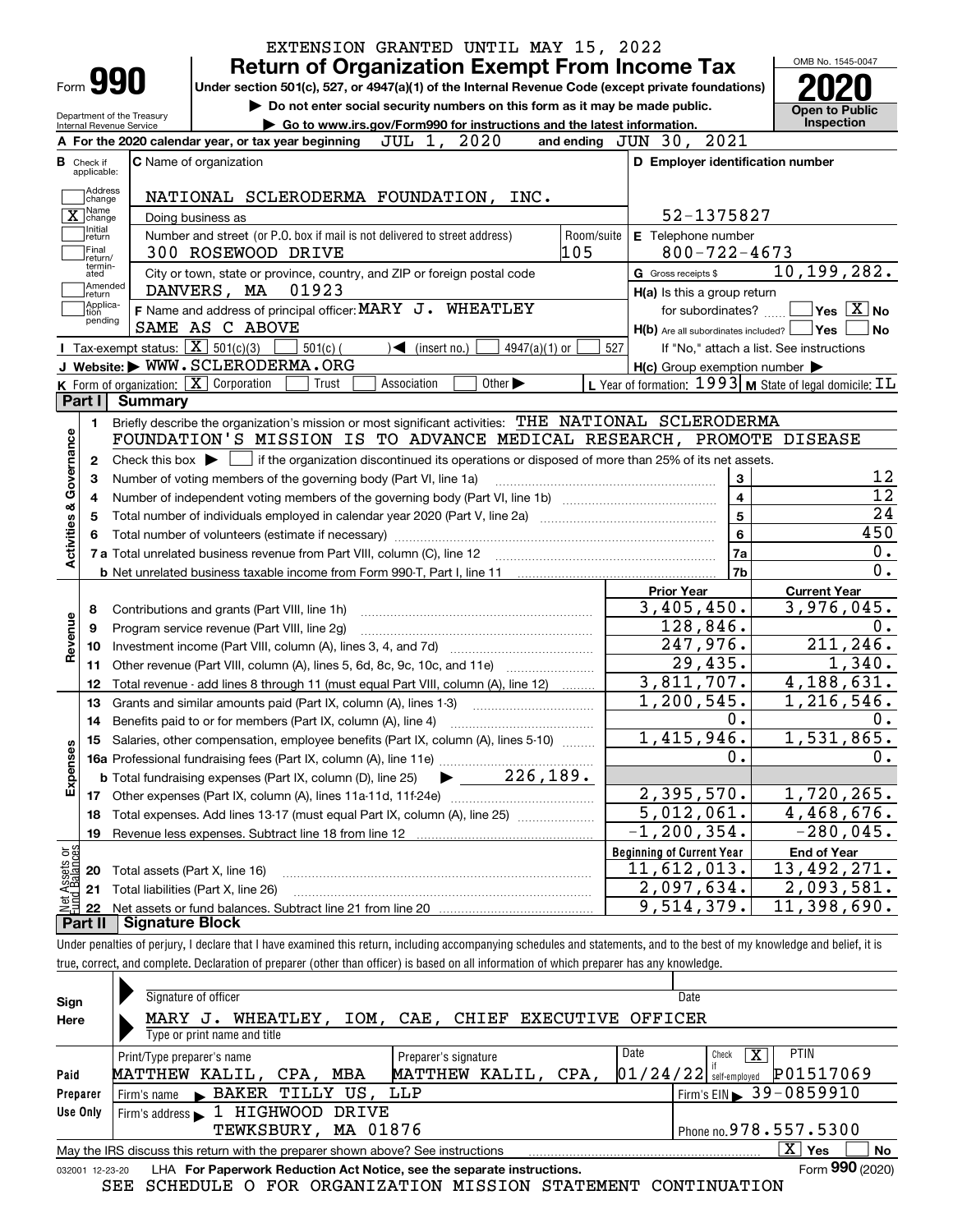|                                                                                                           |                                 |                            |                                                          |                                                                                                                                                                |             |                                   |                             |                 |     |            | <b>Return of Organization Exempt From Income Tax</b> |                          | OMB No. 1545-0047                                           |                                                                                                     |
|-----------------------------------------------------------------------------------------------------------|---------------------------------|----------------------------|----------------------------------------------------------|----------------------------------------------------------------------------------------------------------------------------------------------------------------|-------------|-----------------------------------|-----------------------------|-----------------|-----|------------|------------------------------------------------------|--------------------------|-------------------------------------------------------------|-----------------------------------------------------------------------------------------------------|
|                                                                                                           | Form 990                        |                            |                                                          | Under section 501(c), 527, or 4947(a)(1) of the Internal Revenue Code (except private foundations)                                                             |             |                                   |                             |                 |     |            |                                                      |                          |                                                             |                                                                                                     |
|                                                                                                           |                                 | Department of the Treasury |                                                          | Do not enter social security numbers on this form as it may be made public.                                                                                    |             |                                   |                             |                 |     |            |                                                      |                          | Open to Public                                              |                                                                                                     |
|                                                                                                           | Internal Revenue Service        |                            |                                                          | Go to www.irs.gov/Form990 for instructions and the latest information.                                                                                         |             |                                   |                             |                 |     |            | and ending JUN 30, 2021                              |                          | <b>Inspection</b>                                           |                                                                                                     |
|                                                                                                           |                                 |                            |                                                          | A For the 2020 calendar year, or tax year beginning                                                                                                            | JUL 1,      |                                   | 2020                        |                 |     |            |                                                      |                          |                                                             |                                                                                                     |
| <b>B</b> Check if                                                                                         | applicable:                     |                            | <b>C</b> Name of organization                            |                                                                                                                                                                |             |                                   |                             |                 |     |            |                                                      |                          | D Employer identification number                            |                                                                                                     |
|                                                                                                           | Address<br>change               |                            |                                                          | NATIONAL SCLERODERMA FOUNDATION, INC.                                                                                                                          |             |                                   |                             |                 |     |            |                                                      |                          |                                                             |                                                                                                     |
|                                                                                                           | ] Name<br>$\overline{X}$ change |                            | Doing business as                                        |                                                                                                                                                                |             |                                   |                             |                 |     |            |                                                      | 52-1375827               |                                                             |                                                                                                     |
|                                                                                                           | Initial<br>return               |                            |                                                          | Number and street (or P.O. box if mail is not delivered to street address)                                                                                     |             |                                   |                             |                 |     | Room/suite | E Telephone number                                   |                          |                                                             |                                                                                                     |
|                                                                                                           | Final<br>return/                |                            |                                                          | 300 ROSEWOOD DRIVE                                                                                                                                             |             |                                   |                             |                 | 105 |            |                                                      | $800 - 722 - 4673$       |                                                             |                                                                                                     |
|                                                                                                           | termin-<br>ated                 |                            |                                                          | City or town, state or province, country, and ZIP or foreign postal code                                                                                       |             |                                   |                             |                 |     |            | G Gross receipts \$                                  |                          | 10,199,282.                                                 |                                                                                                     |
|                                                                                                           | Amended<br> return              |                            | DANVERS, MA                                              | 01923                                                                                                                                                          |             |                                   |                             |                 |     |            | H(a) Is this a group return                          |                          |                                                             |                                                                                                     |
|                                                                                                           | Applica-<br>tion<br>pending     |                            |                                                          | F Name and address of principal officer: MARY J. WHEATLEY                                                                                                      |             |                                   |                             |                 |     |            |                                                      | for subordinates?        |                                                             | $\sqrt{}$ Yes $\sqrt{}$ X $\sqrt{}$ No                                                              |
|                                                                                                           |                                 |                            | SAME AS C ABOVE                                          |                                                                                                                                                                |             |                                   |                             |                 |     |            |                                                      |                          | $H(b)$ Are all subordinates included? $\Box$ Yes            | l No                                                                                                |
|                                                                                                           |                                 |                            | Tax-exempt status: $\boxed{\mathbf{X}}$ 501(c)(3)        | $501(c)$ (                                                                                                                                                     |             | $\blacktriangleleft$ (insert no.) |                             | $4947(a)(1)$ or |     | 527        |                                                      |                          | If "No," attach a list. See instructions                    |                                                                                                     |
|                                                                                                           |                                 |                            |                                                          | J Website: WWW.SCLERODERMA.ORG                                                                                                                                 |             |                                   |                             |                 |     |            | $H(c)$ Group exemption number $\blacktriangleright$  |                          |                                                             |                                                                                                     |
| Part I                                                                                                    |                                 | Summary                    | K Form of organization: $\boxed{\mathbf{X}}$ Corporation | Trust                                                                                                                                                          | Association |                                   | Other $\blacktriangleright$ |                 |     |            |                                                      |                          | L Year of formation: $1993$ M State of legal domicile: $IL$ |                                                                                                     |
|                                                                                                           |                                 |                            |                                                          | Briefly describe the organization's mission or most significant activities: THE NATIONAL SCLERODERMA                                                           |             |                                   |                             |                 |     |            |                                                      |                          |                                                             |                                                                                                     |
|                                                                                                           | 1.                              |                            |                                                          | FOUNDATION'S MISSION IS TO ADVANCE MEDICAL RESEARCH, PROMOTE DISEASE                                                                                           |             |                                   |                             |                 |     |            |                                                      |                          |                                                             |                                                                                                     |
|                                                                                                           | 2                               |                            |                                                          |                                                                                                                                                                |             |                                   |                             |                 |     |            |                                                      |                          |                                                             |                                                                                                     |
|                                                                                                           |                                 |                            |                                                          |                                                                                                                                                                |             |                                   |                             |                 |     |            |                                                      |                          |                                                             |                                                                                                     |
|                                                                                                           |                                 |                            |                                                          | Check this box $\blacktriangleright$ $\Box$ if the organization discontinued its operations or disposed of more than 25% of its net assets.                    |             |                                   |                             |                 |     |            |                                                      |                          |                                                             |                                                                                                     |
|                                                                                                           | З                               |                            |                                                          | Number of voting members of the governing body (Part VI, line 1a)                                                                                              |             |                                   |                             |                 |     |            |                                                      | 3                        |                                                             |                                                                                                     |
|                                                                                                           | 4                               |                            |                                                          |                                                                                                                                                                |             |                                   |                             |                 |     |            |                                                      | $\overline{\mathbf{4}}$  |                                                             |                                                                                                     |
|                                                                                                           | 5                               |                            |                                                          |                                                                                                                                                                |             |                                   |                             |                 |     |            |                                                      | 5                        |                                                             |                                                                                                     |
|                                                                                                           |                                 |                            |                                                          |                                                                                                                                                                |             |                                   |                             |                 |     |            |                                                      | 6                        |                                                             |                                                                                                     |
|                                                                                                           |                                 |                            |                                                          |                                                                                                                                                                |             |                                   |                             |                 |     |            |                                                      | 7a<br>7b                 |                                                             |                                                                                                     |
|                                                                                                           |                                 |                            |                                                          |                                                                                                                                                                |             |                                   |                             |                 |     |            | <b>Prior Year</b>                                    |                          | <b>Current Year</b>                                         |                                                                                                     |
| 8                                                                                                         |                                 |                            |                                                          |                                                                                                                                                                |             |                                   |                             |                 |     |            |                                                      |                          |                                                             |                                                                                                     |
| 9                                                                                                         |                                 |                            |                                                          | Contributions and grants (Part VIII, line 1h)<br>Program service revenue (Part VIII, line 2g)                                                                  |             |                                   |                             |                 |     |            |                                                      | 3,405,450.<br>128,846.   | $\overline{3,976},045.$                                     |                                                                                                     |
|                                                                                                           | 10                              |                            |                                                          |                                                                                                                                                                |             |                                   |                             |                 |     |            |                                                      | 247,976.                 |                                                             |                                                                                                     |
|                                                                                                           | 11                              |                            |                                                          |                                                                                                                                                                |             |                                   |                             |                 |     |            |                                                      | 29,435.                  |                                                             |                                                                                                     |
|                                                                                                           | 12                              |                            |                                                          | Other revenue (Part VIII, column (A), lines 5, 6d, 8c, 9c, 10c, and 11e)<br>Total revenue - add lines 8 through 11 (must equal Part VIII, column (A), line 12) |             |                                   |                             |                 |     |            |                                                      | 3,811,707.               | $\overline{4,188},631.$                                     |                                                                                                     |
|                                                                                                           | 13                              |                            |                                                          | Grants and similar amounts paid (Part IX, column (A), lines 1-3)                                                                                               |             |                                   |                             |                 |     |            |                                                      | 1,200,545.               | 1,216,546.                                                  |                                                                                                     |
|                                                                                                           | 14                              |                            |                                                          |                                                                                                                                                                |             |                                   |                             |                 |     |            |                                                      | 0.                       |                                                             |                                                                                                     |
|                                                                                                           | 15                              |                            |                                                          | Salaries, other compensation, employee benefits (Part IX, column (A), lines 5-10)                                                                              |             |                                   |                             |                 |     |            |                                                      | 1,415,946.               | 1,531,865.                                                  |                                                                                                     |
|                                                                                                           |                                 |                            |                                                          |                                                                                                                                                                |             |                                   |                             |                 |     |            |                                                      | 0.                       |                                                             |                                                                                                     |
|                                                                                                           |                                 |                            |                                                          | <b>b</b> Total fundraising expenses (Part IX, column (D), line 25)                                                                                             |             |                                   |                             | 226,189.        |     |            |                                                      |                          |                                                             |                                                                                                     |
|                                                                                                           |                                 |                            |                                                          |                                                                                                                                                                |             |                                   |                             |                 |     |            |                                                      | 2,395,570.               | 1,720,265.                                                  |                                                                                                     |
|                                                                                                           | 18                              |                            |                                                          | Total expenses. Add lines 13-17 (must equal Part IX, column (A), line 25)                                                                                      |             |                                   |                             |                 |     |            |                                                      | 5,012,061.               | $\overline{4,468},676.$                                     |                                                                                                     |
|                                                                                                           | 19                              |                            |                                                          | Revenue less expenses. Subtract line 18 from line 12 [111] [21] [21] Revenue less expenses. Subtract line 18 from line 12                                      |             |                                   |                             |                 |     |            | $\overline{-1}$ , 200, 354.                          |                          | $-280,045.$                                                 |                                                                                                     |
|                                                                                                           |                                 |                            |                                                          |                                                                                                                                                                |             |                                   |                             |                 |     |            | <b>Beginning of Current Year</b>                     |                          | <b>End of Year</b>                                          |                                                                                                     |
|                                                                                                           | 20                              |                            | Total assets (Part X, line 16)                           |                                                                                                                                                                |             |                                   |                             |                 |     |            | 11,612,013.                                          |                          | 13,492,271.                                                 | 12<br>$\overline{12}$<br>24<br>450<br>$0$ .<br>0.<br>$0$ .<br>211, 246.<br>1,340.<br>$0$ .<br>$0$ . |
| Activities & Governance<br>Revenue<br>Expenses<br>: Assets or<br>dBalances<br>$rac{\text{Net}}{\text{L}}$ | 21                              |                            | Total liabilities (Part X, line 26)                      |                                                                                                                                                                |             |                                   |                             |                 |     |            |                                                      | 2,097,634.<br>9,514,379. | 2,093,581.<br>$\overline{11,398}$ ,690.                     |                                                                                                     |

ir penalties of perjury, I declare that I have examined this return, including accompanying schedules and statements, and to the best of my knowledge and belief, it is true, correct, and complete. Declaration of preparer (other than officer) is based on all information of which preparer has any knowledge.

| Sign     | Signature of officer                                                                                         |                                   | Date                                                    |  |  |  |  |  |
|----------|--------------------------------------------------------------------------------------------------------------|-----------------------------------|---------------------------------------------------------|--|--|--|--|--|
| Here     | WHEATLEY,<br>MARY J.                                                                                         | IOM, CAE, CHIEF EXECUTIVE OFFICER |                                                         |  |  |  |  |  |
|          | Type or print name and title                                                                                 |                                   |                                                         |  |  |  |  |  |
|          | Print/Type preparer's name                                                                                   | Preparer's signature              | Date<br><b>PTIN</b><br>$\overline{\textbf{X}}$<br>Check |  |  |  |  |  |
| Paid     | MATTHEW KALIL, CPA,<br>MBA                                                                                   | MATTHEW KALIL,<br>CPA,            | P01517069<br>$01/24/22$ self-employed                   |  |  |  |  |  |
| Preparer | BAKER TILLY US, LLP<br>Firm's name                                                                           |                                   | Firm's EIN 39-0859910                                   |  |  |  |  |  |
| Use Only | HIGHWOOD<br>Firm's address $\blacksquare$ 1.<br>DRIVE                                                        |                                   |                                                         |  |  |  |  |  |
|          | TEWKSBURY, MA 01876                                                                                          |                                   | Phone no. 978.557.5300                                  |  |  |  |  |  |
|          | X.<br>Yes<br>No<br>May the IRS discuss this return with the preparer shown above? See instructions           |                                   |                                                         |  |  |  |  |  |
|          | Form 990 (2020)<br>LHA For Paperwork Reduction Act Notice, see the separate instructions.<br>032001 12-23-20 |                                   |                                                         |  |  |  |  |  |

SEE SCHEDULE O FOR ORGANIZATION MISSION STATEMENT CONTINUATION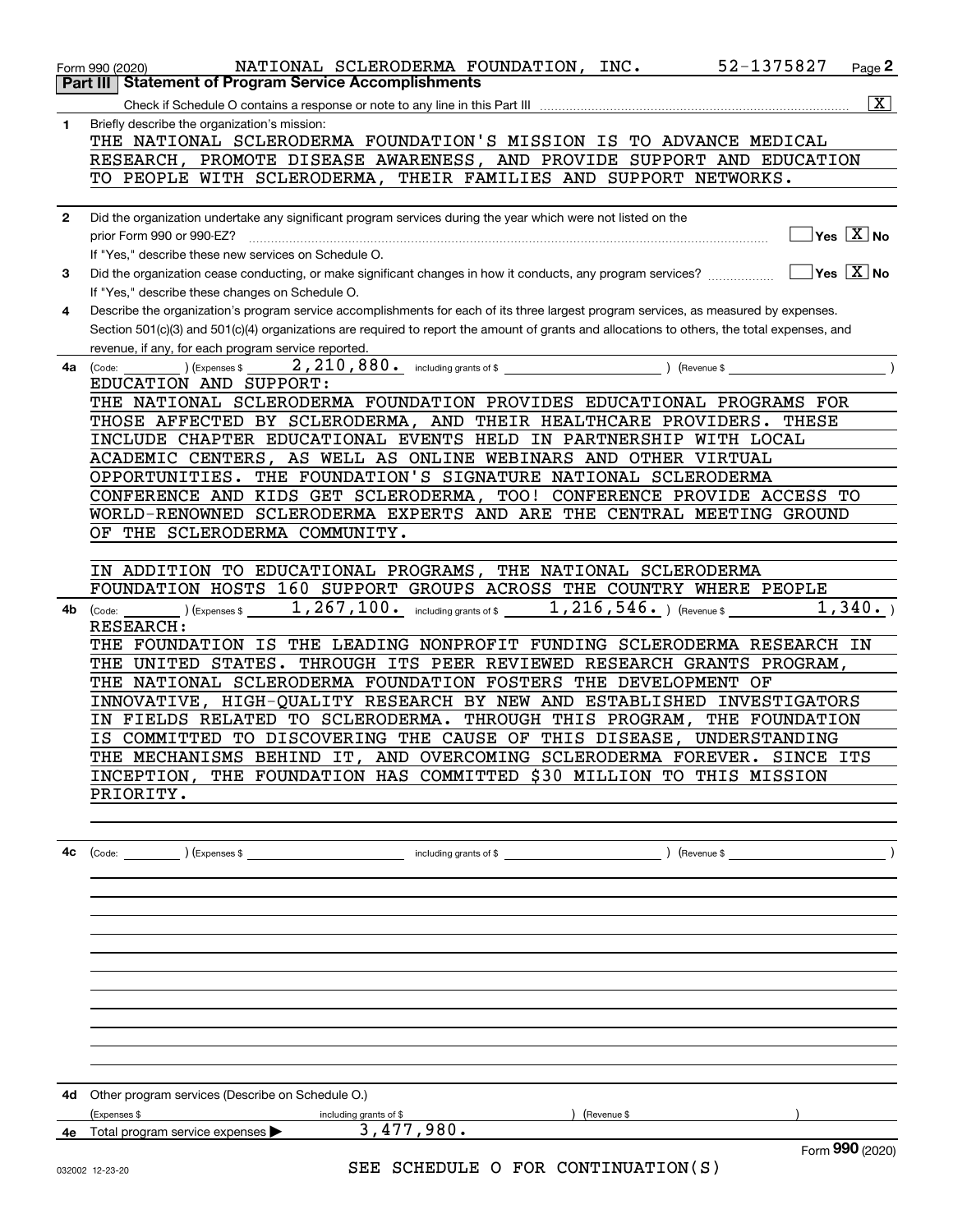|              | 52-1375827<br>NATIONAL SCLERODERMA FOUNDATION, INC.<br>Page 2<br>Form 990 (2020)                                                             |  |
|--------------|----------------------------------------------------------------------------------------------------------------------------------------------|--|
| Part III     | <b>Statement of Program Service Accomplishments</b>                                                                                          |  |
|              | $\boxed{\text{X}}$<br>Check if Schedule O contains a response or note to any line in this Part III                                           |  |
| $\mathbf{1}$ | Briefly describe the organization's mission:                                                                                                 |  |
|              | THE NATIONAL SCLERODERMA FOUNDATION'S MISSION IS TO ADVANCE MEDICAL                                                                          |  |
|              | RESEARCH, PROMOTE DISEASE AWARENESS, AND PROVIDE SUPPORT AND EDUCATION                                                                       |  |
|              | TO PEOPLE WITH SCLERODERMA, THEIR FAMILIES AND SUPPORT NETWORKS.                                                                             |  |
|              |                                                                                                                                              |  |
| $\mathbf{2}$ | Did the organization undertake any significant program services during the year which were not listed on the                                 |  |
|              | $\sqrt{}$ Yes $\sqrt{}$ X $\sqrt{}$ No<br>prior Form 990 or 990-EZ?                                                                          |  |
|              | If "Yes," describe these new services on Schedule O.                                                                                         |  |
| 3            | $ Yes X $ No<br>Did the organization cease conducting, or make significant changes in how it conducts, any program services?                 |  |
|              | If "Yes," describe these changes on Schedule O.                                                                                              |  |
| 4            | Describe the organization's program service accomplishments for each of its three largest program services, as measured by expenses.         |  |
|              | Section 501(c)(3) and 501(c)(4) organizations are required to report the amount of grants and allocations to others, the total expenses, and |  |
|              | revenue, if any, for each program service reported.                                                                                          |  |
| 4a           | (Expenses \$<br>) (Revenue \$<br>(Code:                                                                                                      |  |
|              | EDUCATION AND SUPPORT:                                                                                                                       |  |
|              | THE NATIONAL SCLERODERMA FOUNDATION PROVIDES EDUCATIONAL PROGRAMS FOR                                                                        |  |
|              | THOSE AFFECTED BY SCLERODERMA, AND THEIR HEALTHCARE PROVIDERS.<br>THESE                                                                      |  |
|              | INCLUDE CHAPTER EDUCATIONAL EVENTS HELD IN PARTNERSHIP WITH LOCAL<br>ACADEMIC CENTERS, AS WELL AS ONLINE WEBINARS AND OTHER VIRTUAL          |  |
|              | THE FOUNDATION'S SIGNATURE NATIONAL SCLERODERMA<br>OPPORTUNITIES.                                                                            |  |
|              | CONFERENCE AND KIDS GET SCLERODERMA, TOO! CONFERENCE PROVIDE ACCESS TO                                                                       |  |
|              | WORLD-RENOWNED SCLERODERMA EXPERTS AND ARE THE CENTRAL MEETING GROUND                                                                        |  |
|              | OF THE SCLERODERMA COMMUNITY.                                                                                                                |  |
|              |                                                                                                                                              |  |
|              | IN ADDITION TO EDUCATIONAL PROGRAMS, THE NATIONAL SCLERODERMA                                                                                |  |
|              | FOUNDATION HOSTS 160 SUPPORT GROUPS ACROSS THE COUNTRY WHERE PEOPLE                                                                          |  |
| 4b           | 1, 267, 100. including grants of \$1, 216, 546. ) (Revenue \$<br>1,340.<br>) (Expenses \$<br>(Code:                                          |  |
|              | <b>RESEARCH:</b>                                                                                                                             |  |
|              | THE FOUNDATION IS THE LEADING NONPROFIT FUNDING SCLERODERMA RESEARCH IN                                                                      |  |
|              | THE UNITED STATES. THROUGH ITS PEER REVIEWED RESEARCH GRANTS PROGRAM,                                                                        |  |
|              | THE NATIONAL SCLERODERMA FOUNDATION FOSTERS THE DEVELOPMENT OF                                                                               |  |
|              | INNOVATIVE, HIGH-QUALITY RESEARCH BY NEW AND ESTABLISHED INVESTIGATORS                                                                       |  |
|              | FIELDS RELATED TO SCLERODERMA. THROUGH THIS PROGRAM, THE FOUNDATION<br>IN                                                                    |  |
|              | IS COMMITTED TO DISCOVERING THE CAUSE OF THIS DISEASE, UNDERSTANDING                                                                         |  |
|              | THE MECHANISMS BEHIND IT, AND OVERCOMING SCLERODERMA FOREVER. SINCE ITS                                                                      |  |
|              | INCEPTION, THE FOUNDATION HAS COMMITTED \$30 MILLION TO THIS MISSION                                                                         |  |
|              | PRIORITY.                                                                                                                                    |  |
|              |                                                                                                                                              |  |
|              |                                                                                                                                              |  |
| 4с           |                                                                                                                                              |  |
|              |                                                                                                                                              |  |
|              |                                                                                                                                              |  |
|              |                                                                                                                                              |  |
|              |                                                                                                                                              |  |
|              |                                                                                                                                              |  |
|              |                                                                                                                                              |  |
|              |                                                                                                                                              |  |
|              |                                                                                                                                              |  |
|              |                                                                                                                                              |  |
|              |                                                                                                                                              |  |
|              |                                                                                                                                              |  |
|              |                                                                                                                                              |  |

|    | 4d Other program services (Describe on Schedule O.) |                        |            |                 |  |
|----|-----------------------------------------------------|------------------------|------------|-----------------|--|
|    | (Expenses \$                                        | including grants of \$ | Revenue \$ |                 |  |
| 4е | Total program service expenses >                    | 3,477,980.             |            |                 |  |
|    |                                                     |                        |            | Form 990 (2020) |  |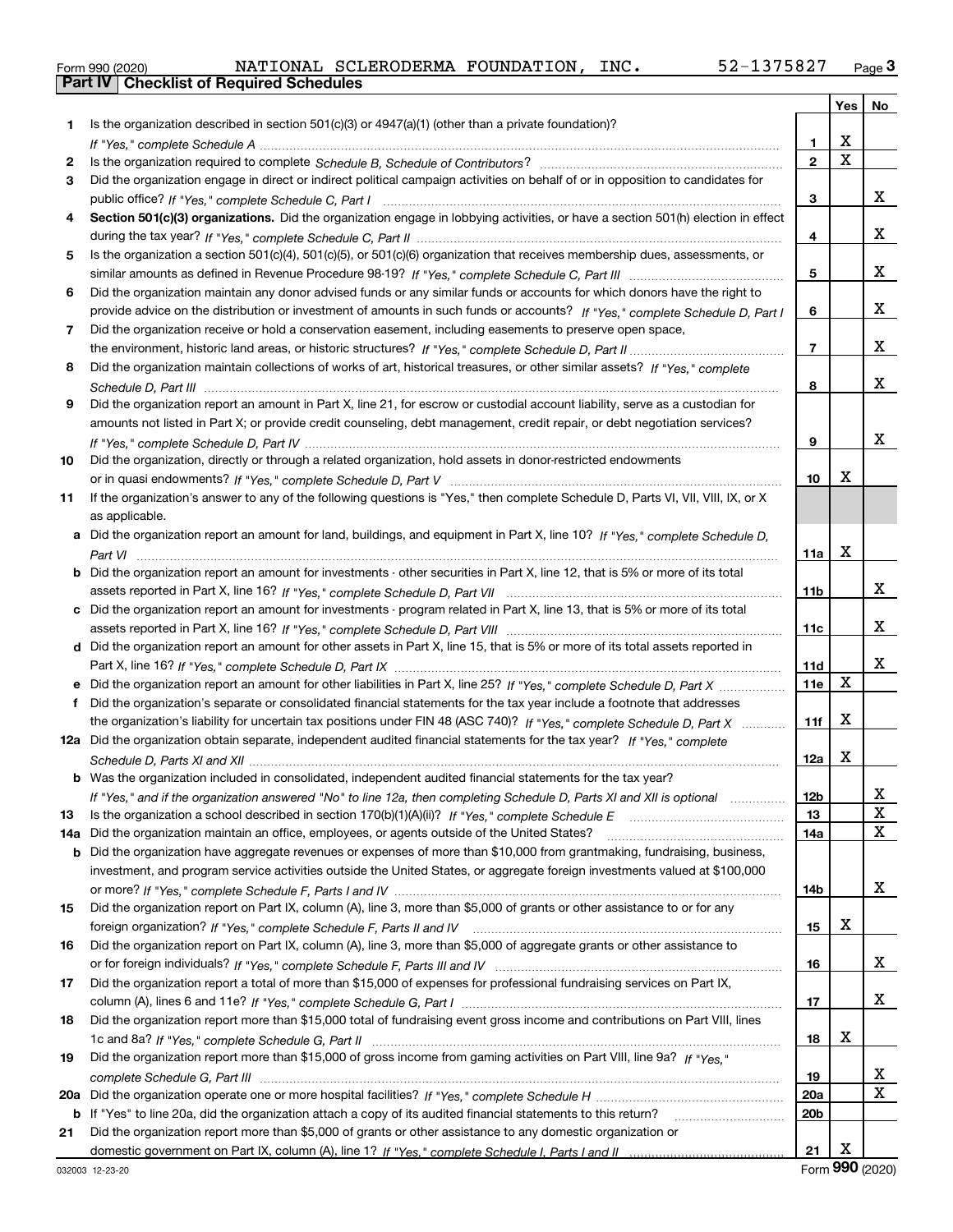|  | Form 990 (2020) |
|--|-----------------|

|     |                                                                                                                                                                                                                                                  |                | Yes                     | No          |
|-----|--------------------------------------------------------------------------------------------------------------------------------------------------------------------------------------------------------------------------------------------------|----------------|-------------------------|-------------|
| 1.  | Is the organization described in section $501(c)(3)$ or $4947(a)(1)$ (other than a private foundation)?                                                                                                                                          |                |                         |             |
|     |                                                                                                                                                                                                                                                  | 1              | X                       |             |
| 2   |                                                                                                                                                                                                                                                  | $\overline{2}$ | $\overline{\mathbf{x}}$ |             |
| 3   | Did the organization engage in direct or indirect political campaign activities on behalf of or in opposition to candidates for                                                                                                                  |                |                         |             |
|     |                                                                                                                                                                                                                                                  | 3              |                         | x           |
| 4   | Section 501(c)(3) organizations. Did the organization engage in lobbying activities, or have a section 501(h) election in effect                                                                                                                 |                |                         |             |
|     |                                                                                                                                                                                                                                                  | 4              |                         | x           |
| 5   | Is the organization a section 501(c)(4), 501(c)(5), or 501(c)(6) organization that receives membership dues, assessments, or                                                                                                                     |                |                         |             |
|     |                                                                                                                                                                                                                                                  | 5              |                         | x           |
| 6   | Did the organization maintain any donor advised funds or any similar funds or accounts for which donors have the right to                                                                                                                        |                |                         |             |
|     | provide advice on the distribution or investment of amounts in such funds or accounts? If "Yes," complete Schedule D, Part I                                                                                                                     | 6              |                         | x           |
| 7   | Did the organization receive or hold a conservation easement, including easements to preserve open space,                                                                                                                                        |                |                         |             |
|     |                                                                                                                                                                                                                                                  | $\overline{7}$ |                         | x           |
| 8   | Did the organization maintain collections of works of art, historical treasures, or other similar assets? If "Yes," complete                                                                                                                     |                |                         |             |
|     |                                                                                                                                                                                                                                                  | 8              |                         | x           |
| 9   | Did the organization report an amount in Part X, line 21, for escrow or custodial account liability, serve as a custodian for                                                                                                                    |                |                         |             |
|     | amounts not listed in Part X; or provide credit counseling, debt management, credit repair, or debt negotiation services?                                                                                                                        |                |                         |             |
|     |                                                                                                                                                                                                                                                  | 9              |                         | x           |
| 10  | Did the organization, directly or through a related organization, hold assets in donor-restricted endowments                                                                                                                                     |                |                         |             |
|     |                                                                                                                                                                                                                                                  | 10             | x                       |             |
| 11  | If the organization's answer to any of the following questions is "Yes," then complete Schedule D, Parts VI, VII, VIII, IX, or X                                                                                                                 |                |                         |             |
|     | as applicable.                                                                                                                                                                                                                                   |                |                         |             |
| а   | Did the organization report an amount for land, buildings, and equipment in Part X, line 10? If "Yes," complete Schedule D,                                                                                                                      |                |                         |             |
|     |                                                                                                                                                                                                                                                  | 11a            | X                       |             |
| b   | Did the organization report an amount for investments - other securities in Part X, line 12, that is 5% or more of its total                                                                                                                     |                |                         |             |
|     |                                                                                                                                                                                                                                                  | 11b            |                         | x           |
| c   | Did the organization report an amount for investments - program related in Part X, line 13, that is 5% or more of its total                                                                                                                      |                |                         | x           |
|     |                                                                                                                                                                                                                                                  | 11c            |                         |             |
|     | d Did the organization report an amount for other assets in Part X, line 15, that is 5% or more of its total assets reported in                                                                                                                  |                |                         | x           |
|     |                                                                                                                                                                                                                                                  | 11d<br>11e     | X                       |             |
| f   | Did the organization report an amount for other liabilities in Part X, line 25? If "Yes," complete Schedule D, Part X<br>Did the organization's separate or consolidated financial statements for the tax year include a footnote that addresses |                |                         |             |
|     | the organization's liability for uncertain tax positions under FIN 48 (ASC 740)? If "Yes," complete Schedule D, Part X                                                                                                                           | 11f            | X                       |             |
|     | 12a Did the organization obtain separate, independent audited financial statements for the tax year? If "Yes," complete                                                                                                                          |                |                         |             |
|     |                                                                                                                                                                                                                                                  | 12a            | х                       |             |
|     | <b>b</b> Was the organization included in consolidated, independent audited financial statements for the tax year?                                                                                                                               |                |                         |             |
|     | If "Yes," and if the organization answered "No" to line 12a, then completing Schedule D, Parts XI and XII is optional                                                                                                                            | 12b            |                         | ▵           |
| 13  |                                                                                                                                                                                                                                                  | 13             |                         | X           |
| 14a | Did the organization maintain an office, employees, or agents outside of the United States?                                                                                                                                                      | 14a            |                         | $\mathbf x$ |
| b   | Did the organization have aggregate revenues or expenses of more than \$10,000 from grantmaking, fundraising, business,                                                                                                                          |                |                         |             |
|     | investment, and program service activities outside the United States, or aggregate foreign investments valued at \$100,000                                                                                                                       |                |                         |             |
|     |                                                                                                                                                                                                                                                  | 14b            |                         | x           |
| 15  | Did the organization report on Part IX, column (A), line 3, more than \$5,000 of grants or other assistance to or for any                                                                                                                        |                |                         |             |
|     |                                                                                                                                                                                                                                                  | 15             | х                       |             |
| 16  | Did the organization report on Part IX, column (A), line 3, more than \$5,000 of aggregate grants or other assistance to                                                                                                                         |                |                         |             |
|     |                                                                                                                                                                                                                                                  | 16             |                         | x           |
| 17  | Did the organization report a total of more than \$15,000 of expenses for professional fundraising services on Part IX,                                                                                                                          |                |                         |             |
|     |                                                                                                                                                                                                                                                  | 17             |                         | X           |
| 18  | Did the organization report more than \$15,000 total of fundraising event gross income and contributions on Part VIII, lines                                                                                                                     |                |                         |             |
|     |                                                                                                                                                                                                                                                  | 18             | х                       |             |
| 19  | Did the organization report more than \$15,000 of gross income from gaming activities on Part VIII, line 9a? If "Yes."                                                                                                                           |                |                         |             |
|     |                                                                                                                                                                                                                                                  | 19             |                         | x           |
| 20a |                                                                                                                                                                                                                                                  | 20a            |                         | $\mathbf X$ |
| b   | If "Yes" to line 20a, did the organization attach a copy of its audited financial statements to this return?                                                                                                                                     | 20b            |                         |             |
| 21  | Did the organization report more than \$5,000 of grants or other assistance to any domestic organization or                                                                                                                                      |                |                         |             |
|     |                                                                                                                                                                                                                                                  | 21             | X                       |             |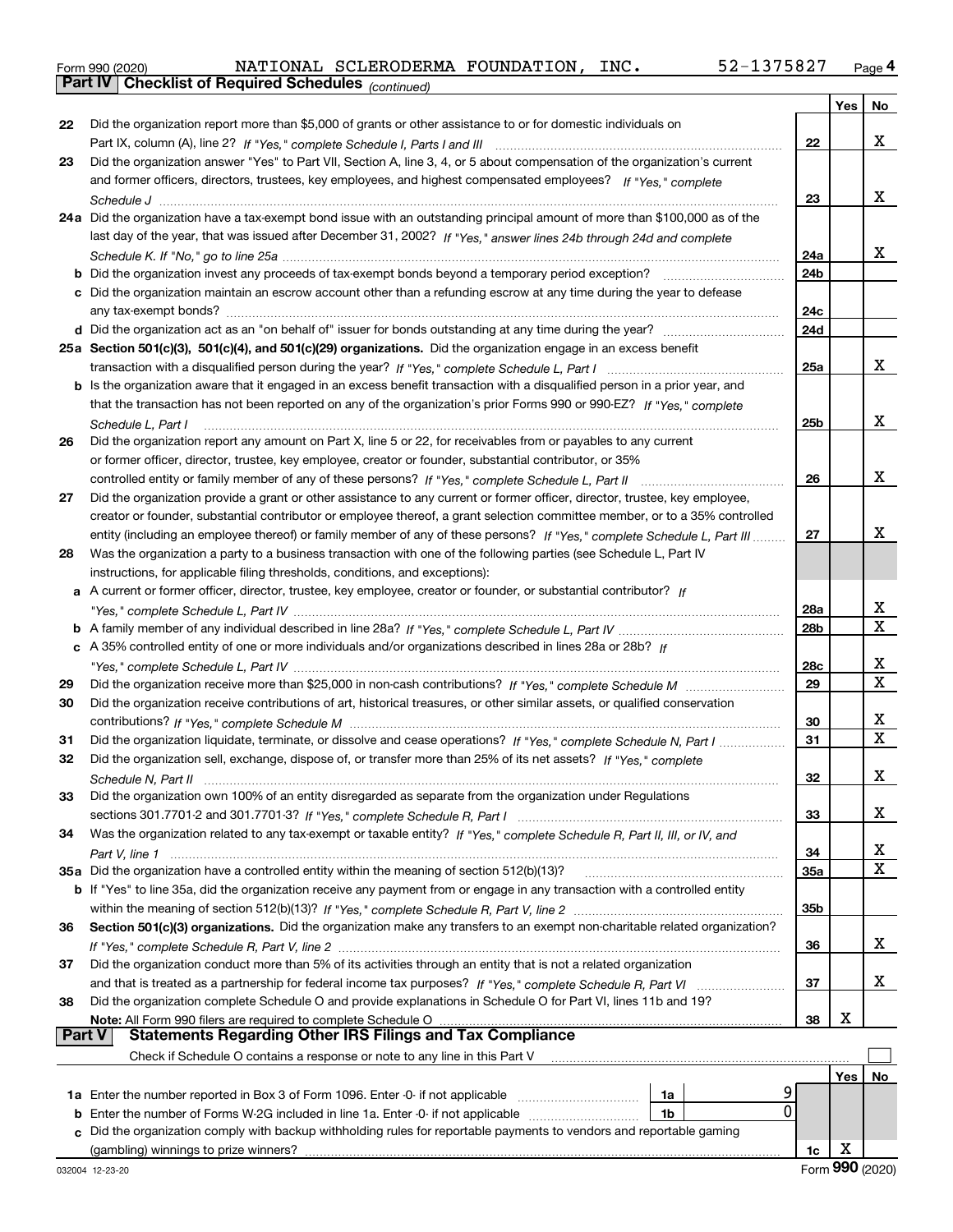|  | Form 990 (2020) |
|--|-----------------|
|  |                 |

*(continued)*

|               |                                                                                                                                                                                                                          |                 | Yes | No          |
|---------------|--------------------------------------------------------------------------------------------------------------------------------------------------------------------------------------------------------------------------|-----------------|-----|-------------|
| 22            | Did the organization report more than \$5,000 of grants or other assistance to or for domestic individuals on                                                                                                            |                 |     |             |
|               |                                                                                                                                                                                                                          | 22              |     | х           |
| 23            | Did the organization answer "Yes" to Part VII, Section A, line 3, 4, or 5 about compensation of the organization's current                                                                                               |                 |     |             |
|               | and former officers, directors, trustees, key employees, and highest compensated employees? If "Yes." complete                                                                                                           |                 |     |             |
|               |                                                                                                                                                                                                                          | 23              |     | x           |
|               | 24a Did the organization have a tax-exempt bond issue with an outstanding principal amount of more than \$100,000 as of the                                                                                              |                 |     |             |
|               | last day of the year, that was issued after December 31, 2002? If "Yes," answer lines 24b through 24d and complete                                                                                                       |                 |     |             |
|               |                                                                                                                                                                                                                          | 24a             |     | х           |
|               | b Did the organization invest any proceeds of tax-exempt bonds beyond a temporary period exception?                                                                                                                      | 24 <sub>b</sub> |     |             |
|               | c Did the organization maintain an escrow account other than a refunding escrow at any time during the year to defease                                                                                                   |                 |     |             |
|               |                                                                                                                                                                                                                          | 24c             |     |             |
|               |                                                                                                                                                                                                                          | 24d             |     |             |
|               | 25a Section 501(c)(3), 501(c)(4), and 501(c)(29) organizations. Did the organization engage in an excess benefit                                                                                                         |                 |     |             |
|               |                                                                                                                                                                                                                          | 25a             |     | x           |
|               | <b>b</b> Is the organization aware that it engaged in an excess benefit transaction with a disqualified person in a prior year, and                                                                                      |                 |     |             |
|               | that the transaction has not been reported on any of the organization's prior Forms 990 or 990-EZ? If "Yes," complete                                                                                                    |                 |     |             |
|               | Schedule L, Part I                                                                                                                                                                                                       | 25 <sub>b</sub> |     | х           |
| 26            | Did the organization report any amount on Part X, line 5 or 22, for receivables from or payables to any current                                                                                                          |                 |     |             |
|               | or former officer, director, trustee, key employee, creator or founder, substantial contributor, or 35%                                                                                                                  |                 |     |             |
|               | controlled entity or family member of any of these persons? If "Yes," complete Schedule L, Part II                                                                                                                       | 26              |     | х           |
| 27            | Did the organization provide a grant or other assistance to any current or former officer, director, trustee, key employee,                                                                                              |                 |     |             |
|               | creator or founder, substantial contributor or employee thereof, a grant selection committee member, or to a 35% controlled                                                                                              |                 |     |             |
|               | entity (including an employee thereof) or family member of any of these persons? If "Yes," complete Schedule L, Part III                                                                                                 | 27              |     | x           |
| 28            | Was the organization a party to a business transaction with one of the following parties (see Schedule L, Part IV                                                                                                        |                 |     |             |
|               | instructions, for applicable filing thresholds, conditions, and exceptions):                                                                                                                                             |                 |     |             |
|               | a A current or former officer, director, trustee, key employee, creator or founder, or substantial contributor? If                                                                                                       |                 |     |             |
|               |                                                                                                                                                                                                                          | 28a             |     | X           |
|               |                                                                                                                                                                                                                          | 28b             |     | $\mathbf X$ |
|               | c A 35% controlled entity of one or more individuals and/or organizations described in lines 28a or 28b? If                                                                                                              |                 |     |             |
|               |                                                                                                                                                                                                                          | 28c             |     | х           |
| 29            |                                                                                                                                                                                                                          | 29              |     | $\mathbf x$ |
| 30            | Did the organization receive contributions of art, historical treasures, or other similar assets, or qualified conservation                                                                                              |                 |     |             |
|               |                                                                                                                                                                                                                          | 30              |     | x           |
| 31            | Did the organization liquidate, terminate, or dissolve and cease operations? If "Yes," complete Schedule N, Part I                                                                                                       | 31              |     | $\mathbf x$ |
| 32            | Did the organization sell, exchange, dispose of, or transfer more than 25% of its net assets? If "Yes," complete                                                                                                         |                 |     |             |
|               |                                                                                                                                                                                                                          | 32              |     | х           |
| 33            | Did the organization own 100% of an entity disregarded as separate from the organization under Regulations                                                                                                               |                 |     |             |
|               |                                                                                                                                                                                                                          | 33              |     | х           |
| 34            | Was the organization related to any tax-exempt or taxable entity? If "Yes," complete Schedule R, Part II, III, or IV, and                                                                                                |                 |     |             |
|               |                                                                                                                                                                                                                          | 34              |     | x           |
|               | 35a Did the organization have a controlled entity within the meaning of section 512(b)(13)?                                                                                                                              | 35a             |     | $\mathbf X$ |
|               | b If "Yes" to line 35a, did the organization receive any payment from or engage in any transaction with a controlled entity                                                                                              |                 |     |             |
|               |                                                                                                                                                                                                                          | 35 <sub>b</sub> |     |             |
| 36            | Section 501(c)(3) organizations. Did the organization make any transfers to an exempt non-charitable related organization?                                                                                               |                 |     |             |
|               |                                                                                                                                                                                                                          | 36              |     | х           |
| 37            | Did the organization conduct more than 5% of its activities through an entity that is not a related organization                                                                                                         |                 |     | х           |
|               |                                                                                                                                                                                                                          | 37              |     |             |
| 38            | Did the organization complete Schedule O and provide explanations in Schedule O for Part VI, lines 11b and 19?                                                                                                           | 38              | х   |             |
| <b>Part V</b> | Note: All Form 990 filers are required to complete Schedule O<br>All Form 990 filers are required to complete Schedule O …………………………………………………………………………………………<br>Statements Regarding Other IRS Filings and Tax Compliance |                 |     |             |
|               | Check if Schedule O contains a response or note to any line in this Part V                                                                                                                                               |                 |     |             |
|               |                                                                                                                                                                                                                          |                 | Yes | No          |
|               | 9<br>1a Enter the number reported in Box 3 of Form 1096. Enter -0- if not applicable<br>1a                                                                                                                               |                 |     |             |
| b             | 0<br>Enter the number of Forms W-2G included in line 1a. Enter -0- if not applicable<br>1b                                                                                                                               |                 |     |             |
|               | c Did the organization comply with backup withholding rules for reportable payments to vendors and reportable gaming                                                                                                     |                 |     |             |
|               |                                                                                                                                                                                                                          | 1c              | х   |             |
|               |                                                                                                                                                                                                                          |                 |     |             |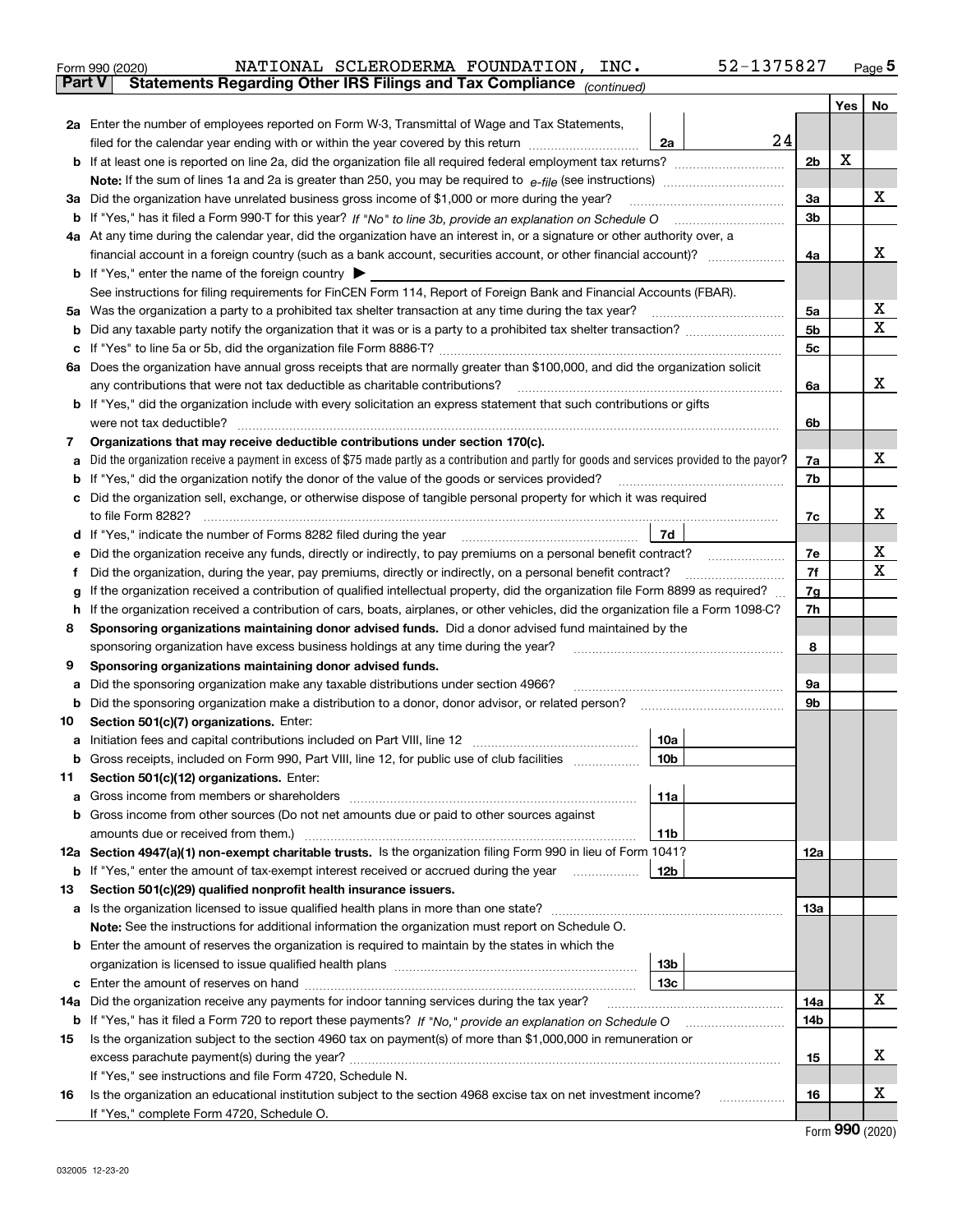| Form 990 (2020) |  | NATIONAL SCLERODERMA FOUNDATION, INC.                                                          |  | 52-1375827 | Page 5 |
|-----------------|--|------------------------------------------------------------------------------------------------|--|------------|--------|
|                 |  | <b>Part V</b> Statements Regarding Other IRS Filings and Tax Compliance <sub>(continued)</sub> |  |            |        |

|     |                                                                                                                                                           |                 |                | Yes | No |
|-----|-----------------------------------------------------------------------------------------------------------------------------------------------------------|-----------------|----------------|-----|----|
|     | 2a Enter the number of employees reported on Form W-3, Transmittal of Wage and Tax Statements,                                                            |                 |                |     |    |
|     | filed for the calendar year ending with or within the year covered by this return                                                                         | 24<br>2a        |                |     |    |
|     |                                                                                                                                                           |                 | 2 <sub>b</sub> | х   |    |
|     |                                                                                                                                                           |                 |                |     |    |
|     | 3a Did the organization have unrelated business gross income of \$1,000 or more during the year?                                                          |                 | 3a             |     | х  |
| b   |                                                                                                                                                           |                 | 3b             |     |    |
|     | 4a At any time during the calendar year, did the organization have an interest in, or a signature or other authority over, a                              |                 |                |     |    |
|     |                                                                                                                                                           |                 | 4a             |     | x  |
|     | <b>b</b> If "Yes," enter the name of the foreign country                                                                                                  |                 |                |     |    |
|     | See instructions for filing requirements for FinCEN Form 114, Report of Foreign Bank and Financial Accounts (FBAR).                                       |                 |                |     |    |
| 5a  |                                                                                                                                                           |                 | 5a             |     | х  |
| b   |                                                                                                                                                           |                 | 5b             |     | x  |
| c   |                                                                                                                                                           |                 | 5c             |     |    |
|     | 6a Does the organization have annual gross receipts that are normally greater than \$100,000, and did the organization solicit                            |                 |                |     | х  |
|     | any contributions that were not tax deductible as charitable contributions?                                                                               |                 | 6a             |     |    |
|     | <b>b</b> If "Yes," did the organization include with every solicitation an express statement that such contributions or gifts<br>were not tax deductible? |                 | 6b             |     |    |
| 7   | Organizations that may receive deductible contributions under section 170(c).                                                                             |                 |                |     |    |
| а   | Did the organization receive a payment in excess of \$75 made partly as a contribution and partly for goods and services provided to the payor?           |                 | 7a             |     | х  |
| b   | If "Yes," did the organization notify the donor of the value of the goods or services provided?                                                           |                 | 7b             |     |    |
| c   | Did the organization sell, exchange, or otherwise dispose of tangible personal property for which it was required                                         |                 |                |     |    |
|     |                                                                                                                                                           |                 | 7c             |     | х  |
|     | d If "Yes," indicate the number of Forms 8282 filed during the year                                                                                       | 7d              |                |     |    |
| е   | Did the organization receive any funds, directly or indirectly, to pay premiums on a personal benefit contract?                                           |                 | 7e             |     | х  |
| f   | Did the organization, during the year, pay premiums, directly or indirectly, on a personal benefit contract?                                              |                 | 7f             |     | x  |
| g   | If the organization received a contribution of qualified intellectual property, did the organization file Form 8899 as required?                          |                 | 7g             |     |    |
| h.  | If the organization received a contribution of cars, boats, airplanes, or other vehicles, did the organization file a Form 1098-C?                        |                 | 7h             |     |    |
| 8   | Sponsoring organizations maintaining donor advised funds. Did a donor advised fund maintained by the                                                      |                 |                |     |    |
|     | sponsoring organization have excess business holdings at any time during the year?                                                                        |                 | 8              |     |    |
| 9   | Sponsoring organizations maintaining donor advised funds.                                                                                                 |                 |                |     |    |
| а   | Did the sponsoring organization make any taxable distributions under section 4966?                                                                        |                 | 9а             |     |    |
| b   | Did the sponsoring organization make a distribution to a donor, donor advisor, or related person?                                                         |                 | 9b             |     |    |
| 10  | Section 501(c)(7) organizations. Enter:                                                                                                                   |                 |                |     |    |
| а   |                                                                                                                                                           | 10a             |                |     |    |
| b   | Gross receipts, included on Form 990, Part VIII, line 12, for public use of club facilities                                                               | 10 <sub>b</sub> |                |     |    |
| 11  | Section 501(c)(12) organizations. Enter:                                                                                                                  |                 |                |     |    |
|     | Gross income from members or shareholders                                                                                                                 | 11a             |                |     |    |
|     | <b>b</b> Gross income from other sources (Do not net amounts due or paid to other sources against                                                         |                 |                |     |    |
|     | 12a Section 4947(a)(1) non-exempt charitable trusts. Is the organization filing Form 990 in lieu of Form 1041?                                            | 11 <sub>b</sub> | 12a            |     |    |
|     | <b>b</b> If "Yes," enter the amount of tax-exempt interest received or accrued during the year                                                            | 12b             |                |     |    |
| 13  | Section 501(c)(29) qualified nonprofit health insurance issuers.                                                                                          |                 |                |     |    |
| a   | Is the organization licensed to issue qualified health plans in more than one state?                                                                      |                 | 13a            |     |    |
|     | Note: See the instructions for additional information the organization must report on Schedule O.                                                         |                 |                |     |    |
|     | <b>b</b> Enter the amount of reserves the organization is required to maintain by the states in which the                                                 |                 |                |     |    |
|     |                                                                                                                                                           | 13b             |                |     |    |
|     |                                                                                                                                                           | 13c             |                |     |    |
| 14a | Did the organization receive any payments for indoor tanning services during the tax year?                                                                |                 | 14a            |     | х  |
| b   | If "Yes," has it filed a Form 720 to report these payments? If "No," provide an explanation on Schedule O                                                 |                 | 14b            |     |    |
| 15  | Is the organization subject to the section 4960 tax on payment(s) of more than \$1,000,000 in remuneration or                                             |                 |                |     |    |
|     |                                                                                                                                                           |                 | 15             |     | х  |
|     | If "Yes," see instructions and file Form 4720, Schedule N.                                                                                                |                 |                |     |    |
| 16  | Is the organization an educational institution subject to the section 4968 excise tax on net investment income?                                           |                 | 16             |     | х  |
|     | If "Yes," complete Form 4720, Schedule O.                                                                                                                 |                 |                |     |    |

Form (2020) **990**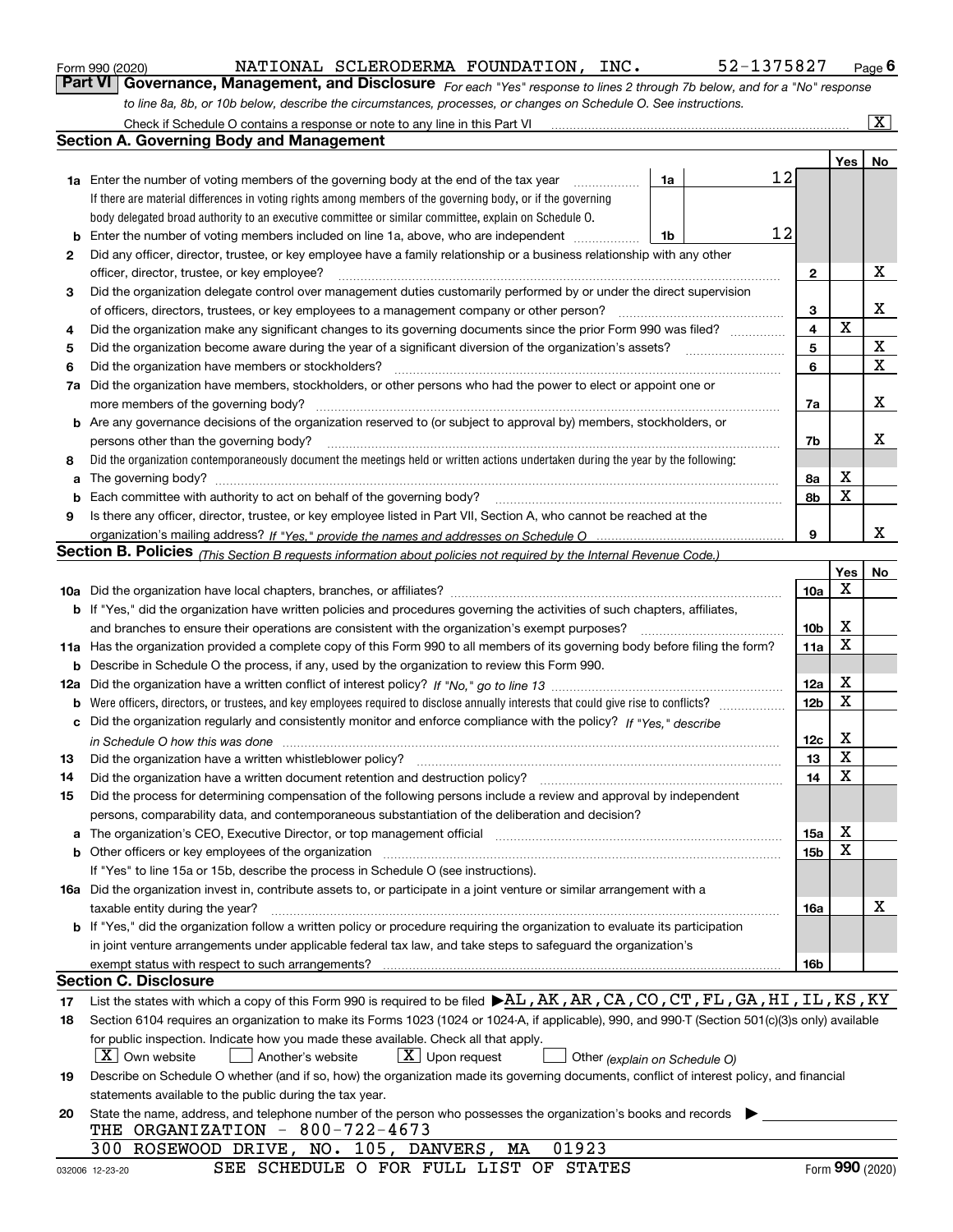|  | Form 990 (2020) |
|--|-----------------|
|  |                 |

NATIONAL SCLERODERMA FOUNDATION, INC. 52-1375827

*For each "Yes" response to lines 2 through 7b below, and for a "No" response to line 8a, 8b, or 10b below, describe the circumstances, processes, or changes on Schedule O. See instructions.* Form 990 (2020) **Concept Concept Concept Concept Concept Concept Concept Concept Concept Concept Concept Page 6**<br>**Part VI Governance, Management, and Disclosure** For each "Yes" response to lines 2 through 7b below, and f Check if Schedule O contains a response or note to any line in this Part VI

|    | Check if Schedule O contains a response or note to any line in this Part VI                                                                                                                                                    |                         |             | X               |
|----|--------------------------------------------------------------------------------------------------------------------------------------------------------------------------------------------------------------------------------|-------------------------|-------------|-----------------|
|    | <b>Section A. Governing Body and Management</b>                                                                                                                                                                                |                         |             |                 |
|    |                                                                                                                                                                                                                                |                         | <b>Yes</b>  | No              |
|    | 12<br><b>1a</b> Enter the number of voting members of the governing body at the end of the tax year<br>1a                                                                                                                      |                         |             |                 |
|    | If there are material differences in voting rights among members of the governing body, or if the governing                                                                                                                    |                         |             |                 |
|    | body delegated broad authority to an executive committee or similar committee, explain on Schedule O.                                                                                                                          |                         |             |                 |
|    | 12<br>1b                                                                                                                                                                                                                       |                         |             |                 |
| 2  | Did any officer, director, trustee, or key employee have a family relationship or a business relationship with any other                                                                                                       |                         |             |                 |
|    | officer, director, trustee, or key employee?                                                                                                                                                                                   | 2                       |             | х               |
| З  | Did the organization delegate control over management duties customarily performed by or under the direct supervision                                                                                                          |                         |             |                 |
|    | of officers, directors, trustees, or key employees to a management company or other person?                                                                                                                                    | 3                       |             | х               |
| 4  | Did the organization make any significant changes to its governing documents since the prior Form 990 was filed?                                                                                                               | $\overline{\mathbf{4}}$ | $\mathbf X$ |                 |
| 5  |                                                                                                                                                                                                                                | 5                       |             | X               |
| 6  | Did the organization have members or stockholders?                                                                                                                                                                             | 6                       |             | $\mathbf X$     |
|    | 7a Did the organization have members, stockholders, or other persons who had the power to elect or appoint one or                                                                                                              |                         |             |                 |
|    |                                                                                                                                                                                                                                | 7a                      |             | х               |
|    | <b>b</b> Are any governance decisions of the organization reserved to (or subject to approval by) members, stockholders, or                                                                                                    |                         |             |                 |
|    | persons other than the governing body?                                                                                                                                                                                         | 7b                      |             | х               |
| 8  | Did the organization contemporaneously document the meetings held or written actions undertaken during the year by the following:                                                                                              |                         |             |                 |
| a  |                                                                                                                                                                                                                                | 8а                      | X           |                 |
| b  |                                                                                                                                                                                                                                | 8b                      | X           |                 |
| 9  | Is there any officer, director, trustee, or key employee listed in Part VII, Section A, who cannot be reached at the                                                                                                           |                         |             |                 |
|    |                                                                                                                                                                                                                                | 9                       |             | x               |
|    | <b>Section B. Policies</b> (This Section B requests information about policies not required by the Internal Revenue Code.)                                                                                                     |                         |             |                 |
|    |                                                                                                                                                                                                                                |                         | Yes         | No              |
|    |                                                                                                                                                                                                                                | 10a                     | х           |                 |
|    | <b>b</b> If "Yes," did the organization have written policies and procedures governing the activities of such chapters, affiliates,                                                                                            |                         |             |                 |
|    | and branches to ensure their operations are consistent with the organization's exempt purposes?                                                                                                                                | 10 <sub>b</sub>         | X           |                 |
|    | 11a Has the organization provided a complete copy of this Form 990 to all members of its governing body before filing the form?                                                                                                | 11a                     | X           |                 |
|    | <b>b</b> Describe in Schedule O the process, if any, used by the organization to review this Form 990.                                                                                                                         |                         |             |                 |
|    |                                                                                                                                                                                                                                | 12a                     | X           |                 |
|    |                                                                                                                                                                                                                                | 12 <sub>b</sub>         | X           |                 |
|    | c Did the organization regularly and consistently monitor and enforce compliance with the policy? If "Yes." describe                                                                                                           |                         |             |                 |
|    | in Schedule O how this was done measured and contained a strategie of the state of the state of the strategie o                                                                                                                | 12c                     | X           |                 |
| 13 | Did the organization have a written whistleblower policy?                                                                                                                                                                      | 13                      | X           |                 |
| 14 | Did the organization have a written document retention and destruction policy?                                                                                                                                                 | 14                      | X           |                 |
| 15 | Did the process for determining compensation of the following persons include a review and approval by independent                                                                                                             |                         |             |                 |
|    | persons, comparability data, and contemporaneous substantiation of the deliberation and decision?                                                                                                                              |                         |             |                 |
|    | a The organization's CEO, Executive Director, or top management official manufactured content content of the organization's CEO, Executive Director, or top management official manufactured content of the state of the state | 15a                     | х           |                 |
|    |                                                                                                                                                                                                                                | 15b                     | X           |                 |
|    | If "Yes" to line 15a or 15b, describe the process in Schedule O (see instructions).                                                                                                                                            |                         |             |                 |
|    | 16a Did the organization invest in, contribute assets to, or participate in a joint venture or similar arrangement with a                                                                                                      |                         |             |                 |
|    | taxable entity during the year?                                                                                                                                                                                                | 16a                     |             | х               |
|    | b If "Yes," did the organization follow a written policy or procedure requiring the organization to evaluate its participation                                                                                                 |                         |             |                 |
|    | in joint venture arrangements under applicable federal tax law, and take steps to safeguard the organization's                                                                                                                 |                         |             |                 |
|    | exempt status with respect to such arrangements?                                                                                                                                                                               | 16b                     |             |                 |
|    | <b>Section C. Disclosure</b>                                                                                                                                                                                                   |                         |             |                 |
| 17 | List the states with which a copy of this Form 990 is required to be filed $\blacktriangleright$ AL, AK, AR, CA, CO, CT, FL, GA, HI, IL, KS, KY                                                                                |                         |             |                 |
| 18 | Section 6104 requires an organization to make its Forms 1023 (1024 or 1024-A, if applicable), 990, and 990-T (Section 501(c)(3)s only) available                                                                               |                         |             |                 |
|    | for public inspection. Indicate how you made these available. Check all that apply.<br>$ \mathbf{X} $ Own website<br>$\lfloor x \rfloor$ Upon request                                                                          |                         |             |                 |
|    | Another's website<br>Other (explain on Schedule O)                                                                                                                                                                             |                         |             |                 |
| 19 | Describe on Schedule O whether (and if so, how) the organization made its governing documents, conflict of interest policy, and financial                                                                                      |                         |             |                 |
|    | statements available to the public during the tax year.<br>State the name, address, and telephone number of the person who possesses the organization's books and records                                                      |                         |             |                 |
| 20 | THE ORGANIZATION - 800-722-4673                                                                                                                                                                                                |                         |             |                 |
|    | 01923<br>300 ROSEWOOD DRIVE, NO. 105, DANVERS, MA                                                                                                                                                                              |                         |             |                 |
|    | SEE SCHEDULE O FOR FULL LIST OF STATES<br>032006 12-23-20                                                                                                                                                                      |                         |             | Form 990 (2020) |
|    |                                                                                                                                                                                                                                |                         |             |                 |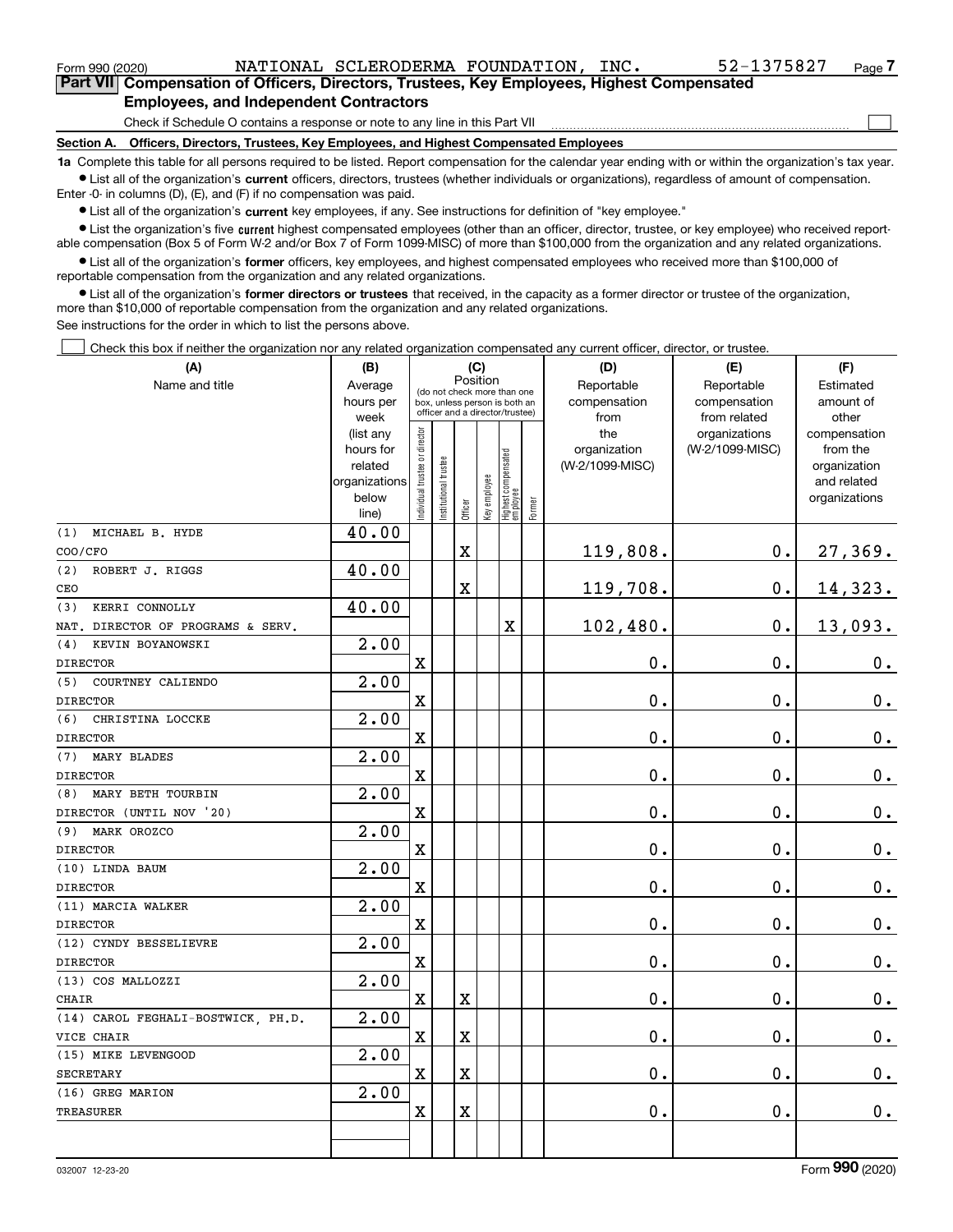| Form 990 (2020) | NATIONAL SCLERODERMA FOUNDATION,<br>INC.                                                                                                                  | 52-1375827 | Page. |
|-----------------|-----------------------------------------------------------------------------------------------------------------------------------------------------------|------------|-------|
|                 | Part VII Compensation of Officers, Directors, Trustees, Key Employees, Highest Compensated                                                                |            |       |
|                 | <b>Employees, and Independent Contractors</b>                                                                                                             |            |       |
|                 | Check if Schedule O contains a response or note to any line in this Part VII                                                                              |            |       |
| Section A.      | Officers, Directors, Trustees, Key Employees, and Highest Compensated Employees                                                                           |            |       |
|                 | 1a Complete this table for all persons required to be listed. Benort compensation for the calendar vear ending with or within the organization's tax vear |            |       |

**1a •** List all of the organization's current officers, directors, trustees (whether individuals or organizations), regardless of amount of compensation. Complete this table for all persons required to be listed. Report compensation for the calendar year ending with or within the organization's tax year. Enter -0- in columns (D), (E), and (F) if no compensation was paid.

 $\bullet$  List all of the organization's  $\,$ current key employees, if any. See instructions for definition of "key employee."

**•** List the organization's five current highest compensated employees (other than an officer, director, trustee, or key employee) who received reportable compensation (Box 5 of Form W-2 and/or Box 7 of Form 1099-MISC) of more than \$100,000 from the organization and any related organizations.

**•** List all of the organization's former officers, key employees, and highest compensated employees who received more than \$100,000 of reportable compensation from the organization and any related organizations.

**former directors or trustees**  ¥ List all of the organization's that received, in the capacity as a former director or trustee of the organization, more than \$10,000 of reportable compensation from the organization and any related organizations.

See instructions for the order in which to list the persons above.

Check this box if neither the organization nor any related organization compensated any current officer, director, or trustee.  $\mathcal{L}^{\text{max}}$ 

| (A)                                | (B)                    |                               |                      |                         | (C)          |                                                                  |        | (D)                 | (E)                              | (F)                      |
|------------------------------------|------------------------|-------------------------------|----------------------|-------------------------|--------------|------------------------------------------------------------------|--------|---------------------|----------------------------------|--------------------------|
| Name and title                     | Average                |                               |                      | Position                |              | (do not check more than one                                      |        | Reportable          | Reportable                       | Estimated                |
|                                    | hours per              |                               |                      |                         |              | box, unless person is both an<br>officer and a director/trustee) |        | compensation        | compensation                     | amount of                |
|                                    | week                   |                               |                      |                         |              |                                                                  |        | from                | from related                     | other                    |
|                                    | (list any<br>hours for |                               |                      |                         |              |                                                                  |        | the<br>organization | organizations<br>(W-2/1099-MISC) | compensation<br>from the |
|                                    | related                |                               |                      |                         |              |                                                                  |        | (W-2/1099-MISC)     |                                  | organization             |
|                                    | organizations          |                               |                      |                         |              |                                                                  |        |                     |                                  | and related              |
|                                    | below                  | ndividual trustee or director | nstitutional trustee |                         | Key employee |                                                                  |        |                     |                                  | organizations            |
|                                    | line)                  |                               |                      | Officer                 |              | Highest compensated<br>  employee                                | Former |                     |                                  |                          |
| MICHAEL B. HYDE<br>(1)             | 40.00                  |                               |                      |                         |              |                                                                  |        |                     |                                  |                          |
| COO/CFO                            |                        |                               |                      | $\rm X$                 |              |                                                                  |        | 119,808.            | 0.                               | 27,369.                  |
| ROBERT J. RIGGS<br>(2)             | 40.00                  |                               |                      |                         |              |                                                                  |        |                     |                                  |                          |
| CEO                                |                        |                               |                      | $\overline{\textbf{X}}$ |              |                                                                  |        | 119,708.            | 0.                               | 14,323.                  |
| KERRI CONNOLLY<br>(3)              | 40.00                  |                               |                      |                         |              |                                                                  |        |                     |                                  |                          |
| NAT. DIRECTOR OF PROGRAMS & SERV.  |                        |                               |                      |                         |              | $\overline{\textbf{X}}$                                          |        | 102,480.            | 0.                               | 13,093.                  |
| KEVIN BOYANOWSKI<br>(4)            | 2.00                   |                               |                      |                         |              |                                                                  |        |                     |                                  |                          |
| <b>DIRECTOR</b>                    |                        | X                             |                      |                         |              |                                                                  |        | 0.                  | $\mathbf 0$ .                    | $\mathbf 0$ .            |
| COURTNEY CALIENDO<br>(5)           | 2.00                   |                               |                      |                         |              |                                                                  |        |                     |                                  |                          |
| <b>DIRECTOR</b>                    |                        | $\mathbf X$                   |                      |                         |              |                                                                  |        | 0.                  | $\mathbf 0$ .                    | $0_{.}$                  |
| (6)<br>CHRISTINA LOCCKE            | 2.00                   |                               |                      |                         |              |                                                                  |        |                     |                                  |                          |
| <b>DIRECTOR</b>                    |                        | $\overline{\textbf{X}}$       |                      |                         |              |                                                                  |        | 0.                  | $\mathbf 0$ .                    | $\mathbf 0$ .            |
| <b>MARY BLADES</b><br>(7)          | 2.00                   |                               |                      |                         |              |                                                                  |        |                     |                                  |                          |
| <b>DIRECTOR</b>                    |                        | $\mathbf X$                   |                      |                         |              |                                                                  |        | $\mathbf 0$ .       | $\mathbf 0$ .                    | $0_{.}$                  |
| MARY BETH TOURBIN<br>(8)           | 2.00                   |                               |                      |                         |              |                                                                  |        |                     |                                  |                          |
| DIRECTOR (UNTIL NOV '20)           |                        | X                             |                      |                         |              |                                                                  |        | 0.                  | 0.                               | $0_{.}$                  |
| MARK OROZCO<br>(9)                 | 2.00                   |                               |                      |                         |              |                                                                  |        |                     |                                  |                          |
| <b>DIRECTOR</b>                    |                        | $\rm X$                       |                      |                         |              |                                                                  |        | 0.                  | 0.                               | $\mathbf 0$ .            |
| (10) LINDA BAUM                    | 2.00                   |                               |                      |                         |              |                                                                  |        |                     |                                  |                          |
| <b>DIRECTOR</b>                    |                        | $\mathbf X$                   |                      |                         |              |                                                                  |        | 0.                  | $\mathbf 0$ .                    | $\mathbf 0$ .            |
| (11) MARCIA WALKER                 | 2.00                   |                               |                      |                         |              |                                                                  |        |                     |                                  |                          |
| <b>DIRECTOR</b>                    |                        | $\mathbf X$                   |                      |                         |              |                                                                  |        | 0.                  | 0.                               | $\mathbf 0$ .            |
| (12) CYNDY BESSELIEVRE             | 2.00                   |                               |                      |                         |              |                                                                  |        |                     |                                  |                          |
| <b>DIRECTOR</b>                    |                        | $\mathbf X$                   |                      |                         |              |                                                                  |        | 0.                  | $\mathbf 0$ .                    | $0_{.}$                  |
| (13) COS MALLOZZI                  | 2.00                   |                               |                      |                         |              |                                                                  |        |                     |                                  |                          |
| CHAIR                              |                        | $\mathbf X$                   |                      | X                       |              |                                                                  |        | 0.                  | $\mathbf 0$ .                    | $\pmb{0}$ .              |
| (14) CAROL FEGHALI-BOSTWICK, PH.D. | 2.00                   |                               |                      |                         |              |                                                                  |        |                     |                                  |                          |
| VICE CHAIR                         |                        | $\mathbf X$                   |                      | $\overline{\textbf{X}}$ |              |                                                                  |        | 0.                  | 0.                               | $0_{.}$                  |
| (15) MIKE LEVENGOOD                | 2.00                   |                               |                      |                         |              |                                                                  |        |                     |                                  |                          |
| <b>SECRETARY</b>                   |                        | $\mathbf x$                   |                      | $\overline{\text{X}}$   |              |                                                                  |        | 0.                  | $\mathbf 0$ .                    | $\mathbf 0$ .            |
| (16) GREG MARION                   | 2.00                   |                               |                      |                         |              |                                                                  |        |                     |                                  |                          |
| TREASURER                          |                        | $\mathbf X$                   |                      | $\overline{\textbf{X}}$ |              |                                                                  |        | 0.                  | 0.                               | $\mathbf 0$ .            |
|                                    |                        |                               |                      |                         |              |                                                                  |        |                     |                                  |                          |
|                                    |                        |                               |                      |                         |              |                                                                  |        |                     |                                  |                          |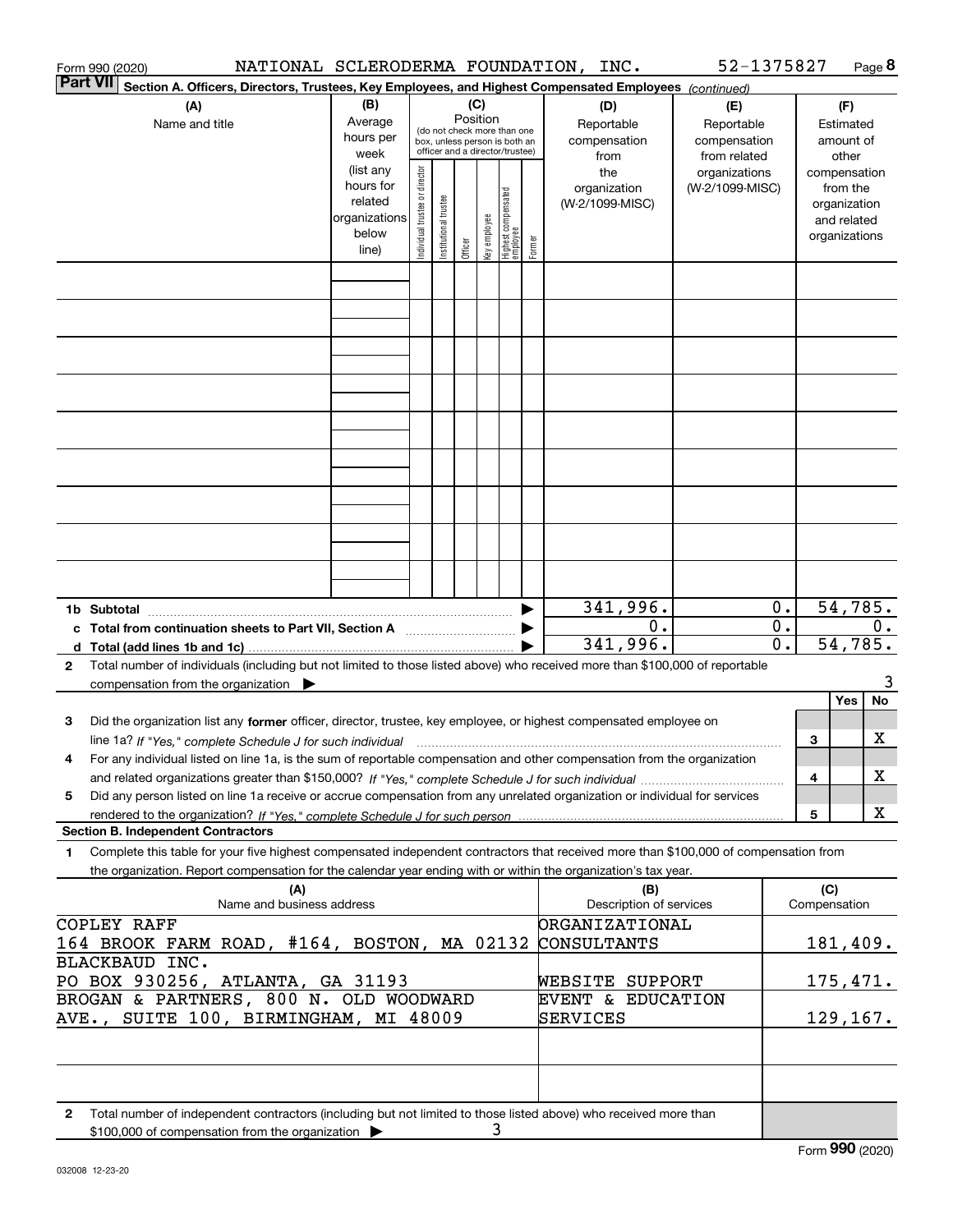| Form 990 (2020)                                                                                                                                                                                                                                                             |                                                                      |                                |                        |                 |              |                                                                                                 |        | NATIONAL SCLERODERMA FOUNDATION, INC.     | 52-1375827                                        |                        |                     | Page 8                                                                   |
|-----------------------------------------------------------------------------------------------------------------------------------------------------------------------------------------------------------------------------------------------------------------------------|----------------------------------------------------------------------|--------------------------------|------------------------|-----------------|--------------|-------------------------------------------------------------------------------------------------|--------|-------------------------------------------|---------------------------------------------------|------------------------|---------------------|--------------------------------------------------------------------------|
| <b>Part VII</b><br>Section A. Officers, Directors, Trustees, Key Employees, and Highest Compensated Employees (continued)                                                                                                                                                   |                                                                      |                                |                        |                 |              |                                                                                                 |        |                                           |                                                   |                        |                     |                                                                          |
| (A)<br>Name and title                                                                                                                                                                                                                                                       | (B)<br>Average<br>hours per<br>week                                  |                                |                        | (C)<br>Position |              | (do not check more than one<br>box, unless person is both an<br>officer and a director/trustee) |        | (D)<br>Reportable<br>compensation<br>from | (E)<br>Reportable<br>compensation<br>from related |                        |                     | (F)<br>Estimated<br>amount of<br>other                                   |
|                                                                                                                                                                                                                                                                             | (list any<br>hours for<br>related<br>organizations<br>below<br>line) | Individual trustee or director | In stitutional trustee | Officer         | key employee | Highest compensated<br>employee                                                                 | Former | the<br>organization<br>(W-2/1099-MISC)    | organizations<br>(W-2/1099-MISC)                  |                        |                     | compensation<br>from the<br>organization<br>and related<br>organizations |
|                                                                                                                                                                                                                                                                             |                                                                      |                                |                        |                 |              |                                                                                                 |        |                                           |                                                   |                        |                     |                                                                          |
|                                                                                                                                                                                                                                                                             |                                                                      |                                |                        |                 |              |                                                                                                 |        |                                           |                                                   |                        |                     |                                                                          |
|                                                                                                                                                                                                                                                                             |                                                                      |                                |                        |                 |              |                                                                                                 |        |                                           |                                                   |                        |                     |                                                                          |
|                                                                                                                                                                                                                                                                             |                                                                      |                                |                        |                 |              |                                                                                                 |        |                                           |                                                   |                        |                     |                                                                          |
|                                                                                                                                                                                                                                                                             |                                                                      |                                |                        |                 |              |                                                                                                 |        |                                           |                                                   |                        |                     |                                                                          |
|                                                                                                                                                                                                                                                                             |                                                                      |                                |                        |                 |              |                                                                                                 |        |                                           |                                                   |                        |                     |                                                                          |
|                                                                                                                                                                                                                                                                             |                                                                      |                                |                        |                 |              |                                                                                                 |        |                                           |                                                   |                        |                     |                                                                          |
|                                                                                                                                                                                                                                                                             |                                                                      |                                |                        |                 |              |                                                                                                 |        |                                           |                                                   |                        |                     |                                                                          |
|                                                                                                                                                                                                                                                                             |                                                                      |                                |                        |                 |              |                                                                                                 |        |                                           |                                                   |                        |                     |                                                                          |
| 1b Subtotal<br>c Total from continuation sheets to Part VII, Section A                                                                                                                                                                                                      |                                                                      |                                |                        |                 |              |                                                                                                 |        | 341,996.<br>0.                            |                                                   | 0.<br>$\overline{0}$ . |                     | 54,785.<br>0.                                                            |
|                                                                                                                                                                                                                                                                             |                                                                      |                                |                        |                 |              |                                                                                                 |        | 341,996.                                  |                                                   | $\overline{0}$ .       |                     | 54,785.                                                                  |
| Total number of individuals (including but not limited to those listed above) who received more than \$100,000 of reportable<br>2<br>compensation from the organization                                                                                                     |                                                                      |                                |                        |                 |              |                                                                                                 |        |                                           |                                                   |                        |                     | 3                                                                        |
|                                                                                                                                                                                                                                                                             |                                                                      |                                |                        |                 |              |                                                                                                 |        |                                           |                                                   |                        |                     | No<br>Yes                                                                |
| Did the organization list any former officer, director, trustee, key employee, or highest compensated employee on<br>з                                                                                                                                                      |                                                                      |                                |                        |                 |              |                                                                                                 |        |                                           |                                                   |                        | 3                   | х                                                                        |
| line 1a? If "Yes," complete Schedule J for such individual matches contained and the 1a? If "Yes," complete Schedule J for such individual<br>For any individual listed on line 1a, is the sum of reportable compensation and other compensation from the organization<br>4 |                                                                      |                                |                        |                 |              |                                                                                                 |        |                                           |                                                   |                        |                     |                                                                          |
|                                                                                                                                                                                                                                                                             |                                                                      |                                |                        |                 |              |                                                                                                 |        |                                           |                                                   |                        | 4                   | х                                                                        |
| Did any person listed on line 1a receive or accrue compensation from any unrelated organization or individual for services<br>5                                                                                                                                             |                                                                      |                                |                        |                 |              |                                                                                                 |        |                                           |                                                   |                        | 5                   | X                                                                        |
| <b>Section B. Independent Contractors</b>                                                                                                                                                                                                                                   |                                                                      |                                |                        |                 |              |                                                                                                 |        |                                           |                                                   |                        |                     |                                                                          |
| Complete this table for your five highest compensated independent contractors that received more than \$100,000 of compensation from<br>1<br>the organization. Report compensation for the calendar year ending with or within the organization's tax year.                 |                                                                      |                                |                        |                 |              |                                                                                                 |        |                                           |                                                   |                        |                     |                                                                          |
| (A)<br>Name and business address                                                                                                                                                                                                                                            |                                                                      |                                |                        |                 |              |                                                                                                 |        | (B)<br>Description of services            |                                                   |                        | (C)<br>Compensation |                                                                          |
| <b>COPLEY RAFF</b><br>164 BROOK FARM ROAD, #164, BOSTON, MA 02132                                                                                                                                                                                                           |                                                                      |                                |                        |                 |              |                                                                                                 |        | <b>ORGANIZATIONAL</b><br>CONSULTANTS      |                                                   |                        |                     | 181,409.                                                                 |
| BLACKBAUD INC.<br>PO BOX 930256, ATLANTA, GA 31193                                                                                                                                                                                                                          |                                                                      |                                |                        |                 |              |                                                                                                 |        | WEBSITE SUPPORT                           |                                                   |                        |                     | 175, 471.                                                                |
| BROGAN & PARTNERS, 800 N. OLD WOODWARD<br>AVE., SUITE 100, BIRMINGHAM, MI 48009                                                                                                                                                                                             |                                                                      |                                |                        |                 |              |                                                                                                 |        | EVENT & EDUCATION<br>SERVICES             |                                                   |                        |                     | 129, 167.                                                                |
|                                                                                                                                                                                                                                                                             |                                                                      |                                |                        |                 |              |                                                                                                 |        |                                           |                                                   |                        |                     |                                                                          |
|                                                                                                                                                                                                                                                                             |                                                                      |                                |                        |                 |              |                                                                                                 |        |                                           |                                                   |                        |                     |                                                                          |
| Total number of independent contractors (including but not limited to those listed above) who received more than<br>2<br>\$100,000 of compensation from the organization $\blacktriangleright$                                                                              |                                                                      |                                |                        |                 | 3            |                                                                                                 |        |                                           |                                                   |                        |                     |                                                                          |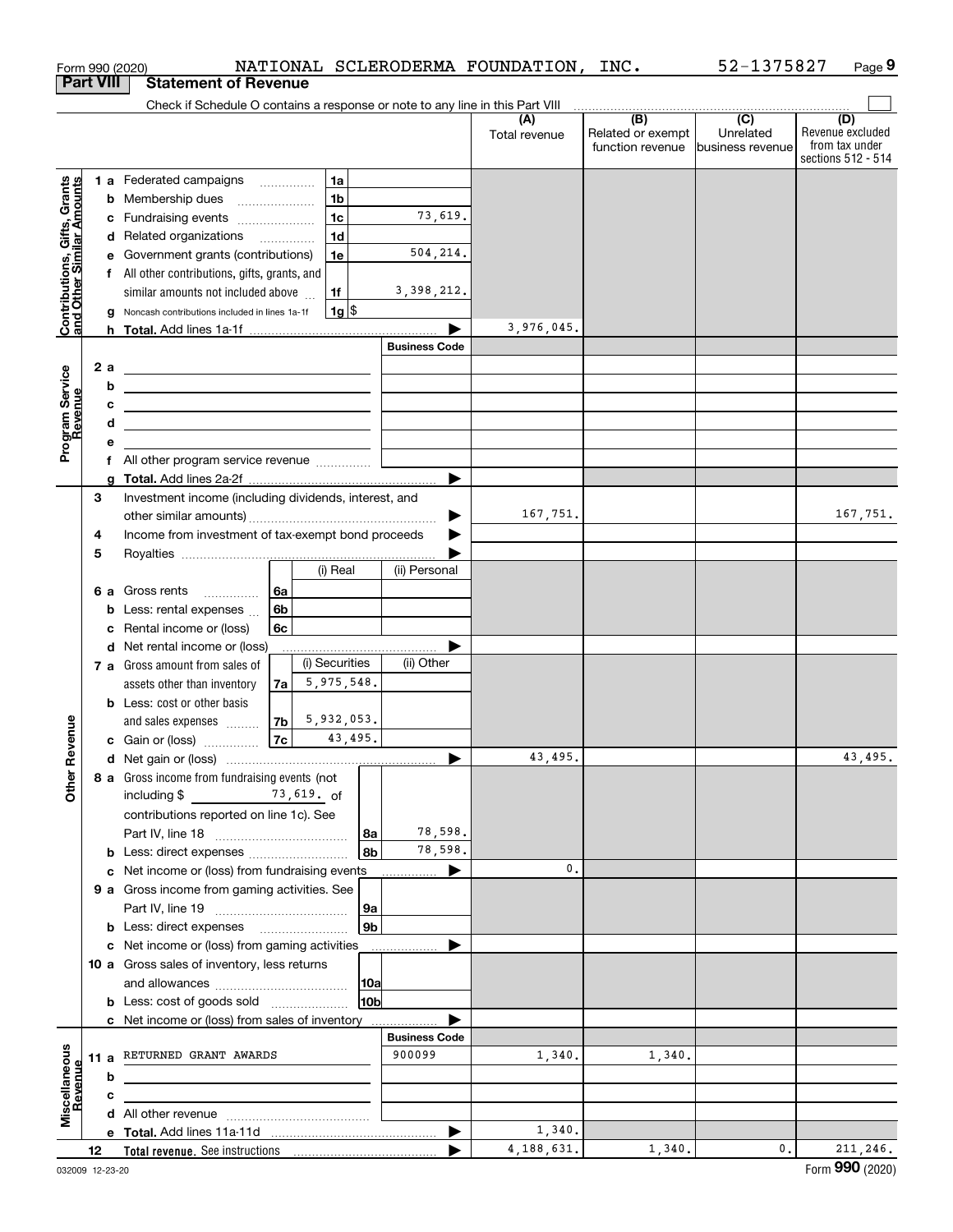|                                                           |                  |   | Form 990 (2020)                                                                                                       |    |                                             |         |                      | NATIONAL SCLERODERMA FOUNDATION, INC. |                                                                                                                                           | 52-1375827                    | Page 9                                                          |
|-----------------------------------------------------------|------------------|---|-----------------------------------------------------------------------------------------------------------------------|----|---------------------------------------------|---------|----------------------|---------------------------------------|-------------------------------------------------------------------------------------------------------------------------------------------|-------------------------------|-----------------------------------------------------------------|
|                                                           | <b>Part VIII</b> |   | <b>Statement of Revenue</b>                                                                                           |    |                                             |         |                      |                                       |                                                                                                                                           |                               |                                                                 |
|                                                           |                  |   | Check if Schedule O contains a response or note to any line in this Part VIII                                         |    |                                             |         |                      |                                       | $\begin{array}{c c c c c c} \hline \textbf{(B)} & \textbf{(C)} & \textbf{1} & \textbf{1} & \textbf{1} & \textbf{1} \\ \hline \end{array}$ |                               |                                                                 |
|                                                           |                  |   |                                                                                                                       |    |                                             |         |                      | (A)<br>Total revenue                  | Related or exempt<br>function revenue                                                                                                     | Unrelated<br>business revenue | (D)<br>Revenue excluded<br>from tax under<br>sections 512 - 514 |
|                                                           |                  |   | 1 a Federated campaigns                                                                                               |    | 1a                                          |         |                      |                                       |                                                                                                                                           |                               |                                                                 |
| Contributions, Gifts, Grants<br>and Other Similar Amounts |                  | b | Membership dues<br>$\overline{\phantom{a}}$                                                                           |    | 1 <sub>b</sub>                              |         |                      |                                       |                                                                                                                                           |                               |                                                                 |
|                                                           |                  | с | Fundraising events                                                                                                    |    | 1 <sub>c</sub>                              |         | 73,619.              |                                       |                                                                                                                                           |                               |                                                                 |
|                                                           |                  |   | d Related organizations                                                                                               |    | 1 <sub>d</sub>                              |         |                      |                                       |                                                                                                                                           |                               |                                                                 |
|                                                           |                  | е | Government grants (contributions)                                                                                     |    | 1e                                          |         | 504, 214.            |                                       |                                                                                                                                           |                               |                                                                 |
|                                                           |                  |   | f All other contributions, gifts, grants, and                                                                         |    |                                             |         |                      |                                       |                                                                                                                                           |                               |                                                                 |
|                                                           |                  |   | similar amounts not included above                                                                                    |    | 1f                                          |         | 3, 398, 212.         |                                       |                                                                                                                                           |                               |                                                                 |
|                                                           |                  | g | Noncash contributions included in lines 1a-1f                                                                         |    |                                             | $1g$ \$ |                      |                                       |                                                                                                                                           |                               |                                                                 |
|                                                           |                  |   |                                                                                                                       |    |                                             |         |                      | 3,976,045.                            |                                                                                                                                           |                               |                                                                 |
|                                                           |                  |   |                                                                                                                       |    |                                             |         | <b>Business Code</b> |                                       |                                                                                                                                           |                               |                                                                 |
|                                                           | 2a               |   | <u> 1989 - Andrea Stadt Britain, amerikansk politik (</u>                                                             |    |                                             |         |                      |                                       |                                                                                                                                           |                               |                                                                 |
| Program Service<br>Revenue                                |                  | b | <u> 1989 - Johann John Stone, meil in der Stone aus der Stone aus der Stone aus der Stone aus der Stone anderen S</u> |    |                                             |         |                      |                                       |                                                                                                                                           |                               |                                                                 |
|                                                           |                  | с | <u> 1980 - John Stein, Amerikaansk politiker (</u>                                                                    |    |                                             |         |                      |                                       |                                                                                                                                           |                               |                                                                 |
|                                                           |                  | d | the control of the control of the control of the control of the control of the control of                             |    |                                             |         |                      |                                       |                                                                                                                                           |                               |                                                                 |
|                                                           |                  | е |                                                                                                                       |    |                                             |         |                      |                                       |                                                                                                                                           |                               |                                                                 |
|                                                           |                  |   | f All other program service revenue                                                                                   |    |                                             |         |                      |                                       |                                                                                                                                           |                               |                                                                 |
|                                                           |                  | g |                                                                                                                       |    |                                             |         |                      |                                       |                                                                                                                                           |                               |                                                                 |
|                                                           | 3                |   | Investment income (including dividends, interest, and                                                                 |    |                                             |         |                      |                                       |                                                                                                                                           |                               |                                                                 |
|                                                           |                  |   |                                                                                                                       |    |                                             |         |                      | 167,751.                              |                                                                                                                                           |                               | 167,751.                                                        |
|                                                           | 4                |   | Income from investment of tax-exempt bond proceeds                                                                    |    |                                             |         |                      |                                       |                                                                                                                                           |                               |                                                                 |
|                                                           | 5                |   |                                                                                                                       |    |                                             |         |                      |                                       |                                                                                                                                           |                               |                                                                 |
|                                                           |                  |   |                                                                                                                       |    | (i) Real                                    |         | (ii) Personal        |                                       |                                                                                                                                           |                               |                                                                 |
|                                                           |                  |   | 6 a Gross rents                                                                                                       | 6a |                                             |         |                      |                                       |                                                                                                                                           |                               |                                                                 |
|                                                           |                  | b | Less: rental expenses                                                                                                 | 6b |                                             |         |                      |                                       |                                                                                                                                           |                               |                                                                 |
|                                                           |                  | c | Rental income or (loss)                                                                                               | 6с |                                             |         |                      |                                       |                                                                                                                                           |                               |                                                                 |
|                                                           |                  | d | Net rental income or (loss)                                                                                           |    |                                             |         |                      |                                       |                                                                                                                                           |                               |                                                                 |
|                                                           |                  |   | 7 a Gross amount from sales of                                                                                        |    | (i) Securities                              |         | (ii) Other           |                                       |                                                                                                                                           |                               |                                                                 |
|                                                           |                  |   | assets other than inventory                                                                                           | 7a | 5,975,548.                                  |         |                      |                                       |                                                                                                                                           |                               |                                                                 |
|                                                           |                  |   | <b>b</b> Less: cost or other basis                                                                                    |    |                                             |         |                      |                                       |                                                                                                                                           |                               |                                                                 |
|                                                           |                  |   | and sales expenses                                                                                                    | 7b | $\begin{array}{ c } 5,932,053. \end{array}$ |         |                      |                                       |                                                                                                                                           |                               |                                                                 |
| evenue                                                    |                  |   | c Gain or (loss)                                                                                                      | 7c |                                             | 43,495. |                      |                                       |                                                                                                                                           |                               |                                                                 |
|                                                           |                  |   |                                                                                                                       |    |                                             |         |                      | 43,495.                               |                                                                                                                                           |                               | 43,495.                                                         |
| Other R                                                   |                  |   | 8 a Gross income from fundraising events (not                                                                         |    |                                             |         |                      |                                       |                                                                                                                                           |                               |                                                                 |
|                                                           |                  |   | including $$$ 73, 619. of                                                                                             |    |                                             |         |                      |                                       |                                                                                                                                           |                               |                                                                 |
|                                                           |                  |   | contributions reported on line 1c). See                                                                               |    |                                             |         |                      |                                       |                                                                                                                                           |                               |                                                                 |
|                                                           |                  |   |                                                                                                                       |    |                                             | 8a      | 78,598.              |                                       |                                                                                                                                           |                               |                                                                 |
|                                                           |                  |   |                                                                                                                       |    |                                             | 8b      | 78,598.              |                                       |                                                                                                                                           |                               |                                                                 |
|                                                           |                  |   | c Net income or (loss) from fundraising events                                                                        |    |                                             |         |                      | 0.                                    |                                                                                                                                           |                               |                                                                 |
|                                                           |                  |   | 9 a Gross income from gaming activities. See                                                                          |    |                                             |         |                      |                                       |                                                                                                                                           |                               |                                                                 |
|                                                           |                  |   |                                                                                                                       |    |                                             | 9a      |                      |                                       |                                                                                                                                           |                               |                                                                 |
|                                                           |                  |   |                                                                                                                       |    |                                             | 9b      |                      |                                       |                                                                                                                                           |                               |                                                                 |
|                                                           |                  |   | c Net income or (loss) from gaming activities                                                                         |    |                                             |         | .                    |                                       |                                                                                                                                           |                               |                                                                 |
|                                                           |                  |   | 10 a Gross sales of inventory, less returns                                                                           |    |                                             |         |                      |                                       |                                                                                                                                           |                               |                                                                 |
|                                                           |                  |   |                                                                                                                       |    |                                             | 10a     |                      |                                       |                                                                                                                                           |                               |                                                                 |
|                                                           |                  |   | <b>b</b> Less: cost of goods sold                                                                                     |    |                                             | 10b     |                      |                                       |                                                                                                                                           |                               |                                                                 |
|                                                           |                  |   | c Net income or (loss) from sales of inventory                                                                        |    |                                             |         |                      |                                       |                                                                                                                                           |                               |                                                                 |
|                                                           |                  |   |                                                                                                                       |    |                                             |         | <b>Business Code</b> |                                       |                                                                                                                                           |                               |                                                                 |
|                                                           |                  |   | 11 a RETURNED GRANT AWARDS                                                                                            |    |                                             |         | 900099               | 1,340.                                | 1,340.                                                                                                                                    |                               |                                                                 |
|                                                           |                  | b |                                                                                                                       |    |                                             |         |                      |                                       |                                                                                                                                           |                               |                                                                 |
|                                                           |                  | с |                                                                                                                       |    |                                             |         |                      |                                       |                                                                                                                                           |                               |                                                                 |
| Miscellaneous<br>Revenue                                  |                  |   |                                                                                                                       |    |                                             |         |                      |                                       |                                                                                                                                           |                               |                                                                 |
|                                                           |                  |   |                                                                                                                       |    |                                             |         |                      | 1,340.                                |                                                                                                                                           |                               |                                                                 |
|                                                           | 12               |   |                                                                                                                       |    |                                             |         |                      | 4,188,631.                            | 1,340.                                                                                                                                    | 0.                            | 211, 246.                                                       |
|                                                           |                  |   |                                                                                                                       |    |                                             |         |                      |                                       |                                                                                                                                           |                               |                                                                 |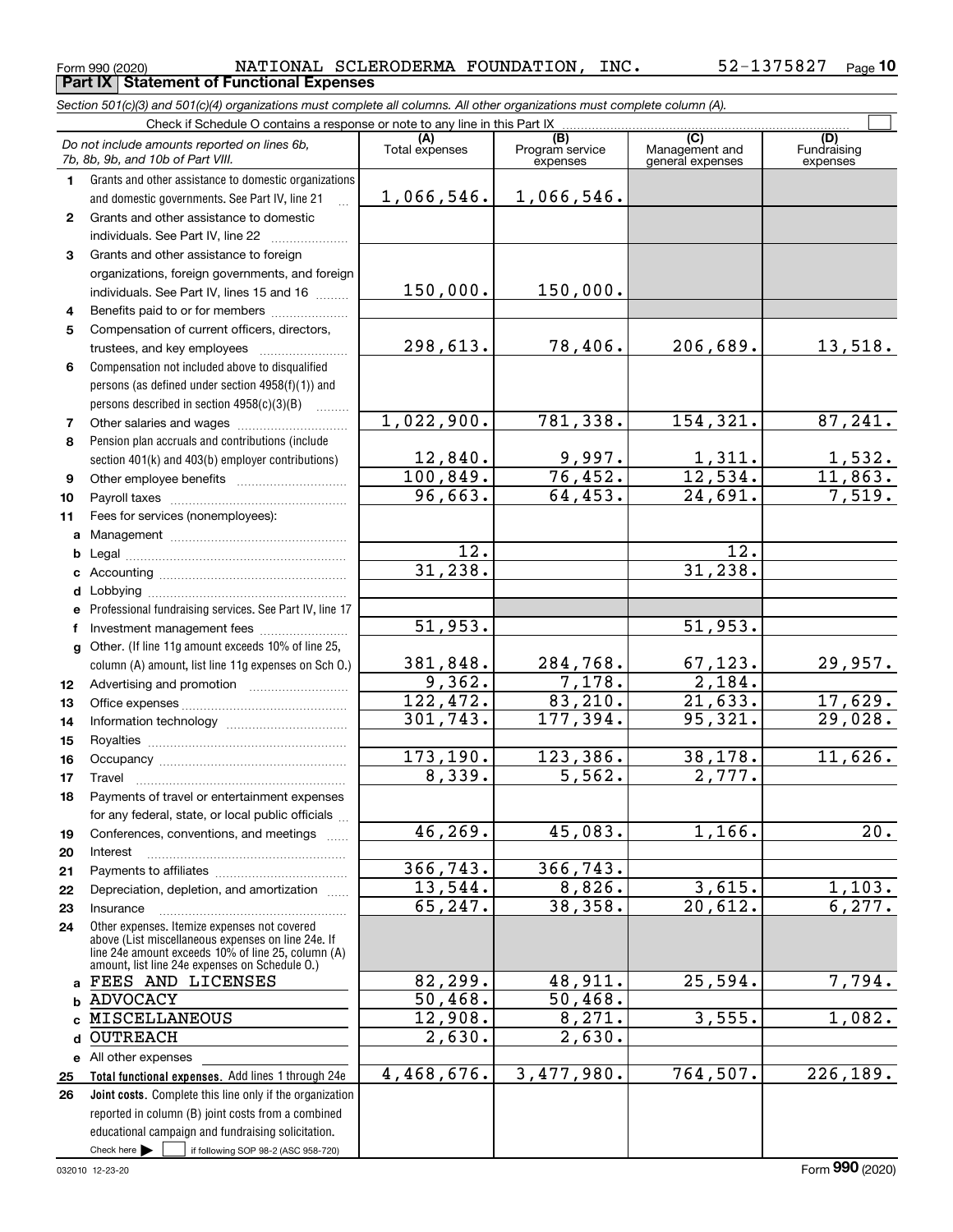### Form 990 (2020) Page **Part IX Statement of Functional Expenses** NATIONAL SCLERODERMA FOUNDATION, INC. 52-1375827

*Section 501(c)(3) and 501(c)(4) organizations must complete all columns. All other organizations must complete column (A).*

|              | Do not include amounts reported on lines 6b,<br>7b, 8b, 9b, and 10b of Part VIII.                                                                        | (A)<br>Total expenses | (B)<br>Program service<br>expenses | (C)<br>Management and<br>general expenses | (D)<br>Fundraising<br>expenses |
|--------------|----------------------------------------------------------------------------------------------------------------------------------------------------------|-----------------------|------------------------------------|-------------------------------------------|--------------------------------|
| 1.           | Grants and other assistance to domestic organizations                                                                                                    |                       |                                    |                                           |                                |
|              | and domestic governments. See Part IV, line 21                                                                                                           | 1,066,546.            | 1,066,546.                         |                                           |                                |
| $\mathbf{2}$ | Grants and other assistance to domestic                                                                                                                  |                       |                                    |                                           |                                |
|              | individuals. See Part IV, line 22                                                                                                                        |                       |                                    |                                           |                                |
| 3            | Grants and other assistance to foreign                                                                                                                   |                       |                                    |                                           |                                |
|              | organizations, foreign governments, and foreign                                                                                                          |                       |                                    |                                           |                                |
|              | individuals. See Part IV, lines 15 and 16                                                                                                                | 150,000.              | 150,000.                           |                                           |                                |
| 4            | Benefits paid to or for members                                                                                                                          |                       |                                    |                                           |                                |
| 5            | Compensation of current officers, directors,                                                                                                             |                       |                                    |                                           |                                |
|              | trustees, and key employees                                                                                                                              | 298,613.              | 78,406.                            | 206,689.                                  | 13,518.                        |
| 6            | Compensation not included above to disqualified                                                                                                          |                       |                                    |                                           |                                |
|              | persons (as defined under section 4958(f)(1)) and                                                                                                        |                       |                                    |                                           |                                |
|              | persons described in section $4958(c)(3)(B)$                                                                                                             |                       |                                    |                                           |                                |
| 7            |                                                                                                                                                          | 1,022,900.            | 781,338.                           | 154, 321.                                 | 87, 241.                       |
| 8            | Pension plan accruals and contributions (include                                                                                                         |                       |                                    |                                           |                                |
|              | section 401(k) and 403(b) employer contributions)                                                                                                        | 12,840.               | $\frac{9,997.}{76,452.}$           | $\frac{1,311}{12,534}$                    | $\frac{1,532}{11,863}$         |
| 9            |                                                                                                                                                          | 100, 849.             |                                    |                                           |                                |
| 10           |                                                                                                                                                          | 96,663.               | 64,453.                            | 24,691.                                   | 7,519.                         |
| 11           | Fees for services (nonemployees):                                                                                                                        |                       |                                    |                                           |                                |
| а            |                                                                                                                                                          |                       |                                    |                                           |                                |
| b            |                                                                                                                                                          | 12.                   |                                    | 12.                                       |                                |
| c            |                                                                                                                                                          | 31, 238.              |                                    | 31, 238.                                  |                                |
| d            |                                                                                                                                                          |                       |                                    |                                           |                                |
| e            | Professional fundraising services. See Part IV, line 17                                                                                                  |                       |                                    |                                           |                                |
| f            | Investment management fees                                                                                                                               | 51,953.               |                                    | 51,953.                                   |                                |
| g            | Other. (If line 11g amount exceeds 10% of line 25,                                                                                                       |                       |                                    | 67, 123.                                  |                                |
|              | column (A) amount, list line 11g expenses on Sch O.)                                                                                                     | 381,848.<br>9,362.    | 284,768.<br>7,178.                 | 2,184.                                    | 29,957.                        |
| 12           |                                                                                                                                                          | 122,472.              | 83,210.                            | 21,633.                                   | 17,629.                        |
| 13           |                                                                                                                                                          | 301,743.              | 177,394.                           | 95,321.                                   | 29,028.                        |
| 14           |                                                                                                                                                          |                       |                                    |                                           |                                |
| 15<br>16     |                                                                                                                                                          | 173, 190.             | 123,386.                           | 38,178.                                   | 11,626.                        |
| 17           | Travel                                                                                                                                                   | 8,339.                | 5,562.                             | 2,777.                                    |                                |
| 18           | Payments of travel or entertainment expenses                                                                                                             |                       |                                    |                                           |                                |
|              | for any federal, state, or local public officials                                                                                                        |                       |                                    |                                           |                                |
| 19           | Conferences, conventions, and meetings                                                                                                                   | 46, 269.              | 45,083.                            | 1,166.                                    | $\overline{20}$ .              |
| 20           | Interest                                                                                                                                                 |                       |                                    |                                           |                                |
| 21           |                                                                                                                                                          | 366, 743.             | 366,743.                           |                                           |                                |
| 22           | Depreciation, depletion, and amortization                                                                                                                | 13,544.               | 8,826.                             | 3,615.                                    | 1,103.                         |
| 23           | Insurance                                                                                                                                                | 65,247.               | 38,358.                            | 20,612.                                   | 6, 277.                        |
| 24           | Other expenses. Itemize expenses not covered<br>above (List miscellaneous expenses on line 24e. If<br>line 24e amount exceeds 10% of line 25, column (A) |                       |                                    |                                           |                                |
|              | amount, list line 24e expenses on Schedule 0.)                                                                                                           |                       |                                    |                                           |                                |
| a            | FEES AND LICENSES                                                                                                                                        | 82, 299.              | 48,911.                            | 25,594.                                   | 7,794.                         |
|              | <b>b ADVOCACY</b>                                                                                                                                        | 50,468.               | 50,468.                            |                                           |                                |
| $\mathbf{c}$ | MISCELLANEOUS                                                                                                                                            | 12,908.               | 8,271.                             | 3,555.                                    | 1,082.                         |
| d            | <b>OUTREACH</b>                                                                                                                                          | 2,630.                | $\overline{2,630}$ .               |                                           |                                |
|              | e All other expenses                                                                                                                                     |                       |                                    | 764, 507.                                 |                                |
| 25           | Total functional expenses. Add lines 1 through 24e                                                                                                       | 4,468,676.            | 3,477,980.                         |                                           | 226, 189.                      |
| 26           | Joint costs. Complete this line only if the organization                                                                                                 |                       |                                    |                                           |                                |
|              | reported in column (B) joint costs from a combined<br>educational campaign and fundraising solicitation.                                                 |                       |                                    |                                           |                                |
|              | Check here $\blacktriangleright$<br>if following SOP 98-2 (ASC 958-720)                                                                                  |                       |                                    |                                           |                                |
|              |                                                                                                                                                          |                       |                                    |                                           |                                |

Form (2020) **990**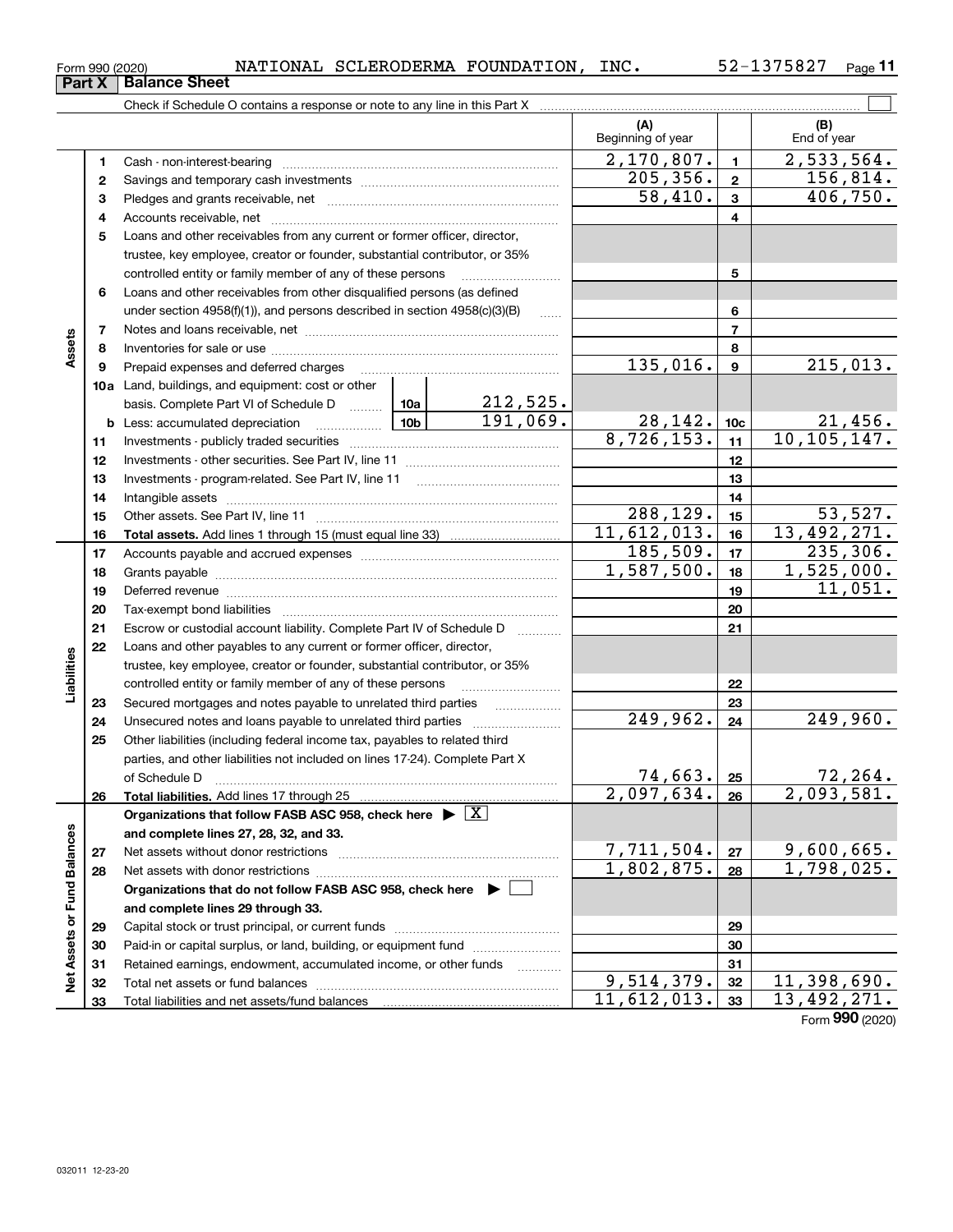| --- | Form 990 (2020) | NATIONAL | SCLERODERMA FOUNDATION, |  | INC. | 375827 | Page |
|-----|-----------------|----------|-------------------------|--|------|--------|------|
|-----|-----------------|----------|-------------------------|--|------|--------|------|

|                             |          |                                                                                                                                                                                                                                |  |                             | (A)<br>Beginning of year |                 | (B)<br>End of year            |
|-----------------------------|----------|--------------------------------------------------------------------------------------------------------------------------------------------------------------------------------------------------------------------------------|--|-----------------------------|--------------------------|-----------------|-------------------------------|
|                             | 1        |                                                                                                                                                                                                                                |  |                             | 2,170,807.               | $\mathbf{1}$    | $\overline{2,533,564}$ .      |
|                             | 2        |                                                                                                                                                                                                                                |  |                             | 205, 356.                | $\mathbf{2}$    | 156,814.                      |
|                             | 3        |                                                                                                                                                                                                                                |  |                             | 58,410.                  | $\mathbf{3}$    | 406,750.                      |
|                             | 4        |                                                                                                                                                                                                                                |  |                             |                          | 4               |                               |
|                             | 5        | Loans and other receivables from any current or former officer, director,                                                                                                                                                      |  |                             |                          |                 |                               |
|                             |          | trustee, key employee, creator or founder, substantial contributor, or 35%                                                                                                                                                     |  |                             |                          |                 |                               |
|                             |          | controlled entity or family member of any of these persons                                                                                                                                                                     |  |                             |                          | 5               |                               |
|                             | 6        | Loans and other receivables from other disqualified persons (as defined                                                                                                                                                        |  |                             |                          |                 |                               |
|                             |          | under section 4958(f)(1)), and persons described in section 4958(c)(3)(B)                                                                                                                                                      |  | 6                           |                          |                 |                               |
|                             | 7        |                                                                                                                                                                                                                                |  |                             |                          | $\overline{7}$  |                               |
| Assets                      | 8        |                                                                                                                                                                                                                                |  |                             | 8                        |                 |                               |
|                             | 9        | Prepaid expenses and deferred charges                                                                                                                                                                                          |  |                             | 135,016.                 | $\mathbf{9}$    | 215,013.                      |
|                             |          | <b>10a</b> Land, buildings, and equipment: cost or other                                                                                                                                                                       |  |                             |                          |                 |                               |
|                             |          | basis. Complete Part VI of Schedule D  10a                                                                                                                                                                                     |  | $\frac{212,525}{191,069}$ . |                          |                 |                               |
|                             |          | <u>  1</u> 0b<br><b>b</b> Less: accumulated depreciation                                                                                                                                                                       |  |                             | 28,142.                  | 10 <sub>c</sub> | $\frac{21,456}{10,105,147}$ . |
|                             | 11       |                                                                                                                                                                                                                                |  |                             | 8,726,153.               | 11              |                               |
|                             | 12       |                                                                                                                                                                                                                                |  |                             |                          | 12              |                               |
|                             | 13       |                                                                                                                                                                                                                                |  | 13                          |                          |                 |                               |
|                             | 14       |                                                                                                                                                                                                                                |  |                             |                          | 14              |                               |
|                             | 15       |                                                                                                                                                                                                                                |  |                             | 288,129.                 | 15              | 53,527.                       |
|                             | 16       |                                                                                                                                                                                                                                |  |                             | 11,612,013.              | 16              | 13,492,271.                   |
|                             | 17       |                                                                                                                                                                                                                                |  |                             | 185,509.                 | 17              | 235,306.                      |
|                             | 18       |                                                                                                                                                                                                                                |  |                             | 1,587,500.               | 18              | 1,525,000.                    |
|                             | 19       | Deferred revenue manual contracts and contracts are contracted and contract and contract are contracted and contract are contracted and contract are contracted and contract are contracted and contract are contracted and co |  | 19                          | 11,051.                  |                 |                               |
|                             | 20       |                                                                                                                                                                                                                                |  |                             |                          | 20              |                               |
|                             | 21       | Escrow or custodial account liability. Complete Part IV of Schedule D                                                                                                                                                          |  | $\overline{\phantom{a}}$    |                          | 21              |                               |
|                             | 22       | Loans and other payables to any current or former officer, director,                                                                                                                                                           |  |                             |                          |                 |                               |
|                             |          | trustee, key employee, creator or founder, substantial contributor, or 35%                                                                                                                                                     |  |                             |                          |                 |                               |
| Liabilities                 |          | controlled entity or family member of any of these persons                                                                                                                                                                     |  |                             |                          | 22              |                               |
|                             | 23       | Secured mortgages and notes payable to unrelated third parties                                                                                                                                                                 |  |                             |                          | 23              |                               |
|                             | 24       | Unsecured notes and loans payable to unrelated third parties                                                                                                                                                                   |  |                             | 249,962.                 | 24              | 249,960.                      |
|                             | 25       | Other liabilities (including federal income tax, payables to related third                                                                                                                                                     |  |                             |                          |                 |                               |
|                             |          | parties, and other liabilities not included on lines 17-24). Complete Part X                                                                                                                                                   |  |                             |                          |                 |                               |
|                             |          | of Schedule D                                                                                                                                                                                                                  |  |                             | 74,663.                  | 25              | 72,264.                       |
|                             | 26       |                                                                                                                                                                                                                                |  |                             | $2,097,634.$ 26          |                 | 2,093,581.                    |
|                             |          | Organizations that follow FASB ASC 958, check here $\blacktriangleright \boxed{X}$                                                                                                                                             |  |                             |                          |                 |                               |
|                             |          | and complete lines 27, 28, 32, and 33.                                                                                                                                                                                         |  |                             | 7,711,504.               |                 | 9,600,665.                    |
|                             | 27       |                                                                                                                                                                                                                                |  |                             | 1,802,875.               | 27              | 1,798,025.                    |
|                             | 28       |                                                                                                                                                                                                                                |  |                             |                          | 28              |                               |
|                             |          | Organizations that do not follow FASB ASC 958, check here ▶ □                                                                                                                                                                  |  |                             |                          |                 |                               |
|                             |          | and complete lines 29 through 33.                                                                                                                                                                                              |  |                             |                          | 29              |                               |
|                             | 29       | Paid-in or capital surplus, or land, building, or equipment fund                                                                                                                                                               |  |                             |                          | 30              |                               |
|                             | 30<br>31 | Retained earnings, endowment, accumulated income, or other funds                                                                                                                                                               |  |                             |                          | 31              |                               |
| Net Assets or Fund Balances | 32       | Total net assets or fund balances                                                                                                                                                                                              |  |                             | 9,514,379.               | 32              | 11,398,690.                   |
|                             | 33       |                                                                                                                                                                                                                                |  |                             | 11,612,013.              | 33              | 13, 492, 271.                 |
|                             |          |                                                                                                                                                                                                                                |  |                             |                          |                 |                               |

Form (2020) **990**

# **Part X Balance Sheet**

| Form 990 (2020 |  |
|----------------|--|
|                |  |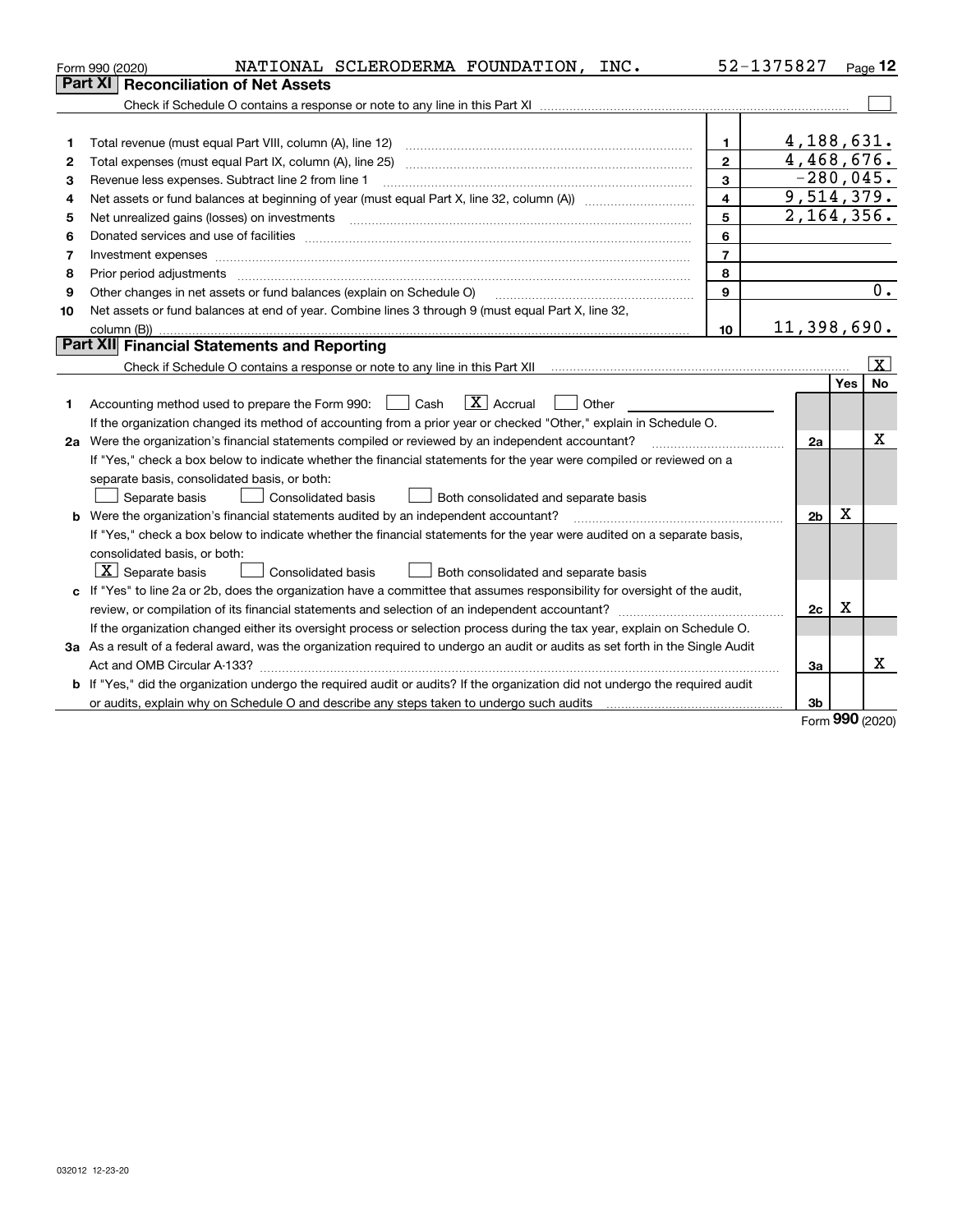|    | NATIONAL SCLERODERMA FOUNDATION, INC.<br>Form 990 (2020)                                                                        |                         | 52-1375827     |     | Page 12               |
|----|---------------------------------------------------------------------------------------------------------------------------------|-------------------------|----------------|-----|-----------------------|
|    | <b>Reconciliation of Net Assets</b><br><b>Part XI</b>                                                                           |                         |                |     |                       |
|    |                                                                                                                                 |                         |                |     |                       |
|    |                                                                                                                                 |                         |                |     |                       |
| 1  |                                                                                                                                 | 1.                      | 4,188,631.     |     |                       |
| 2  |                                                                                                                                 | $\mathbf{2}$            | 4,468,676.     |     |                       |
| з  | Revenue less expenses. Subtract line 2 from line 1                                                                              | 3                       | $-280,045.$    |     |                       |
| 4  |                                                                                                                                 | $\overline{\mathbf{4}}$ | 9,514,379.     |     |                       |
| 5  |                                                                                                                                 | 5                       | 2, 164, 356.   |     |                       |
| 6  |                                                                                                                                 | 6                       |                |     |                       |
| 7  |                                                                                                                                 | $\overline{7}$          |                |     |                       |
| 8  | Prior period adjustments                                                                                                        | 8                       |                |     |                       |
| 9  | Other changes in net assets or fund balances (explain on Schedule O)                                                            | 9                       |                |     | 0.                    |
| 10 | Net assets or fund balances at end of year. Combine lines 3 through 9 (must equal Part X, line 32,                              |                         |                |     |                       |
|    |                                                                                                                                 | 10                      | 11,398,690.    |     |                       |
|    | Part XII Financial Statements and Reporting                                                                                     |                         |                |     |                       |
|    |                                                                                                                                 |                         |                |     | $\overline{\text{X}}$ |
|    |                                                                                                                                 |                         |                | Yes | <b>No</b>             |
| 1  | $\boxed{\text{X}}$ Accrual<br>Accounting method used to prepare the Form 990: <u>June</u> Cash<br>Other                         |                         |                |     |                       |
|    | If the organization changed its method of accounting from a prior year or checked "Other," explain in Schedule O.               |                         |                |     |                       |
|    | 2a Were the organization's financial statements compiled or reviewed by an independent accountant?                              |                         | 2a             |     | x                     |
|    | If "Yes," check a box below to indicate whether the financial statements for the year were compiled or reviewed on a            |                         |                |     |                       |
|    | separate basis, consolidated basis, or both:                                                                                    |                         |                |     |                       |
|    | Both consolidated and separate basis<br>Separate basis<br>Consolidated basis                                                    |                         |                |     |                       |
|    | <b>b</b> Were the organization's financial statements audited by an independent accountant?                                     |                         | 2 <sub>b</sub> | x   |                       |
|    | If "Yes," check a box below to indicate whether the financial statements for the year were audited on a separate basis,         |                         |                |     |                       |
|    | consolidated basis, or both:                                                                                                    |                         |                |     |                       |
|    | $ \mathbf{X} $ Separate basis<br>Consolidated basis<br>Both consolidated and separate basis                                     |                         |                |     |                       |
|    | c If "Yes" to line 2a or 2b, does the organization have a committee that assumes responsibility for oversight of the audit,     |                         |                |     |                       |
|    |                                                                                                                                 |                         | 2c             | х   |                       |
|    | If the organization changed either its oversight process or selection process during the tax year, explain on Schedule O.       |                         |                |     |                       |
|    | 3a As a result of a federal award, was the organization required to undergo an audit or audits as set forth in the Single Audit |                         |                |     |                       |
|    |                                                                                                                                 |                         | 3a             |     | x                     |
|    | b If "Yes," did the organization undergo the required audit or audits? If the organization did not undergo the required audit   |                         |                |     |                       |
|    |                                                                                                                                 |                         | 3 <sub>b</sub> |     |                       |

Form (2020) **990**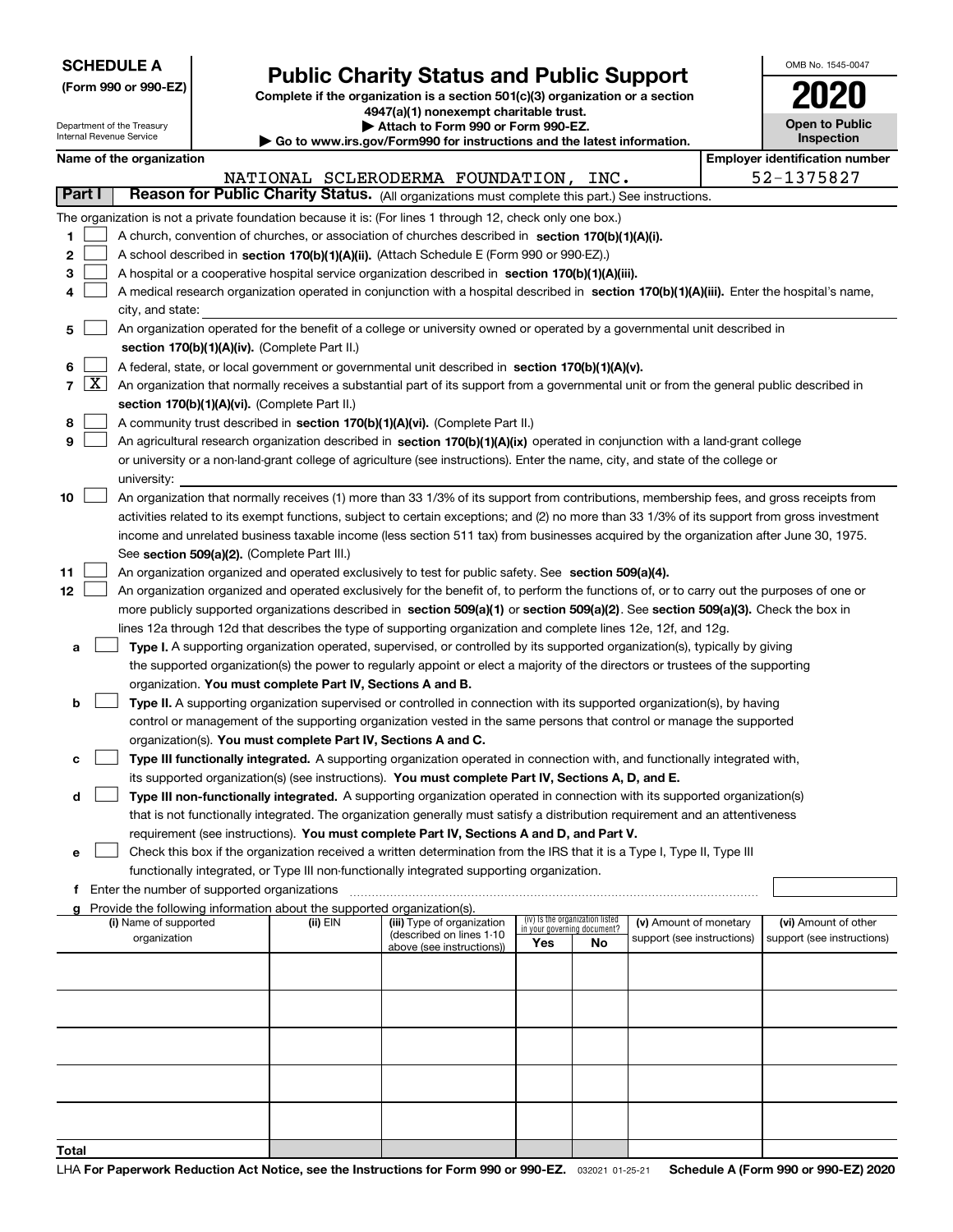| <b>SCHEDULE A</b> |  |  |  |  |  |  |
|-------------------|--|--|--|--|--|--|
|-------------------|--|--|--|--|--|--|

Department of the Treasury

|  |  |  | (Form 990 or 990-EZ) |  |
|--|--|--|----------------------|--|
|--|--|--|----------------------|--|

## **Public Charity Status and Public Support**

**Complete if the organization is a section 501(c)(3) organization or a section 4947(a)(1) nonexempt charitable trust.**

| Attach to Form 990 or Form 990-EZ.                                                          |
|---------------------------------------------------------------------------------------------|
| $\blacktriangleright$ Go to www.irs.gov/Eorm990 for instructions and the latest information |

| OMB No. 1545-0047            |
|------------------------------|
| 2020                         |
| Open to Public<br>Inspection |

| Internal Revenue Service<br>Inspection<br>Go to www.irs.gov/Form990 for instructions and the latest information. |                    |                                               |  |                                                                          |                                                                                                                                                                                                                      |                                                                |    |                            |  |                                       |
|------------------------------------------------------------------------------------------------------------------|--------------------|-----------------------------------------------|--|--------------------------------------------------------------------------|----------------------------------------------------------------------------------------------------------------------------------------------------------------------------------------------------------------------|----------------------------------------------------------------|----|----------------------------|--|---------------------------------------|
|                                                                                                                  |                    | Name of the organization                      |  |                                                                          |                                                                                                                                                                                                                      |                                                                |    |                            |  | <b>Employer identification number</b> |
|                                                                                                                  |                    |                                               |  |                                                                          | NATIONAL SCLERODERMA FOUNDATION, INC.                                                                                                                                                                                |                                                                |    |                            |  | 52-1375827                            |
| Part I                                                                                                           |                    |                                               |  |                                                                          | Reason for Public Charity Status. (All organizations must complete this part.) See instructions.                                                                                                                     |                                                                |    |                            |  |                                       |
|                                                                                                                  |                    |                                               |  |                                                                          | The organization is not a private foundation because it is: (For lines 1 through 12, check only one box.)                                                                                                            |                                                                |    |                            |  |                                       |
| 1                                                                                                                |                    |                                               |  |                                                                          | A church, convention of churches, or association of churches described in section 170(b)(1)(A)(i).                                                                                                                   |                                                                |    |                            |  |                                       |
| 2                                                                                                                |                    |                                               |  |                                                                          | A school described in section 170(b)(1)(A)(ii). (Attach Schedule E (Form 990 or 990-EZ).)                                                                                                                            |                                                                |    |                            |  |                                       |
| з                                                                                                                |                    |                                               |  |                                                                          | A hospital or a cooperative hospital service organization described in section 170(b)(1)(A)(iii).                                                                                                                    |                                                                |    |                            |  |                                       |
| 4                                                                                                                |                    |                                               |  |                                                                          | A medical research organization operated in conjunction with a hospital described in section 170(b)(1)(A)(iii). Enter the hospital's name,                                                                           |                                                                |    |                            |  |                                       |
|                                                                                                                  |                    | city, and state:                              |  |                                                                          |                                                                                                                                                                                                                      |                                                                |    |                            |  |                                       |
| 5                                                                                                                |                    |                                               |  |                                                                          | An organization operated for the benefit of a college or university owned or operated by a governmental unit described in                                                                                            |                                                                |    |                            |  |                                       |
|                                                                                                                  |                    |                                               |  | section 170(b)(1)(A)(iv). (Complete Part II.)                            |                                                                                                                                                                                                                      |                                                                |    |                            |  |                                       |
| 6                                                                                                                |                    |                                               |  |                                                                          | A federal, state, or local government or governmental unit described in section 170(b)(1)(A)(v).                                                                                                                     |                                                                |    |                            |  |                                       |
| 7                                                                                                                | $\boxed{\text{X}}$ |                                               |  |                                                                          | An organization that normally receives a substantial part of its support from a governmental unit or from the general public described in                                                                            |                                                                |    |                            |  |                                       |
|                                                                                                                  |                    |                                               |  | section 170(b)(1)(A)(vi). (Complete Part II.)                            |                                                                                                                                                                                                                      |                                                                |    |                            |  |                                       |
| 8                                                                                                                |                    |                                               |  |                                                                          | A community trust described in section 170(b)(1)(A)(vi). (Complete Part II.)                                                                                                                                         |                                                                |    |                            |  |                                       |
| 9                                                                                                                |                    |                                               |  |                                                                          | An agricultural research organization described in section 170(b)(1)(A)(ix) operated in conjunction with a land-grant college                                                                                        |                                                                |    |                            |  |                                       |
|                                                                                                                  |                    |                                               |  |                                                                          | or university or a non-land-grant college of agriculture (see instructions). Enter the name, city, and state of the college or                                                                                       |                                                                |    |                            |  |                                       |
|                                                                                                                  |                    | university:                                   |  |                                                                          |                                                                                                                                                                                                                      |                                                                |    |                            |  |                                       |
| 10                                                                                                               |                    |                                               |  |                                                                          | An organization that normally receives (1) more than 33 1/3% of its support from contributions, membership fees, and gross receipts from                                                                             |                                                                |    |                            |  |                                       |
|                                                                                                                  |                    |                                               |  |                                                                          | activities related to its exempt functions, subject to certain exceptions; and (2) no more than 33 1/3% of its support from gross investment                                                                         |                                                                |    |                            |  |                                       |
|                                                                                                                  |                    |                                               |  |                                                                          | income and unrelated business taxable income (less section 511 tax) from businesses acquired by the organization after June 30, 1975.                                                                                |                                                                |    |                            |  |                                       |
|                                                                                                                  |                    |                                               |  | See section 509(a)(2). (Complete Part III.)                              |                                                                                                                                                                                                                      |                                                                |    |                            |  |                                       |
| 11                                                                                                               |                    |                                               |  |                                                                          | An organization organized and operated exclusively to test for public safety. See section 509(a)(4).                                                                                                                 |                                                                |    |                            |  |                                       |
| 12                                                                                                               |                    |                                               |  |                                                                          | An organization organized and operated exclusively for the benefit of, to perform the functions of, or to carry out the purposes of one or                                                                           |                                                                |    |                            |  |                                       |
|                                                                                                                  |                    |                                               |  |                                                                          | more publicly supported organizations described in section 509(a)(1) or section 509(a)(2). See section 509(a)(3). Check the box in                                                                                   |                                                                |    |                            |  |                                       |
|                                                                                                                  |                    |                                               |  |                                                                          | lines 12a through 12d that describes the type of supporting organization and complete lines 12e, 12f, and 12g.                                                                                                       |                                                                |    |                            |  |                                       |
| а                                                                                                                |                    |                                               |  |                                                                          | Type I. A supporting organization operated, supervised, or controlled by its supported organization(s), typically by giving                                                                                          |                                                                |    |                            |  |                                       |
|                                                                                                                  |                    |                                               |  |                                                                          | the supported organization(s) the power to regularly appoint or elect a majority of the directors or trustees of the supporting                                                                                      |                                                                |    |                            |  |                                       |
|                                                                                                                  |                    |                                               |  | organization. You must complete Part IV, Sections A and B.               |                                                                                                                                                                                                                      |                                                                |    |                            |  |                                       |
| b                                                                                                                |                    |                                               |  |                                                                          | Type II. A supporting organization supervised or controlled in connection with its supported organization(s), by having                                                                                              |                                                                |    |                            |  |                                       |
|                                                                                                                  |                    |                                               |  |                                                                          | control or management of the supporting organization vested in the same persons that control or manage the supported                                                                                                 |                                                                |    |                            |  |                                       |
|                                                                                                                  |                    |                                               |  | organization(s). You must complete Part IV, Sections A and C.            |                                                                                                                                                                                                                      |                                                                |    |                            |  |                                       |
| c                                                                                                                |                    |                                               |  |                                                                          | Type III functionally integrated. A supporting organization operated in connection with, and functionally integrated with,                                                                                           |                                                                |    |                            |  |                                       |
|                                                                                                                  |                    |                                               |  |                                                                          | its supported organization(s) (see instructions). You must complete Part IV, Sections A, D, and E.                                                                                                                   |                                                                |    |                            |  |                                       |
| d                                                                                                                |                    |                                               |  |                                                                          | Type III non-functionally integrated. A supporting organization operated in connection with its supported organization(s)                                                                                            |                                                                |    |                            |  |                                       |
|                                                                                                                  |                    |                                               |  |                                                                          | that is not functionally integrated. The organization generally must satisfy a distribution requirement and an attentiveness                                                                                         |                                                                |    |                            |  |                                       |
|                                                                                                                  |                    |                                               |  |                                                                          | requirement (see instructions). You must complete Part IV, Sections A and D, and Part V.                                                                                                                             |                                                                |    |                            |  |                                       |
| е                                                                                                                |                    |                                               |  |                                                                          | Check this box if the organization received a written determination from the IRS that it is a Type I, Type II, Type III<br>functionally integrated, or Type III non-functionally integrated supporting organization. |                                                                |    |                            |  |                                       |
|                                                                                                                  |                    | f Enter the number of supported organizations |  |                                                                          |                                                                                                                                                                                                                      |                                                                |    |                            |  |                                       |
|                                                                                                                  |                    |                                               |  | g Provide the following information about the supported organization(s). |                                                                                                                                                                                                                      |                                                                |    |                            |  |                                       |
|                                                                                                                  |                    | (i) Name of supported                         |  | (ii) EIN                                                                 | (iii) Type of organization                                                                                                                                                                                           | (iv) Is the organization listed<br>in your governing document? |    | (v) Amount of monetary     |  | (vi) Amount of other                  |
|                                                                                                                  |                    | organization                                  |  |                                                                          | (described on lines 1-10<br>above (see instructions))                                                                                                                                                                | Yes                                                            | No | support (see instructions) |  | support (see instructions)            |
|                                                                                                                  |                    |                                               |  |                                                                          |                                                                                                                                                                                                                      |                                                                |    |                            |  |                                       |
|                                                                                                                  |                    |                                               |  |                                                                          |                                                                                                                                                                                                                      |                                                                |    |                            |  |                                       |
|                                                                                                                  |                    |                                               |  |                                                                          |                                                                                                                                                                                                                      |                                                                |    |                            |  |                                       |
|                                                                                                                  |                    |                                               |  |                                                                          |                                                                                                                                                                                                                      |                                                                |    |                            |  |                                       |
|                                                                                                                  |                    |                                               |  |                                                                          |                                                                                                                                                                                                                      |                                                                |    |                            |  |                                       |
|                                                                                                                  |                    |                                               |  |                                                                          |                                                                                                                                                                                                                      |                                                                |    |                            |  |                                       |
|                                                                                                                  |                    |                                               |  |                                                                          |                                                                                                                                                                                                                      |                                                                |    |                            |  |                                       |
|                                                                                                                  |                    |                                               |  |                                                                          |                                                                                                                                                                                                                      |                                                                |    |                            |  |                                       |
|                                                                                                                  |                    |                                               |  |                                                                          |                                                                                                                                                                                                                      |                                                                |    |                            |  |                                       |
|                                                                                                                  |                    |                                               |  |                                                                          |                                                                                                                                                                                                                      |                                                                |    |                            |  |                                       |
| Total                                                                                                            |                    |                                               |  |                                                                          |                                                                                                                                                                                                                      |                                                                |    |                            |  |                                       |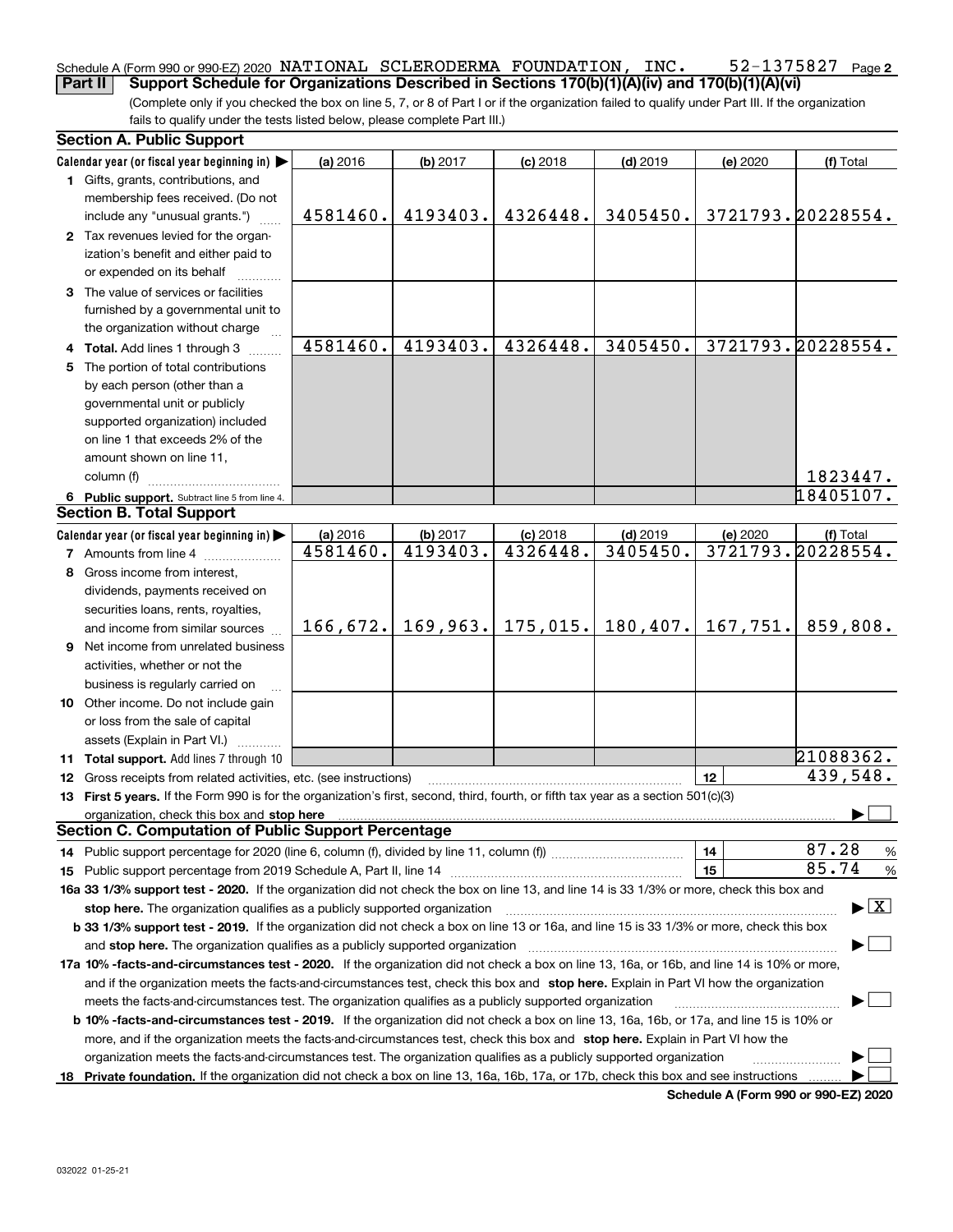#### **2** Schedule A (Form 990 or 990-EZ) 2020  $\,$  <code>NATIONAL SCLERODERMA FOUNDATION</code> ,  $\,$  <code>INC</code> .  $\,$  <code>52–1375827</code>  $\,$  <code>Page</code> **Part II Support Schedule for Organizations Described in Sections 170(b)(1)(A)(iv) and 170(b)(1)(A)(vi)**

(Complete only if you checked the box on line 5, 7, or 8 of Part I or if the organization failed to qualify under Part III. If the organization fails to qualify under the tests listed below, please complete Part III.)

|    | <b>Section A. Public Support</b>                                                                                                                                                                                                                                                             |          |          |            |                     |          |                                          |  |
|----|----------------------------------------------------------------------------------------------------------------------------------------------------------------------------------------------------------------------------------------------------------------------------------------------|----------|----------|------------|---------------------|----------|------------------------------------------|--|
|    | Calendar year (or fiscal year beginning in)                                                                                                                                                                                                                                                  | (a) 2016 | (b) 2017 | $(c)$ 2018 | $(d)$ 2019          | (e) 2020 | (f) Total                                |  |
|    | 1 Gifts, grants, contributions, and                                                                                                                                                                                                                                                          |          |          |            |                     |          |                                          |  |
|    | membership fees received. (Do not                                                                                                                                                                                                                                                            |          |          |            |                     |          |                                          |  |
|    | include any "unusual grants.")                                                                                                                                                                                                                                                               | 4581460. | 4193403. | 4326448.   | 3405450.            |          | 3721793.20228554.                        |  |
|    | 2 Tax revenues levied for the organ-                                                                                                                                                                                                                                                         |          |          |            |                     |          |                                          |  |
|    | ization's benefit and either paid to                                                                                                                                                                                                                                                         |          |          |            |                     |          |                                          |  |
|    | or expended on its behalf                                                                                                                                                                                                                                                                    |          |          |            |                     |          |                                          |  |
|    | 3 The value of services or facilities                                                                                                                                                                                                                                                        |          |          |            |                     |          |                                          |  |
|    | furnished by a governmental unit to                                                                                                                                                                                                                                                          |          |          |            |                     |          |                                          |  |
|    | the organization without charge                                                                                                                                                                                                                                                              |          |          |            |                     |          |                                          |  |
|    | 4 Total. Add lines 1 through 3                                                                                                                                                                                                                                                               | 4581460. | 4193403. | 4326448.   | 3405450.            |          | 3721793.20228554.                        |  |
| 5. | The portion of total contributions                                                                                                                                                                                                                                                           |          |          |            |                     |          |                                          |  |
|    | by each person (other than a                                                                                                                                                                                                                                                                 |          |          |            |                     |          |                                          |  |
|    | governmental unit or publicly                                                                                                                                                                                                                                                                |          |          |            |                     |          |                                          |  |
|    | supported organization) included                                                                                                                                                                                                                                                             |          |          |            |                     |          |                                          |  |
|    | on line 1 that exceeds 2% of the                                                                                                                                                                                                                                                             |          |          |            |                     |          |                                          |  |
|    | amount shown on line 11,                                                                                                                                                                                                                                                                     |          |          |            |                     |          |                                          |  |
|    | column (f)                                                                                                                                                                                                                                                                                   |          |          |            |                     |          | 1823447.                                 |  |
|    | 6 Public support. Subtract line 5 from line 4.                                                                                                                                                                                                                                               |          |          |            |                     |          | 18405107.                                |  |
|    | <b>Section B. Total Support</b>                                                                                                                                                                                                                                                              |          |          |            |                     |          |                                          |  |
|    | Calendar year (or fiscal year beginning in)                                                                                                                                                                                                                                                  | (a) 2016 | (b) 2017 | $(c)$ 2018 | $(d)$ 2019          | (e) 2020 | (f) Total                                |  |
|    | <b>7</b> Amounts from line 4                                                                                                                                                                                                                                                                 | 4581460. | 4193403. | 4326448.   | 3405450.            |          | 3721793.20228554.                        |  |
| 8  | Gross income from interest,                                                                                                                                                                                                                                                                  |          |          |            |                     |          |                                          |  |
|    | dividends, payments received on                                                                                                                                                                                                                                                              |          |          |            |                     |          |                                          |  |
|    | securities loans, rents, royalties,                                                                                                                                                                                                                                                          |          |          |            |                     |          |                                          |  |
|    | and income from similar sources                                                                                                                                                                                                                                                              | 166,672. | 169,963. |            | $175,015.$ 180,407. | 167,751. | 859,808.                                 |  |
|    | 9 Net income from unrelated business                                                                                                                                                                                                                                                         |          |          |            |                     |          |                                          |  |
|    |                                                                                                                                                                                                                                                                                              |          |          |            |                     |          |                                          |  |
|    | activities, whether or not the                                                                                                                                                                                                                                                               |          |          |            |                     |          |                                          |  |
|    | business is regularly carried on                                                                                                                                                                                                                                                             |          |          |            |                     |          |                                          |  |
|    | 10 Other income. Do not include gain                                                                                                                                                                                                                                                         |          |          |            |                     |          |                                          |  |
|    | or loss from the sale of capital                                                                                                                                                                                                                                                             |          |          |            |                     |          |                                          |  |
|    | assets (Explain in Part VI.)                                                                                                                                                                                                                                                                 |          |          |            |                     |          | 21088362.                                |  |
|    | 11 Total support. Add lines 7 through 10                                                                                                                                                                                                                                                     |          |          |            |                     |          | 439,548.                                 |  |
|    | <b>12</b> Gross receipts from related activities, etc. (see instructions)                                                                                                                                                                                                                    |          |          |            |                     | 12       |                                          |  |
|    | 13 First 5 years. If the Form 990 is for the organization's first, second, third, fourth, or fifth tax year as a section 501(c)(3)                                                                                                                                                           |          |          |            |                     |          |                                          |  |
|    | organization, check this box and stop here manufactured and stop here and stop here are all the control of the state of the state of the state of the state of the state of the state of the state of the state of the state o<br><b>Section C. Computation of Public Support Percentage</b> |          |          |            |                     |          |                                          |  |
|    |                                                                                                                                                                                                                                                                                              |          |          |            |                     |          | 87.28                                    |  |
|    | 14 Public support percentage for 2020 (line 6, column (f), divided by line 11, column (f) <i>marroummaname</i>                                                                                                                                                                               |          |          |            |                     | 14       | %<br>85.74                               |  |
|    |                                                                                                                                                                                                                                                                                              |          |          |            |                     | 15       | %                                        |  |
|    | 16a 33 1/3% support test - 2020. If the organization did not check the box on line 13, and line 14 is 33 1/3% or more, check this box and                                                                                                                                                    |          |          |            |                     |          |                                          |  |
|    | stop here. The organization qualifies as a publicly supported organization                                                                                                                                                                                                                   |          |          |            |                     |          | $\blacktriangleright$ $\boxed{\text{X}}$ |  |
|    | b 33 1/3% support test - 2019. If the organization did not check a box on line 13 or 16a, and line 15 is 33 1/3% or more, check this box                                                                                                                                                     |          |          |            |                     |          |                                          |  |
|    | and stop here. The organization qualifies as a publicly supported organization                                                                                                                                                                                                               |          |          |            |                     |          |                                          |  |
|    | 17a 10% -facts-and-circumstances test - 2020. If the organization did not check a box on line 13, 16a, or 16b, and line 14 is 10% or more,                                                                                                                                                   |          |          |            |                     |          |                                          |  |
|    | and if the organization meets the facts-and-circumstances test, check this box and stop here. Explain in Part VI how the organization                                                                                                                                                        |          |          |            |                     |          |                                          |  |
|    | meets the facts-and-circumstances test. The organization qualifies as a publicly supported organization                                                                                                                                                                                      |          |          |            |                     |          |                                          |  |
|    | <b>b 10% -facts-and-circumstances test - 2019.</b> If the organization did not check a box on line 13, 16a, 16b, or 17a, and line 15 is 10% or                                                                                                                                               |          |          |            |                     |          |                                          |  |
|    | more, and if the organization meets the facts-and-circumstances test, check this box and stop here. Explain in Part VI how the                                                                                                                                                               |          |          |            |                     |          |                                          |  |
|    | organization meets the facts-and-circumstances test. The organization qualifies as a publicly supported organization                                                                                                                                                                         |          |          |            |                     |          |                                          |  |
|    | 18 Private foundation. If the organization did not check a box on line 13, 16a, 16b, 17a, or 17b, check this box and see instructions                                                                                                                                                        |          |          |            |                     |          |                                          |  |

**Schedule A (Form 990 or 990-EZ) 2020**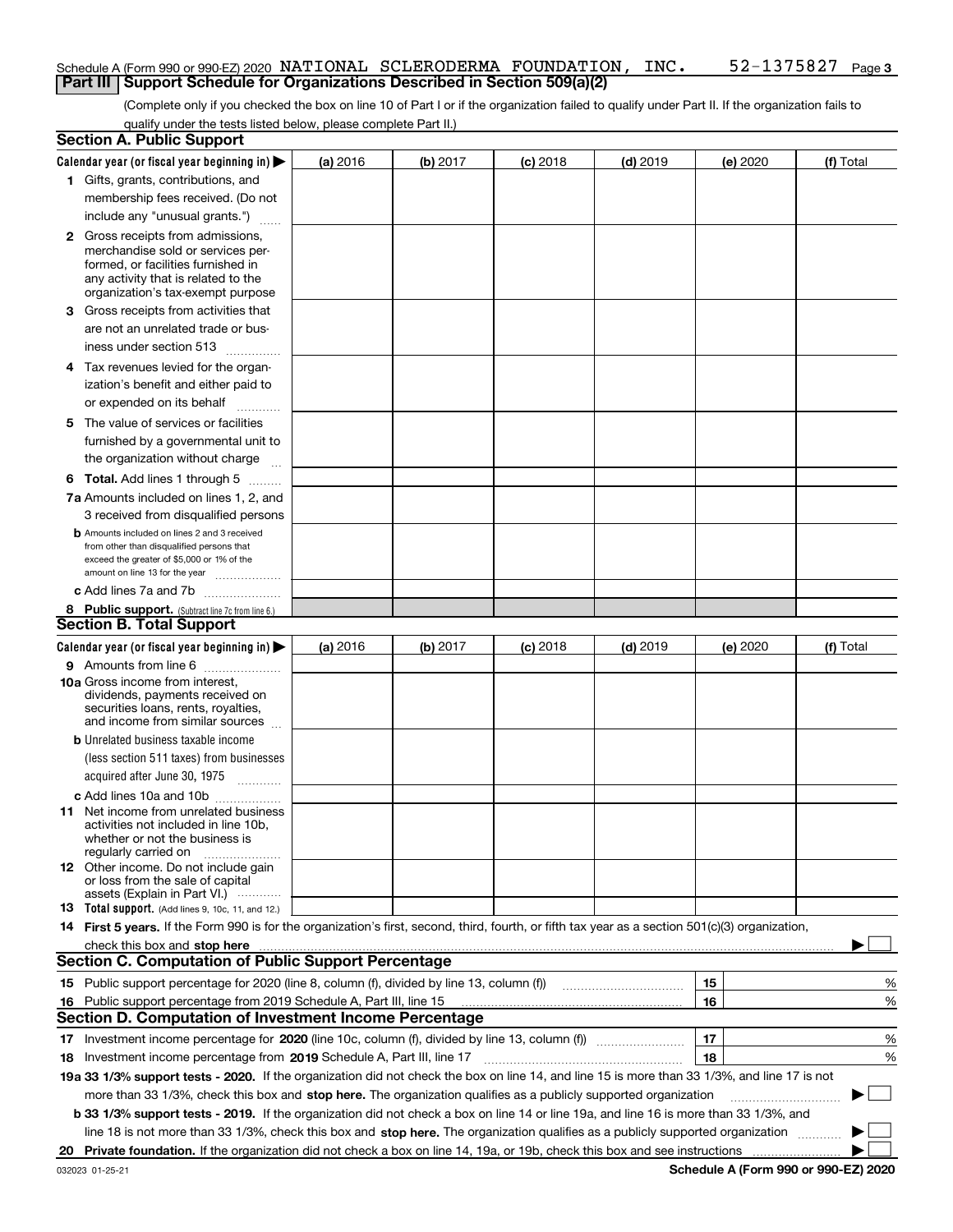## Schedule A (Form 990 or 990-EZ) 2020  $\,$  <code>NATIONAL SCLERODERMA FOUNDATION</code> ,  $\,$  <code>INC</code> .  $\,$  <code>52–1375827</code>  $\,$  <code>Page</code> **Part III** | Support Schedule for Organizations Described in Section 509(a)(2)

(Complete only if you checked the box on line 10 of Part I or if the organization failed to qualify under Part II. If the organization fails to qualify under the tests listed below, please complete Part II.)

| Calendar year (or fiscal year beginning in) $\blacktriangleright$<br>(b) 2017<br>$(d)$ 2019<br>(a) 2016<br>$(c)$ 2018<br>(e) 2020<br>1 Gifts, grants, contributions, and<br>membership fees received. (Do not<br>include any "unusual grants.")<br><b>2</b> Gross receipts from admissions,<br>merchandise sold or services per-<br>formed, or facilities furnished in<br>any activity that is related to the<br>organization's tax-exempt purpose<br>3 Gross receipts from activities that<br>are not an unrelated trade or bus-<br>iness under section 513<br>4 Tax revenues levied for the organ-<br>ization's benefit and either paid to<br>or expended on its behalf<br>.<br>5 The value of services or facilities<br>furnished by a governmental unit to<br>the organization without charge<br><b>6 Total.</b> Add lines 1 through 5<br>7a Amounts included on lines 1, 2, and<br>3 received from disqualified persons<br><b>b</b> Amounts included on lines 2 and 3 received<br>from other than disqualified persons that<br>exceed the greater of \$5,000 or 1% of the<br>amount on line 13 for the year<br>c Add lines 7a and 7b<br>8 Public support. (Subtract line 7c from line 6.)<br><b>Section B. Total Support</b><br>Calendar year (or fiscal year beginning in) $\blacktriangleright$<br>(b) 2017<br>$(d)$ 2019<br>(a) 2016<br>$(c)$ 2018<br>(e) 2020<br>9 Amounts from line 6<br><b>10a</b> Gross income from interest,<br>dividends, payments received on<br>securities loans, rents, royalties,<br>and income from similar sources<br><b>b</b> Unrelated business taxable income<br>(less section 511 taxes) from businesses<br>acquired after June 30, 1975<br>c Add lines 10a and 10b<br>11 Net income from unrelated business<br>activities not included in line 10b,<br>whether or not the business is<br>regularly carried on<br><b>12</b> Other income. Do not include gain<br>or loss from the sale of capital<br>assets (Explain in Part VI.)<br>13 Total support. (Add lines 9, 10c, 11, and 12.)<br>14 First 5 years. If the Form 990 is for the organization's first, second, third, fourth, or fifth tax year as a section 501(c)(3) organization,<br>check this box and stop here measurements and contain the state of the state of the state of the state of the state of the state of the state of the state of the state of the state of the state of the state of the state of<br><b>Section C. Computation of Public Support Percentage</b><br>15<br>16<br>Public support percentage from 2019 Schedule A, Part III, line 15<br>16<br><b>Section D. Computation of Investment Income Percentage</b><br>17<br>17 Investment income percentage for 2020 (line 10c, column (f), divided by line 13, column (f))<br>18<br>18 Investment income percentage from 2019 Schedule A, Part III, line 17<br>19a 33 1/3% support tests - 2020. If the organization did not check the box on line 14, and line 15 is more than 33 1/3%, and line 17 is not<br>more than 33 1/3%, check this box and stop here. The organization qualifies as a publicly supported organization<br>b 33 1/3% support tests - 2019. If the organization did not check a box on line 14 or line 19a, and line 16 is more than 33 1/3%, and<br>line 18 is not more than 33 1/3%, check this box and stop here. The organization qualifies as a publicly supported organization | <b>Section A. Public Support</b> |  |  |  |           |        |
|--------------------------------------------------------------------------------------------------------------------------------------------------------------------------------------------------------------------------------------------------------------------------------------------------------------------------------------------------------------------------------------------------------------------------------------------------------------------------------------------------------------------------------------------------------------------------------------------------------------------------------------------------------------------------------------------------------------------------------------------------------------------------------------------------------------------------------------------------------------------------------------------------------------------------------------------------------------------------------------------------------------------------------------------------------------------------------------------------------------------------------------------------------------------------------------------------------------------------------------------------------------------------------------------------------------------------------------------------------------------------------------------------------------------------------------------------------------------------------------------------------------------------------------------------------------------------------------------------------------------------------------------------------------------------------------------------------------------------------------------------------------------------------------------------------------------------------------------------------------------------------------------------------------------------------------------------------------------------------------------------------------------------------------------------------------------------------------------------------------------------------------------------------------------------------------------------------------------------------------------------------------------------------------------------------------------------------------------------------------------------------------------------------------------------------------------------------------------------------------------------------------------------------------------------------------------------------------------------------------------------------------------------------------------------------------------------------------------------------------------------------------------------------------------------------------------------------------------------------------------------------------------------------------------------------------------------------------------------------------------------------------------------------------------------------------------------------------------------------------------------------------------------------------------------------------------------------------------------------------------------------------------------------------------------------------------------------------------------------------------------------------|----------------------------------|--|--|--|-----------|--------|
|                                                                                                                                                                                                                                                                                                                                                                                                                                                                                                                                                                                                                                                                                                                                                                                                                                                                                                                                                                                                                                                                                                                                                                                                                                                                                                                                                                                                                                                                                                                                                                                                                                                                                                                                                                                                                                                                                                                                                                                                                                                                                                                                                                                                                                                                                                                                                                                                                                                                                                                                                                                                                                                                                                                                                                                                                                                                                                                                                                                                                                                                                                                                                                                                                                                                                                                                                                                      |                                  |  |  |  | (f) Total |        |
|                                                                                                                                                                                                                                                                                                                                                                                                                                                                                                                                                                                                                                                                                                                                                                                                                                                                                                                                                                                                                                                                                                                                                                                                                                                                                                                                                                                                                                                                                                                                                                                                                                                                                                                                                                                                                                                                                                                                                                                                                                                                                                                                                                                                                                                                                                                                                                                                                                                                                                                                                                                                                                                                                                                                                                                                                                                                                                                                                                                                                                                                                                                                                                                                                                                                                                                                                                                      |                                  |  |  |  |           |        |
|                                                                                                                                                                                                                                                                                                                                                                                                                                                                                                                                                                                                                                                                                                                                                                                                                                                                                                                                                                                                                                                                                                                                                                                                                                                                                                                                                                                                                                                                                                                                                                                                                                                                                                                                                                                                                                                                                                                                                                                                                                                                                                                                                                                                                                                                                                                                                                                                                                                                                                                                                                                                                                                                                                                                                                                                                                                                                                                                                                                                                                                                                                                                                                                                                                                                                                                                                                                      |                                  |  |  |  |           |        |
|                                                                                                                                                                                                                                                                                                                                                                                                                                                                                                                                                                                                                                                                                                                                                                                                                                                                                                                                                                                                                                                                                                                                                                                                                                                                                                                                                                                                                                                                                                                                                                                                                                                                                                                                                                                                                                                                                                                                                                                                                                                                                                                                                                                                                                                                                                                                                                                                                                                                                                                                                                                                                                                                                                                                                                                                                                                                                                                                                                                                                                                                                                                                                                                                                                                                                                                                                                                      |                                  |  |  |  |           |        |
|                                                                                                                                                                                                                                                                                                                                                                                                                                                                                                                                                                                                                                                                                                                                                                                                                                                                                                                                                                                                                                                                                                                                                                                                                                                                                                                                                                                                                                                                                                                                                                                                                                                                                                                                                                                                                                                                                                                                                                                                                                                                                                                                                                                                                                                                                                                                                                                                                                                                                                                                                                                                                                                                                                                                                                                                                                                                                                                                                                                                                                                                                                                                                                                                                                                                                                                                                                                      |                                  |  |  |  |           |        |
|                                                                                                                                                                                                                                                                                                                                                                                                                                                                                                                                                                                                                                                                                                                                                                                                                                                                                                                                                                                                                                                                                                                                                                                                                                                                                                                                                                                                                                                                                                                                                                                                                                                                                                                                                                                                                                                                                                                                                                                                                                                                                                                                                                                                                                                                                                                                                                                                                                                                                                                                                                                                                                                                                                                                                                                                                                                                                                                                                                                                                                                                                                                                                                                                                                                                                                                                                                                      |                                  |  |  |  |           |        |
|                                                                                                                                                                                                                                                                                                                                                                                                                                                                                                                                                                                                                                                                                                                                                                                                                                                                                                                                                                                                                                                                                                                                                                                                                                                                                                                                                                                                                                                                                                                                                                                                                                                                                                                                                                                                                                                                                                                                                                                                                                                                                                                                                                                                                                                                                                                                                                                                                                                                                                                                                                                                                                                                                                                                                                                                                                                                                                                                                                                                                                                                                                                                                                                                                                                                                                                                                                                      |                                  |  |  |  |           |        |
|                                                                                                                                                                                                                                                                                                                                                                                                                                                                                                                                                                                                                                                                                                                                                                                                                                                                                                                                                                                                                                                                                                                                                                                                                                                                                                                                                                                                                                                                                                                                                                                                                                                                                                                                                                                                                                                                                                                                                                                                                                                                                                                                                                                                                                                                                                                                                                                                                                                                                                                                                                                                                                                                                                                                                                                                                                                                                                                                                                                                                                                                                                                                                                                                                                                                                                                                                                                      |                                  |  |  |  |           |        |
|                                                                                                                                                                                                                                                                                                                                                                                                                                                                                                                                                                                                                                                                                                                                                                                                                                                                                                                                                                                                                                                                                                                                                                                                                                                                                                                                                                                                                                                                                                                                                                                                                                                                                                                                                                                                                                                                                                                                                                                                                                                                                                                                                                                                                                                                                                                                                                                                                                                                                                                                                                                                                                                                                                                                                                                                                                                                                                                                                                                                                                                                                                                                                                                                                                                                                                                                                                                      |                                  |  |  |  |           |        |
|                                                                                                                                                                                                                                                                                                                                                                                                                                                                                                                                                                                                                                                                                                                                                                                                                                                                                                                                                                                                                                                                                                                                                                                                                                                                                                                                                                                                                                                                                                                                                                                                                                                                                                                                                                                                                                                                                                                                                                                                                                                                                                                                                                                                                                                                                                                                                                                                                                                                                                                                                                                                                                                                                                                                                                                                                                                                                                                                                                                                                                                                                                                                                                                                                                                                                                                                                                                      |                                  |  |  |  |           |        |
|                                                                                                                                                                                                                                                                                                                                                                                                                                                                                                                                                                                                                                                                                                                                                                                                                                                                                                                                                                                                                                                                                                                                                                                                                                                                                                                                                                                                                                                                                                                                                                                                                                                                                                                                                                                                                                                                                                                                                                                                                                                                                                                                                                                                                                                                                                                                                                                                                                                                                                                                                                                                                                                                                                                                                                                                                                                                                                                                                                                                                                                                                                                                                                                                                                                                                                                                                                                      |                                  |  |  |  |           |        |
|                                                                                                                                                                                                                                                                                                                                                                                                                                                                                                                                                                                                                                                                                                                                                                                                                                                                                                                                                                                                                                                                                                                                                                                                                                                                                                                                                                                                                                                                                                                                                                                                                                                                                                                                                                                                                                                                                                                                                                                                                                                                                                                                                                                                                                                                                                                                                                                                                                                                                                                                                                                                                                                                                                                                                                                                                                                                                                                                                                                                                                                                                                                                                                                                                                                                                                                                                                                      |                                  |  |  |  |           |        |
|                                                                                                                                                                                                                                                                                                                                                                                                                                                                                                                                                                                                                                                                                                                                                                                                                                                                                                                                                                                                                                                                                                                                                                                                                                                                                                                                                                                                                                                                                                                                                                                                                                                                                                                                                                                                                                                                                                                                                                                                                                                                                                                                                                                                                                                                                                                                                                                                                                                                                                                                                                                                                                                                                                                                                                                                                                                                                                                                                                                                                                                                                                                                                                                                                                                                                                                                                                                      |                                  |  |  |  |           |        |
|                                                                                                                                                                                                                                                                                                                                                                                                                                                                                                                                                                                                                                                                                                                                                                                                                                                                                                                                                                                                                                                                                                                                                                                                                                                                                                                                                                                                                                                                                                                                                                                                                                                                                                                                                                                                                                                                                                                                                                                                                                                                                                                                                                                                                                                                                                                                                                                                                                                                                                                                                                                                                                                                                                                                                                                                                                                                                                                                                                                                                                                                                                                                                                                                                                                                                                                                                                                      |                                  |  |  |  |           |        |
|                                                                                                                                                                                                                                                                                                                                                                                                                                                                                                                                                                                                                                                                                                                                                                                                                                                                                                                                                                                                                                                                                                                                                                                                                                                                                                                                                                                                                                                                                                                                                                                                                                                                                                                                                                                                                                                                                                                                                                                                                                                                                                                                                                                                                                                                                                                                                                                                                                                                                                                                                                                                                                                                                                                                                                                                                                                                                                                                                                                                                                                                                                                                                                                                                                                                                                                                                                                      |                                  |  |  |  |           |        |
|                                                                                                                                                                                                                                                                                                                                                                                                                                                                                                                                                                                                                                                                                                                                                                                                                                                                                                                                                                                                                                                                                                                                                                                                                                                                                                                                                                                                                                                                                                                                                                                                                                                                                                                                                                                                                                                                                                                                                                                                                                                                                                                                                                                                                                                                                                                                                                                                                                                                                                                                                                                                                                                                                                                                                                                                                                                                                                                                                                                                                                                                                                                                                                                                                                                                                                                                                                                      |                                  |  |  |  |           |        |
|                                                                                                                                                                                                                                                                                                                                                                                                                                                                                                                                                                                                                                                                                                                                                                                                                                                                                                                                                                                                                                                                                                                                                                                                                                                                                                                                                                                                                                                                                                                                                                                                                                                                                                                                                                                                                                                                                                                                                                                                                                                                                                                                                                                                                                                                                                                                                                                                                                                                                                                                                                                                                                                                                                                                                                                                                                                                                                                                                                                                                                                                                                                                                                                                                                                                                                                                                                                      |                                  |  |  |  |           |        |
|                                                                                                                                                                                                                                                                                                                                                                                                                                                                                                                                                                                                                                                                                                                                                                                                                                                                                                                                                                                                                                                                                                                                                                                                                                                                                                                                                                                                                                                                                                                                                                                                                                                                                                                                                                                                                                                                                                                                                                                                                                                                                                                                                                                                                                                                                                                                                                                                                                                                                                                                                                                                                                                                                                                                                                                                                                                                                                                                                                                                                                                                                                                                                                                                                                                                                                                                                                                      |                                  |  |  |  |           |        |
|                                                                                                                                                                                                                                                                                                                                                                                                                                                                                                                                                                                                                                                                                                                                                                                                                                                                                                                                                                                                                                                                                                                                                                                                                                                                                                                                                                                                                                                                                                                                                                                                                                                                                                                                                                                                                                                                                                                                                                                                                                                                                                                                                                                                                                                                                                                                                                                                                                                                                                                                                                                                                                                                                                                                                                                                                                                                                                                                                                                                                                                                                                                                                                                                                                                                                                                                                                                      |                                  |  |  |  |           |        |
|                                                                                                                                                                                                                                                                                                                                                                                                                                                                                                                                                                                                                                                                                                                                                                                                                                                                                                                                                                                                                                                                                                                                                                                                                                                                                                                                                                                                                                                                                                                                                                                                                                                                                                                                                                                                                                                                                                                                                                                                                                                                                                                                                                                                                                                                                                                                                                                                                                                                                                                                                                                                                                                                                                                                                                                                                                                                                                                                                                                                                                                                                                                                                                                                                                                                                                                                                                                      |                                  |  |  |  |           |        |
|                                                                                                                                                                                                                                                                                                                                                                                                                                                                                                                                                                                                                                                                                                                                                                                                                                                                                                                                                                                                                                                                                                                                                                                                                                                                                                                                                                                                                                                                                                                                                                                                                                                                                                                                                                                                                                                                                                                                                                                                                                                                                                                                                                                                                                                                                                                                                                                                                                                                                                                                                                                                                                                                                                                                                                                                                                                                                                                                                                                                                                                                                                                                                                                                                                                                                                                                                                                      |                                  |  |  |  |           |        |
|                                                                                                                                                                                                                                                                                                                                                                                                                                                                                                                                                                                                                                                                                                                                                                                                                                                                                                                                                                                                                                                                                                                                                                                                                                                                                                                                                                                                                                                                                                                                                                                                                                                                                                                                                                                                                                                                                                                                                                                                                                                                                                                                                                                                                                                                                                                                                                                                                                                                                                                                                                                                                                                                                                                                                                                                                                                                                                                                                                                                                                                                                                                                                                                                                                                                                                                                                                                      |                                  |  |  |  |           |        |
|                                                                                                                                                                                                                                                                                                                                                                                                                                                                                                                                                                                                                                                                                                                                                                                                                                                                                                                                                                                                                                                                                                                                                                                                                                                                                                                                                                                                                                                                                                                                                                                                                                                                                                                                                                                                                                                                                                                                                                                                                                                                                                                                                                                                                                                                                                                                                                                                                                                                                                                                                                                                                                                                                                                                                                                                                                                                                                                                                                                                                                                                                                                                                                                                                                                                                                                                                                                      |                                  |  |  |  |           |        |
|                                                                                                                                                                                                                                                                                                                                                                                                                                                                                                                                                                                                                                                                                                                                                                                                                                                                                                                                                                                                                                                                                                                                                                                                                                                                                                                                                                                                                                                                                                                                                                                                                                                                                                                                                                                                                                                                                                                                                                                                                                                                                                                                                                                                                                                                                                                                                                                                                                                                                                                                                                                                                                                                                                                                                                                                                                                                                                                                                                                                                                                                                                                                                                                                                                                                                                                                                                                      |                                  |  |  |  |           |        |
|                                                                                                                                                                                                                                                                                                                                                                                                                                                                                                                                                                                                                                                                                                                                                                                                                                                                                                                                                                                                                                                                                                                                                                                                                                                                                                                                                                                                                                                                                                                                                                                                                                                                                                                                                                                                                                                                                                                                                                                                                                                                                                                                                                                                                                                                                                                                                                                                                                                                                                                                                                                                                                                                                                                                                                                                                                                                                                                                                                                                                                                                                                                                                                                                                                                                                                                                                                                      |                                  |  |  |  |           |        |
|                                                                                                                                                                                                                                                                                                                                                                                                                                                                                                                                                                                                                                                                                                                                                                                                                                                                                                                                                                                                                                                                                                                                                                                                                                                                                                                                                                                                                                                                                                                                                                                                                                                                                                                                                                                                                                                                                                                                                                                                                                                                                                                                                                                                                                                                                                                                                                                                                                                                                                                                                                                                                                                                                                                                                                                                                                                                                                                                                                                                                                                                                                                                                                                                                                                                                                                                                                                      |                                  |  |  |  |           |        |
|                                                                                                                                                                                                                                                                                                                                                                                                                                                                                                                                                                                                                                                                                                                                                                                                                                                                                                                                                                                                                                                                                                                                                                                                                                                                                                                                                                                                                                                                                                                                                                                                                                                                                                                                                                                                                                                                                                                                                                                                                                                                                                                                                                                                                                                                                                                                                                                                                                                                                                                                                                                                                                                                                                                                                                                                                                                                                                                                                                                                                                                                                                                                                                                                                                                                                                                                                                                      |                                  |  |  |  |           |        |
|                                                                                                                                                                                                                                                                                                                                                                                                                                                                                                                                                                                                                                                                                                                                                                                                                                                                                                                                                                                                                                                                                                                                                                                                                                                                                                                                                                                                                                                                                                                                                                                                                                                                                                                                                                                                                                                                                                                                                                                                                                                                                                                                                                                                                                                                                                                                                                                                                                                                                                                                                                                                                                                                                                                                                                                                                                                                                                                                                                                                                                                                                                                                                                                                                                                                                                                                                                                      |                                  |  |  |  | (f) Total |        |
|                                                                                                                                                                                                                                                                                                                                                                                                                                                                                                                                                                                                                                                                                                                                                                                                                                                                                                                                                                                                                                                                                                                                                                                                                                                                                                                                                                                                                                                                                                                                                                                                                                                                                                                                                                                                                                                                                                                                                                                                                                                                                                                                                                                                                                                                                                                                                                                                                                                                                                                                                                                                                                                                                                                                                                                                                                                                                                                                                                                                                                                                                                                                                                                                                                                                                                                                                                                      |                                  |  |  |  |           |        |
|                                                                                                                                                                                                                                                                                                                                                                                                                                                                                                                                                                                                                                                                                                                                                                                                                                                                                                                                                                                                                                                                                                                                                                                                                                                                                                                                                                                                                                                                                                                                                                                                                                                                                                                                                                                                                                                                                                                                                                                                                                                                                                                                                                                                                                                                                                                                                                                                                                                                                                                                                                                                                                                                                                                                                                                                                                                                                                                                                                                                                                                                                                                                                                                                                                                                                                                                                                                      |                                  |  |  |  |           |        |
|                                                                                                                                                                                                                                                                                                                                                                                                                                                                                                                                                                                                                                                                                                                                                                                                                                                                                                                                                                                                                                                                                                                                                                                                                                                                                                                                                                                                                                                                                                                                                                                                                                                                                                                                                                                                                                                                                                                                                                                                                                                                                                                                                                                                                                                                                                                                                                                                                                                                                                                                                                                                                                                                                                                                                                                                                                                                                                                                                                                                                                                                                                                                                                                                                                                                                                                                                                                      |                                  |  |  |  |           |        |
|                                                                                                                                                                                                                                                                                                                                                                                                                                                                                                                                                                                                                                                                                                                                                                                                                                                                                                                                                                                                                                                                                                                                                                                                                                                                                                                                                                                                                                                                                                                                                                                                                                                                                                                                                                                                                                                                                                                                                                                                                                                                                                                                                                                                                                                                                                                                                                                                                                                                                                                                                                                                                                                                                                                                                                                                                                                                                                                                                                                                                                                                                                                                                                                                                                                                                                                                                                                      |                                  |  |  |  |           |        |
|                                                                                                                                                                                                                                                                                                                                                                                                                                                                                                                                                                                                                                                                                                                                                                                                                                                                                                                                                                                                                                                                                                                                                                                                                                                                                                                                                                                                                                                                                                                                                                                                                                                                                                                                                                                                                                                                                                                                                                                                                                                                                                                                                                                                                                                                                                                                                                                                                                                                                                                                                                                                                                                                                                                                                                                                                                                                                                                                                                                                                                                                                                                                                                                                                                                                                                                                                                                      |                                  |  |  |  |           |        |
|                                                                                                                                                                                                                                                                                                                                                                                                                                                                                                                                                                                                                                                                                                                                                                                                                                                                                                                                                                                                                                                                                                                                                                                                                                                                                                                                                                                                                                                                                                                                                                                                                                                                                                                                                                                                                                                                                                                                                                                                                                                                                                                                                                                                                                                                                                                                                                                                                                                                                                                                                                                                                                                                                                                                                                                                                                                                                                                                                                                                                                                                                                                                                                                                                                                                                                                                                                                      |                                  |  |  |  |           |        |
|                                                                                                                                                                                                                                                                                                                                                                                                                                                                                                                                                                                                                                                                                                                                                                                                                                                                                                                                                                                                                                                                                                                                                                                                                                                                                                                                                                                                                                                                                                                                                                                                                                                                                                                                                                                                                                                                                                                                                                                                                                                                                                                                                                                                                                                                                                                                                                                                                                                                                                                                                                                                                                                                                                                                                                                                                                                                                                                                                                                                                                                                                                                                                                                                                                                                                                                                                                                      |                                  |  |  |  |           |        |
|                                                                                                                                                                                                                                                                                                                                                                                                                                                                                                                                                                                                                                                                                                                                                                                                                                                                                                                                                                                                                                                                                                                                                                                                                                                                                                                                                                                                                                                                                                                                                                                                                                                                                                                                                                                                                                                                                                                                                                                                                                                                                                                                                                                                                                                                                                                                                                                                                                                                                                                                                                                                                                                                                                                                                                                                                                                                                                                                                                                                                                                                                                                                                                                                                                                                                                                                                                                      |                                  |  |  |  |           |        |
|                                                                                                                                                                                                                                                                                                                                                                                                                                                                                                                                                                                                                                                                                                                                                                                                                                                                                                                                                                                                                                                                                                                                                                                                                                                                                                                                                                                                                                                                                                                                                                                                                                                                                                                                                                                                                                                                                                                                                                                                                                                                                                                                                                                                                                                                                                                                                                                                                                                                                                                                                                                                                                                                                                                                                                                                                                                                                                                                                                                                                                                                                                                                                                                                                                                                                                                                                                                      |                                  |  |  |  |           |        |
|                                                                                                                                                                                                                                                                                                                                                                                                                                                                                                                                                                                                                                                                                                                                                                                                                                                                                                                                                                                                                                                                                                                                                                                                                                                                                                                                                                                                                                                                                                                                                                                                                                                                                                                                                                                                                                                                                                                                                                                                                                                                                                                                                                                                                                                                                                                                                                                                                                                                                                                                                                                                                                                                                                                                                                                                                                                                                                                                                                                                                                                                                                                                                                                                                                                                                                                                                                                      |                                  |  |  |  |           |        |
|                                                                                                                                                                                                                                                                                                                                                                                                                                                                                                                                                                                                                                                                                                                                                                                                                                                                                                                                                                                                                                                                                                                                                                                                                                                                                                                                                                                                                                                                                                                                                                                                                                                                                                                                                                                                                                                                                                                                                                                                                                                                                                                                                                                                                                                                                                                                                                                                                                                                                                                                                                                                                                                                                                                                                                                                                                                                                                                                                                                                                                                                                                                                                                                                                                                                                                                                                                                      |                                  |  |  |  |           |        |
|                                                                                                                                                                                                                                                                                                                                                                                                                                                                                                                                                                                                                                                                                                                                                                                                                                                                                                                                                                                                                                                                                                                                                                                                                                                                                                                                                                                                                                                                                                                                                                                                                                                                                                                                                                                                                                                                                                                                                                                                                                                                                                                                                                                                                                                                                                                                                                                                                                                                                                                                                                                                                                                                                                                                                                                                                                                                                                                                                                                                                                                                                                                                                                                                                                                                                                                                                                                      |                                  |  |  |  |           |        |
|                                                                                                                                                                                                                                                                                                                                                                                                                                                                                                                                                                                                                                                                                                                                                                                                                                                                                                                                                                                                                                                                                                                                                                                                                                                                                                                                                                                                                                                                                                                                                                                                                                                                                                                                                                                                                                                                                                                                                                                                                                                                                                                                                                                                                                                                                                                                                                                                                                                                                                                                                                                                                                                                                                                                                                                                                                                                                                                                                                                                                                                                                                                                                                                                                                                                                                                                                                                      |                                  |  |  |  |           |        |
|                                                                                                                                                                                                                                                                                                                                                                                                                                                                                                                                                                                                                                                                                                                                                                                                                                                                                                                                                                                                                                                                                                                                                                                                                                                                                                                                                                                                                                                                                                                                                                                                                                                                                                                                                                                                                                                                                                                                                                                                                                                                                                                                                                                                                                                                                                                                                                                                                                                                                                                                                                                                                                                                                                                                                                                                                                                                                                                                                                                                                                                                                                                                                                                                                                                                                                                                                                                      |                                  |  |  |  |           |        |
|                                                                                                                                                                                                                                                                                                                                                                                                                                                                                                                                                                                                                                                                                                                                                                                                                                                                                                                                                                                                                                                                                                                                                                                                                                                                                                                                                                                                                                                                                                                                                                                                                                                                                                                                                                                                                                                                                                                                                                                                                                                                                                                                                                                                                                                                                                                                                                                                                                                                                                                                                                                                                                                                                                                                                                                                                                                                                                                                                                                                                                                                                                                                                                                                                                                                                                                                                                                      |                                  |  |  |  |           |        |
|                                                                                                                                                                                                                                                                                                                                                                                                                                                                                                                                                                                                                                                                                                                                                                                                                                                                                                                                                                                                                                                                                                                                                                                                                                                                                                                                                                                                                                                                                                                                                                                                                                                                                                                                                                                                                                                                                                                                                                                                                                                                                                                                                                                                                                                                                                                                                                                                                                                                                                                                                                                                                                                                                                                                                                                                                                                                                                                                                                                                                                                                                                                                                                                                                                                                                                                                                                                      |                                  |  |  |  |           |        |
|                                                                                                                                                                                                                                                                                                                                                                                                                                                                                                                                                                                                                                                                                                                                                                                                                                                                                                                                                                                                                                                                                                                                                                                                                                                                                                                                                                                                                                                                                                                                                                                                                                                                                                                                                                                                                                                                                                                                                                                                                                                                                                                                                                                                                                                                                                                                                                                                                                                                                                                                                                                                                                                                                                                                                                                                                                                                                                                                                                                                                                                                                                                                                                                                                                                                                                                                                                                      |                                  |  |  |  |           |        |
|                                                                                                                                                                                                                                                                                                                                                                                                                                                                                                                                                                                                                                                                                                                                                                                                                                                                                                                                                                                                                                                                                                                                                                                                                                                                                                                                                                                                                                                                                                                                                                                                                                                                                                                                                                                                                                                                                                                                                                                                                                                                                                                                                                                                                                                                                                                                                                                                                                                                                                                                                                                                                                                                                                                                                                                                                                                                                                                                                                                                                                                                                                                                                                                                                                                                                                                                                                                      |                                  |  |  |  |           |        |
|                                                                                                                                                                                                                                                                                                                                                                                                                                                                                                                                                                                                                                                                                                                                                                                                                                                                                                                                                                                                                                                                                                                                                                                                                                                                                                                                                                                                                                                                                                                                                                                                                                                                                                                                                                                                                                                                                                                                                                                                                                                                                                                                                                                                                                                                                                                                                                                                                                                                                                                                                                                                                                                                                                                                                                                                                                                                                                                                                                                                                                                                                                                                                                                                                                                                                                                                                                                      |                                  |  |  |  |           | %      |
|                                                                                                                                                                                                                                                                                                                                                                                                                                                                                                                                                                                                                                                                                                                                                                                                                                                                                                                                                                                                                                                                                                                                                                                                                                                                                                                                                                                                                                                                                                                                                                                                                                                                                                                                                                                                                                                                                                                                                                                                                                                                                                                                                                                                                                                                                                                                                                                                                                                                                                                                                                                                                                                                                                                                                                                                                                                                                                                                                                                                                                                                                                                                                                                                                                                                                                                                                                                      |                                  |  |  |  |           | %      |
|                                                                                                                                                                                                                                                                                                                                                                                                                                                                                                                                                                                                                                                                                                                                                                                                                                                                                                                                                                                                                                                                                                                                                                                                                                                                                                                                                                                                                                                                                                                                                                                                                                                                                                                                                                                                                                                                                                                                                                                                                                                                                                                                                                                                                                                                                                                                                                                                                                                                                                                                                                                                                                                                                                                                                                                                                                                                                                                                                                                                                                                                                                                                                                                                                                                                                                                                                                                      |                                  |  |  |  |           |        |
|                                                                                                                                                                                                                                                                                                                                                                                                                                                                                                                                                                                                                                                                                                                                                                                                                                                                                                                                                                                                                                                                                                                                                                                                                                                                                                                                                                                                                                                                                                                                                                                                                                                                                                                                                                                                                                                                                                                                                                                                                                                                                                                                                                                                                                                                                                                                                                                                                                                                                                                                                                                                                                                                                                                                                                                                                                                                                                                                                                                                                                                                                                                                                                                                                                                                                                                                                                                      |                                  |  |  |  |           | %      |
|                                                                                                                                                                                                                                                                                                                                                                                                                                                                                                                                                                                                                                                                                                                                                                                                                                                                                                                                                                                                                                                                                                                                                                                                                                                                                                                                                                                                                                                                                                                                                                                                                                                                                                                                                                                                                                                                                                                                                                                                                                                                                                                                                                                                                                                                                                                                                                                                                                                                                                                                                                                                                                                                                                                                                                                                                                                                                                                                                                                                                                                                                                                                                                                                                                                                                                                                                                                      |                                  |  |  |  |           | %      |
|                                                                                                                                                                                                                                                                                                                                                                                                                                                                                                                                                                                                                                                                                                                                                                                                                                                                                                                                                                                                                                                                                                                                                                                                                                                                                                                                                                                                                                                                                                                                                                                                                                                                                                                                                                                                                                                                                                                                                                                                                                                                                                                                                                                                                                                                                                                                                                                                                                                                                                                                                                                                                                                                                                                                                                                                                                                                                                                                                                                                                                                                                                                                                                                                                                                                                                                                                                                      |                                  |  |  |  |           |        |
|                                                                                                                                                                                                                                                                                                                                                                                                                                                                                                                                                                                                                                                                                                                                                                                                                                                                                                                                                                                                                                                                                                                                                                                                                                                                                                                                                                                                                                                                                                                                                                                                                                                                                                                                                                                                                                                                                                                                                                                                                                                                                                                                                                                                                                                                                                                                                                                                                                                                                                                                                                                                                                                                                                                                                                                                                                                                                                                                                                                                                                                                                                                                                                                                                                                                                                                                                                                      |                                  |  |  |  | ▶         | $\sim$ |
|                                                                                                                                                                                                                                                                                                                                                                                                                                                                                                                                                                                                                                                                                                                                                                                                                                                                                                                                                                                                                                                                                                                                                                                                                                                                                                                                                                                                                                                                                                                                                                                                                                                                                                                                                                                                                                                                                                                                                                                                                                                                                                                                                                                                                                                                                                                                                                                                                                                                                                                                                                                                                                                                                                                                                                                                                                                                                                                                                                                                                                                                                                                                                                                                                                                                                                                                                                                      |                                  |  |  |  |           |        |
|                                                                                                                                                                                                                                                                                                                                                                                                                                                                                                                                                                                                                                                                                                                                                                                                                                                                                                                                                                                                                                                                                                                                                                                                                                                                                                                                                                                                                                                                                                                                                                                                                                                                                                                                                                                                                                                                                                                                                                                                                                                                                                                                                                                                                                                                                                                                                                                                                                                                                                                                                                                                                                                                                                                                                                                                                                                                                                                                                                                                                                                                                                                                                                                                                                                                                                                                                                                      |                                  |  |  |  |           |        |
|                                                                                                                                                                                                                                                                                                                                                                                                                                                                                                                                                                                                                                                                                                                                                                                                                                                                                                                                                                                                                                                                                                                                                                                                                                                                                                                                                                                                                                                                                                                                                                                                                                                                                                                                                                                                                                                                                                                                                                                                                                                                                                                                                                                                                                                                                                                                                                                                                                                                                                                                                                                                                                                                                                                                                                                                                                                                                                                                                                                                                                                                                                                                                                                                                                                                                                                                                                                      |                                  |  |  |  |           |        |

**Schedule A (Form 990 or 990-EZ) 2020**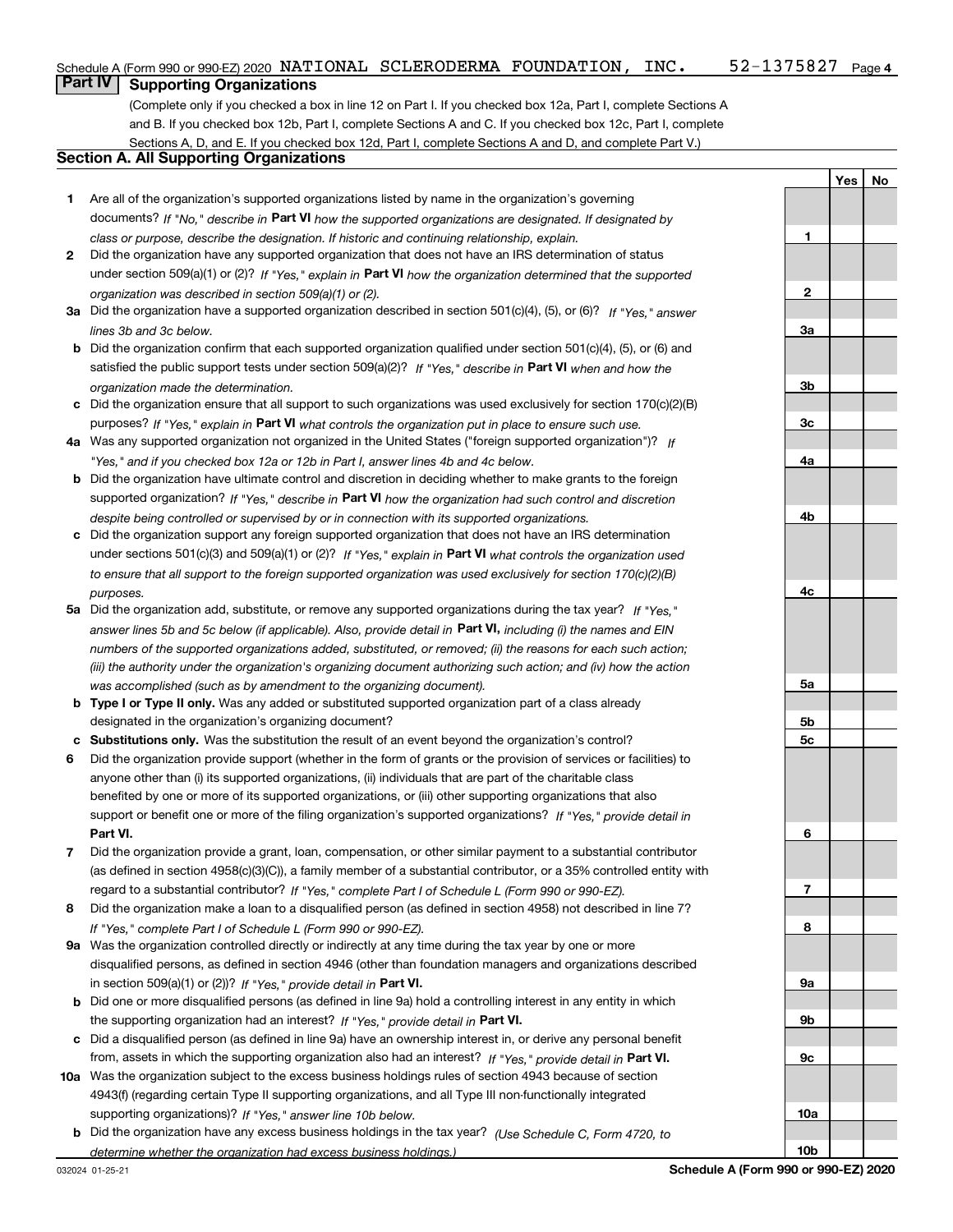**YesNo**

## **Part IV Supporting Organizations**

(Complete only if you checked a box in line 12 on Part I. If you checked box 12a, Part I, complete Sections A and B. If you checked box 12b, Part I, complete Sections A and C. If you checked box 12c, Part I, complete Sections A, D, and E. If you checked box 12d, Part I, complete Sections A and D, and complete Part V.)

## **Section A. All Supporting Organizations**

- **1** Are all of the organization's supported organizations listed by name in the organization's governing documents? If "No," describe in **Part VI** how the supported organizations are designated. If designated by *class or purpose, describe the designation. If historic and continuing relationship, explain.*
- **2** Did the organization have any supported organization that does not have an IRS determination of status under section 509(a)(1) or (2)? If "Yes," explain in Part VI how the organization determined that the supported *organization was described in section 509(a)(1) or (2).*
- **3a** Did the organization have a supported organization described in section 501(c)(4), (5), or (6)? If "Yes," answer *lines 3b and 3c below.*
- **b** Did the organization confirm that each supported organization qualified under section 501(c)(4), (5), or (6) and satisfied the public support tests under section 509(a)(2)? If "Yes," describe in **Part VI** when and how the *organization made the determination.*
- **c**Did the organization ensure that all support to such organizations was used exclusively for section 170(c)(2)(B) purposes? If "Yes," explain in **Part VI** what controls the organization put in place to ensure such use.
- **4a***If* Was any supported organization not organized in the United States ("foreign supported organization")? *"Yes," and if you checked box 12a or 12b in Part I, answer lines 4b and 4c below.*
- **b** Did the organization have ultimate control and discretion in deciding whether to make grants to the foreign supported organization? If "Yes," describe in **Part VI** how the organization had such control and discretion *despite being controlled or supervised by or in connection with its supported organizations.*
- **c** Did the organization support any foreign supported organization that does not have an IRS determination under sections 501(c)(3) and 509(a)(1) or (2)? If "Yes," explain in **Part VI** what controls the organization used *to ensure that all support to the foreign supported organization was used exclusively for section 170(c)(2)(B) purposes.*
- **5a***If "Yes,"* Did the organization add, substitute, or remove any supported organizations during the tax year? answer lines 5b and 5c below (if applicable). Also, provide detail in **Part VI,** including (i) the names and EIN *numbers of the supported organizations added, substituted, or removed; (ii) the reasons for each such action; (iii) the authority under the organization's organizing document authorizing such action; and (iv) how the action was accomplished (such as by amendment to the organizing document).*
- **b** Type I or Type II only. Was any added or substituted supported organization part of a class already designated in the organization's organizing document?
- **cSubstitutions only.**  Was the substitution the result of an event beyond the organization's control?
- **6** Did the organization provide support (whether in the form of grants or the provision of services or facilities) to **Part VI.** *If "Yes," provide detail in* support or benefit one or more of the filing organization's supported organizations? anyone other than (i) its supported organizations, (ii) individuals that are part of the charitable class benefited by one or more of its supported organizations, or (iii) other supporting organizations that also
- **7**Did the organization provide a grant, loan, compensation, or other similar payment to a substantial contributor *If "Yes," complete Part I of Schedule L (Form 990 or 990-EZ).* regard to a substantial contributor? (as defined in section 4958(c)(3)(C)), a family member of a substantial contributor, or a 35% controlled entity with
- **8** Did the organization make a loan to a disqualified person (as defined in section 4958) not described in line 7? *If "Yes," complete Part I of Schedule L (Form 990 or 990-EZ).*
- **9a** Was the organization controlled directly or indirectly at any time during the tax year by one or more in section 509(a)(1) or (2))? If "Yes," *provide detail in* <code>Part VI.</code> disqualified persons, as defined in section 4946 (other than foundation managers and organizations described
- **b** Did one or more disqualified persons (as defined in line 9a) hold a controlling interest in any entity in which the supporting organization had an interest? If "Yes," provide detail in P**art VI**.
- **c**Did a disqualified person (as defined in line 9a) have an ownership interest in, or derive any personal benefit from, assets in which the supporting organization also had an interest? If "Yes," provide detail in P**art VI.**
- **10a** Was the organization subject to the excess business holdings rules of section 4943 because of section supporting organizations)? If "Yes," answer line 10b below. 4943(f) (regarding certain Type II supporting organizations, and all Type III non-functionally integrated
- **b** Did the organization have any excess business holdings in the tax year? (Use Schedule C, Form 4720, to *determine whether the organization had excess business holdings.)*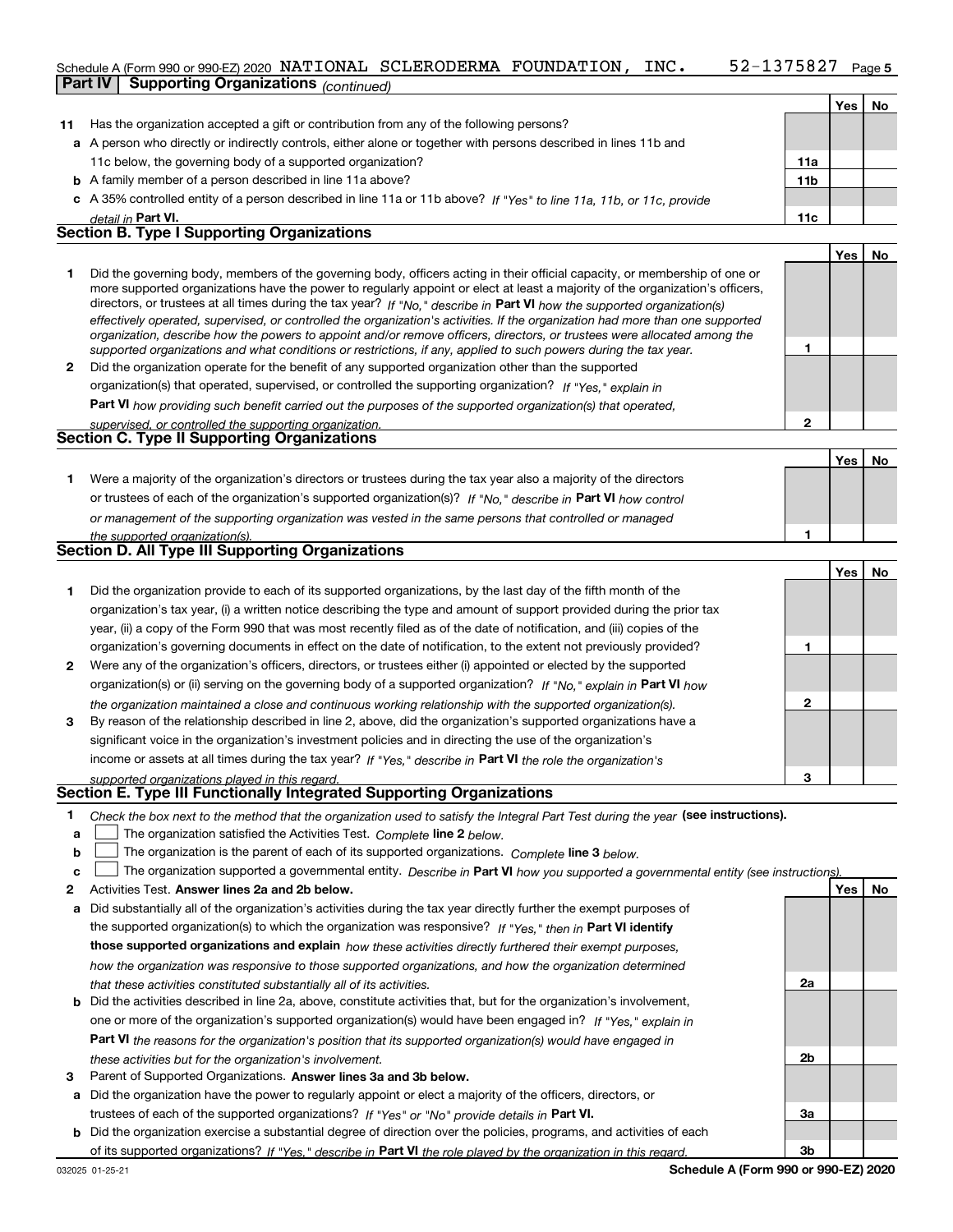#### **5**Schedule A (Form 990 or 990-EZ) 2020  $\,$  <code>NATIONAL SCLERODERMA FOUNDATION</code> ,  $\,$  <code>INC</code> .  $\,$  <code>52–1375827</code>  $\,$  <code>Page</code> **Part IV Supporting Organizations** *(continued)*

|    | 1001161110007                                                                                                                                                                                                                                                                                                                                                                                                                                                                                                            |                 |     |     |
|----|--------------------------------------------------------------------------------------------------------------------------------------------------------------------------------------------------------------------------------------------------------------------------------------------------------------------------------------------------------------------------------------------------------------------------------------------------------------------------------------------------------------------------|-----------------|-----|-----|
|    |                                                                                                                                                                                                                                                                                                                                                                                                                                                                                                                          |                 | Yes | No. |
| 11 | Has the organization accepted a gift or contribution from any of the following persons?                                                                                                                                                                                                                                                                                                                                                                                                                                  |                 |     |     |
|    | a A person who directly or indirectly controls, either alone or together with persons described in lines 11b and                                                                                                                                                                                                                                                                                                                                                                                                         |                 |     |     |
|    | 11c below, the governing body of a supported organization?                                                                                                                                                                                                                                                                                                                                                                                                                                                               | 11a             |     |     |
|    | <b>b</b> A family member of a person described in line 11a above?                                                                                                                                                                                                                                                                                                                                                                                                                                                        | 11 <sub>b</sub> |     |     |
|    | c A 35% controlled entity of a person described in line 11a or 11b above? If "Yes" to line 11a, 11b, or 11c, provide                                                                                                                                                                                                                                                                                                                                                                                                     |                 |     |     |
|    | detail in Part VI.                                                                                                                                                                                                                                                                                                                                                                                                                                                                                                       | 11c             |     |     |
|    | <b>Section B. Type I Supporting Organizations</b>                                                                                                                                                                                                                                                                                                                                                                                                                                                                        |                 |     |     |
|    |                                                                                                                                                                                                                                                                                                                                                                                                                                                                                                                          |                 | Yes | No. |
|    | Did the governing body, members of the governing body, officers acting in their official capacity, or membership of one or<br>more supported organizations have the power to regularly appoint or elect at least a majority of the organization's officers,<br>directors, or trustees at all times during the tax year? If "No," describe in Part VI how the supported organization(s)<br>effectively operated, supervised, or controlled the organization's activities. If the organization had more than one supported |                 |     |     |

| organization, describe how the powers to appoint and/or remove officers, directors, or trustees were allocated among the |
|--------------------------------------------------------------------------------------------------------------------------|
| supported organizations and what conditions or restrictions, if any, applied to such powers during the tax year.         |
| 2 Did the organization operate for the benefit of any supported organization other than the supported                    |
| organization(s) that operated, supervised, or controlled the supporting organization? If "Yes," explain in               |
| Dort VI barriardina arab banafit assista dari the normal as of the song entert association (a) that an angle of          |

**Part VI**  *how providing such benefit carried out the purposes of the supported organization(s) that operated,*

| supervised, or controlled the supporting organization. |  |
|--------------------------------------------------------|--|
| <b>Section C. Type II Supporting Organizations</b>     |  |
|                                                        |  |

**1**or trustees of each of the organization's supported organization(s)? If "No," describe in **Part VI** how control *or management of the supporting organization was vested in the same persons that controlled or managed the supported organization(s).* Were a majority of the organization's directors or trustees during the tax year also a majority of the directors

| <b>Section D. All Type III Supporting Organizations</b> |  |
|---------------------------------------------------------|--|
|---------------------------------------------------------|--|

|              |                                                                                                                        |   | Yes | No |
|--------------|------------------------------------------------------------------------------------------------------------------------|---|-----|----|
|              | Did the organization provide to each of its supported organizations, by the last day of the fifth month of the         |   |     |    |
|              | organization's tax year, (i) a written notice describing the type and amount of support provided during the prior tax  |   |     |    |
|              | year, (ii) a copy of the Form 990 that was most recently filed as of the date of notification, and (iii) copies of the |   |     |    |
|              | organization's governing documents in effect on the date of notification, to the extent not previously provided?       |   |     |    |
| $\mathbf{2}$ | Were any of the organization's officers, directors, or trustees either (i) appointed or elected by the supported       |   |     |    |
|              | organization(s) or (ii) serving on the governing body of a supported organization? If "No," explain in Part VI how     |   |     |    |
|              | the organization maintained a close and continuous working relationship with the supported organization(s).            | 2 |     |    |
| 3            | By reason of the relationship described in line 2, above, did the organization's supported organizations have a        |   |     |    |
|              | significant voice in the organization's investment policies and in directing the use of the organization's             |   |     |    |
|              | income or assets at all times during the tax year? If "Yes," describe in Part VI the role the organization's           |   |     |    |
|              | supported organizations played in this regard.                                                                         | з |     |    |

# *supported organizations played in this regard.* **Section E. Type III Functionally Integrated Supporting Organizations**

- **1**Check the box next to the method that the organization used to satisfy the Integral Part Test during the year (see instructions).
- **alinupy** The organization satisfied the Activities Test. Complete line 2 below.
- **b**The organization is the parent of each of its supported organizations. *Complete* line 3 *below.*  $\mathcal{L}^{\text{max}}$

|  |  | $\mathbf{c}$ $\Box$ The organization supported a governmental entity. Describe in Part VI how you supported a governmental entity (see instructions). |  |  |  |  |  |  |
|--|--|-------------------------------------------------------------------------------------------------------------------------------------------------------|--|--|--|--|--|--|
|--|--|-------------------------------------------------------------------------------------------------------------------------------------------------------|--|--|--|--|--|--|

- **2Answer lines 2a and 2b below. Yes No** Activities Test.
- **a** Did substantially all of the organization's activities during the tax year directly further the exempt purposes of the supported organization(s) to which the organization was responsive? If "Yes," then in **Part VI identify those supported organizations and explain**  *how these activities directly furthered their exempt purposes, how the organization was responsive to those supported organizations, and how the organization determined that these activities constituted substantially all of its activities.*
- **b** Did the activities described in line 2a, above, constitute activities that, but for the organization's involvement, **Part VI**  *the reasons for the organization's position that its supported organization(s) would have engaged in* one or more of the organization's supported organization(s) would have been engaged in? If "Yes," e*xplain in these activities but for the organization's involvement.*
- **3** Parent of Supported Organizations. Answer lines 3a and 3b below.
- **a** Did the organization have the power to regularly appoint or elect a majority of the officers, directors, or trustees of each of the supported organizations? If "Yes" or "No" provide details in **Part VI.**
- **b** Did the organization exercise a substantial degree of direction over the policies, programs, and activities of each of its supported organizations? If "Yes," describe in Part VI the role played by the organization in this regard.

**2a**

**2b**

**3a**

**3b**

**1**

**1**

**YesNo**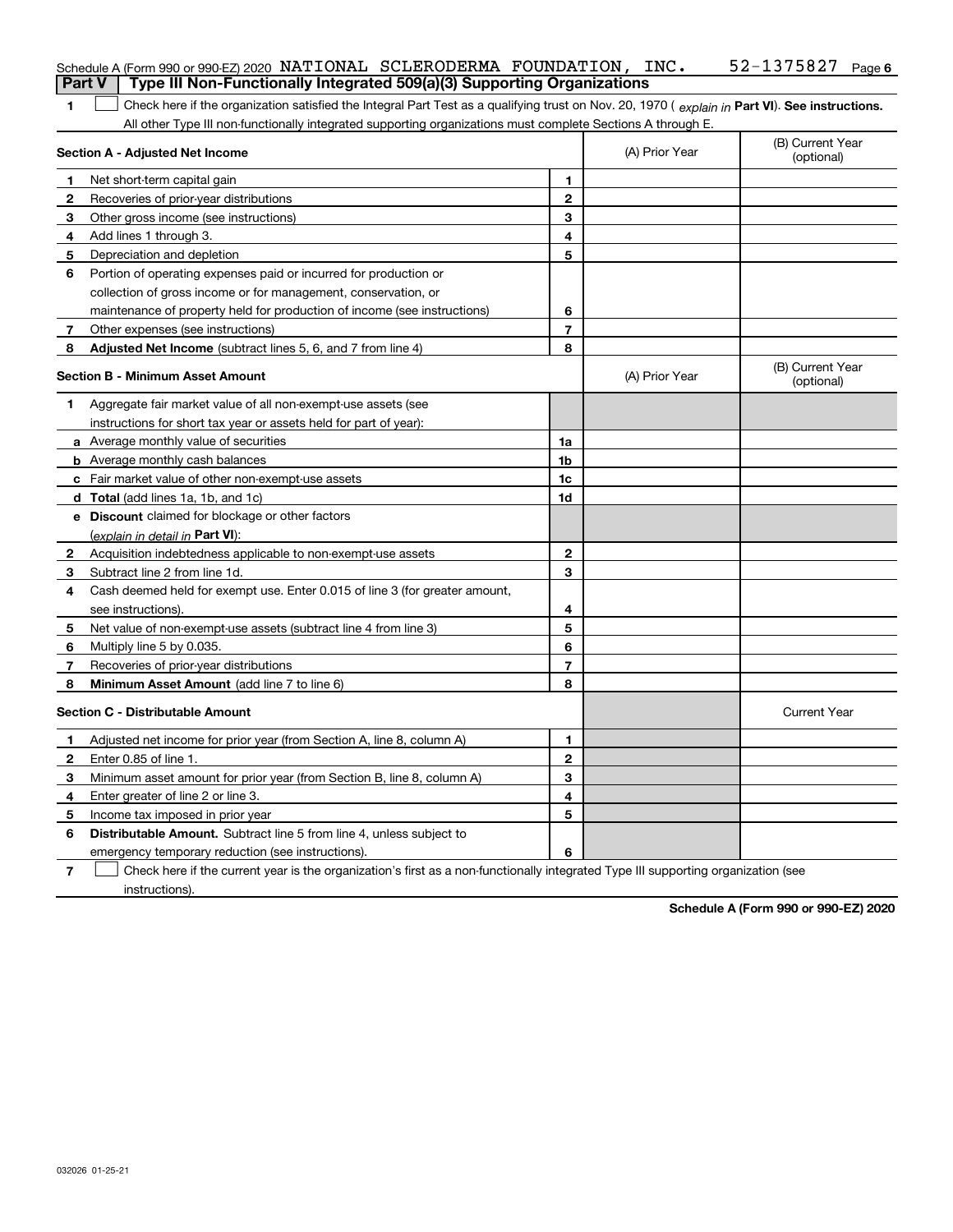| <b>Part V</b> | Schedule A (Form 990 or 990-EZ) 2020 NATIONAL SCLERODERMA FOUNDATION, $INC$ .<br>Type III Non-Functionally Integrated 509(a)(3) Supporting Organizations |                |                | $52 - 1375827$ Page 6          |
|---------------|----------------------------------------------------------------------------------------------------------------------------------------------------------|----------------|----------------|--------------------------------|
| 1             | Check here if the organization satisfied the Integral Part Test as a qualifying trust on Nov. 20, 1970 (explain in Part VI). See instructions.           |                |                |                                |
|               | All other Type III non-functionally integrated supporting organizations must complete Sections A through E.                                              |                |                |                                |
|               | Section A - Adjusted Net Income                                                                                                                          |                | (A) Prior Year | (B) Current Year<br>(optional) |
|               | Net short-term capital gain                                                                                                                              | 1              |                |                                |
| 2             | Recoveries of prior-year distributions                                                                                                                   | $\mathbf{2}$   |                |                                |
| З             | Other gross income (see instructions)                                                                                                                    | 3              |                |                                |
| 4             | Add lines 1 through 3.                                                                                                                                   | 4              |                |                                |
| 5             | Depreciation and depletion                                                                                                                               | 5              |                |                                |
| 6             | Portion of operating expenses paid or incurred for production or                                                                                         |                |                |                                |
|               | collection of gross income or for management, conservation, or                                                                                           |                |                |                                |
|               | maintenance of property held for production of income (see instructions)                                                                                 | 6              |                |                                |
| 7             | Other expenses (see instructions)                                                                                                                        | $\overline{7}$ |                |                                |
| 8             | Adjusted Net Income (subtract lines 5, 6, and 7 from line 4)                                                                                             | 8              |                |                                |
|               | <b>Section B - Minimum Asset Amount</b>                                                                                                                  |                | (A) Prior Year | (B) Current Year<br>(optional) |
| 1             | Aggregate fair market value of all non-exempt-use assets (see                                                                                            |                |                |                                |
|               | instructions for short tax year or assets held for part of year):                                                                                        |                |                |                                |
|               | <b>a</b> Average monthly value of securities                                                                                                             | 1a             |                |                                |
|               | <b>b</b> Average monthly cash balances                                                                                                                   | 1b             |                |                                |
|               | c Fair market value of other non-exempt-use assets                                                                                                       | 1c             |                |                                |
|               | <b>d</b> Total (add lines 1a, 1b, and 1c)                                                                                                                | 1d             |                |                                |
|               | <b>e</b> Discount claimed for blockage or other factors                                                                                                  |                |                |                                |
|               | (explain in detail in Part VI):                                                                                                                          |                |                |                                |
| 2             | Acquisition indebtedness applicable to non-exempt-use assets                                                                                             | $\mathbf{2}$   |                |                                |
| З             | Subtract line 2 from line 1d.                                                                                                                            | 3              |                |                                |
| 4             | Cash deemed held for exempt use. Enter 0.015 of line 3 (for greater amount,                                                                              |                |                |                                |
|               | see instructions).                                                                                                                                       | 4              |                |                                |
| 5             | Net value of non-exempt-use assets (subtract line 4 from line 3)                                                                                         | 5              |                |                                |
| 6             | Multiply line 5 by 0.035.                                                                                                                                | 6              |                |                                |
| 7             | Recoveries of prior-year distributions                                                                                                                   | $\overline{7}$ |                |                                |
| 8             | Minimum Asset Amount (add line 7 to line 6)                                                                                                              | 8              |                |                                |
|               | <b>Section C - Distributable Amount</b>                                                                                                                  |                |                | <b>Current Year</b>            |
|               | Adjusted net income for prior year (from Section A, line 8, column A)                                                                                    | 1              |                |                                |
|               | Enter 0.85 of line 1.                                                                                                                                    | 2              |                |                                |
| 3             | Minimum asset amount for prior year (from Section B, line 8, column A)                                                                                   | 3              |                |                                |
| 4             | Enter greater of line 2 or line 3.                                                                                                                       | 4              |                |                                |
| 5             | Income tax imposed in prior year                                                                                                                         | 5              |                |                                |
| 6             | <b>Distributable Amount.</b> Subtract line 5 from line 4, unless subject to                                                                              |                |                |                                |
|               | emergency temporary reduction (see instructions).                                                                                                        | 6              |                |                                |
| 7             | Check here if the current year is the organization's first as a non-functionally integrated Type III supporting organization (see                        |                |                |                                |

instructions).

**Schedule A (Form 990 or 990-EZ) 2020**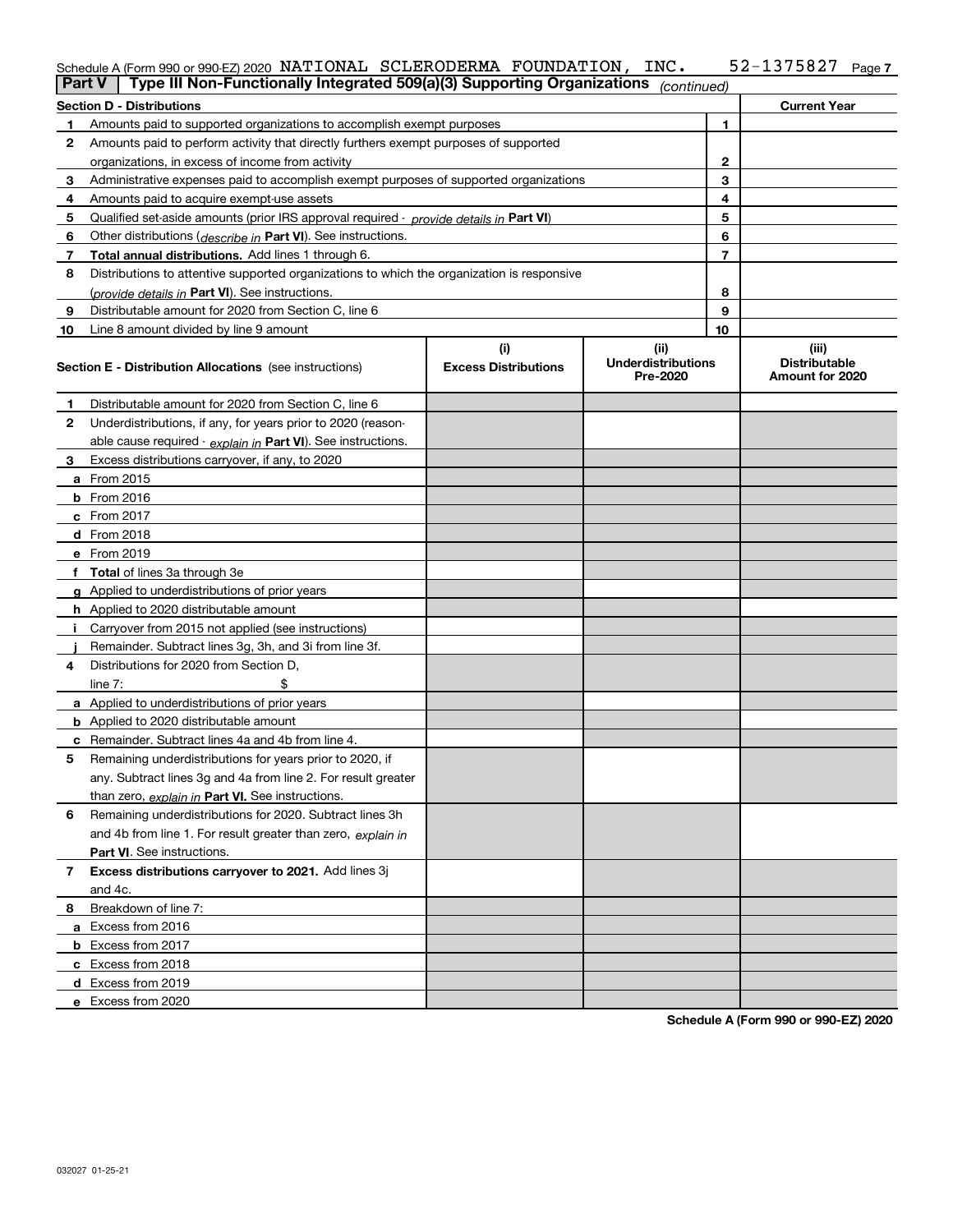#### **7** Schedule A (Form 990 or 990-EZ) 2020  $\,$  <code>NATIONAL SCLERODERMA FOUNDATION</code> ,  $\,$  <code>INC</code> .  $\,$  <code>52–1375827</code>  $\,$  <code>Page</code>

| ∣ Part V | Type III Non-Functionally Integrated 509(a)(3) Supporting Organizations                    |                                    | (continued)                                   |    |                                                  |
|----------|--------------------------------------------------------------------------------------------|------------------------------------|-----------------------------------------------|----|--------------------------------------------------|
|          | Section D - Distributions                                                                  |                                    |                                               |    | <b>Current Year</b>                              |
| 1        | Amounts paid to supported organizations to accomplish exempt purposes                      |                                    |                                               | 1  |                                                  |
| 2        | Amounts paid to perform activity that directly furthers exempt purposes of supported       |                                    |                                               |    |                                                  |
|          | organizations, in excess of income from activity                                           | 2                                  |                                               |    |                                                  |
| 3        | Administrative expenses paid to accomplish exempt purposes of supported organizations      |                                    |                                               | 3  |                                                  |
| 4        | Amounts paid to acquire exempt-use assets                                                  |                                    |                                               | 4  |                                                  |
| 5        | Qualified set aside amounts (prior IRS approval required - provide details in Part VI)     |                                    |                                               | 5  |                                                  |
| 6        | Other distributions ( <i>describe in</i> Part VI). See instructions.                       |                                    |                                               | 6  |                                                  |
| 7        | Total annual distributions. Add lines 1 through 6.                                         |                                    |                                               | 7  |                                                  |
| 8        | Distributions to attentive supported organizations to which the organization is responsive |                                    |                                               |    |                                                  |
|          | ( <i>provide details in</i> Part VI). See instructions.                                    |                                    |                                               | 8  |                                                  |
| 9        | Distributable amount for 2020 from Section C, line 6                                       |                                    |                                               | 9  |                                                  |
| 10       | Line 8 amount divided by line 9 amount                                                     |                                    |                                               | 10 |                                                  |
|          | <b>Section E - Distribution Allocations</b> (see instructions)                             | (i)<br><b>Excess Distributions</b> | (ii)<br><b>Underdistributions</b><br>Pre-2020 |    | (iii)<br><b>Distributable</b><br>Amount for 2020 |
| 1        | Distributable amount for 2020 from Section C, line 6                                       |                                    |                                               |    |                                                  |
| 2        | Underdistributions, if any, for years prior to 2020 (reason-                               |                                    |                                               |    |                                                  |
|          | able cause required - explain in Part VI). See instructions.                               |                                    |                                               |    |                                                  |
| 3        | Excess distributions carryover, if any, to 2020                                            |                                    |                                               |    |                                                  |
|          | a From 2015                                                                                |                                    |                                               |    |                                                  |
|          | <b>b</b> From 2016                                                                         |                                    |                                               |    |                                                  |
|          | <b>c</b> From 2017                                                                         |                                    |                                               |    |                                                  |
|          | <b>d</b> From 2018                                                                         |                                    |                                               |    |                                                  |
|          | e From 2019                                                                                |                                    |                                               |    |                                                  |
|          | f Total of lines 3a through 3e                                                             |                                    |                                               |    |                                                  |
|          | g Applied to underdistributions of prior years                                             |                                    |                                               |    |                                                  |
|          | <b>h</b> Applied to 2020 distributable amount                                              |                                    |                                               |    |                                                  |
|          | Carryover from 2015 not applied (see instructions)                                         |                                    |                                               |    |                                                  |
|          | Remainder. Subtract lines 3g, 3h, and 3i from line 3f.                                     |                                    |                                               |    |                                                  |
| 4        | Distributions for 2020 from Section D,                                                     |                                    |                                               |    |                                                  |
|          | line $7:$                                                                                  |                                    |                                               |    |                                                  |
|          | a Applied to underdistributions of prior years                                             |                                    |                                               |    |                                                  |
|          | <b>b</b> Applied to 2020 distributable amount                                              |                                    |                                               |    |                                                  |
|          | c Remainder. Subtract lines 4a and 4b from line 4.                                         |                                    |                                               |    |                                                  |
| 5        | Remaining underdistributions for years prior to 2020, if                                   |                                    |                                               |    |                                                  |
|          | any. Subtract lines 3g and 4a from line 2. For result greater                              |                                    |                                               |    |                                                  |
|          | than zero, explain in Part VI. See instructions.                                           |                                    |                                               |    |                                                  |
| 6        | Remaining underdistributions for 2020. Subtract lines 3h                                   |                                    |                                               |    |                                                  |
|          | and 4b from line 1. For result greater than zero, explain in                               |                                    |                                               |    |                                                  |
|          | Part VI. See instructions.                                                                 |                                    |                                               |    |                                                  |
| 7        | Excess distributions carryover to 2021. Add lines 3j                                       |                                    |                                               |    |                                                  |
|          | and 4c.                                                                                    |                                    |                                               |    |                                                  |
| 8        | Breakdown of line 7:                                                                       |                                    |                                               |    |                                                  |
|          | a Excess from 2016                                                                         |                                    |                                               |    |                                                  |
|          | <b>b</b> Excess from 2017                                                                  |                                    |                                               |    |                                                  |
|          | c Excess from 2018                                                                         |                                    |                                               |    |                                                  |
|          | d Excess from 2019                                                                         |                                    |                                               |    |                                                  |
|          | e Excess from 2020                                                                         |                                    |                                               |    |                                                  |

**Schedule A (Form 990 or 990-EZ) 2020**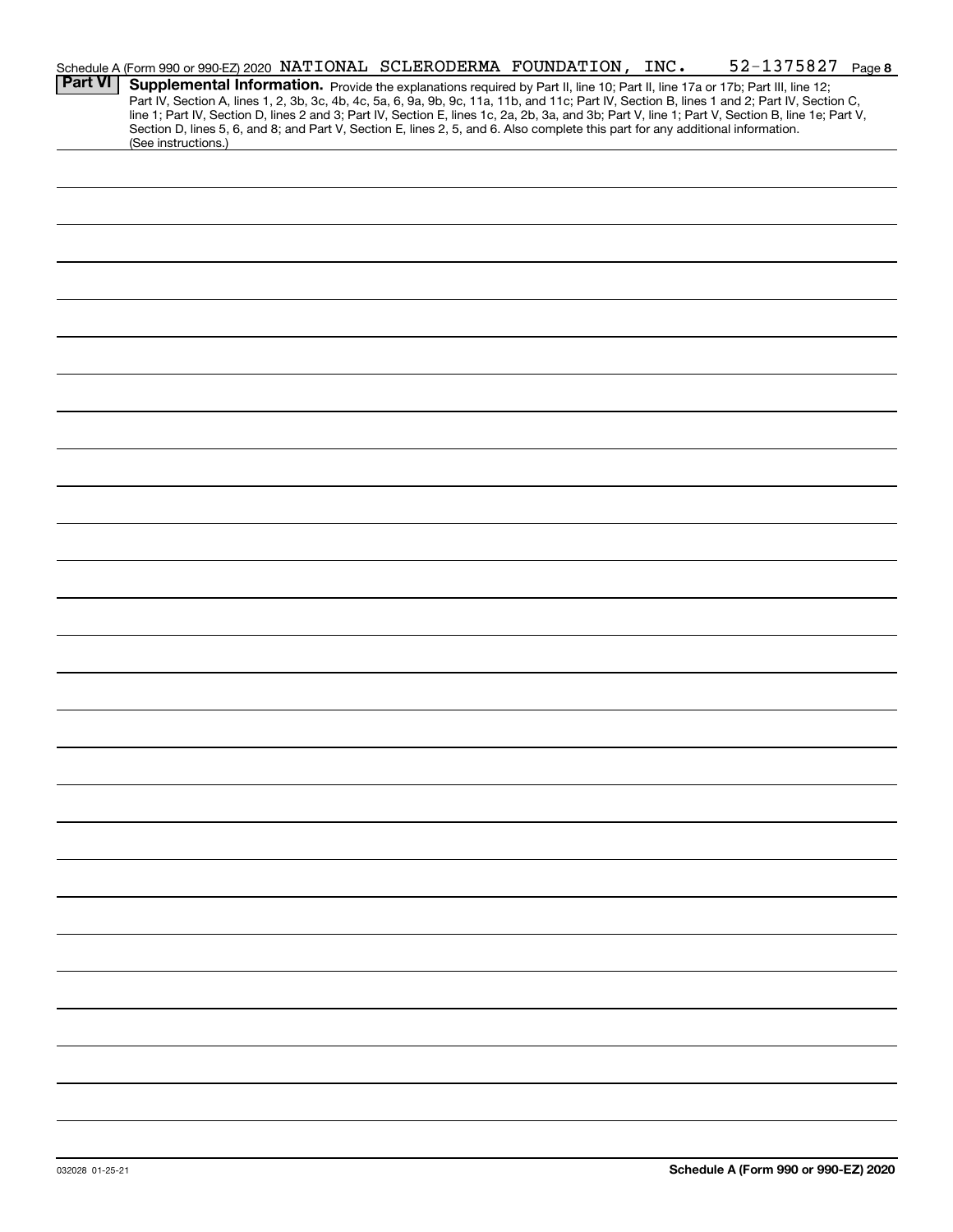|                | 52-1375827 Page 8<br>Schedule A (Form 990 or 990-EZ) 2020 NATIONAL SCLERODERMA FOUNDATION, INC.                                                                                                                                                                                                                                                                                                                                   |  |
|----------------|-----------------------------------------------------------------------------------------------------------------------------------------------------------------------------------------------------------------------------------------------------------------------------------------------------------------------------------------------------------------------------------------------------------------------------------|--|
| <b>Part VI</b> | Supplemental Information. Provide the explanations required by Part II, line 10; Part II, line 17a or 17b; Part III, line 12;<br>Part IV, Section A, lines 1, 2, 3b, 3c, 4b, 4c, 5a, 6, 9a, 9b, 9c, 11a, 11b, and 11c; Part IV, Section B, lines 1 and 2; Part IV, Section C,<br>line 1; Part IV, Section D, lines 2 and 3; Part IV, Section E, lines 1c, 2a, 2b, 3a, and 3b; Part V, line 1; Part V, Section B, line 1e; Part V, |  |
|                | Section D, lines 5, 6, and 8; and Part V, Section E, lines 2, 5, and 6. Also complete this part for any additional information.<br>(See instructions.)                                                                                                                                                                                                                                                                            |  |
|                |                                                                                                                                                                                                                                                                                                                                                                                                                                   |  |
|                |                                                                                                                                                                                                                                                                                                                                                                                                                                   |  |
|                |                                                                                                                                                                                                                                                                                                                                                                                                                                   |  |
|                |                                                                                                                                                                                                                                                                                                                                                                                                                                   |  |
|                |                                                                                                                                                                                                                                                                                                                                                                                                                                   |  |
|                |                                                                                                                                                                                                                                                                                                                                                                                                                                   |  |
|                |                                                                                                                                                                                                                                                                                                                                                                                                                                   |  |
|                |                                                                                                                                                                                                                                                                                                                                                                                                                                   |  |
|                |                                                                                                                                                                                                                                                                                                                                                                                                                                   |  |
|                |                                                                                                                                                                                                                                                                                                                                                                                                                                   |  |
|                |                                                                                                                                                                                                                                                                                                                                                                                                                                   |  |
|                |                                                                                                                                                                                                                                                                                                                                                                                                                                   |  |
|                |                                                                                                                                                                                                                                                                                                                                                                                                                                   |  |
|                |                                                                                                                                                                                                                                                                                                                                                                                                                                   |  |
|                |                                                                                                                                                                                                                                                                                                                                                                                                                                   |  |
|                |                                                                                                                                                                                                                                                                                                                                                                                                                                   |  |
|                |                                                                                                                                                                                                                                                                                                                                                                                                                                   |  |
|                |                                                                                                                                                                                                                                                                                                                                                                                                                                   |  |
|                |                                                                                                                                                                                                                                                                                                                                                                                                                                   |  |
|                |                                                                                                                                                                                                                                                                                                                                                                                                                                   |  |
|                |                                                                                                                                                                                                                                                                                                                                                                                                                                   |  |
|                |                                                                                                                                                                                                                                                                                                                                                                                                                                   |  |
|                |                                                                                                                                                                                                                                                                                                                                                                                                                                   |  |
|                |                                                                                                                                                                                                                                                                                                                                                                                                                                   |  |
|                |                                                                                                                                                                                                                                                                                                                                                                                                                                   |  |
|                |                                                                                                                                                                                                                                                                                                                                                                                                                                   |  |
|                |                                                                                                                                                                                                                                                                                                                                                                                                                                   |  |
|                |                                                                                                                                                                                                                                                                                                                                                                                                                                   |  |
|                |                                                                                                                                                                                                                                                                                                                                                                                                                                   |  |
|                |                                                                                                                                                                                                                                                                                                                                                                                                                                   |  |
|                |                                                                                                                                                                                                                                                                                                                                                                                                                                   |  |
|                |                                                                                                                                                                                                                                                                                                                                                                                                                                   |  |
|                |                                                                                                                                                                                                                                                                                                                                                                                                                                   |  |
|                |                                                                                                                                                                                                                                                                                                                                                                                                                                   |  |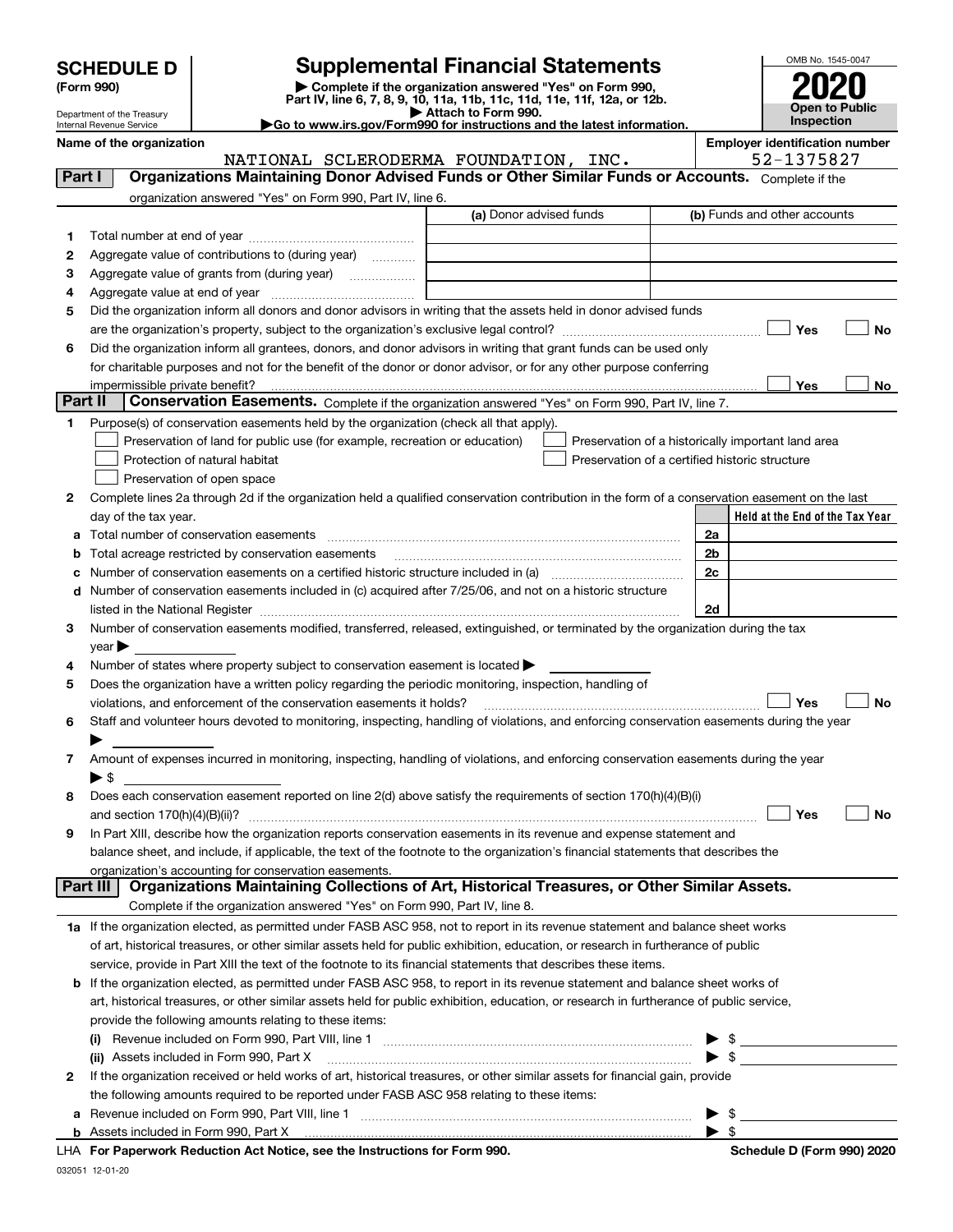| <b>SCHEDULE D</b> |  |
|-------------------|--|
|-------------------|--|

| (Form 990) |  |
|------------|--|
|------------|--|

## **SCHEDULE D Supplemental Financial Statements**

(Form 990)<br>
Pepartment of the Treasury<br>
Department of the Treasury<br>
Department of the Treasury<br>
Department of the Treasury<br> **Co to www.irs.gov/Form990 for instructions and the latest information.**<br> **Co to www.irs.gov/Form9** 



Department of the Treasury Internal Revenue Service

**Name of the organization Employer identification number**

|                 | NATIONAL SCLERODERMA FOUNDATION, INC.                                                                                                                                                                                                                                                                                                                             |                         |                                                | 52-1375827                                         |
|-----------------|-------------------------------------------------------------------------------------------------------------------------------------------------------------------------------------------------------------------------------------------------------------------------------------------------------------------------------------------------------------------|-------------------------|------------------------------------------------|----------------------------------------------------|
| Part I          | Organizations Maintaining Donor Advised Funds or Other Similar Funds or Accounts. Complete if the                                                                                                                                                                                                                                                                 |                         |                                                |                                                    |
|                 | organization answered "Yes" on Form 990, Part IV, line 6.                                                                                                                                                                                                                                                                                                         |                         |                                                |                                                    |
|                 |                                                                                                                                                                                                                                                                                                                                                                   | (a) Donor advised funds |                                                | (b) Funds and other accounts                       |
| 1.              |                                                                                                                                                                                                                                                                                                                                                                   |                         |                                                |                                                    |
| 2               | Aggregate value of contributions to (during year)                                                                                                                                                                                                                                                                                                                 |                         |                                                |                                                    |
| з               | Aggregate value of grants from (during year)                                                                                                                                                                                                                                                                                                                      |                         |                                                |                                                    |
| 4               |                                                                                                                                                                                                                                                                                                                                                                   |                         |                                                |                                                    |
| 5               | Did the organization inform all donors and donor advisors in writing that the assets held in donor advised funds                                                                                                                                                                                                                                                  |                         |                                                |                                                    |
|                 |                                                                                                                                                                                                                                                                                                                                                                   |                         |                                                | Yes<br>No                                          |
| 6               | Did the organization inform all grantees, donors, and donor advisors in writing that grant funds can be used only                                                                                                                                                                                                                                                 |                         |                                                |                                                    |
|                 | for charitable purposes and not for the benefit of the donor or donor advisor, or for any other purpose conferring                                                                                                                                                                                                                                                |                         |                                                |                                                    |
|                 |                                                                                                                                                                                                                                                                                                                                                                   |                         |                                                | Yes<br>No                                          |
| <b>Part II</b>  | Conservation Easements. Complete if the organization answered "Yes" on Form 990, Part IV, line 7.                                                                                                                                                                                                                                                                 |                         |                                                |                                                    |
| 1.              | Purpose(s) of conservation easements held by the organization (check all that apply).                                                                                                                                                                                                                                                                             |                         |                                                |                                                    |
|                 | Preservation of land for public use (for example, recreation or education)                                                                                                                                                                                                                                                                                        |                         |                                                | Preservation of a historically important land area |
|                 | Protection of natural habitat                                                                                                                                                                                                                                                                                                                                     |                         | Preservation of a certified historic structure |                                                    |
|                 | Preservation of open space                                                                                                                                                                                                                                                                                                                                        |                         |                                                |                                                    |
| 2               | Complete lines 2a through 2d if the organization held a qualified conservation contribution in the form of a conservation easement on the last                                                                                                                                                                                                                    |                         |                                                |                                                    |
|                 | day of the tax year.                                                                                                                                                                                                                                                                                                                                              |                         |                                                | Held at the End of the Tax Year                    |
| а               | Total number of conservation easements                                                                                                                                                                                                                                                                                                                            |                         |                                                | 2a                                                 |
| b               | Total acreage restricted by conservation easements                                                                                                                                                                                                                                                                                                                |                         |                                                | 2 <sub>b</sub>                                     |
| c               | Number of conservation easements on a certified historic structure included in (a) manufacture included in (a)                                                                                                                                                                                                                                                    |                         |                                                | 2c                                                 |
| d               | Number of conservation easements included in (c) acquired after 7/25/06, and not on a historic structure                                                                                                                                                                                                                                                          |                         |                                                |                                                    |
|                 |                                                                                                                                                                                                                                                                                                                                                                   |                         |                                                | 2d                                                 |
| 3.              | listed in the National Register [11, 1200] [12] The National Register [11, 1200] [12] The National Register [11, 1200] [12] The National Register [11, 1200] [12] The National Register [11, 1200] [12] The National Register<br>Number of conservation easements modified, transferred, released, extinguished, or terminated by the organization during the tax |                         |                                                |                                                    |
|                 | year                                                                                                                                                                                                                                                                                                                                                              |                         |                                                |                                                    |
| 4               | Number of states where property subject to conservation easement is located >                                                                                                                                                                                                                                                                                     |                         |                                                |                                                    |
| 5               | Does the organization have a written policy regarding the periodic monitoring, inspection, handling of                                                                                                                                                                                                                                                            |                         |                                                |                                                    |
|                 | violations, and enforcement of the conservation easements it holds?                                                                                                                                                                                                                                                                                               |                         |                                                | Yes<br><b>No</b>                                   |
|                 |                                                                                                                                                                                                                                                                                                                                                                   |                         |                                                |                                                    |
| 6               | Staff and volunteer hours devoted to monitoring, inspecting, handling of violations, and enforcing conservation easements during the year                                                                                                                                                                                                                         |                         |                                                |                                                    |
|                 | Amount of expenses incurred in monitoring, inspecting, handling of violations, and enforcing conservation easements during the year                                                                                                                                                                                                                               |                         |                                                |                                                    |
| 7               | $\blacktriangleright$ \$                                                                                                                                                                                                                                                                                                                                          |                         |                                                |                                                    |
|                 | Does each conservation easement reported on line 2(d) above satisfy the requirements of section 170(h)(4)(B)(i)                                                                                                                                                                                                                                                   |                         |                                                |                                                    |
| 8               |                                                                                                                                                                                                                                                                                                                                                                   |                         |                                                | Yes<br>No                                          |
|                 |                                                                                                                                                                                                                                                                                                                                                                   |                         |                                                |                                                    |
| 9               | In Part XIII, describe how the organization reports conservation easements in its revenue and expense statement and                                                                                                                                                                                                                                               |                         |                                                |                                                    |
|                 | balance sheet, and include, if applicable, the text of the footnote to the organization's financial statements that describes the                                                                                                                                                                                                                                 |                         |                                                |                                                    |
| <b>Part III</b> | organization's accounting for conservation easements.<br>Organizations Maintaining Collections of Art, Historical Treasures, or Other Similar Assets.                                                                                                                                                                                                             |                         |                                                |                                                    |
|                 | Complete if the organization answered "Yes" on Form 990, Part IV, line 8.                                                                                                                                                                                                                                                                                         |                         |                                                |                                                    |
|                 |                                                                                                                                                                                                                                                                                                                                                                   |                         |                                                |                                                    |
|                 | 1a If the organization elected, as permitted under FASB ASC 958, not to report in its revenue statement and balance sheet works                                                                                                                                                                                                                                   |                         |                                                |                                                    |
|                 | of art, historical treasures, or other similar assets held for public exhibition, education, or research in furtherance of public                                                                                                                                                                                                                                 |                         |                                                |                                                    |
|                 | service, provide in Part XIII the text of the footnote to its financial statements that describes these items.                                                                                                                                                                                                                                                    |                         |                                                |                                                    |
|                 | b If the organization elected, as permitted under FASB ASC 958, to report in its revenue statement and balance sheet works of                                                                                                                                                                                                                                     |                         |                                                |                                                    |
|                 | art, historical treasures, or other similar assets held for public exhibition, education, or research in furtherance of public service,                                                                                                                                                                                                                           |                         |                                                |                                                    |
|                 | provide the following amounts relating to these items:                                                                                                                                                                                                                                                                                                            |                         |                                                |                                                    |
|                 |                                                                                                                                                                                                                                                                                                                                                                   |                         |                                                | ▶                                                  |
|                 | (ii) Assets included in Form 990, Part X                                                                                                                                                                                                                                                                                                                          |                         |                                                | $\triangleright$ \$                                |
| $\mathbf{2}$    | If the organization received or held works of art, historical treasures, or other similar assets for financial gain, provide                                                                                                                                                                                                                                      |                         |                                                |                                                    |
|                 | the following amounts required to be reported under FASB ASC 958 relating to these items:                                                                                                                                                                                                                                                                         |                         |                                                |                                                    |
| а               |                                                                                                                                                                                                                                                                                                                                                                   |                         |                                                | -\$<br>▶                                           |
|                 | <b>b</b> Assets included in Form 990, Part X                                                                                                                                                                                                                                                                                                                      |                         |                                                | $\blacktriangleright$ \$                           |
|                 | LHA For Paperwork Reduction Act Notice, see the Instructions for Form 990.                                                                                                                                                                                                                                                                                        |                         |                                                | Schedule D (Form 990) 2020                         |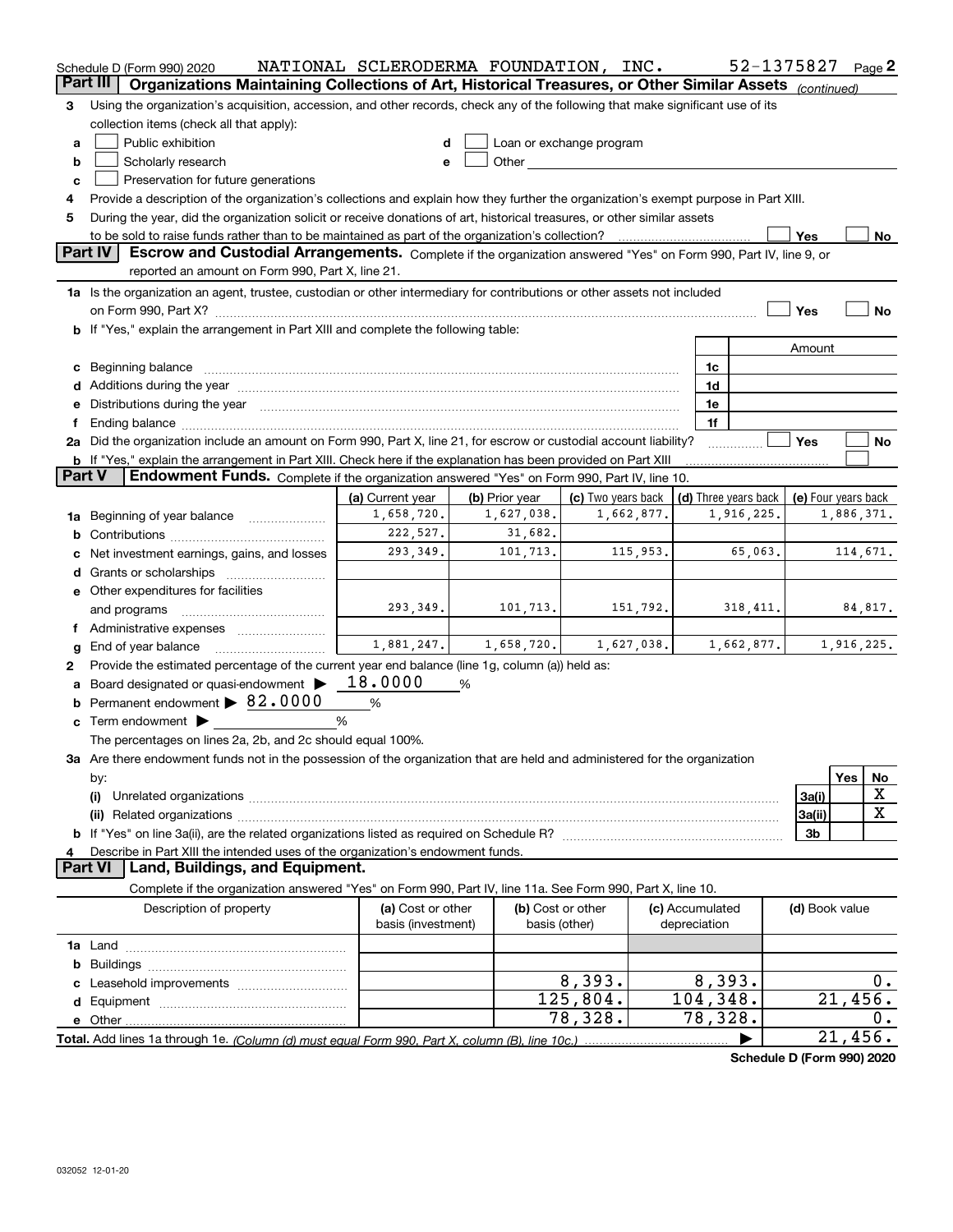|               | Schedule D (Form 990) 2020                                                                                                                                                                                                     | NATIONAL SCLERODERMA FOUNDATION, INC.   |                |                                    |                          |            |                                 | 52-1375827           |                     |            | Page 2 |
|---------------|--------------------------------------------------------------------------------------------------------------------------------------------------------------------------------------------------------------------------------|-----------------------------------------|----------------|------------------------------------|--------------------------|------------|---------------------------------|----------------------|---------------------|------------|--------|
| Part III      | Organizations Maintaining Collections of Art, Historical Treasures, or Other Similar Assets (continued)                                                                                                                        |                                         |                |                                    |                          |            |                                 |                      |                     |            |        |
| З             | Using the organization's acquisition, accession, and other records, check any of the following that make significant use of its                                                                                                |                                         |                |                                    |                          |            |                                 |                      |                     |            |        |
|               | collection items (check all that apply):                                                                                                                                                                                       |                                         |                |                                    |                          |            |                                 |                      |                     |            |        |
| a             | Public exhibition                                                                                                                                                                                                              | d                                       |                |                                    | Loan or exchange program |            |                                 |                      |                     |            |        |
| b             | Scholarly research                                                                                                                                                                                                             | e                                       |                |                                    |                          |            |                                 |                      |                     |            |        |
| c             | Preservation for future generations                                                                                                                                                                                            |                                         |                |                                    |                          |            |                                 |                      |                     |            |        |
| 4             | Provide a description of the organization's collections and explain how they further the organization's exempt purpose in Part XIII.                                                                                           |                                         |                |                                    |                          |            |                                 |                      |                     |            |        |
| 5             | During the year, did the organization solicit or receive donations of art, historical treasures, or other similar assets                                                                                                       |                                         |                |                                    |                          |            |                                 |                      |                     |            |        |
|               | to be sold to raise funds rather than to be maintained as part of the organization's collection?                                                                                                                               |                                         |                |                                    |                          |            |                                 |                      | Yes                 |            | No     |
|               | <b>Part IV</b><br>Escrow and Custodial Arrangements. Complete if the organization answered "Yes" on Form 990, Part IV, line 9, or                                                                                              |                                         |                |                                    |                          |            |                                 |                      |                     |            |        |
|               | reported an amount on Form 990, Part X, line 21.                                                                                                                                                                               |                                         |                |                                    |                          |            |                                 |                      |                     |            |        |
|               | 1a Is the organization an agent, trustee, custodian or other intermediary for contributions or other assets not included                                                                                                       |                                         |                |                                    |                          |            |                                 |                      |                     |            |        |
|               | on Form 990, Part X? [11] matter contracts and contracts and contracts are contracted as a form 990, Part X?                                                                                                                   |                                         |                |                                    |                          |            |                                 |                      | Yes                 |            | No     |
|               | b If "Yes," explain the arrangement in Part XIII and complete the following table:                                                                                                                                             |                                         |                |                                    |                          |            |                                 |                      |                     |            |        |
|               |                                                                                                                                                                                                                                |                                         |                |                                    |                          |            |                                 |                      | Amount              |            |        |
|               | c Beginning balance                                                                                                                                                                                                            |                                         |                |                                    |                          |            | 1c                              |                      |                     |            |        |
|               |                                                                                                                                                                                                                                |                                         |                |                                    |                          |            | 1d                              |                      |                     |            |        |
|               | e Distributions during the year manufactured and continuum and contact the year manufactured and contact the year manufactured and contact the year manufactured and contact the year manufactured and contact the year manufa |                                         |                |                                    |                          |            | 1e                              |                      |                     |            |        |
|               |                                                                                                                                                                                                                                |                                         |                |                                    |                          |            | 1f                              |                      | Yes                 |            |        |
|               | 2a Did the organization include an amount on Form 990, Part X, line 21, for escrow or custodial account liability?                                                                                                             |                                         |                |                                    |                          |            |                                 |                      |                     |            | No     |
| <b>Part V</b> | <b>b</b> If "Yes," explain the arrangement in Part XIII. Check here if the explanation has been provided on Part XIII<br>Endowment Funds. Complete if the organization answered "Yes" on Form 990, Part IV, line 10.           |                                         |                |                                    |                          |            |                                 |                      |                     |            |        |
|               |                                                                                                                                                                                                                                | (a) Current year                        | (b) Prior year |                                    | (c) Two years back       |            |                                 | (d) Three years back | (e) Four years back |            |        |
| 1a            | Beginning of year balance                                                                                                                                                                                                      | 1,658,720.                              |                | 1,627,038.                         |                          | 1,662,877. |                                 | 1,916,225.           |                     | 1,886,371. |        |
| b             |                                                                                                                                                                                                                                | 222,527.                                |                | 31,682.                            |                          |            |                                 |                      |                     |            |        |
|               | Net investment earnings, gains, and losses                                                                                                                                                                                     | 293,349.                                |                | 101,713.                           |                          | 115,953.   |                                 | 65,063.              |                     | 114,671.   |        |
|               | <b>d</b> Grants or scholarships                                                                                                                                                                                                |                                         |                |                                    |                          |            |                                 |                      |                     |            |        |
|               | e Other expenditures for facilities                                                                                                                                                                                            |                                         |                |                                    |                          |            |                                 |                      |                     |            |        |
|               | and programs                                                                                                                                                                                                                   | 293,349.                                |                | 101,713.                           |                          | 151,792.   |                                 | 318, 411.            |                     | 84,817.    |        |
|               | f Administrative expenses <i></i>                                                                                                                                                                                              |                                         |                |                                    |                          |            |                                 |                      |                     |            |        |
| g             | End of year balance                                                                                                                                                                                                            | 1,881,247.                              |                | 1,658,720.                         |                          | 1,627,038. |                                 | 1,662,877.           |                     | 1,916,225. |        |
| 2             | Provide the estimated percentage of the current year end balance (line 1g, column (a)) held as:                                                                                                                                |                                         |                |                                    |                          |            |                                 |                      |                     |            |        |
|               | Board designated or quasi-endowment >                                                                                                                                                                                          | 18.0000                                 | %              |                                    |                          |            |                                 |                      |                     |            |        |
|               | <b>b</b> Permanent endowment $\triangleright$ 82.0000                                                                                                                                                                          | $\%$                                    |                |                                    |                          |            |                                 |                      |                     |            |        |
|               | $\mathbf c$ Term endowment $\blacktriangleright$                                                                                                                                                                               | %                                       |                |                                    |                          |            |                                 |                      |                     |            |        |
|               | The percentages on lines 2a, 2b, and 2c should equal 100%.                                                                                                                                                                     |                                         |                |                                    |                          |            |                                 |                      |                     |            |        |
|               | 3a Are there endowment funds not in the possession of the organization that are held and administered for the organization                                                                                                     |                                         |                |                                    |                          |            |                                 |                      |                     |            |        |
|               | by:                                                                                                                                                                                                                            |                                         |                |                                    |                          |            |                                 |                      |                     | Yes        | No     |
|               | (i)                                                                                                                                                                                                                            |                                         |                |                                    |                          |            |                                 |                      | 3a(i)               |            | х      |
|               |                                                                                                                                                                                                                                |                                         |                |                                    |                          |            |                                 |                      | 3a(ii)              |            | X      |
|               |                                                                                                                                                                                                                                |                                         |                |                                    |                          |            |                                 |                      | 3b                  |            |        |
| 4             | Describe in Part XIII the intended uses of the organization's endowment funds.                                                                                                                                                 |                                         |                |                                    |                          |            |                                 |                      |                     |            |        |
|               | Land, Buildings, and Equipment.<br><b>Part VI</b>                                                                                                                                                                              |                                         |                |                                    |                          |            |                                 |                      |                     |            |        |
|               | Complete if the organization answered "Yes" on Form 990, Part IV, line 11a. See Form 990, Part X, line 10.                                                                                                                     |                                         |                |                                    |                          |            |                                 |                      |                     |            |        |
|               | Description of property                                                                                                                                                                                                        | (a) Cost or other<br>basis (investment) |                | (b) Cost or other<br>basis (other) |                          |            | (c) Accumulated<br>depreciation |                      | (d) Book value      |            |        |
|               |                                                                                                                                                                                                                                |                                         |                |                                    |                          |            |                                 |                      |                     |            |        |
|               |                                                                                                                                                                                                                                |                                         |                |                                    |                          |            |                                 |                      |                     |            |        |
|               |                                                                                                                                                                                                                                |                                         |                |                                    | 8,393.                   |            | 8,393.                          |                      |                     |            | 0.     |
|               |                                                                                                                                                                                                                                |                                         |                |                                    | 125,804.                 |            | $\overline{104}$ , 348.         |                      |                     | 21,456.    |        |
|               | e Other                                                                                                                                                                                                                        |                                         |                |                                    | $\overline{78,328}$ .    |            | 78,328.                         |                      |                     |            | 0.     |
|               |                                                                                                                                                                                                                                |                                         |                |                                    |                          |            |                                 |                      |                     | 21,456.    |        |

**Schedule D (Form 990) 2020**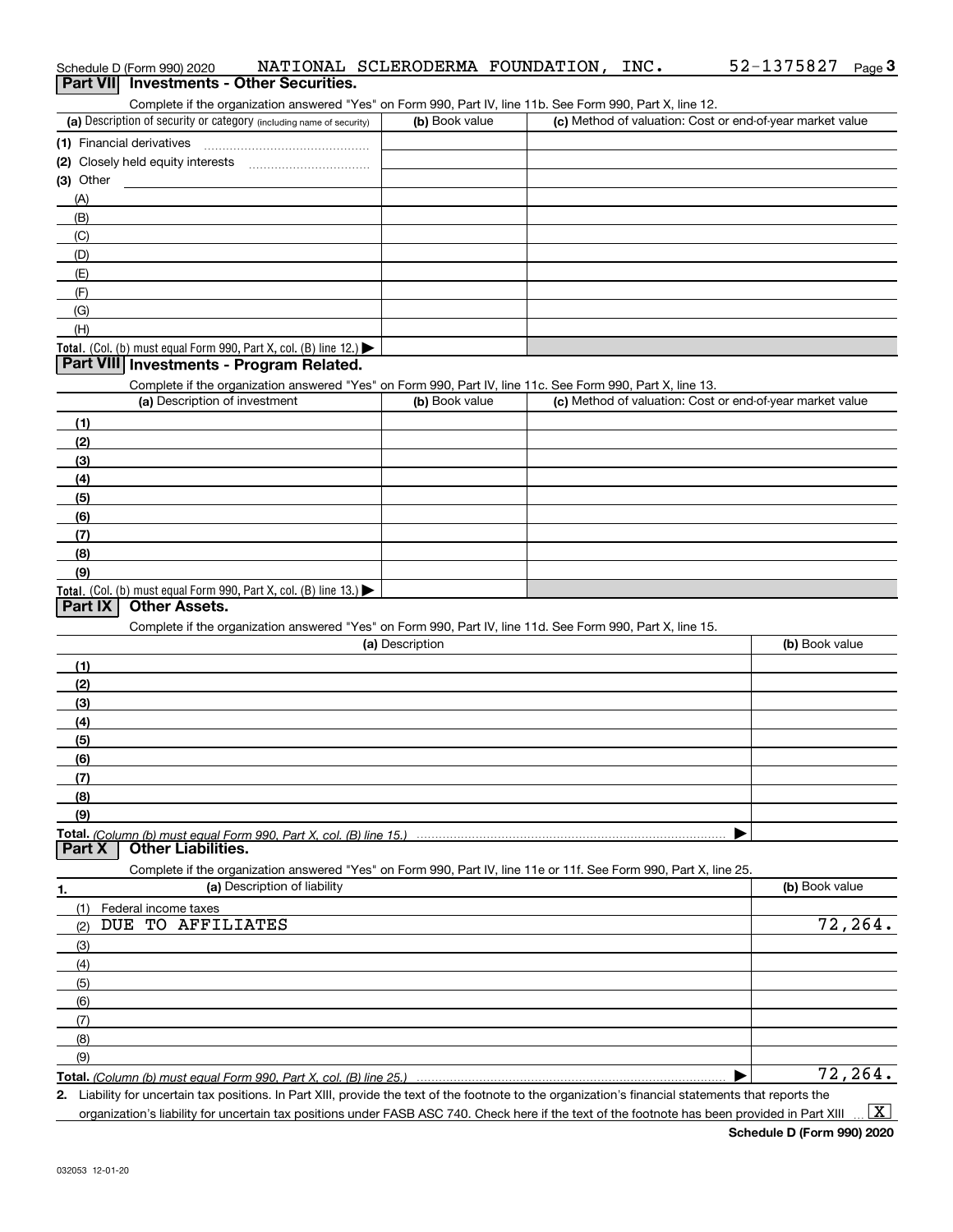| Schedule D (Form 990) 2020<br><b>Part VII</b> Investments - Other Securities.                                                                        |                 | NATIONAL SCLERODERMA FOUNDATION, INC.                     | 52-1375827<br>Page $3$ |
|------------------------------------------------------------------------------------------------------------------------------------------------------|-----------------|-----------------------------------------------------------|------------------------|
| Complete if the organization answered "Yes" on Form 990, Part IV, line 11b. See Form 990, Part X, line 12.                                           |                 |                                                           |                        |
| (a) Description of security or category (including name of security)                                                                                 | (b) Book value  | (c) Method of valuation: Cost or end-of-year market value |                        |
|                                                                                                                                                      |                 |                                                           |                        |
|                                                                                                                                                      |                 |                                                           |                        |
| (3) Other                                                                                                                                            |                 |                                                           |                        |
| (A)                                                                                                                                                  |                 |                                                           |                        |
| (B)                                                                                                                                                  |                 |                                                           |                        |
| (C)                                                                                                                                                  |                 |                                                           |                        |
| (D)                                                                                                                                                  |                 |                                                           |                        |
| (E)                                                                                                                                                  |                 |                                                           |                        |
| (F)                                                                                                                                                  |                 |                                                           |                        |
| (G)                                                                                                                                                  |                 |                                                           |                        |
| (H)                                                                                                                                                  |                 |                                                           |                        |
| Total. (Col. (b) must equal Form 990, Part X, col. (B) line 12.) $\blacktriangleright$                                                               |                 |                                                           |                        |
| Part VIII Investments - Program Related.                                                                                                             |                 |                                                           |                        |
| Complete if the organization answered "Yes" on Form 990, Part IV, line 11c. See Form 990, Part X, line 13.                                           |                 |                                                           |                        |
| (a) Description of investment                                                                                                                        | (b) Book value  | (c) Method of valuation: Cost or end-of-year market value |                        |
| (1)                                                                                                                                                  |                 |                                                           |                        |
| (2)                                                                                                                                                  |                 |                                                           |                        |
| (3)                                                                                                                                                  |                 |                                                           |                        |
| (4)                                                                                                                                                  |                 |                                                           |                        |
| (5)                                                                                                                                                  |                 |                                                           |                        |
| (6)                                                                                                                                                  |                 |                                                           |                        |
| (7)                                                                                                                                                  |                 |                                                           |                        |
| (8)<br>(9)                                                                                                                                           |                 |                                                           |                        |
| Total. (Col. (b) must equal Form 990, Part X, col. (B) line 13.)                                                                                     |                 |                                                           |                        |
| <b>Other Assets.</b><br><b>Part IX</b>                                                                                                               |                 |                                                           |                        |
| Complete if the organization answered "Yes" on Form 990, Part IV, line 11d. See Form 990, Part X, line 15.                                           |                 |                                                           |                        |
|                                                                                                                                                      | (a) Description |                                                           | (b) Book value         |
| (1)                                                                                                                                                  |                 |                                                           |                        |
| (2)                                                                                                                                                  |                 |                                                           |                        |
| (3)                                                                                                                                                  |                 |                                                           |                        |
| (4)                                                                                                                                                  |                 |                                                           |                        |
| (5)                                                                                                                                                  |                 |                                                           |                        |
| (6)                                                                                                                                                  |                 |                                                           |                        |
| (7)                                                                                                                                                  |                 |                                                           |                        |
| (8)                                                                                                                                                  |                 |                                                           |                        |
| (9)                                                                                                                                                  |                 |                                                           |                        |
| Total. (Column (b) must equal Form 990. Part X. col. (B) line 15.)<br><b>Part X</b><br><b>Other Liabilities.</b>                                     |                 |                                                           |                        |
| Complete if the organization answered "Yes" on Form 990, Part IV, line 11e or 11f. See Form 990, Part X, line 25.                                    |                 |                                                           |                        |
| (a) Description of liability<br>1.                                                                                                                   |                 |                                                           | (b) Book value         |
| (1)<br>Federal income taxes                                                                                                                          |                 |                                                           |                        |
| DUE TO AFFILIATES<br>(2)                                                                                                                             |                 |                                                           | 72,264.                |
|                                                                                                                                                      |                 |                                                           |                        |
| (3)<br>(4)                                                                                                                                           |                 |                                                           |                        |
| (5)                                                                                                                                                  |                 |                                                           |                        |
| (6)                                                                                                                                                  |                 |                                                           |                        |
| (7)                                                                                                                                                  |                 |                                                           |                        |
| (8)                                                                                                                                                  |                 |                                                           |                        |
| (9)                                                                                                                                                  |                 |                                                           |                        |
| Total. (Column (b) must equal Form 990, Part X, col. (B) line 25.)                                                                                   |                 |                                                           | 72,264.                |
| 2. Liability for uncertain tax positions. In Part XIII, provide the text of the footnote to the organization's financial statements that reports the |                 |                                                           |                        |

organization's liability for uncertain tax positions under FASB ASC 740. Check here if the text of the footnote has been provided in Part XIII

52-1375827 Page 3

 $\vert$  X  $\vert$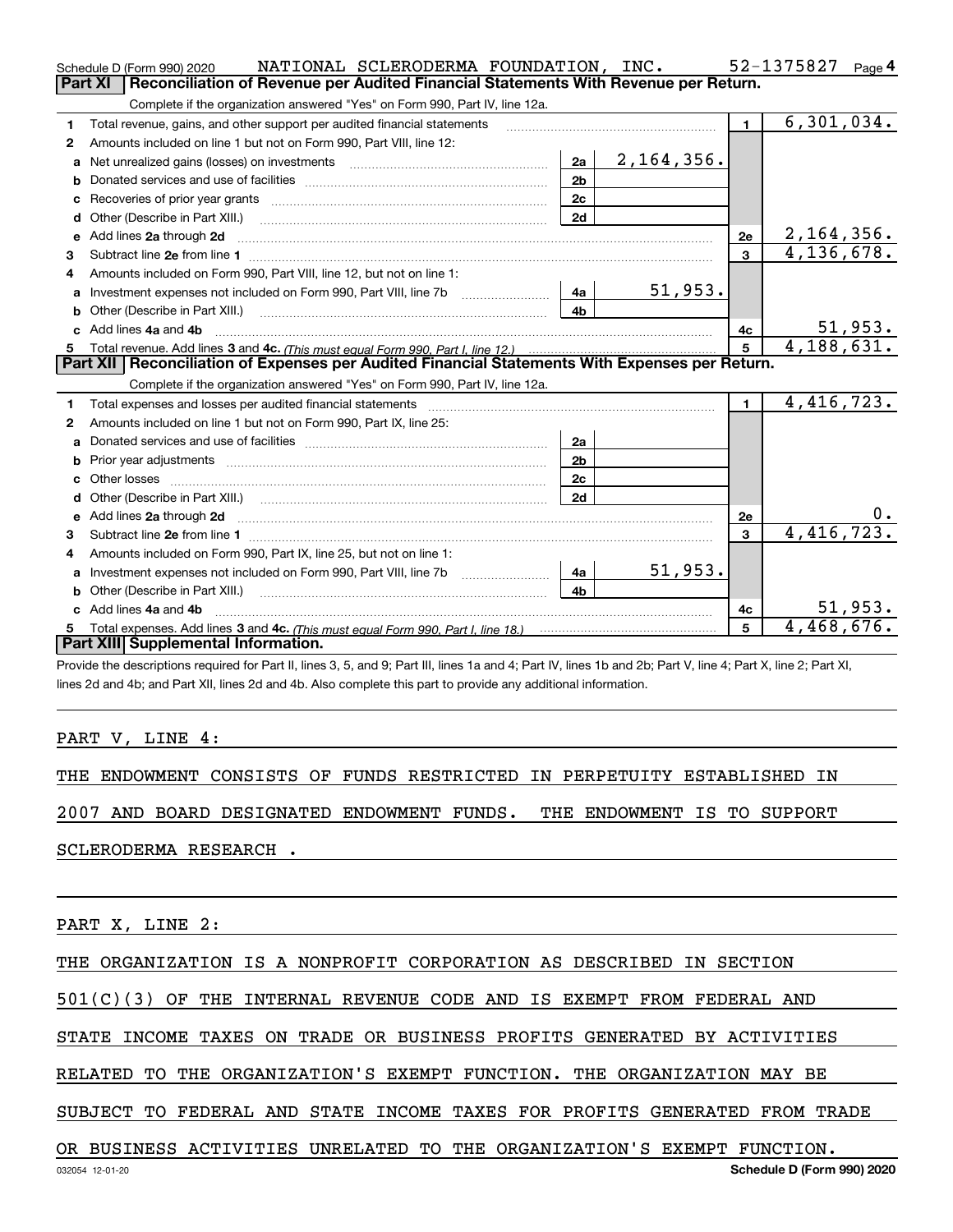|    | NATIONAL SCLERODERMA FOUNDATION, INC.<br>Schedule D (Form 990) 2020                                                                                                                                                                 |                |              |                 | 52-1375827<br>Page 4     |
|----|-------------------------------------------------------------------------------------------------------------------------------------------------------------------------------------------------------------------------------------|----------------|--------------|-----------------|--------------------------|
|    | <b>Part XI</b><br>Reconciliation of Revenue per Audited Financial Statements With Revenue per Return.                                                                                                                               |                |              |                 |                          |
|    | Complete if the organization answered "Yes" on Form 990, Part IV, line 12a.                                                                                                                                                         |                |              |                 |                          |
| 1  | Total revenue, gains, and other support per audited financial statements                                                                                                                                                            |                |              | $\blacksquare$  | $\overline{6,301},034.$  |
| 2  | Amounts included on line 1 but not on Form 990, Part VIII, line 12:                                                                                                                                                                 |                |              |                 |                          |
| a  | Net unrealized gains (losses) on investments [11] [11] Net unrealized gains (losses) on investments                                                                                                                                 | 2a             | 2, 164, 356. |                 |                          |
|    |                                                                                                                                                                                                                                     | 2 <sub>b</sub> |              |                 |                          |
| c  |                                                                                                                                                                                                                                     | 2c             |              |                 |                          |
| d  | Other (Describe in Part XIII.) <b>2006</b> 2007 2010 2010 2010 2010 2011 2012 2013 2014 2015 2016 2017 2018 2019 2016 2016 2017 2018 2019 2016 2017 2018 2019 2016 2017 2018 2019 2018 2019 2016 2017 2018 2019 2018 2019 2018 2019 | 2d             |              |                 |                          |
| е  | Add lines 2a through 2d                                                                                                                                                                                                             |                |              | 2e              | 2,164,356.               |
| 3  |                                                                                                                                                                                                                                     |                |              | $\overline{3}$  | $\overline{4,136,678}$ . |
| 4  | Amounts included on Form 990, Part VIII, line 12, but not on line 1:                                                                                                                                                                |                |              |                 |                          |
|    | Investment expenses not included on Form 990, Part VIII, line 7b [111] [11] Investment expenses not included on Form 990, Part VIII, line 7b                                                                                        | l 4a l         | 51,953.      |                 |                          |
| b  |                                                                                                                                                                                                                                     | 4 <sub>b</sub> |              |                 |                          |
| c. | Add lines 4a and 4b                                                                                                                                                                                                                 |                |              | 4с              | 51,953.                  |
| 5  |                                                                                                                                                                                                                                     |                |              | $5\overline{5}$ | $\overline{4,188},631.$  |
|    | Part XII   Reconciliation of Expenses per Audited Financial Statements With Expenses per Return.                                                                                                                                    |                |              |                 |                          |
|    | Complete if the organization answered "Yes" on Form 990, Part IV, line 12a.                                                                                                                                                         |                |              |                 |                          |
| 1  | Total expenses and losses per audited financial statements [11] [11] contain the control of the statements [11] [11] and the statements [11] and the statements [11] and the statements and the statements and the statements       |                |              | $\mathbf 1$     | 4,416,723.               |
| 2  | Amounts included on line 1 but not on Form 990, Part IX, line 25:                                                                                                                                                                   |                |              |                 |                          |
|    |                                                                                                                                                                                                                                     | 2a             |              |                 |                          |
| b  | Prior year adjustments expressional contracts and prior year adjustments and the contract of the contract of the contract of the contract of the contract of the contract of the contract of the contract of the contract of t      | 2b             |              |                 |                          |
|    |                                                                                                                                                                                                                                     | 2 <sub>c</sub> |              |                 |                          |
|    |                                                                                                                                                                                                                                     | 2d             |              |                 |                          |
| e  | Add lines 2a through 2d <b>contained a contained a contained a contained a</b> contained a contact the set of the set of the set of the set of the set of the set of the set of the set of the set of the set of the set of the set |                |              | 2е              | 0.                       |
| З. |                                                                                                                                                                                                                                     |                |              | 3               | 4,416,723.               |
| 4  | Amounts included on Form 990, Part IX, line 25, but not on line 1:                                                                                                                                                                  |                |              |                 |                          |
| a  | Investment expenses not included on Form 990, Part VIII, line 7b [1000000000000000000000000000000000                                                                                                                                | 4a             | 51,953.      |                 |                          |
| b  | Other (Describe in Part XIII.) <b>Construction Contract Construction</b> Chemical Construction Chemical Chemical Chemical Chemical Chemical Chemical Chemical Chemical Chemical Chemical Chemical Chemical Chemical Chemical Chemic | 4 <sub>b</sub> |              |                 |                          |
|    | Add lines 4a and 4b                                                                                                                                                                                                                 |                |              | 4с              | 51,953.                  |
| 5  |                                                                                                                                                                                                                                     |                |              | 5               | 4,468,676.               |
|    | Part XIII Supplemental Information.                                                                                                                                                                                                 |                |              |                 |                          |

Provide the descriptions required for Part II, lines 3, 5, and 9; Part III, lines 1a and 4; Part IV, lines 1b and 2b; Part V, line 4; Part X, line 2; Part XI, lines 2d and 4b; and Part XII, lines 2d and 4b. Also complete this part to provide any additional information.

## PART V, LINE 4:

THE ENDOWMENT CONSISTS OF FUNDS RESTRICTED IN PERPETUITY ESTABLISHED IN

2007 AND BOARD DESIGNATED ENDOWMENT FUNDS. THE ENDOWMENT IS TO SUPPORT

SCLERODERMA RESEARCH .

PART X, LINE 2:

THE ORGANIZATION IS A NONPROFIT CORPORATION AS DESCRIBED IN SECTION

501(C)(3) OF THE INTERNAL REVENUE CODE AND IS EXEMPT FROM FEDERAL AND

STATE INCOME TAXES ON TRADE OR BUSINESS PROFITS GENERATED BY ACTIVITIES

RELATED TO THE ORGANIZATION'S EXEMPT FUNCTION. THE ORGANIZATION MAY BE

SUBJECT TO FEDERAL AND STATE INCOME TAXES FOR PROFITS GENERATED FROM TRADE

OR BUSINESS ACTIVITIES UNRELATED TO THE ORGANIZATION'S EXEMPT FUNCTION.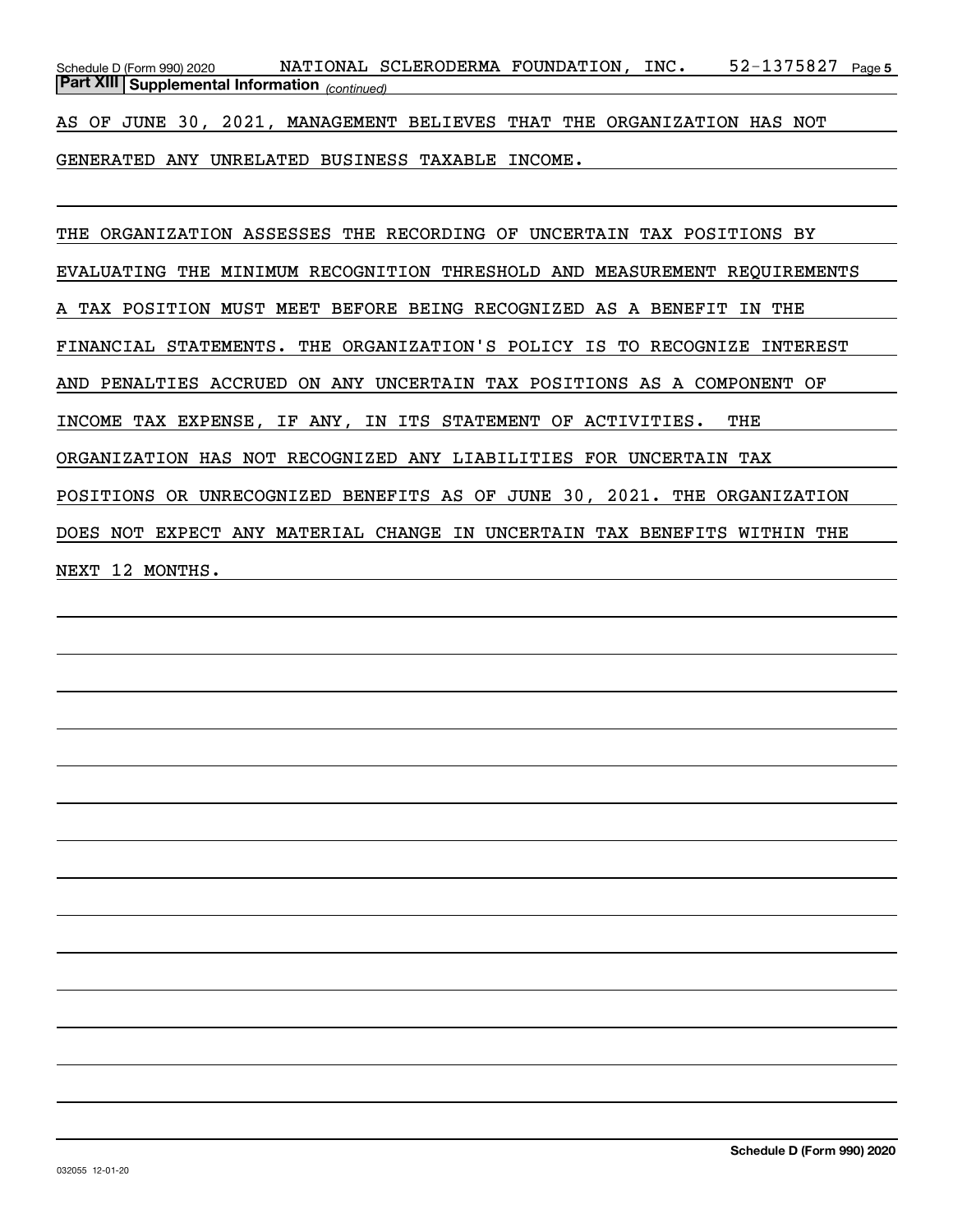52-1375827 Page 5 *(continued)* **Part XIII Supplemental Information**  Schedule D (Form 990) 2020 NATIONAL SCLERODERMA FOUNDATION , INC 52-1375827 Page

AS OF JUNE 30, 2021, MANAGEMENT BELIEVES THAT THE ORGANIZATION HAS NOT

GENERATED ANY UNRELATED BUSINESS TAXABLE INCOME.

THE ORGANIZATION ASSESSES THE RECORDING OF UNCERTAIN TAX POSITIONS BY EVALUATING THE MINIMUM RECOGNITION THRESHOLD AND MEASUREMENT REQUIREMENTS A TAX POSITION MUST MEET BEFORE BEING RECOGNIZED AS A BENEFIT IN THE FINANCIAL STATEMENTS. THE ORGANIZATION'S POLICY IS TO RECOGNIZE INTEREST AND PENALTIES ACCRUED ON ANY UNCERTAIN TAX POSITIONS AS A COMPONENT OF INCOME TAX EXPENSE, IF ANY, IN ITS STATEMENT OF ACTIVITIES. THE ORGANIZATION HAS NOT RECOGNIZED ANY LIABILITIES FOR UNCERTAIN TAX POSITIONS OR UNRECOGNIZED BENEFITS AS OF JUNE 30, 2021. THE ORGANIZATION DOES NOT EXPECT ANY MATERIAL CHANGE IN UNCERTAIN TAX BENEFITS WITHIN THE NEXT 12 MONTHS.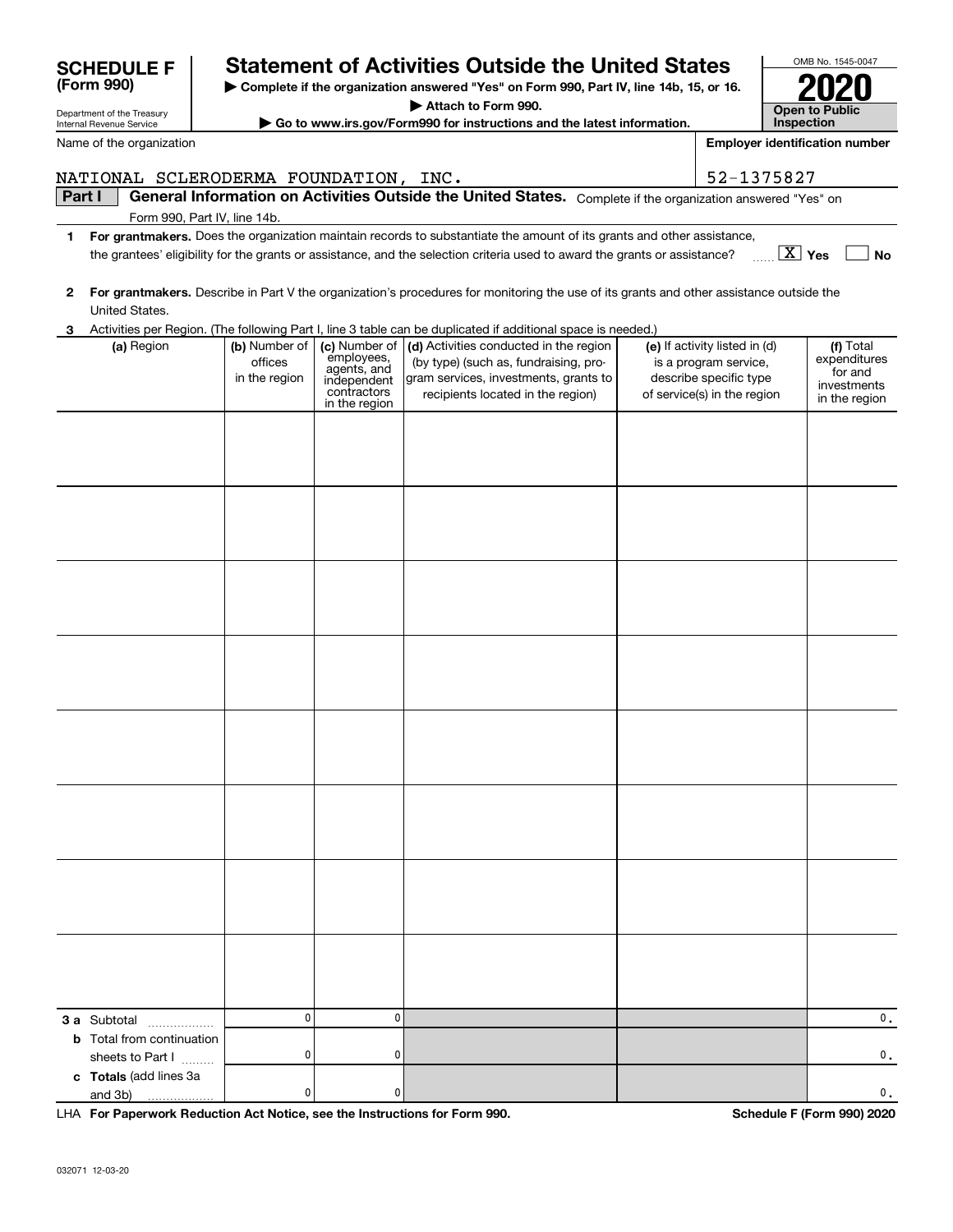| Part I |                                                         |                                           |                                                                          | General Information on Activities Outside the United States. Complete if the organization answered "Yes" on                                                   |                                                                                                                 |                                                                      |
|--------|---------------------------------------------------------|-------------------------------------------|--------------------------------------------------------------------------|---------------------------------------------------------------------------------------------------------------------------------------------------------------|-----------------------------------------------------------------------------------------------------------------|----------------------------------------------------------------------|
|        | Form 990, Part IV, line 14b.                            |                                           |                                                                          |                                                                                                                                                               |                                                                                                                 |                                                                      |
| 1.     |                                                         |                                           |                                                                          | For grantmakers. Does the organization maintain records to substantiate the amount of its grants and other assistance,                                        |                                                                                                                 |                                                                      |
|        |                                                         |                                           |                                                                          | the grantees' eligibility for the grants or assistance, and the selection criteria used to award the grants or assistance?                                    | $\boxed{\text{X}}$ Yes                                                                                          | No                                                                   |
|        |                                                         |                                           |                                                                          |                                                                                                                                                               |                                                                                                                 |                                                                      |
| 2      |                                                         |                                           |                                                                          | For grantmakers. Describe in Part V the organization's procedures for monitoring the use of its grants and other assistance outside the                       |                                                                                                                 |                                                                      |
|        | United States.                                          |                                           |                                                                          |                                                                                                                                                               |                                                                                                                 |                                                                      |
| 3      |                                                         |                                           |                                                                          | Activities per Region. (The following Part I, line 3 table can be duplicated if additional space is needed.)                                                  |                                                                                                                 |                                                                      |
|        | (a) Region                                              | (b) Number of<br>offices<br>in the region | (c) Number of<br>employees,<br>agents, and<br>independent<br>contractors | (d) Activities conducted in the region<br>(by type) (such as, fundraising, pro-<br>gram services, investments, grants to<br>recipients located in the region) | (e) If activity listed in (d)<br>is a program service,<br>describe specific type<br>of service(s) in the region | (f) Total<br>expenditures<br>for and<br>investments<br>in the region |
|        |                                                         |                                           | in the region                                                            |                                                                                                                                                               |                                                                                                                 |                                                                      |
|        |                                                         |                                           |                                                                          |                                                                                                                                                               |                                                                                                                 |                                                                      |
|        |                                                         |                                           |                                                                          |                                                                                                                                                               |                                                                                                                 |                                                                      |
|        |                                                         |                                           |                                                                          |                                                                                                                                                               |                                                                                                                 |                                                                      |
|        |                                                         |                                           |                                                                          |                                                                                                                                                               |                                                                                                                 |                                                                      |
|        |                                                         |                                           |                                                                          |                                                                                                                                                               |                                                                                                                 |                                                                      |
|        |                                                         |                                           |                                                                          |                                                                                                                                                               |                                                                                                                 |                                                                      |
|        |                                                         |                                           |                                                                          |                                                                                                                                                               |                                                                                                                 |                                                                      |
|        |                                                         |                                           |                                                                          |                                                                                                                                                               |                                                                                                                 |                                                                      |
|        |                                                         |                                           |                                                                          |                                                                                                                                                               |                                                                                                                 |                                                                      |
|        |                                                         |                                           |                                                                          |                                                                                                                                                               |                                                                                                                 |                                                                      |
|        |                                                         |                                           |                                                                          |                                                                                                                                                               |                                                                                                                 |                                                                      |
|        |                                                         |                                           |                                                                          |                                                                                                                                                               |                                                                                                                 |                                                                      |
|        |                                                         |                                           |                                                                          |                                                                                                                                                               |                                                                                                                 |                                                                      |
|        |                                                         |                                           |                                                                          |                                                                                                                                                               |                                                                                                                 |                                                                      |
|        |                                                         |                                           |                                                                          |                                                                                                                                                               |                                                                                                                 |                                                                      |
|        |                                                         |                                           |                                                                          |                                                                                                                                                               |                                                                                                                 |                                                                      |
|        |                                                         |                                           |                                                                          |                                                                                                                                                               |                                                                                                                 |                                                                      |
|        |                                                         |                                           |                                                                          |                                                                                                                                                               |                                                                                                                 |                                                                      |
|        |                                                         |                                           |                                                                          |                                                                                                                                                               |                                                                                                                 |                                                                      |
|        |                                                         |                                           |                                                                          |                                                                                                                                                               |                                                                                                                 |                                                                      |
|        |                                                         |                                           |                                                                          |                                                                                                                                                               |                                                                                                                 |                                                                      |
|        |                                                         |                                           |                                                                          |                                                                                                                                                               |                                                                                                                 |                                                                      |
|        |                                                         |                                           |                                                                          |                                                                                                                                                               |                                                                                                                 |                                                                      |
|        |                                                         |                                           |                                                                          |                                                                                                                                                               |                                                                                                                 |                                                                      |
|        |                                                         |                                           |                                                                          |                                                                                                                                                               |                                                                                                                 |                                                                      |
|        |                                                         |                                           |                                                                          |                                                                                                                                                               |                                                                                                                 |                                                                      |
|        |                                                         |                                           |                                                                          |                                                                                                                                                               |                                                                                                                 |                                                                      |
|        |                                                         |                                           |                                                                          |                                                                                                                                                               |                                                                                                                 |                                                                      |
|        |                                                         |                                           |                                                                          |                                                                                                                                                               |                                                                                                                 |                                                                      |
|        |                                                         |                                           |                                                                          |                                                                                                                                                               |                                                                                                                 |                                                                      |
|        |                                                         |                                           |                                                                          |                                                                                                                                                               |                                                                                                                 |                                                                      |
|        |                                                         | $\mathbf{0}$                              | $\mathbf 0$                                                              |                                                                                                                                                               |                                                                                                                 | 0.                                                                   |
|        | <b>3 a</b> Subtotal<br><b>b</b> Total from continuation |                                           |                                                                          |                                                                                                                                                               |                                                                                                                 |                                                                      |
|        | sheets to Part I                                        | 0                                         | 0                                                                        |                                                                                                                                                               |                                                                                                                 | 0.                                                                   |
|        | c Totals (add lines 3a                                  |                                           |                                                                          |                                                                                                                                                               |                                                                                                                 |                                                                      |
|        | and 3b)<br>.                                            | 0                                         | 0                                                                        |                                                                                                                                                               |                                                                                                                 | 0.                                                                   |
|        |                                                         |                                           |                                                                          |                                                                                                                                                               |                                                                                                                 |                                                                      |

**| Complete if the organization answered "Yes" on Form 990, Part IV, line 14b, 15, or 16. | Attach to Form 990. | Go to www.irs.gov/Form990 for instructions and the latest information.**

NATIONAL SCLERODERMA FOUNDATION, INC. | 52-1375827

**Statement of Activities Outside the United States** 

**For Paperwork Reduction Act Notice, see the Instructions for Form 990. Schedule F (Form 990) 2020** LHA

OMB No. 1545-0047

**2020**

**Open to Public InspectionEmployer identification number**

Department of the Treasury Internal Revenue Service

**(Form 990)**

Name of the organization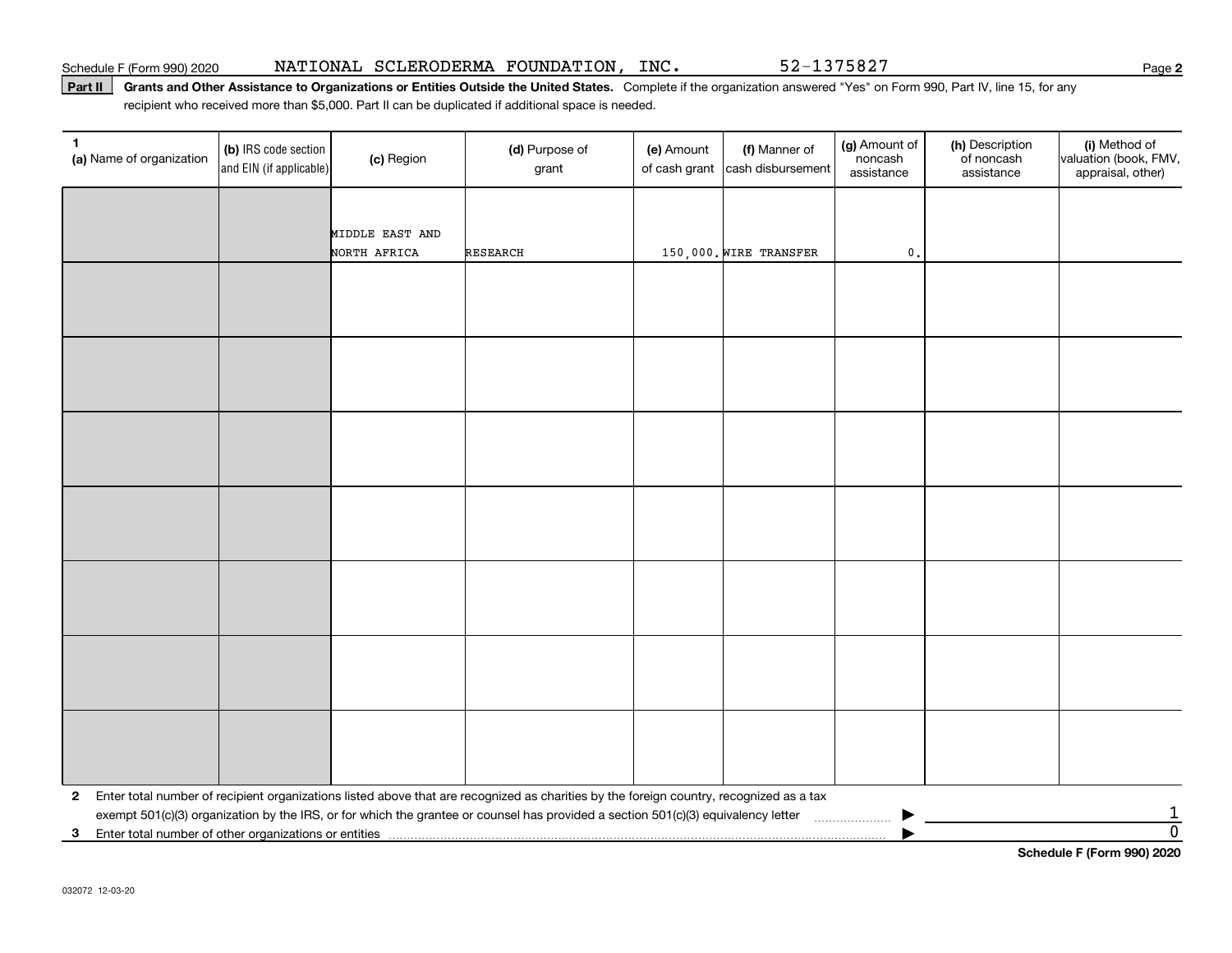Part II | Grants and Other Assistance to Organizations or Entities Outside the United States. Complete if the organization answered "Yes" on Form 990, Part IV, line 15, for any recipient who received more than \$5,000. Part II can be duplicated if additional space is needed.

| 1<br>(a) Name of organization                              | (b) IRS code section<br>and EIN (if applicable) | (c) Region      | (d) Purpose of<br>grant                                                                                                                 | (e) Amount<br>of cash grant | (f) Manner of<br>cash disbursement | (g) Amount of<br>noncash<br>assistance | (h) Description<br>of noncash<br>assistance | (i) Method of<br>valuation (book, FMV,<br>appraisal, other) |
|------------------------------------------------------------|-------------------------------------------------|-----------------|-----------------------------------------------------------------------------------------------------------------------------------------|-----------------------------|------------------------------------|----------------------------------------|---------------------------------------------|-------------------------------------------------------------|
|                                                            |                                                 |                 |                                                                                                                                         |                             |                                    |                                        |                                             |                                                             |
|                                                            |                                                 | MIDDLE EAST AND |                                                                                                                                         |                             |                                    |                                        |                                             |                                                             |
|                                                            |                                                 | NORTH AFRICA    | <b>RESEARCH</b>                                                                                                                         |                             | 150,000. WIRE TRANSFER             | $\mathfrak o$ .                        |                                             |                                                             |
|                                                            |                                                 |                 |                                                                                                                                         |                             |                                    |                                        |                                             |                                                             |
|                                                            |                                                 |                 |                                                                                                                                         |                             |                                    |                                        |                                             |                                                             |
|                                                            |                                                 |                 |                                                                                                                                         |                             |                                    |                                        |                                             |                                                             |
|                                                            |                                                 |                 |                                                                                                                                         |                             |                                    |                                        |                                             |                                                             |
|                                                            |                                                 |                 |                                                                                                                                         |                             |                                    |                                        |                                             |                                                             |
|                                                            |                                                 |                 |                                                                                                                                         |                             |                                    |                                        |                                             |                                                             |
|                                                            |                                                 |                 |                                                                                                                                         |                             |                                    |                                        |                                             |                                                             |
|                                                            |                                                 |                 |                                                                                                                                         |                             |                                    |                                        |                                             |                                                             |
|                                                            |                                                 |                 |                                                                                                                                         |                             |                                    |                                        |                                             |                                                             |
|                                                            |                                                 |                 |                                                                                                                                         |                             |                                    |                                        |                                             |                                                             |
|                                                            |                                                 |                 |                                                                                                                                         |                             |                                    |                                        |                                             |                                                             |
|                                                            |                                                 |                 |                                                                                                                                         |                             |                                    |                                        |                                             |                                                             |
|                                                            |                                                 |                 |                                                                                                                                         |                             |                                    |                                        |                                             |                                                             |
|                                                            |                                                 |                 |                                                                                                                                         |                             |                                    |                                        |                                             |                                                             |
|                                                            |                                                 |                 |                                                                                                                                         |                             |                                    |                                        |                                             |                                                             |
|                                                            |                                                 |                 |                                                                                                                                         |                             |                                    |                                        |                                             |                                                             |
|                                                            |                                                 |                 |                                                                                                                                         |                             |                                    |                                        |                                             |                                                             |
|                                                            |                                                 |                 |                                                                                                                                         |                             |                                    |                                        |                                             |                                                             |
|                                                            |                                                 |                 |                                                                                                                                         |                             |                                    |                                        |                                             |                                                             |
|                                                            |                                                 |                 |                                                                                                                                         |                             |                                    |                                        |                                             |                                                             |
|                                                            |                                                 |                 |                                                                                                                                         |                             |                                    |                                        |                                             |                                                             |
|                                                            |                                                 |                 |                                                                                                                                         |                             |                                    |                                        |                                             |                                                             |
|                                                            |                                                 |                 |                                                                                                                                         |                             |                                    |                                        |                                             |                                                             |
| $\mathbf{2}$                                               |                                                 |                 | Enter total number of recipient organizations listed above that are recognized as charities by the foreign country, recognized as a tax |                             |                                    |                                        |                                             |                                                             |
| Enter total number of other organizations or entities<br>3 |                                                 |                 |                                                                                                                                         |                             |                                    |                                        |                                             | $\overline{1}$<br>$\overline{0}$                            |

**Schedule F (Form 990) 2020**

**2**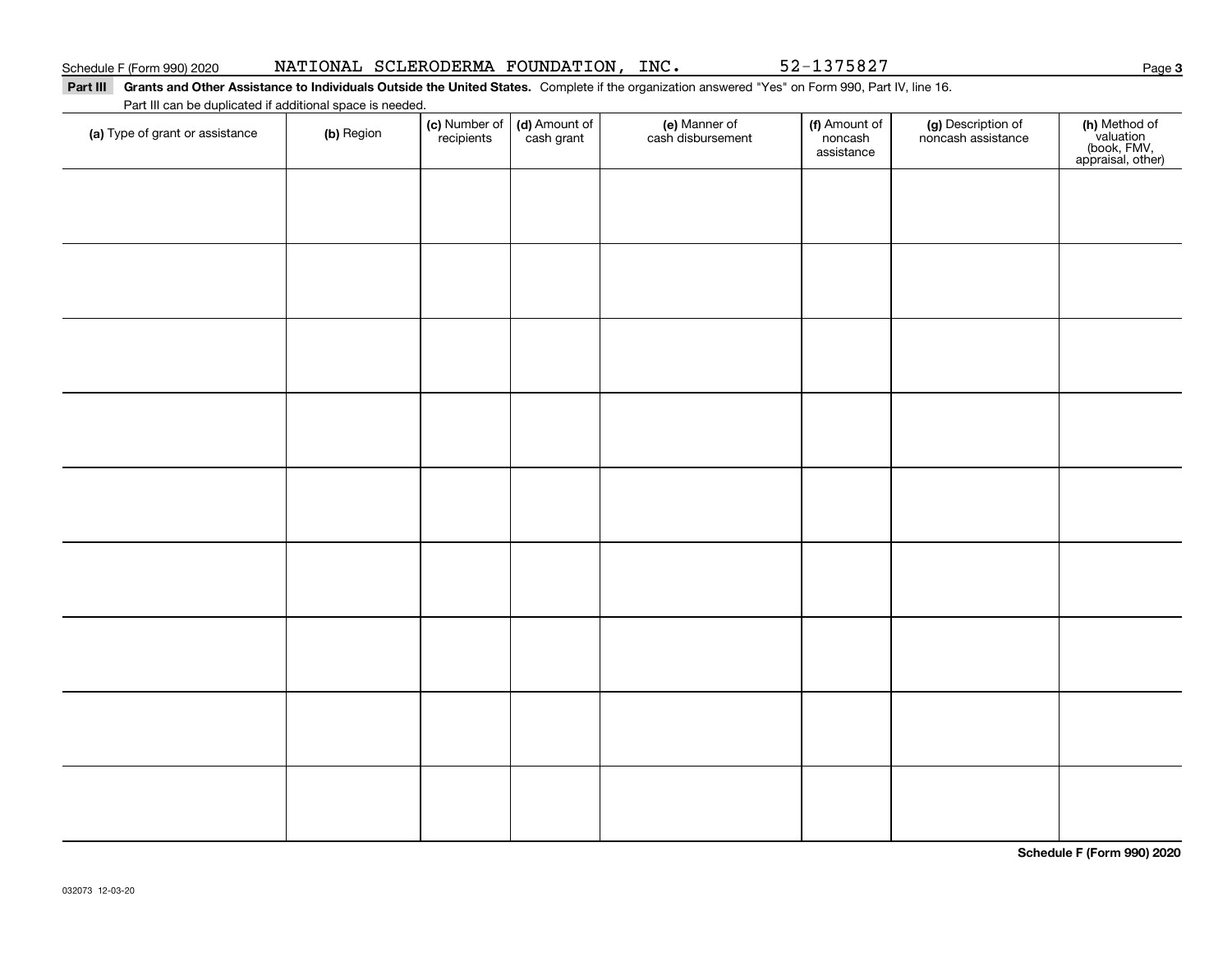### Part III Grants and Other Assistance to Individuals Outside the United States. Complete if the organization answered "Yes" on Form 990, Part IV, line 16. Part III can be duplicated if additional space is needed.

| r art in car be depiled to a dominal space is riceded.<br>(a) Type of grant or assistance | (b) Region | (c) Number of<br>recipients | (d) Amount of<br>cash grant | (e) Manner of<br>cash disbursement | (f) Amount of<br>noncash<br>assistance | (g) Description of<br>noncash assistance | (h) Method of<br>valuation<br>(book, FMV,<br>appraisal, other) |
|-------------------------------------------------------------------------------------------|------------|-----------------------------|-----------------------------|------------------------------------|----------------------------------------|------------------------------------------|----------------------------------------------------------------|
|                                                                                           |            |                             |                             |                                    |                                        |                                          |                                                                |
|                                                                                           |            |                             |                             |                                    |                                        |                                          |                                                                |
|                                                                                           |            |                             |                             |                                    |                                        |                                          |                                                                |
|                                                                                           |            |                             |                             |                                    |                                        |                                          |                                                                |
|                                                                                           |            |                             |                             |                                    |                                        |                                          |                                                                |
|                                                                                           |            |                             |                             |                                    |                                        |                                          |                                                                |
|                                                                                           |            |                             |                             |                                    |                                        |                                          |                                                                |
|                                                                                           |            |                             |                             |                                    |                                        |                                          |                                                                |
|                                                                                           |            |                             |                             |                                    |                                        |                                          |                                                                |
|                                                                                           |            |                             |                             |                                    |                                        |                                          |                                                                |

**Schedule F (Form 990) 2020**

**3**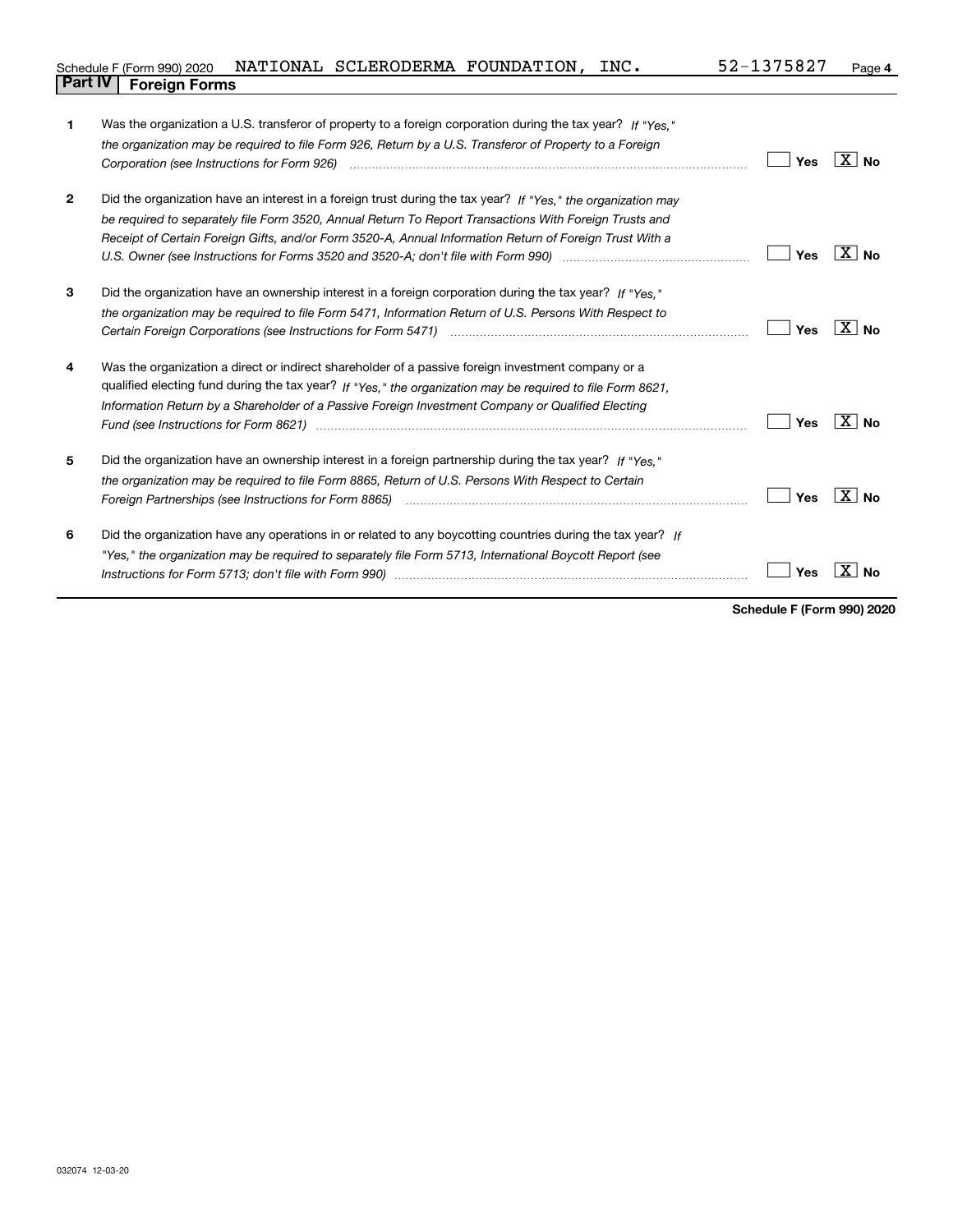| Schedule F (Form 990) 2020     | NATIONAL SCLERODERMA FOUNDATION, | INC. | 52-1375827 | Page 4 |
|--------------------------------|----------------------------------|------|------------|--------|
| <b>Part IV   Foreign Forms</b> |                                  |      |            |        |

| 1              | Was the organization a U.S. transferor of property to a foreign corporation during the tax year? If "Yes."                                                                                                                    |     |                     |
|----------------|-------------------------------------------------------------------------------------------------------------------------------------------------------------------------------------------------------------------------------|-----|---------------------|
|                | the organization may be required to file Form 926, Return by a U.S. Transferor of Property to a Foreign                                                                                                                       |     |                     |
|                |                                                                                                                                                                                                                               | Yes | ∣X∣No               |
| $\overline{2}$ | Did the organization have an interest in a foreign trust during the tax year? If "Yes," the organization may                                                                                                                  |     |                     |
|                | be required to separately file Form 3520, Annual Return To Report Transactions With Foreign Trusts and                                                                                                                        |     |                     |
|                | Receipt of Certain Foreign Gifts, and/or Form 3520-A, Annual Information Return of Foreign Trust With a                                                                                                                       |     |                     |
|                | U.S. Owner (see Instructions for Forms 3520 and 3520-A; don't file with Form 990) manufactured uncontrolled to                                                                                                                | Yes | $X \mid N_{\Omega}$ |
| 3              | Did the organization have an ownership interest in a foreign corporation during the tax year? If "Yes."                                                                                                                       |     |                     |
|                | the organization may be required to file Form 5471, Information Return of U.S. Persons With Respect to                                                                                                                        |     |                     |
|                |                                                                                                                                                                                                                               | Yes | $X _{N_Q}$          |
| 4              | Was the organization a direct or indirect shareholder of a passive foreign investment company or a                                                                                                                            |     |                     |
|                | qualified electing fund during the tax year? If "Yes," the organization may be required to file Form 8621,                                                                                                                    |     |                     |
|                | Information Return by a Shareholder of a Passive Foreign Investment Company or Qualified Electing                                                                                                                             |     |                     |
|                |                                                                                                                                                                                                                               | Yes | $\overline{X}$ No   |
| 5              | Did the organization have an ownership interest in a foreign partnership during the tax year? If "Yes."                                                                                                                       |     |                     |
|                | the organization may be required to file Form 8865, Return of U.S. Persons With Respect to Certain                                                                                                                            |     |                     |
|                | Foreign Partnerships (see Instructions for Form 8865) manufactured contain the control of the control of the control of the control of the control of the control of the control of the control of the control of the control | Yes | ∣X∣No               |
| 6              | Did the organization have any operations in or related to any boycotting countries during the tax year? If                                                                                                                    |     |                     |
|                | "Yes," the organization may be required to separately file Form 5713, International Boycott Report (see                                                                                                                       |     |                     |
|                |                                                                                                                                                                                                                               | Yes |                     |
|                |                                                                                                                                                                                                                               |     |                     |

**Schedule F (Form 990) 2020**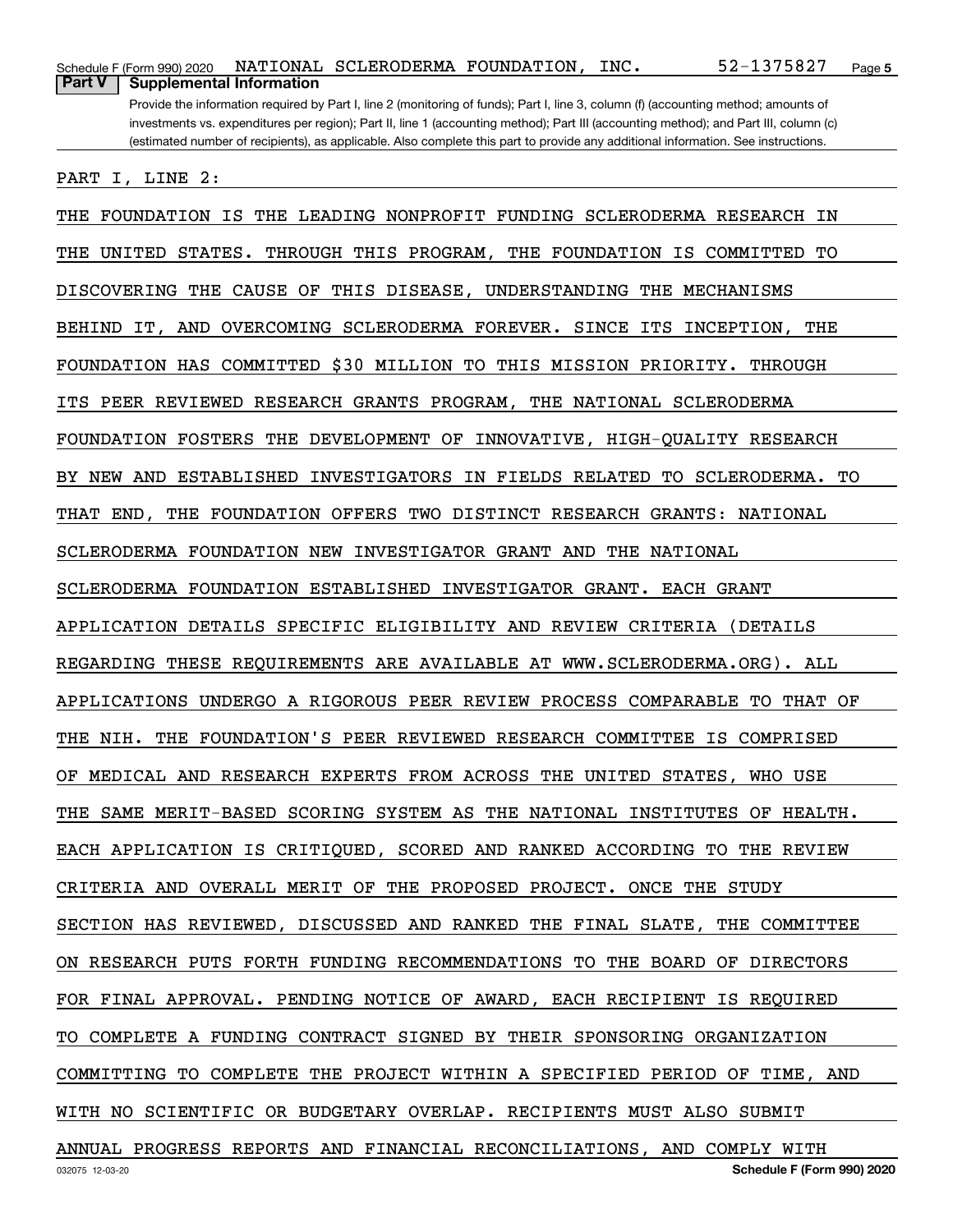| Part V<br><b>Supplemental Information</b>                                                                                                                                                                                                                                    |
|------------------------------------------------------------------------------------------------------------------------------------------------------------------------------------------------------------------------------------------------------------------------------|
| Provide the information required by Part I, line 2 (monitoring of funds); Part I, line 3, column (f) (accounting method; amounts of<br>investments vs. expenditures per region); Part II, line 1 (accounting method); Part III (accounting method); and Part III, column (c) |
| (estimated number of recipients), as applicable. Also complete this part to provide any additional information. See instructions.                                                                                                                                            |
| PART<br>I, LINE<br>2:                                                                                                                                                                                                                                                        |
| LEADING NONPROFIT<br>FUNDING SCLERODERMA RESEARCH<br>FOUNDATION<br>IS<br>THE<br>ΙN<br>THE                                                                                                                                                                                    |
| STATES.<br>PROGRAM,<br>TО<br>THE<br>UNITED<br>THROUGH<br>THIS<br>THE FOUNDATION<br>ΙS<br>COMMITTED                                                                                                                                                                           |
| <b>MECHANISMS</b><br>DISCOVERING<br>THE<br>CAUSE OF<br>THIS<br>DISEASE,<br>UNDERSTANDING<br>THE                                                                                                                                                                              |
| SCLERODERMA FOREVER.<br>INCEPTION,<br>THE<br><b>BEHIND</b><br>IT, AND<br><b>OVERCOMING</b><br>SINCE<br>ITS                                                                                                                                                                   |
| COMMITTED<br>\$30 MILLION TO<br>THIS MISSION PRIORITY.<br>FOUNDATION HAS<br>THROUGH                                                                                                                                                                                          |
| PEER REVIEWED<br>RESEARCH GRANTS PROGRAM, THE NATIONAL SCLERODERMA<br>ITS                                                                                                                                                                                                    |
| <b>FOUNDATION FOSTERS</b><br>THE<br>DEVELOPMENT<br>OF<br>INNOVATIVE, HIGH-QUALITY RESEARCH                                                                                                                                                                                   |
| <b>ESTABLISHED</b><br><b>INVESTIGATORS</b><br>FIELDS RELATED<br>SCLERODERMA.<br>TО<br>NEW AND<br>TO.<br>BY.<br>IN.                                                                                                                                                           |
| DISTINCT RESEARCH GRANTS:<br>THAT<br>END,<br>THE<br>FOUNDATION<br><b>OFFERS</b><br>TWO<br><b>NATIONAL</b>                                                                                                                                                                    |
| THE<br><b>NATIONAL</b><br>SCLERODERMA FOUNDATION NEW<br>INVESTIGATOR GRANT AND                                                                                                                                                                                               |
| SCLERODERMA FOUNDATION ESTABLISHED<br>INVESTIGATOR GRANT. EACH GRANT                                                                                                                                                                                                         |
| APPLICATION DETAILS<br>SPECIFIC ELIGIBILITY AND REVIEW<br>CRITERIA<br>(DETAILS                                                                                                                                                                                               |
| THESE REQUIREMENTS ARE AVAILABLE AT WWW.SCLERODERMA.ORG). ALL<br>REGARDING                                                                                                                                                                                                   |
| THAT OF<br>APPLICATIONS<br>UNDERGO A RIGOROUS PEER REVIEW PROCESS COMPARABLE<br>TO.                                                                                                                                                                                          |
| FOUNDATION'S PEER REVIEWED RESEARCH COMMITTEE<br>THE NIH.<br>THE<br>IS<br>COMPRISED                                                                                                                                                                                          |
| OF MEDICAL AND RESEARCH EXPERTS FROM ACROSS THE UNITED STATES, WHO USE                                                                                                                                                                                                       |
| THE SAME MERIT-BASED SCORING SYSTEM AS THE NATIONAL INSTITUTES OF HEALTH.                                                                                                                                                                                                    |
| EACH APPLICATION IS CRITIQUED, SCORED AND RANKED ACCORDING TO THE REVIEW                                                                                                                                                                                                     |
| CRITERIA AND OVERALL MERIT OF THE PROPOSED PROJECT. ONCE THE STUDY                                                                                                                                                                                                           |
| SECTION HAS REVIEWED, DISCUSSED AND RANKED THE FINAL SLATE, THE COMMITTEE                                                                                                                                                                                                    |
| ON RESEARCH PUTS FORTH FUNDING RECOMMENDATIONS TO THE BOARD OF DIRECTORS                                                                                                                                                                                                     |
| FOR FINAL APPROVAL. PENDING NOTICE OF AWARD, EACH RECIPIENT IS REQUIRED                                                                                                                                                                                                      |
| TO COMPLETE A FUNDING CONTRACT SIGNED BY THEIR SPONSORING ORGANIZATION                                                                                                                                                                                                       |
| COMMITTING TO COMPLETE THE PROJECT WITHIN A SPECIFIED PERIOD OF TIME, AND                                                                                                                                                                                                    |
| WITH NO SCIENTIFIC OR BUDGETARY OVERLAP. RECIPIENTS MUST ALSO SUBMIT                                                                                                                                                                                                         |
| ANNUAL PROGRESS REPORTS AND FINANCIAL RECONCILIATIONS, AND COMPLY WITH                                                                                                                                                                                                       |

Schedule F (Form 990) 2020 NATIONAL SCLERODERMA FOUNDATION, INC。 5 Z-I 3 7 5 8 Z 7 Page

NATIONAL SCLERODERMA FOUNDATION, INC. 52-1375827

**5**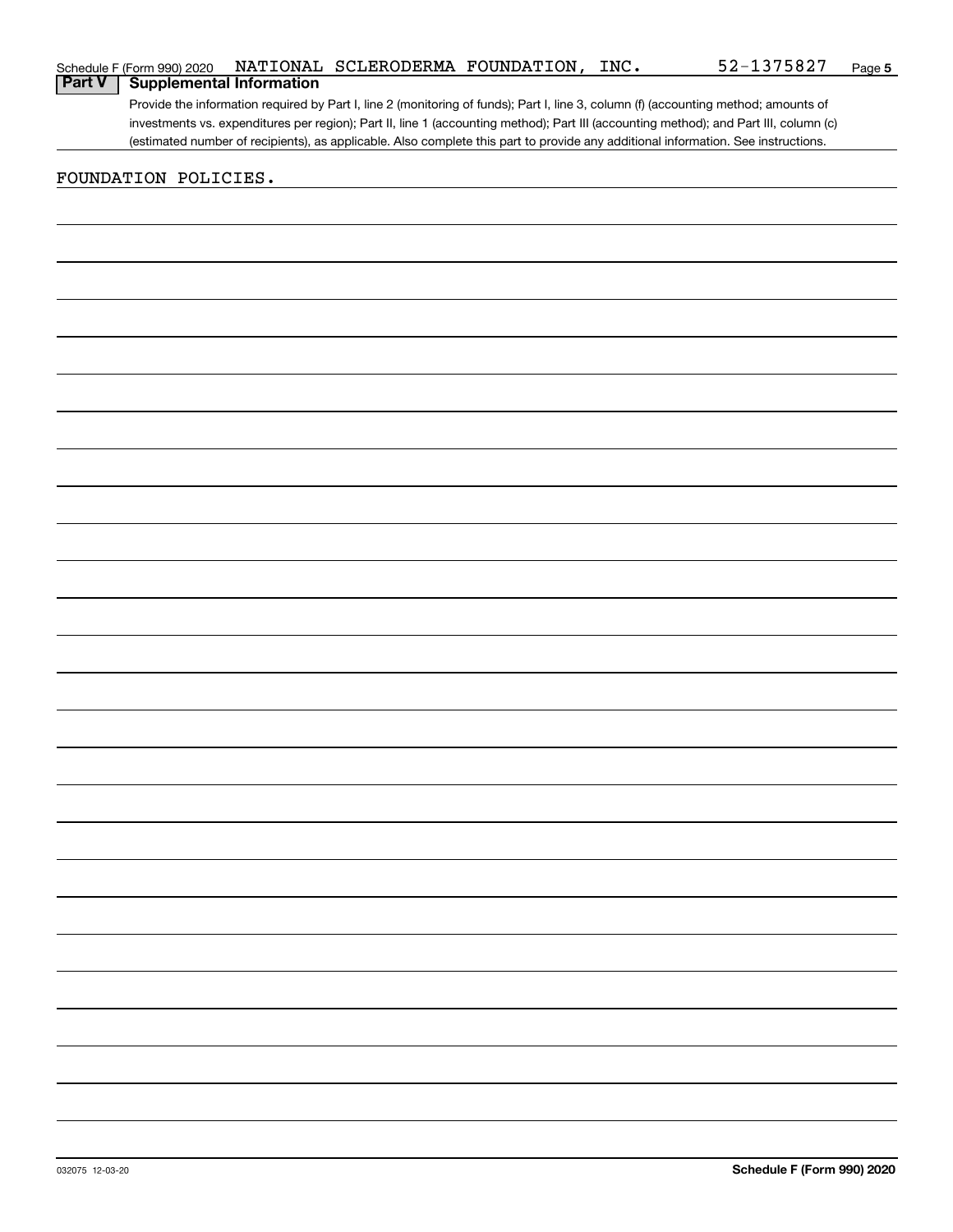|        | Schedule F (Form 990) 2020 |                                 | NATIONAL SCLERODERMA FOUNDATION, | INC. | 52-1375827                                                                                                                            | Page 5 |
|--------|----------------------------|---------------------------------|----------------------------------|------|---------------------------------------------------------------------------------------------------------------------------------------|--------|
| Part V |                            | <b>Supplemental Information</b> |                                  |      |                                                                                                                                       |        |
|        |                            |                                 |                                  |      | Provide the information required by Part I, line 2 (monitoring of funds); Part I, line 3, column (f) (accounting method; amounts of   |        |
|        |                            |                                 |                                  |      | investments vs. expenditures per region); Part II, line 1 (accounting method); Part III (accounting method); and Part III, column (c) |        |
|        |                            |                                 |                                  |      | (estimated number of recipients), as applicable. Also complete this part to provide any additional information. See instructions.     |        |
|        |                            |                                 |                                  |      |                                                                                                                                       |        |
|        | FOUNDATION POLICIES.       |                                 |                                  |      |                                                                                                                                       |        |
|        |                            |                                 |                                  |      |                                                                                                                                       |        |
|        |                            |                                 |                                  |      |                                                                                                                                       |        |
|        |                            |                                 |                                  |      |                                                                                                                                       |        |
|        |                            |                                 |                                  |      |                                                                                                                                       |        |
|        |                            |                                 |                                  |      |                                                                                                                                       |        |
|        |                            |                                 |                                  |      |                                                                                                                                       |        |
|        |                            |                                 |                                  |      |                                                                                                                                       |        |
|        |                            |                                 |                                  |      |                                                                                                                                       |        |
|        |                            |                                 |                                  |      |                                                                                                                                       |        |
|        |                            |                                 |                                  |      |                                                                                                                                       |        |
|        |                            |                                 |                                  |      |                                                                                                                                       |        |
|        |                            |                                 |                                  |      |                                                                                                                                       |        |
|        |                            |                                 |                                  |      |                                                                                                                                       |        |
|        |                            |                                 |                                  |      |                                                                                                                                       |        |
|        |                            |                                 |                                  |      |                                                                                                                                       |        |
|        |                            |                                 |                                  |      |                                                                                                                                       |        |
|        |                            |                                 |                                  |      |                                                                                                                                       |        |
|        |                            |                                 |                                  |      |                                                                                                                                       |        |
|        |                            |                                 |                                  |      |                                                                                                                                       |        |
|        |                            |                                 |                                  |      |                                                                                                                                       |        |
|        |                            |                                 |                                  |      |                                                                                                                                       |        |
|        |                            |                                 |                                  |      |                                                                                                                                       |        |
|        |                            |                                 |                                  |      |                                                                                                                                       |        |
|        |                            |                                 |                                  |      |                                                                                                                                       |        |
|        |                            |                                 |                                  |      |                                                                                                                                       |        |
|        |                            |                                 |                                  |      |                                                                                                                                       |        |
|        |                            |                                 |                                  |      |                                                                                                                                       |        |
|        |                            |                                 |                                  |      |                                                                                                                                       |        |
|        |                            |                                 |                                  |      |                                                                                                                                       |        |
|        |                            |                                 |                                  |      |                                                                                                                                       |        |
|        |                            |                                 |                                  |      |                                                                                                                                       |        |
|        |                            |                                 |                                  |      |                                                                                                                                       |        |
|        |                            |                                 |                                  |      |                                                                                                                                       |        |
|        |                            |                                 |                                  |      |                                                                                                                                       |        |
|        |                            |                                 |                                  |      |                                                                                                                                       |        |
|        |                            |                                 |                                  |      |                                                                                                                                       |        |
|        |                            |                                 |                                  |      |                                                                                                                                       |        |
|        |                            |                                 |                                  |      |                                                                                                                                       |        |
|        |                            |                                 |                                  |      |                                                                                                                                       |        |
|        |                            |                                 |                                  |      |                                                                                                                                       |        |
|        |                            |                                 |                                  |      |                                                                                                                                       |        |
|        |                            |                                 |                                  |      |                                                                                                                                       |        |
|        |                            |                                 |                                  |      |                                                                                                                                       |        |
|        |                            |                                 |                                  |      |                                                                                                                                       |        |
|        |                            |                                 |                                  |      |                                                                                                                                       |        |
|        |                            |                                 |                                  |      |                                                                                                                                       |        |
|        |                            |                                 |                                  |      |                                                                                                                                       |        |
|        |                            |                                 |                                  |      |                                                                                                                                       |        |
|        |                            |                                 |                                  |      |                                                                                                                                       |        |
|        |                            |                                 |                                  |      |                                                                                                                                       |        |
|        |                            |                                 |                                  |      |                                                                                                                                       |        |
|        |                            |                                 |                                  |      |                                                                                                                                       |        |
|        |                            |                                 |                                  |      |                                                                                                                                       |        |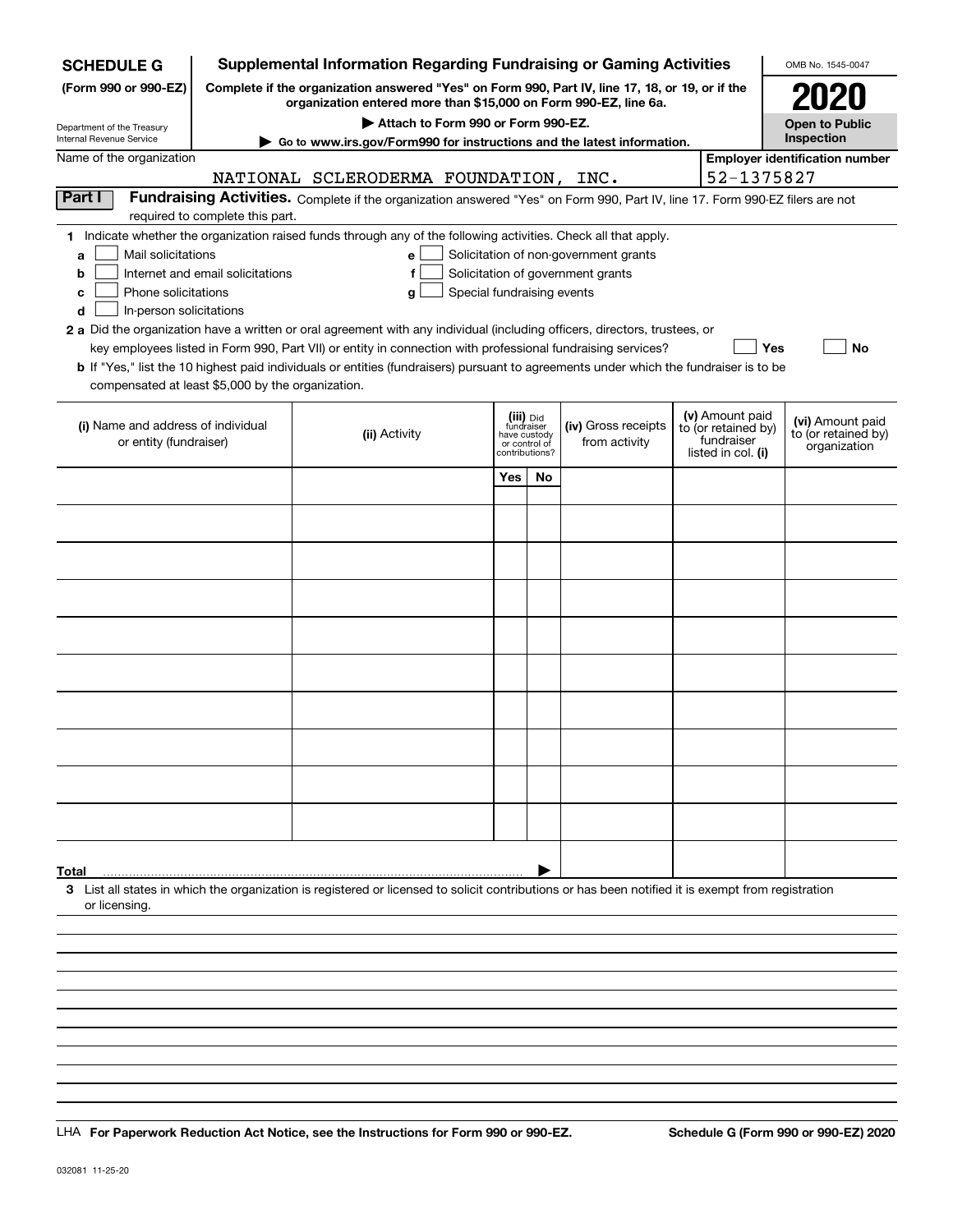| <b>SCHEDULE G</b>                                                                                                                                                                           |                                       | <b>Supplemental Information Regarding Fundraising or Gaming Activities</b>                                                                                                                                                                                  |                            |                                         |                                                                            |  |                                        | OMB No. 1545-0047                       |
|---------------------------------------------------------------------------------------------------------------------------------------------------------------------------------------------|---------------------------------------|-------------------------------------------------------------------------------------------------------------------------------------------------------------------------------------------------------------------------------------------------------------|----------------------------|-----------------------------------------|----------------------------------------------------------------------------|--|----------------------------------------|-----------------------------------------|
| Complete if the organization answered "Yes" on Form 990, Part IV, line 17, 18, or 19, or if the<br>(Form 990 or 990-EZ)<br>organization entered more than \$15,000 on Form 990-EZ, line 6a. |                                       |                                                                                                                                                                                                                                                             |                            |                                         |                                                                            |  | 2020                                   |                                         |
| Department of the Treasury                                                                                                                                                                  | <b>Open to Public</b><br>Inspection   |                                                                                                                                                                                                                                                             |                            |                                         |                                                                            |  |                                        |                                         |
| Internal Revenue Service<br>Name of the organization                                                                                                                                        | <b>Employer identification number</b> |                                                                                                                                                                                                                                                             |                            |                                         |                                                                            |  |                                        |                                         |
|                                                                                                                                                                                             | 52-1375827                            |                                                                                                                                                                                                                                                             |                            |                                         |                                                                            |  |                                        |                                         |
| Part I                                                                                                                                                                                      |                                       | NATIONAL SCLERODERMA FOUNDATION, INC.<br>Fundraising Activities. Complete if the organization answered "Yes" on Form 990, Part IV, line 17. Form 990-EZ filers are not                                                                                      |                            |                                         |                                                                            |  |                                        |                                         |
|                                                                                                                                                                                             | required to complete this part.       |                                                                                                                                                                                                                                                             |                            |                                         |                                                                            |  |                                        |                                         |
|                                                                                                                                                                                             |                                       | 1 Indicate whether the organization raised funds through any of the following activities. Check all that apply.                                                                                                                                             |                            |                                         |                                                                            |  |                                        |                                         |
| Mail solicitations<br>a<br>b                                                                                                                                                                | Internet and email solicitations      | e<br>f                                                                                                                                                                                                                                                      |                            |                                         | Solicitation of non-government grants<br>Solicitation of government grants |  |                                        |                                         |
| Phone solicitations<br>c                                                                                                                                                                    |                                       | g                                                                                                                                                                                                                                                           | Special fundraising events |                                         |                                                                            |  |                                        |                                         |
| In-person solicitations<br>d                                                                                                                                                                |                                       |                                                                                                                                                                                                                                                             |                            |                                         |                                                                            |  |                                        |                                         |
|                                                                                                                                                                                             |                                       | 2 a Did the organization have a written or oral agreement with any individual (including officers, directors, trustees, or                                                                                                                                  |                            |                                         |                                                                            |  |                                        |                                         |
|                                                                                                                                                                                             |                                       | key employees listed in Form 990, Part VII) or entity in connection with professional fundraising services?<br><b>b</b> If "Yes," list the 10 highest paid individuals or entities (fundraisers) pursuant to agreements under which the fundraiser is to be |                            |                                         |                                                                            |  |                                        | Yes<br>No                               |
| compensated at least \$5,000 by the organization.                                                                                                                                           |                                       |                                                                                                                                                                                                                                                             |                            |                                         |                                                                            |  |                                        |                                         |
|                                                                                                                                                                                             |                                       |                                                                                                                                                                                                                                                             |                            |                                         |                                                                            |  |                                        |                                         |
| (i) Name and address of individual                                                                                                                                                          |                                       | (ii) Activity                                                                                                                                                                                                                                               |                            | (iii) Did<br>fundraiser<br>have custody | (iv) Gross receipts                                                        |  | (v) Amount paid<br>to (or retained by) | (vi) Amount paid<br>to (or retained by) |
| or entity (fundraiser)                                                                                                                                                                      |                                       |                                                                                                                                                                                                                                                             |                            | or control of<br>contributions?         | from activity                                                              |  | fundraiser<br>listed in col. (i)       | organization                            |
|                                                                                                                                                                                             |                                       |                                                                                                                                                                                                                                                             | Yes                        | <b>No</b>                               |                                                                            |  |                                        |                                         |
|                                                                                                                                                                                             |                                       |                                                                                                                                                                                                                                                             |                            |                                         |                                                                            |  |                                        |                                         |
|                                                                                                                                                                                             |                                       |                                                                                                                                                                                                                                                             |                            |                                         |                                                                            |  |                                        |                                         |
|                                                                                                                                                                                             |                                       |                                                                                                                                                                                                                                                             |                            |                                         |                                                                            |  |                                        |                                         |
|                                                                                                                                                                                             |                                       |                                                                                                                                                                                                                                                             |                            |                                         |                                                                            |  |                                        |                                         |
|                                                                                                                                                                                             |                                       |                                                                                                                                                                                                                                                             |                            |                                         |                                                                            |  |                                        |                                         |
|                                                                                                                                                                                             |                                       |                                                                                                                                                                                                                                                             |                            |                                         |                                                                            |  |                                        |                                         |
|                                                                                                                                                                                             |                                       |                                                                                                                                                                                                                                                             |                            |                                         |                                                                            |  |                                        |                                         |
|                                                                                                                                                                                             |                                       |                                                                                                                                                                                                                                                             |                            |                                         |                                                                            |  |                                        |                                         |
|                                                                                                                                                                                             |                                       |                                                                                                                                                                                                                                                             |                            |                                         |                                                                            |  |                                        |                                         |
|                                                                                                                                                                                             |                                       |                                                                                                                                                                                                                                                             |                            |                                         |                                                                            |  |                                        |                                         |
|                                                                                                                                                                                             |                                       |                                                                                                                                                                                                                                                             |                            |                                         |                                                                            |  |                                        |                                         |
|                                                                                                                                                                                             |                                       |                                                                                                                                                                                                                                                             |                            |                                         |                                                                            |  |                                        |                                         |
|                                                                                                                                                                                             |                                       |                                                                                                                                                                                                                                                             |                            |                                         |                                                                            |  |                                        |                                         |
|                                                                                                                                                                                             |                                       |                                                                                                                                                                                                                                                             |                            |                                         |                                                                            |  |                                        |                                         |
|                                                                                                                                                                                             |                                       |                                                                                                                                                                                                                                                             |                            |                                         |                                                                            |  |                                        |                                         |
|                                                                                                                                                                                             |                                       |                                                                                                                                                                                                                                                             |                            |                                         |                                                                            |  |                                        |                                         |
| Total                                                                                                                                                                                       |                                       |                                                                                                                                                                                                                                                             |                            |                                         |                                                                            |  |                                        |                                         |
|                                                                                                                                                                                             |                                       | 3 List all states in which the organization is registered or licensed to solicit contributions or has been notified it is exempt from registration                                                                                                          |                            |                                         |                                                                            |  |                                        |                                         |
| or licensing                                                                                                                                                                                |                                       |                                                                                                                                                                                                                                                             |                            |                                         |                                                                            |  |                                        |                                         |
|                                                                                                                                                                                             |                                       |                                                                                                                                                                                                                                                             |                            |                                         |                                                                            |  |                                        |                                         |
|                                                                                                                                                                                             |                                       |                                                                                                                                                                                                                                                             |                            |                                         |                                                                            |  |                                        |                                         |
|                                                                                                                                                                                             |                                       |                                                                                                                                                                                                                                                             |                            |                                         |                                                                            |  |                                        |                                         |
|                                                                                                                                                                                             |                                       |                                                                                                                                                                                                                                                             |                            |                                         |                                                                            |  |                                        |                                         |
|                                                                                                                                                                                             |                                       |                                                                                                                                                                                                                                                             |                            |                                         |                                                                            |  |                                        |                                         |

LHA For Paperwork Reduction Act Notice, see the Instructions for Form 990 or 990-EZ. Schedule G (Form 990 or 990-EZ) 2020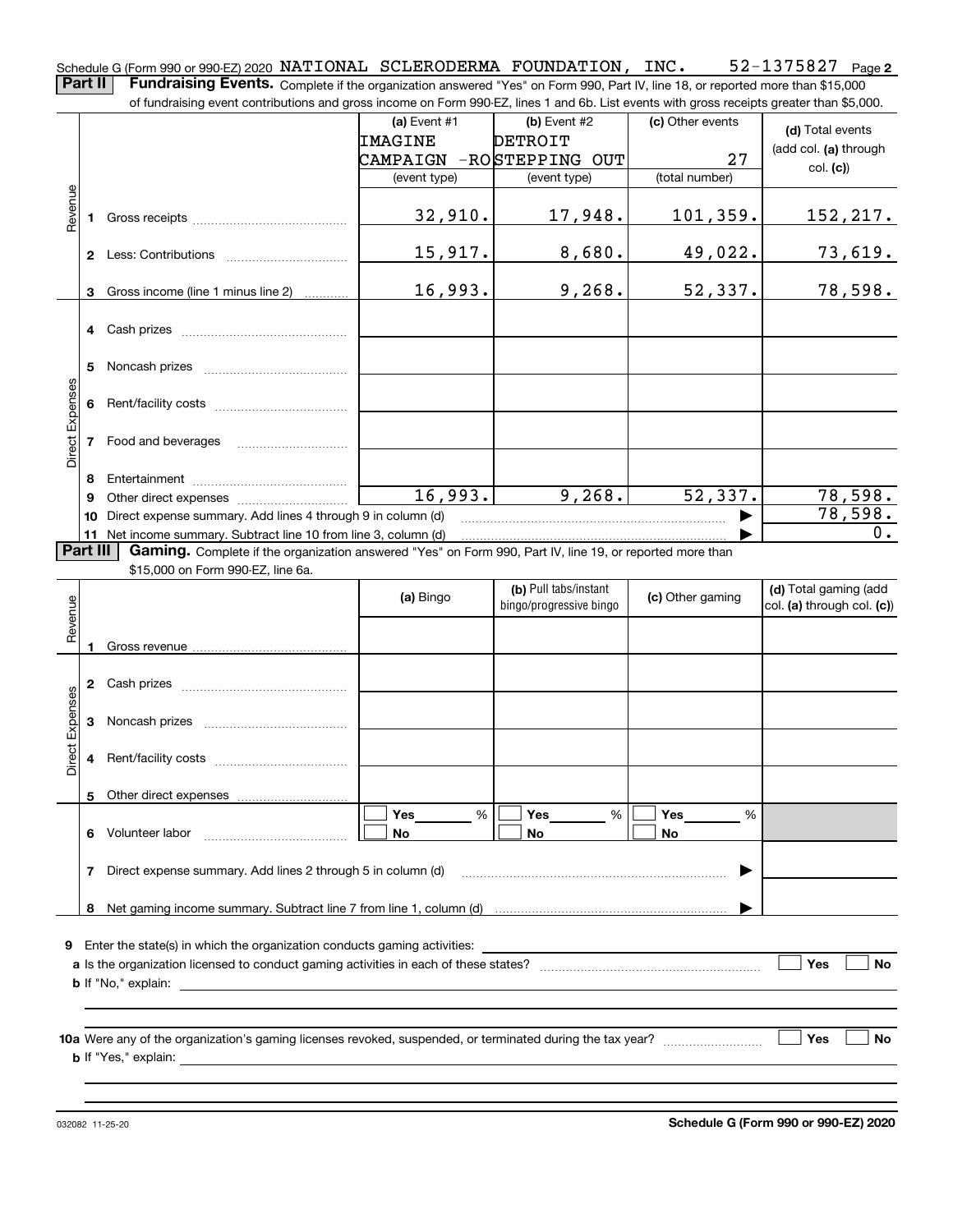**2** Schedule G (Form 990 or 990-EZ) 2020  $\,$  <code>NATIONAL SCLERODERMA FOUNDATION</code> ,  $\,$  <code>INC</code>  $\,$  <code>S2-1375827</code>  $\,$  <code>Page</code> **Part II** | Fundraising Events. Complete if the organization answered "Yes" on Form 990, Part IV, line 18, or reported more than \$15,000 of fundraising event contributions and gross income on Form 990-EZ, lines 1 and 6b. List events with gross receipts greater than \$5,000.

|                 |          | 01 lunuraising event commodions and gross income on Form 990-EZ, illies T and OD. Eist events with gross receipts greater than \$0,000.        |                          |                         |                  |                            |  |  |
|-----------------|----------|------------------------------------------------------------------------------------------------------------------------------------------------|--------------------------|-------------------------|------------------|----------------------------|--|--|
|                 |          |                                                                                                                                                | (a) Event $#1$           | (b) Event $#2$          | (c) Other events | (d) Total events           |  |  |
|                 |          |                                                                                                                                                | IMAGINE                  | <b>DETROIT</b>          |                  | (add col. (a) through      |  |  |
|                 |          |                                                                                                                                                | CAMPAIGN -ROSTEPPING OUT |                         | 27               | col. (c)                   |  |  |
|                 |          |                                                                                                                                                | (event type)             | (event type)            | (total number)   |                            |  |  |
| Revenue         |          |                                                                                                                                                |                          |                         |                  |                            |  |  |
|                 |          |                                                                                                                                                | 32,910.                  | 17,948.                 | 101, 359.        | 152,217.                   |  |  |
|                 |          |                                                                                                                                                |                          |                         |                  |                            |  |  |
|                 |          |                                                                                                                                                | 15,917.                  | 8,680.                  | 49,022.          | 73,619.                    |  |  |
|                 |          |                                                                                                                                                | 16,993.                  | 9,268.                  | 52,337.          | 78,598.                    |  |  |
|                 |          | 3 Gross income (line 1 minus line 2)                                                                                                           |                          |                         |                  |                            |  |  |
|                 |          | 4 Cash prizes                                                                                                                                  |                          |                         |                  |                            |  |  |
|                 |          |                                                                                                                                                |                          |                         |                  |                            |  |  |
|                 |          |                                                                                                                                                |                          |                         |                  |                            |  |  |
|                 |          |                                                                                                                                                |                          |                         |                  |                            |  |  |
|                 |          |                                                                                                                                                |                          |                         |                  |                            |  |  |
| Direct Expenses |          |                                                                                                                                                |                          |                         |                  |                            |  |  |
|                 |          | 7 Food and beverages                                                                                                                           |                          |                         |                  |                            |  |  |
|                 |          |                                                                                                                                                |                          |                         |                  |                            |  |  |
|                 | 8        |                                                                                                                                                | 16,993.                  | 9,268.                  | 52,337.          | 78,598.                    |  |  |
|                 | 9        |                                                                                                                                                |                          |                         |                  | 78,598.                    |  |  |
|                 | 10       | Direct expense summary. Add lines 4 through 9 in column (d)<br>11 Net income summary. Subtract line 10 from line 3, column (d)                 |                          |                         |                  | 0.                         |  |  |
|                 | Part III | Gaming. Complete if the organization answered "Yes" on Form 990, Part IV, line 19, or reported more than                                       |                          |                         |                  |                            |  |  |
|                 |          | \$15,000 on Form 990-EZ, line 6a.                                                                                                              |                          |                         |                  |                            |  |  |
|                 |          |                                                                                                                                                | (a) Bingo                | (b) Pull tabs/instant   | (c) Other gaming | (d) Total gaming (add      |  |  |
|                 |          |                                                                                                                                                |                          | bingo/progressive bingo |                  | col. (a) through col. (c)) |  |  |
| Revenue         |          |                                                                                                                                                |                          |                         |                  |                            |  |  |
|                 | 1        |                                                                                                                                                |                          |                         |                  |                            |  |  |
|                 |          |                                                                                                                                                |                          |                         |                  |                            |  |  |
|                 |          | 2 Cash prizes                                                                                                                                  |                          |                         |                  |                            |  |  |
| Direct Expenses |          |                                                                                                                                                |                          |                         |                  |                            |  |  |
|                 |          |                                                                                                                                                |                          |                         |                  |                            |  |  |
|                 |          |                                                                                                                                                |                          |                         |                  |                            |  |  |
|                 |          |                                                                                                                                                |                          |                         |                  |                            |  |  |
|                 |          | 5 Other direct expenses                                                                                                                        |                          |                         |                  |                            |  |  |
|                 |          |                                                                                                                                                | Yes<br>%                 | Yes<br>%                | Yes<br>%         |                            |  |  |
|                 | 6        | Volunteer labor                                                                                                                                | No                       | No                      | No               |                            |  |  |
|                 |          |                                                                                                                                                |                          |                         |                  |                            |  |  |
|                 | 7        | Direct expense summary. Add lines 2 through 5 in column (d)                                                                                    |                          |                         |                  |                            |  |  |
|                 |          |                                                                                                                                                |                          |                         |                  |                            |  |  |
|                 | 8        |                                                                                                                                                |                          |                         |                  |                            |  |  |
| 9               |          | Enter the state(s) in which the organization conducts gaming activities:                                                                       |                          |                         |                  |                            |  |  |
| Yes             |          |                                                                                                                                                |                          |                         |                  |                            |  |  |
|                 |          | <b>b</b> If "No," explain:<br><u> 1980 - Jan Salaman, mangang mga kalendar ng mga kalendar ng mga kalendar ng mga kalendar ng mga kalendar</u> |                          |                         |                  |                            |  |  |
|                 |          |                                                                                                                                                |                          |                         |                  |                            |  |  |
|                 |          |                                                                                                                                                |                          |                         |                  |                            |  |  |
|                 |          |                                                                                                                                                |                          |                         |                  |                            |  |  |
|                 |          | <b>b</b> If "Yes," explain:                                                                                                                    |                          |                         |                  | Yes<br><b>No</b>           |  |  |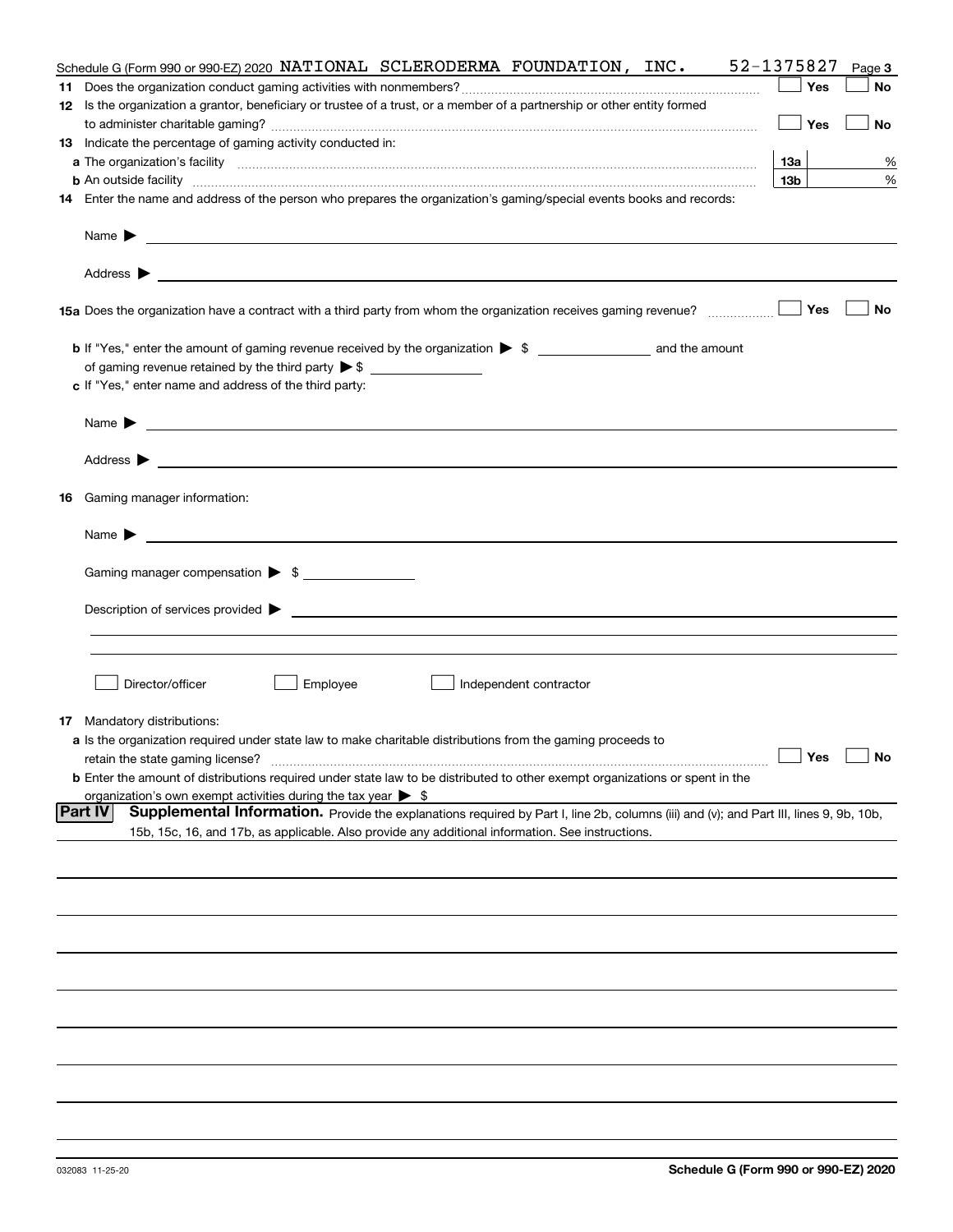|    | Schedule G (Form 990 or 990-EZ) 2020 NATIONAL SCLERODERMA FOUNDATION, $INC$ .                                                                                                                                                             | 52-1375827      | Page 3 |
|----|-------------------------------------------------------------------------------------------------------------------------------------------------------------------------------------------------------------------------------------------|-----------------|--------|
|    |                                                                                                                                                                                                                                           | Yes             | No     |
|    | 12 Is the organization a grantor, beneficiary or trustee of a trust, or a member of a partnership or other entity formed                                                                                                                  |                 |        |
|    |                                                                                                                                                                                                                                           | Yes             | No     |
|    | 13 Indicate the percentage of gaming activity conducted in:                                                                                                                                                                               |                 |        |
|    |                                                                                                                                                                                                                                           | 13а             | %      |
|    | <b>b</b> An outside facility <i>www.communicality communicality communicality communicality communicality communicality communicality communicality communicality communicality communicality communicality communicality communicali</i> | 13 <sub>b</sub> | %      |
|    | 14 Enter the name and address of the person who prepares the organization's gaming/special events books and records:                                                                                                                      |                 |        |
|    | Name $\blacktriangleright$                                                                                                                                                                                                                |                 |        |
|    | <u> 1989 - Johann Harry Harry Harry Harry Harry Harry Harry Harry Harry Harry Harry Harry Harry Harry Harry Harry</u><br>Address $\blacktriangleright$                                                                                    |                 |        |
|    | 15a Does the organization have a contract with a third party from whom the organization receives gaming revenue?                                                                                                                          | Yes             | No     |
|    | <b>b</b> If "Yes," enter the amount of gaming revenue received by the organization $\triangleright$ \$ ___________________ and the amount                                                                                                 |                 |        |
|    | of gaming revenue retained by the third party $\triangleright$ \$                                                                                                                                                                         |                 |        |
|    | c If "Yes," enter name and address of the third party:                                                                                                                                                                                    |                 |        |
|    | Name $\blacktriangleright$                                                                                                                                                                                                                |                 |        |
|    |                                                                                                                                                                                                                                           |                 |        |
|    | Address $\blacktriangleright$<br><u>some started and the started and the started and the started and the started and the started and the started and</u>                                                                                  |                 |        |
| 16 | Gaming manager information:                                                                                                                                                                                                               |                 |        |
|    | Name $\blacktriangleright$                                                                                                                                                                                                                |                 |        |
|    | Gaming manager compensation > \$                                                                                                                                                                                                          |                 |        |
|    |                                                                                                                                                                                                                                           |                 |        |
|    |                                                                                                                                                                                                                                           |                 |        |
|    |                                                                                                                                                                                                                                           |                 |        |
|    |                                                                                                                                                                                                                                           |                 |        |
|    | Director/officer<br>Employee<br>Independent contractor                                                                                                                                                                                    |                 |        |
|    | <b>17</b> Mandatory distributions:                                                                                                                                                                                                        |                 |        |
|    | a Is the organization required under state law to make charitable distributions from the gaming proceeds to                                                                                                                               |                 |        |
|    | retain the state gaming license?                                                                                                                                                                                                          | Yes             | No     |
|    | <b>b</b> Enter the amount of distributions required under state law to be distributed to other exempt organizations or spent in the                                                                                                       |                 |        |
|    | organization's own exempt activities during the tax year $\triangleright$ \$                                                                                                                                                              |                 |        |
|    | <b>Part IV</b><br>Supplemental Information. Provide the explanations required by Part I, line 2b, columns (iii) and (v); and Part III, lines 9, 9b, 10b,                                                                                  |                 |        |
|    | 15b, 15c, 16, and 17b, as applicable. Also provide any additional information. See instructions.                                                                                                                                          |                 |        |
|    |                                                                                                                                                                                                                                           |                 |        |
|    |                                                                                                                                                                                                                                           |                 |        |
|    |                                                                                                                                                                                                                                           |                 |        |
|    |                                                                                                                                                                                                                                           |                 |        |
|    |                                                                                                                                                                                                                                           |                 |        |
|    |                                                                                                                                                                                                                                           |                 |        |
|    |                                                                                                                                                                                                                                           |                 |        |
|    |                                                                                                                                                                                                                                           |                 |        |
|    |                                                                                                                                                                                                                                           |                 |        |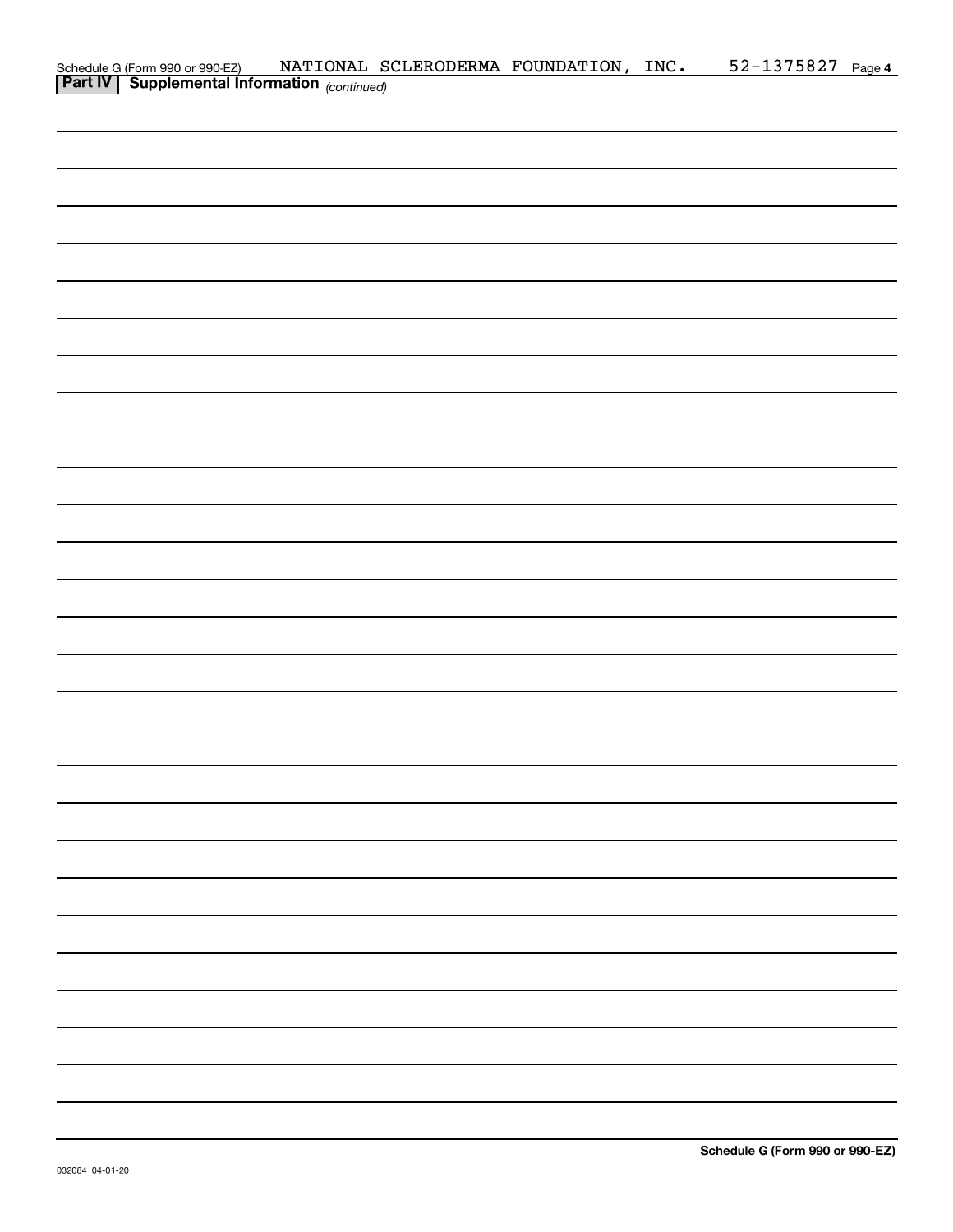| Schedule G (Form 990 or 990-EZ) NATIONAL S(<br>Part IV   Supplemental Information (continued) |  | NATIONAL SCLERODERMA FOUNDATION, INC. | 52-1375827 Page 4 |  |
|-----------------------------------------------------------------------------------------------|--|---------------------------------------|-------------------|--|
|                                                                                               |  |                                       |                   |  |
|                                                                                               |  |                                       |                   |  |
|                                                                                               |  |                                       |                   |  |
|                                                                                               |  |                                       |                   |  |
|                                                                                               |  |                                       |                   |  |
|                                                                                               |  |                                       |                   |  |
|                                                                                               |  |                                       |                   |  |
|                                                                                               |  |                                       |                   |  |
|                                                                                               |  |                                       |                   |  |
|                                                                                               |  |                                       |                   |  |
|                                                                                               |  |                                       |                   |  |
|                                                                                               |  |                                       |                   |  |
|                                                                                               |  |                                       |                   |  |
|                                                                                               |  |                                       |                   |  |
|                                                                                               |  |                                       |                   |  |
|                                                                                               |  |                                       |                   |  |
|                                                                                               |  |                                       |                   |  |
|                                                                                               |  |                                       |                   |  |
|                                                                                               |  |                                       |                   |  |
|                                                                                               |  |                                       |                   |  |
|                                                                                               |  |                                       |                   |  |
|                                                                                               |  |                                       |                   |  |
|                                                                                               |  |                                       |                   |  |
|                                                                                               |  |                                       |                   |  |
|                                                                                               |  |                                       |                   |  |
|                                                                                               |  |                                       |                   |  |
|                                                                                               |  |                                       |                   |  |
|                                                                                               |  |                                       |                   |  |
|                                                                                               |  |                                       |                   |  |
|                                                                                               |  |                                       |                   |  |
|                                                                                               |  |                                       |                   |  |
|                                                                                               |  |                                       |                   |  |
|                                                                                               |  |                                       |                   |  |
|                                                                                               |  |                                       |                   |  |
|                                                                                               |  |                                       |                   |  |
|                                                                                               |  |                                       |                   |  |
|                                                                                               |  |                                       |                   |  |
|                                                                                               |  |                                       |                   |  |
|                                                                                               |  |                                       |                   |  |
|                                                                                               |  |                                       |                   |  |
|                                                                                               |  |                                       |                   |  |
|                                                                                               |  |                                       |                   |  |
|                                                                                               |  |                                       |                   |  |
|                                                                                               |  |                                       |                   |  |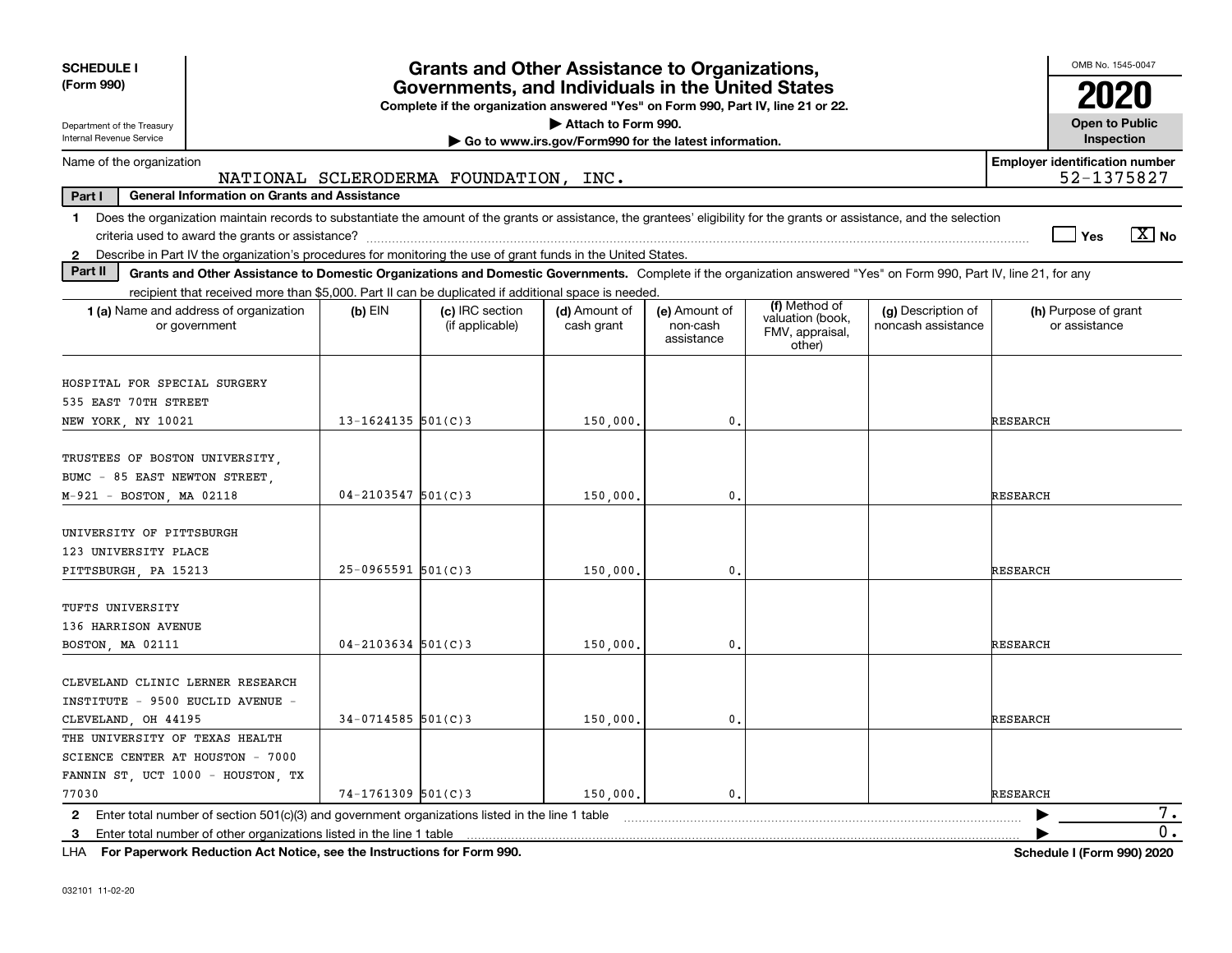| <b>SCHEDULE I</b>                                                                                                                                                                       |                        | <b>Grants and Other Assistance to Organizations,</b> |                             |                                         |                                                                |                                          | OMB No. 1545-0047                                   |                                     |
|-----------------------------------------------------------------------------------------------------------------------------------------------------------------------------------------|------------------------|------------------------------------------------------|-----------------------------|-----------------------------------------|----------------------------------------------------------------|------------------------------------------|-----------------------------------------------------|-------------------------------------|
| (Form 990)<br>Governments, and Individuals in the United States<br>Complete if the organization answered "Yes" on Form 990, Part IV, line 21 or 22.                                     |                        |                                                      |                             |                                         |                                                                |                                          |                                                     |                                     |
| Attach to Form 990.<br>Department of the Treasury<br>Internal Revenue Service                                                                                                           |                        |                                                      |                             |                                         |                                                                |                                          |                                                     | <b>Open to Public</b><br>Inspection |
| Go to www.irs.gov/Form990 for the latest information.                                                                                                                                   |                        |                                                      |                             |                                         |                                                                |                                          |                                                     |                                     |
| Name of the organization                                                                                                                                                                |                        | NATIONAL SCLERODERMA FOUNDATION, INC.                |                             |                                         |                                                                |                                          | <b>Employer identification number</b><br>52-1375827 |                                     |
| Part I<br><b>General Information on Grants and Assistance</b>                                                                                                                           |                        |                                                      |                             |                                         |                                                                |                                          |                                                     |                                     |
| Does the organization maintain records to substantiate the amount of the grants or assistance, the grantees' eligibility for the grants or assistance, and the selection<br>$\mathbf 1$ |                        |                                                      |                             |                                         |                                                                |                                          | Yes                                                 | $\sqrt{X}$ No                       |
| Describe in Part IV the organization's procedures for monitoring the use of grant funds in the United States.<br>$\mathbf{2}$                                                           |                        |                                                      |                             |                                         |                                                                |                                          |                                                     |                                     |
| Part II<br>Grants and Other Assistance to Domestic Organizations and Domestic Governments. Complete if the organization answered "Yes" on Form 990, Part IV, line 21, for any           |                        |                                                      |                             |                                         |                                                                |                                          |                                                     |                                     |
| recipient that received more than \$5,000. Part II can be duplicated if additional space is needed.<br><b>1 (a)</b> Name and address of organization<br>or government                   | $(b)$ EIN              | (c) IRC section<br>(if applicable)                   | (d) Amount of<br>cash grant | (e) Amount of<br>non-cash<br>assistance | (f) Method of<br>valuation (book,<br>FMV, appraisal,<br>other) | (g) Description of<br>noncash assistance | (h) Purpose of grant<br>or assistance               |                                     |
| HOSPITAL FOR SPECIAL SURGERY                                                                                                                                                            |                        |                                                      |                             |                                         |                                                                |                                          |                                                     |                                     |
| 535 EAST 70TH STREET                                                                                                                                                                    |                        |                                                      |                             | $\mathbf{0}$ .                          |                                                                |                                          | <b>RESEARCH</b>                                     |                                     |
| NEW YORK, NY 10021                                                                                                                                                                      | $13 - 1624135$ 501(C)3 |                                                      | 150,000.                    |                                         |                                                                |                                          |                                                     |                                     |
| TRUSTEES OF BOSTON UNIVERSITY,<br>BUMC - 85 EAST NEWTON STREET<br>M-921 - BOSTON, MA 02118                                                                                              | $04 - 2103547$ 501(C)3 |                                                      | 150,000.                    | 0.                                      |                                                                |                                          | <b>RESEARCH</b>                                     |                                     |
|                                                                                                                                                                                         |                        |                                                      |                             |                                         |                                                                |                                          |                                                     |                                     |
| UNIVERSITY OF PITTSBURGH<br>123 UNIVERSITY PLACE<br>PITTSBURGH, PA 15213                                                                                                                | $25 - 0965591$ 501(C)3 |                                                      | 150,000.                    | $\mathbf{0}$ .                          |                                                                |                                          | <b>RESEARCH</b>                                     |                                     |
| TUFTS UNIVERSITY<br>136 HARRISON AVENUE                                                                                                                                                 |                        |                                                      |                             |                                         |                                                                |                                          |                                                     |                                     |
| BOSTON, MA 02111                                                                                                                                                                        | $04 - 2103634$ 501(C)3 |                                                      | 150,000                     | $\mathbf{0}$ .                          |                                                                |                                          | <b>RESEARCH</b>                                     |                                     |
| CLEVELAND CLINIC LERNER RESEARCH<br>INSTITUTE - 9500 EUCLID AVENUE -<br>CLEVELAND, OH 44195                                                                                             | $34-0714585$ 501(C)3   |                                                      | 150,000.                    | 0.                                      |                                                                |                                          | <b>RESEARCH</b>                                     |                                     |
| THE UNIVERSITY OF TEXAS HEALTH                                                                                                                                                          |                        |                                                      |                             |                                         |                                                                |                                          |                                                     |                                     |
| SCIENCE CENTER AT HOUSTON - 7000                                                                                                                                                        |                        |                                                      |                             |                                         |                                                                |                                          |                                                     |                                     |
| FANNIN ST, UCT 1000 - HOUSTON, TX                                                                                                                                                       |                        |                                                      |                             |                                         |                                                                |                                          |                                                     |                                     |
| 77030                                                                                                                                                                                   | $74 - 1761309$ 501(C)3 |                                                      | 150,000.                    | 0.                                      |                                                                |                                          | <b>RESEARCH</b>                                     |                                     |
| 2 Enter total number of section 501(c)(3) and government organizations listed in the line 1 table                                                                                       |                        |                                                      |                             |                                         |                                                                |                                          |                                                     | 7.                                  |
| 3 Enter total number of other organizations listed in the line 1 table                                                                                                                  |                        |                                                      |                             |                                         |                                                                |                                          |                                                     | 0.                                  |

**For Paperwork Reduction Act Notice, see the Instructions for Form 990. Schedule I (Form 990) 2020** LHA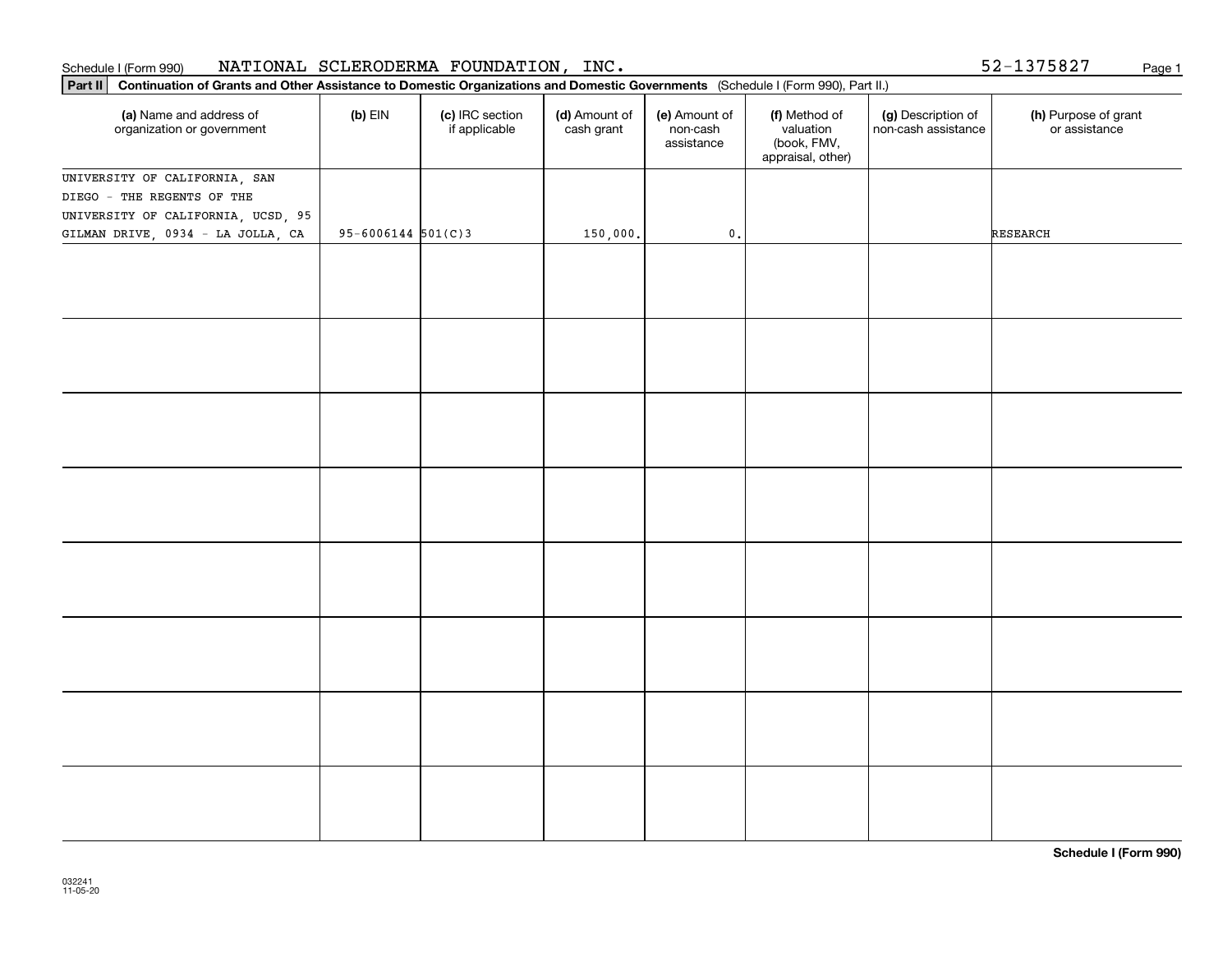### **Part III Part III Continuation of Grants and Other Assistance to Domestic Organization of Grants and Other Assistance to Domestic Organizations of Grants and Other Assistance to Domestic Organizations of Grants and Ot** Schedule I (Form 990) Page 1 NATIONAL SCLERODERMA FOUNDATION, INC.

52-1375827

| Part II<br>Continuation of Grants and Other Assistance to Domestic Organizations and Domestic Governments (Schedule I (Form 990), Part II.) |                          |                                  |                             |                                         |                                                                |                                           |                                       |
|---------------------------------------------------------------------------------------------------------------------------------------------|--------------------------|----------------------------------|-----------------------------|-----------------------------------------|----------------------------------------------------------------|-------------------------------------------|---------------------------------------|
| (a) Name and address of<br>organization or government                                                                                       | (b) EIN                  | (c) IRC section<br>if applicable | (d) Amount of<br>cash grant | (e) Amount of<br>non-cash<br>assistance | (f) Method of<br>valuation<br>(book, FMV,<br>appraisal, other) | (g) Description of<br>non-cash assistance | (h) Purpose of grant<br>or assistance |
| UNIVERSITY OF CALIFORNIA, SAN                                                                                                               |                          |                                  |                             |                                         |                                                                |                                           |                                       |
| DIEGO - THE REGENTS OF THE                                                                                                                  |                          |                                  |                             |                                         |                                                                |                                           |                                       |
| UNIVERSITY OF CALIFORNIA, UCSD, 95                                                                                                          |                          |                                  |                             |                                         |                                                                |                                           |                                       |
| GILMAN DRIVE, 0934 - LA JOLLA, CA                                                                                                           | $95 - 6006144$ $501(C)3$ |                                  | 150,000.                    | $\mathfrak o$ .                         |                                                                |                                           | RESEARCH                              |
|                                                                                                                                             |                          |                                  |                             |                                         |                                                                |                                           |                                       |
|                                                                                                                                             |                          |                                  |                             |                                         |                                                                |                                           |                                       |
|                                                                                                                                             |                          |                                  |                             |                                         |                                                                |                                           |                                       |
|                                                                                                                                             |                          |                                  |                             |                                         |                                                                |                                           |                                       |
|                                                                                                                                             |                          |                                  |                             |                                         |                                                                |                                           |                                       |
|                                                                                                                                             |                          |                                  |                             |                                         |                                                                |                                           |                                       |
|                                                                                                                                             |                          |                                  |                             |                                         |                                                                |                                           |                                       |
|                                                                                                                                             |                          |                                  |                             |                                         |                                                                |                                           |                                       |

**Schedule I (Form 990)**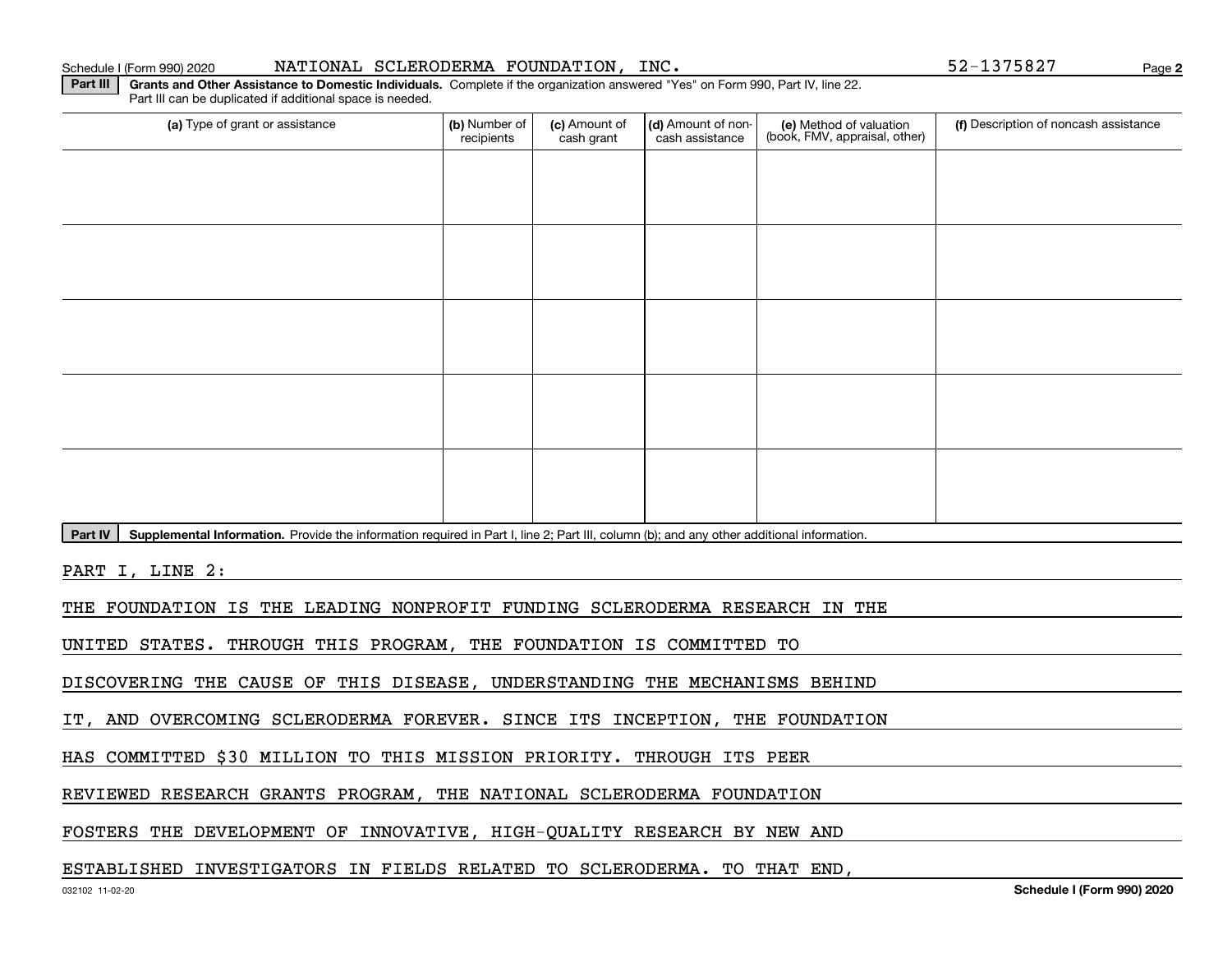**2**

**Part III** | Grants and Other Assistance to Domestic Individuals. Complete if the organization answered "Yes" on Form 990, Part IV, line 22. Part III can be duplicated if additional space is needed.

| (a) Type of grant or assistance                                                                                                                      | (b) Number of<br>recipients | (c) Amount of<br>cash grant | (d) Amount of non-<br>cash assistance | (e) Method of valuation<br>(book, FMV, appraisal, other) | (f) Description of noncash assistance |
|------------------------------------------------------------------------------------------------------------------------------------------------------|-----------------------------|-----------------------------|---------------------------------------|----------------------------------------------------------|---------------------------------------|
|                                                                                                                                                      |                             |                             |                                       |                                                          |                                       |
|                                                                                                                                                      |                             |                             |                                       |                                                          |                                       |
|                                                                                                                                                      |                             |                             |                                       |                                                          |                                       |
|                                                                                                                                                      |                             |                             |                                       |                                                          |                                       |
|                                                                                                                                                      |                             |                             |                                       |                                                          |                                       |
|                                                                                                                                                      |                             |                             |                                       |                                                          |                                       |
|                                                                                                                                                      |                             |                             |                                       |                                                          |                                       |
|                                                                                                                                                      |                             |                             |                                       |                                                          |                                       |
|                                                                                                                                                      |                             |                             |                                       |                                                          |                                       |
|                                                                                                                                                      |                             |                             |                                       |                                                          |                                       |
| Part IV<br>Supplemental Information. Provide the information required in Part I, line 2; Part III, column (b); and any other additional information. |                             |                             |                                       |                                                          |                                       |

PART I, LINE 2:

THE FOUNDATION IS THE LEADING NONPROFIT FUNDING SCLERODERMA RESEARCH IN THE

UNITED STATES. THROUGH THIS PROGRAM, THE FOUNDATION IS COMMITTED TO

DISCOVERING THE CAUSE OF THIS DISEASE, UNDERSTANDING THE MECHANISMS BEHIND

IT, AND OVERCOMING SCLERODERMA FOREVER. SINCE ITS INCEPTION, THE FOUNDATION

HAS COMMITTED \$30 MILLION TO THIS MISSION PRIORITY. THROUGH ITS PEER

REVIEWED RESEARCH GRANTS PROGRAM, THE NATIONAL SCLERODERMA FOUNDATION

FOSTERS THE DEVELOPMENT OF INNOVATIVE, HIGH-QUALITY RESEARCH BY NEW AND

### ESTABLISHED INVESTIGATORS IN FIELDS RELATED TO SCLERODERMA. TO THAT END,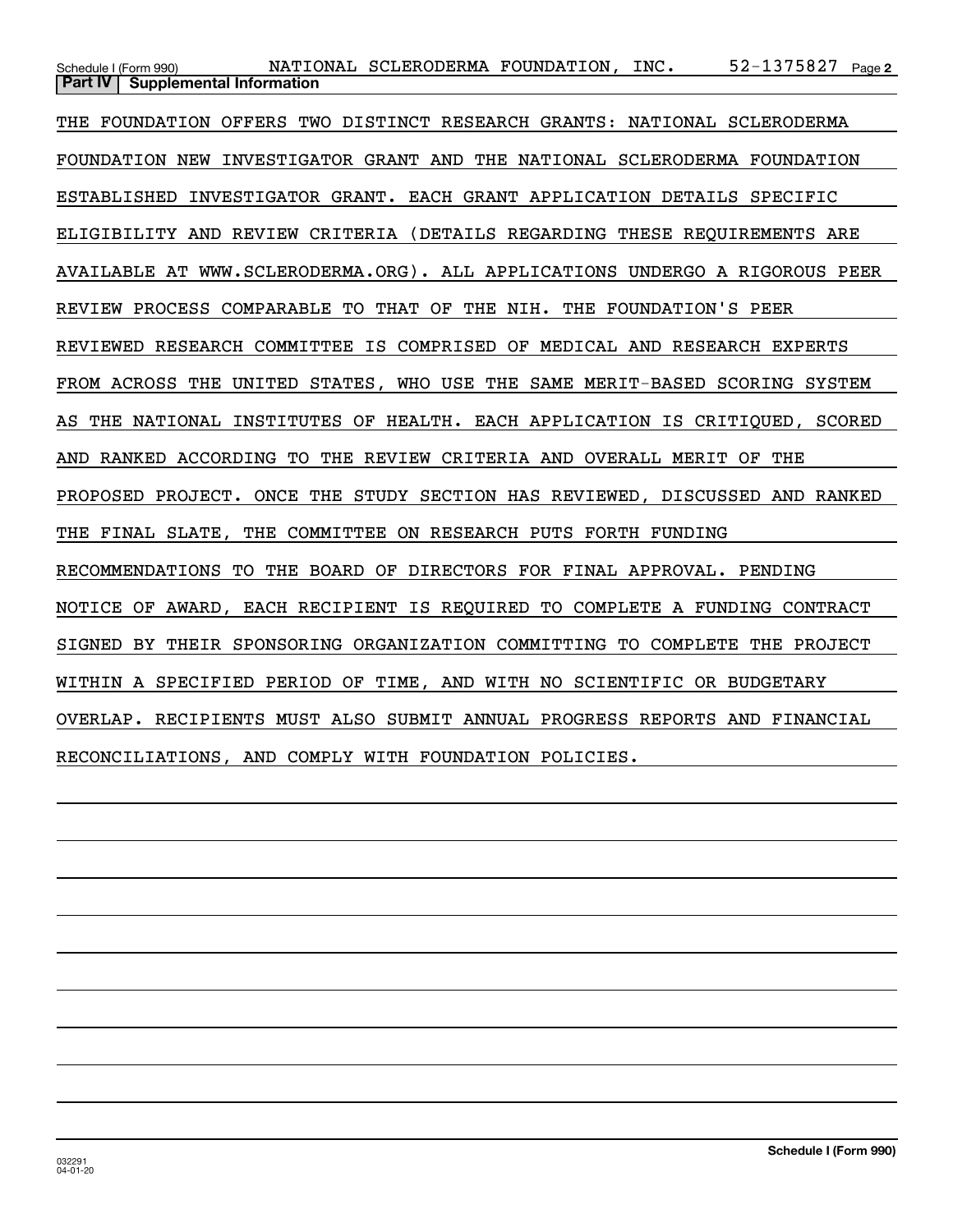$52 - 1375827$  Page 2 Schedule I (Form 990) NATIONAL SCLERODERMA FOUNDATION , INC 52-1375827 Page **Part IV** Supplemental Information THE FOUNDATION OFFERS TWO DISTINCT RESEARCH GRANTS: NATIONAL SCLERODERMA FOUNDATION NEW INVESTIGATOR GRANT AND THE NATIONAL SCLERODERMA FOUNDATION ESTABLISHED INVESTIGATOR GRANT. EACH GRANT APPLICATION DETAILS SPECIFIC ELIGIBILITY AND REVIEW CRITERIA (DETAILS REGARDING THESE REQUIREMENTS ARE AVAILABLE AT WWW.SCLERODERMA.ORG). ALL APPLICATIONS UNDERGO A RIGOROUS PEER REVIEW PROCESS COMPARABLE TO THAT OF THE NIH. THE FOUNDATION'S PEER REVIEWED RESEARCH COMMITTEE IS COMPRISED OF MEDICAL AND RESEARCH EXPERTS FROM ACROSS THE UNITED STATES, WHO USE THE SAME MERIT-BASED SCORING SYSTEM AS THE NATIONAL INSTITUTES OF HEALTH. EACH APPLICATION IS CRITIQUED, SCORED AND RANKED ACCORDING TO THE REVIEW CRITERIA AND OVERALL MERIT OF THE PROPOSED PROJECT. ONCE THE STUDY SECTION HAS REVIEWED, DISCUSSED AND RANKED THE FINAL SLATE, THE COMMITTEE ON RESEARCH PUTS FORTH FUNDING RECOMMENDATIONS TO THE BOARD OF DIRECTORS FOR FINAL APPROVAL. PENDING NOTICE OF AWARD, EACH RECIPIENT IS REQUIRED TO COMPLETE A FUNDING CONTRACT SIGNED BY THEIR SPONSORING ORGANIZATION COMMITTING TO COMPLETE THE PROJECT WITHIN A SPECIFIED PERIOD OF TIME, AND WITH NO SCIENTIFIC OR BUDGETARY OVERLAP. RECIPIENTS MUST ALSO SUBMIT ANNUAL PROGRESS REPORTS AND FINANCIAL RECONCILIATIONS, AND COMPLY WITH FOUNDATION POLICIES.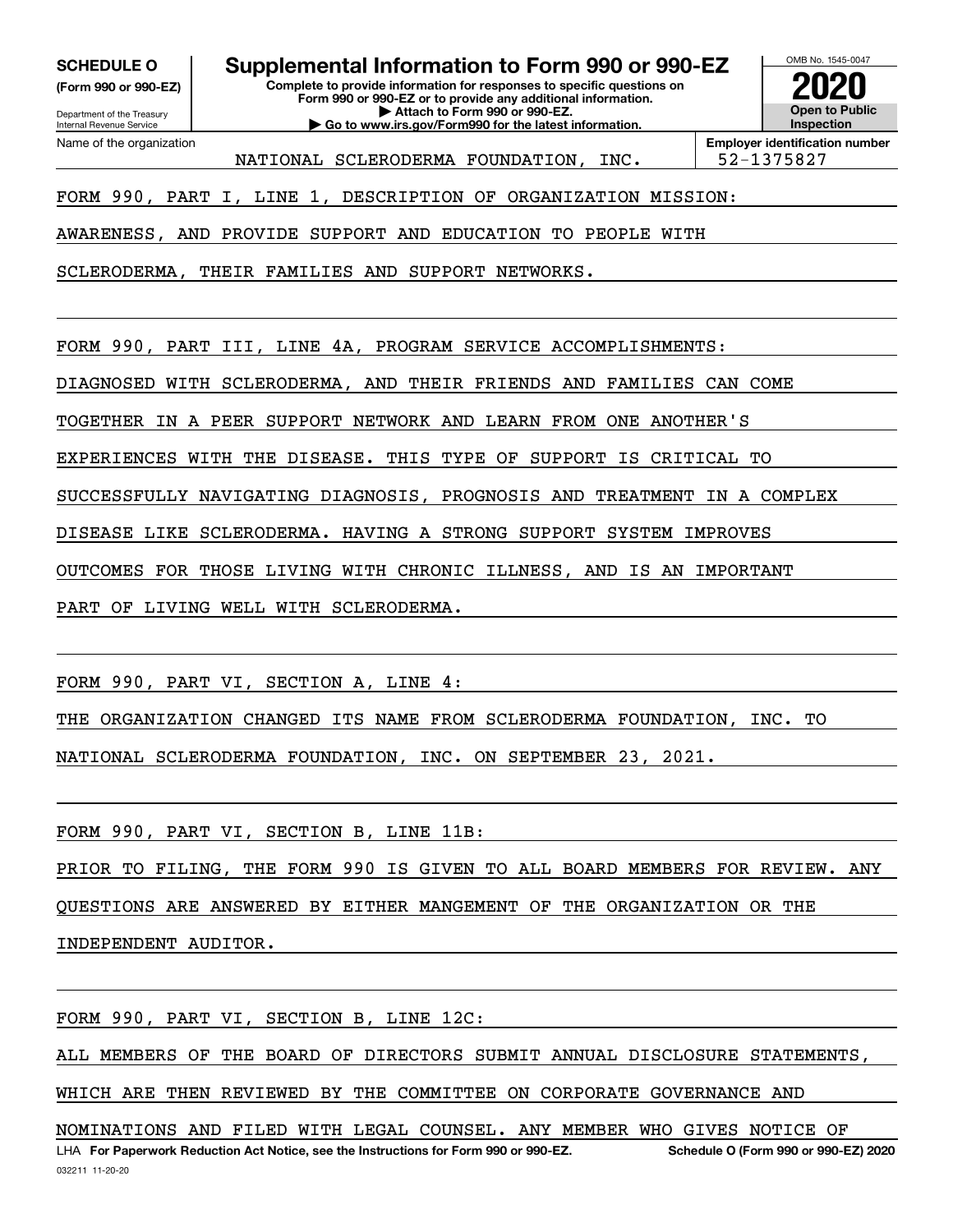**(Form 990 or 990-EZ)**

Department of the Treasury Internal Revenue Service Name of the organization

**SCHEDULE O Supplemental Information to Form 990 or 990-EZ**

**Complete to provide information for responses to specific questions on Form 990 or 990-EZ or to provide any additional information. | Attach to Form 990 or 990-EZ.**

**| Go to www.irs.gov/Form990 for the latest information.**



**Employer identification number** NATIONAL SCLERODERMA FOUNDATION, INC. | 52-1375827

FORM 990, PART I, LINE 1, DESCRIPTION OF ORGANIZATION MISSION:

AWARENESS, AND PROVIDE SUPPORT AND EDUCATION TO PEOPLE WITH

SCLERODERMA, THEIR FAMILIES AND SUPPORT NETWORKS.

FORM 990, PART III, LINE 4A, PROGRAM SERVICE ACCOMPLISHMENTS:

DIAGNOSED WITH SCLERODERMA, AND THEIR FRIENDS AND FAMILIES CAN COME

TOGETHER IN A PEER SUPPORT NETWORK AND LEARN FROM ONE ANOTHER'S

EXPERIENCES WITH THE DISEASE. THIS TYPE OF SUPPORT IS CRITICAL TO

SUCCESSFULLY NAVIGATING DIAGNOSIS, PROGNOSIS AND TREATMENT IN A COMPLEX

DISEASE LIKE SCLERODERMA. HAVING A STRONG SUPPORT SYSTEM IMPROVES

OUTCOMES FOR THOSE LIVING WITH CHRONIC ILLNESS, AND IS AN IMPORTANT

PART OF LIVING WELL WITH SCLERODERMA.

FORM 990, PART VI, SECTION A, LINE 4:

THE ORGANIZATION CHANGED ITS NAME FROM SCLERODERMA FOUNDATION, INC. TO NATIONAL SCLERODERMA FOUNDATION, INC. ON SEPTEMBER 23, 2021.

FORM 990, PART VI, SECTION B, LINE 11B:

PRIOR TO FILING, THE FORM 990 IS GIVEN TO ALL BOARD MEMBERS FOR REVIEW. ANY QUESTIONS ARE ANSWERED BY EITHER MANGEMENT OF THE ORGANIZATION OR THE INDEPENDENT AUDITOR.

FORM 990, PART VI, SECTION B, LINE 12C:

ALL MEMBERS OF THE BOARD OF DIRECTORS SUBMIT ANNUAL DISCLOSURE STATEMENTS,

WHICH ARE THEN REVIEWED BY THE COMMITTEE ON CORPORATE GOVERNANCE AND

LHA For Paperwork Reduction Act Notice, see the Instructions for Form 990 or 990-EZ. Schedule O (Form 990 or 990-EZ) 2020 NOMINATIONS AND FILED WITH LEGAL COUNSEL. ANY MEMBER WHO GIVES NOTICE OF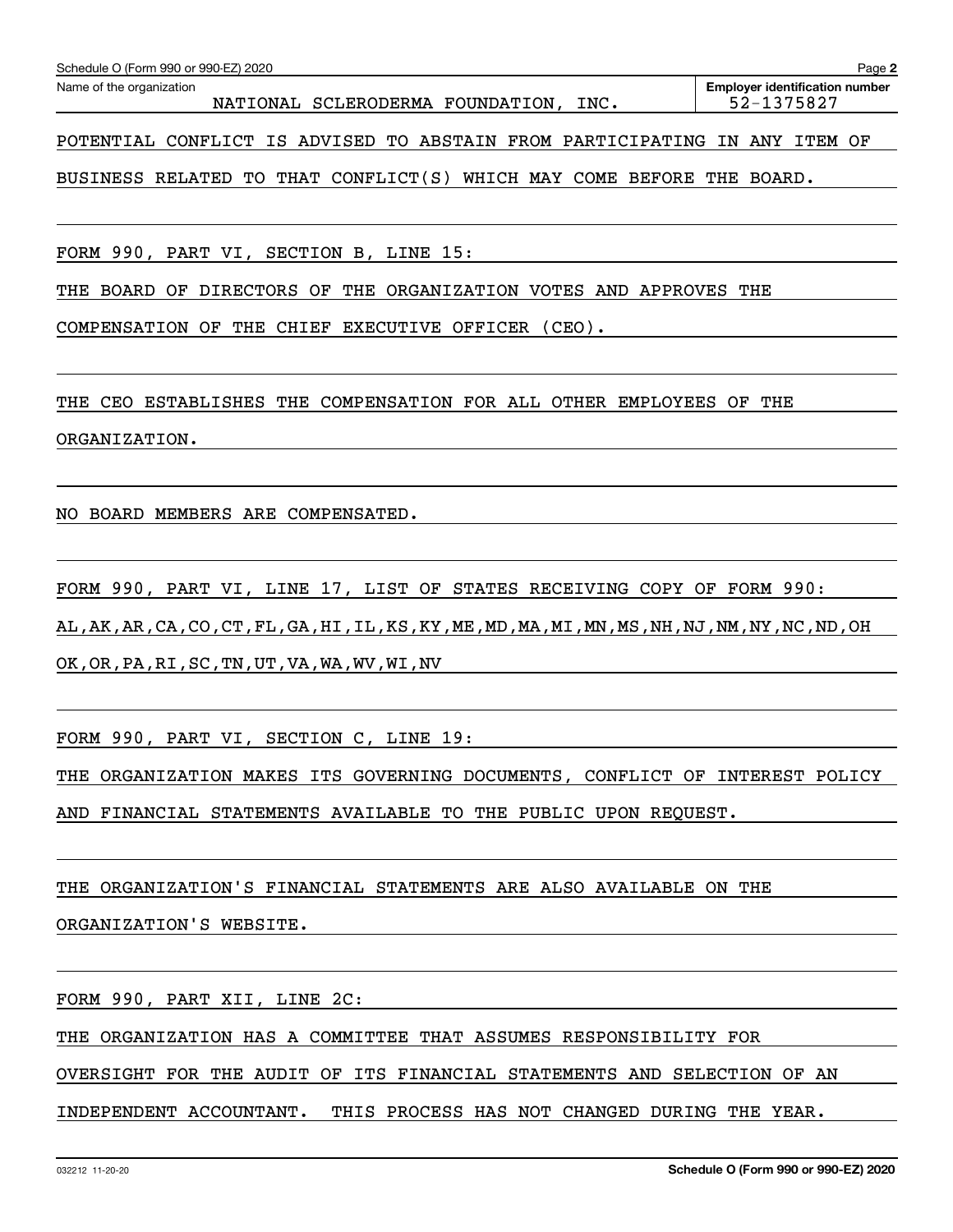| Schedule O (Form 990 or 990-EZ) 2020<br>Page 2                             |                                                     |  |  |  |  |  |  |
|----------------------------------------------------------------------------|-----------------------------------------------------|--|--|--|--|--|--|
| Name of the organization<br>NATIONAL SCLERODERMA FOUNDATION,<br>INC.       | <b>Employer identification number</b><br>52-1375827 |  |  |  |  |  |  |
| POTENTIAL CONFLICT IS ADVISED TO ABSTAIN FROM PARTICIPATING IN ANY ITEM OF |                                                     |  |  |  |  |  |  |

BUSINESS RELATED TO THAT CONFLICT(S) WHICH MAY COME BEFORE THE BOARD.

FORM 990, PART VI, SECTION B, LINE 15:

THE BOARD OF DIRECTORS OF THE ORGANIZATION VOTES AND APPROVES THE

COMPENSATION OF THE CHIEF EXECUTIVE OFFICER (CEO).

THE CEO ESTABLISHES THE COMPENSATION FOR ALL OTHER EMPLOYEES OF THE ORGANIZATION.

NO BOARD MEMBERS ARE COMPENSATED.

FORM 990, PART VI, LINE 17, LIST OF STATES RECEIVING COPY OF FORM 990: AL,AK,AR,CA,CO,CT,FL,GA,HI,IL,KS,KY,ME,MD,MA,MI,MN,MS,NH,NJ,NM,NY,NC,ND,OH OK,OR,PA,RI,SC,TN,UT,VA,WA,WV,WI,NV

FORM 990, PART VI, SECTION C, LINE 19:

THE ORGANIZATION MAKES ITS GOVERNING DOCUMENTS, CONFLICT OF INTEREST POLICY AND FINANCIAL STATEMENTS AVAILABLE TO THE PUBLIC UPON REQUEST.

THE ORGANIZATION'S FINANCIAL STATEMENTS ARE ALSO AVAILABLE ON THE

ORGANIZATION'S WEBSITE.

FORM 990, PART XII, LINE 2C:

THE ORGANIZATION HAS A COMMITTEE THAT ASSUMES RESPONSIBILITY FOR

OVERSIGHT FOR THE AUDIT OF ITS FINANCIAL STATEMENTS AND SELECTION OF AN

INDEPENDENT ACCOUNTANT. THIS PROCESS HAS NOT CHANGED DURING THE YEAR.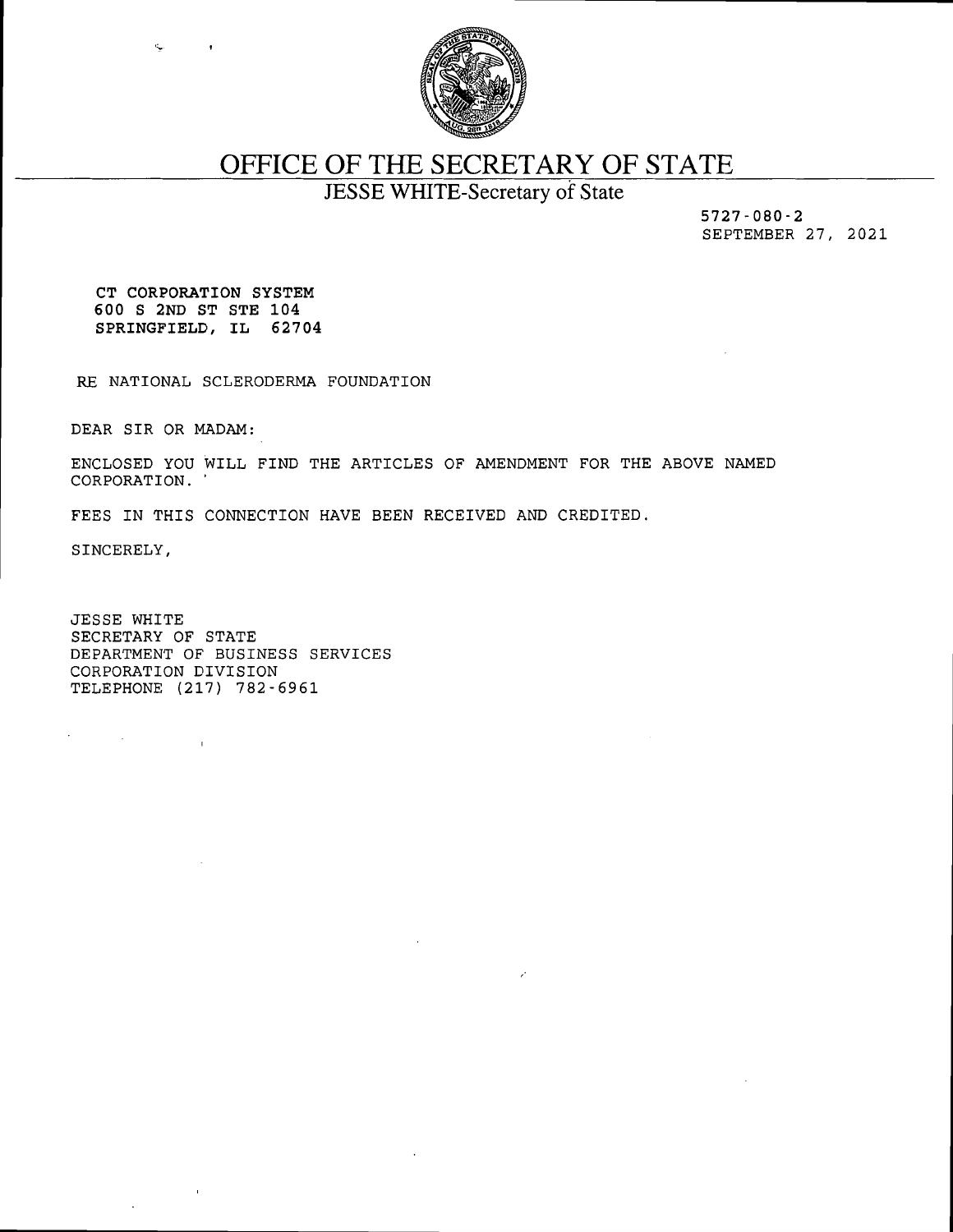

# OFFICE OF THE SECRETARY OF STATE

JESSE WHITE-Secretary of State

5727-080-2 SEPTEMBER 27, 2021

CT CORPORATION SYSTEM 600 S 2ND ST STE 104 SPRINGFIELD, IL 62704

RE NATIONAL SCLERODERMA FOUNDATION

DEAR SIR OR MADAM:

ENCLOSED YOU WILL FIND THE ARTICLES OF AMENDMENT FOR THE ABOVE NAMED CORPORATION. '

FEES IN THIS CONNECTION HAVE BEEN RECEIVED AND CREDITED.

SINCERELY,

 $\mathcal{F}^{\text{max}}_{\text{max}}$  and  $\mathcal{F}^{\text{max}}_{\text{max}}$ 

JESSE WHITE SECRETARY OF STATE DEPARTMENT OF BUSINESS SERVICES CORPORATION DIVISION TELEPHONE (217) 782-6961

 $\mathbf{r}$ 

 $\sim$   $\alpha$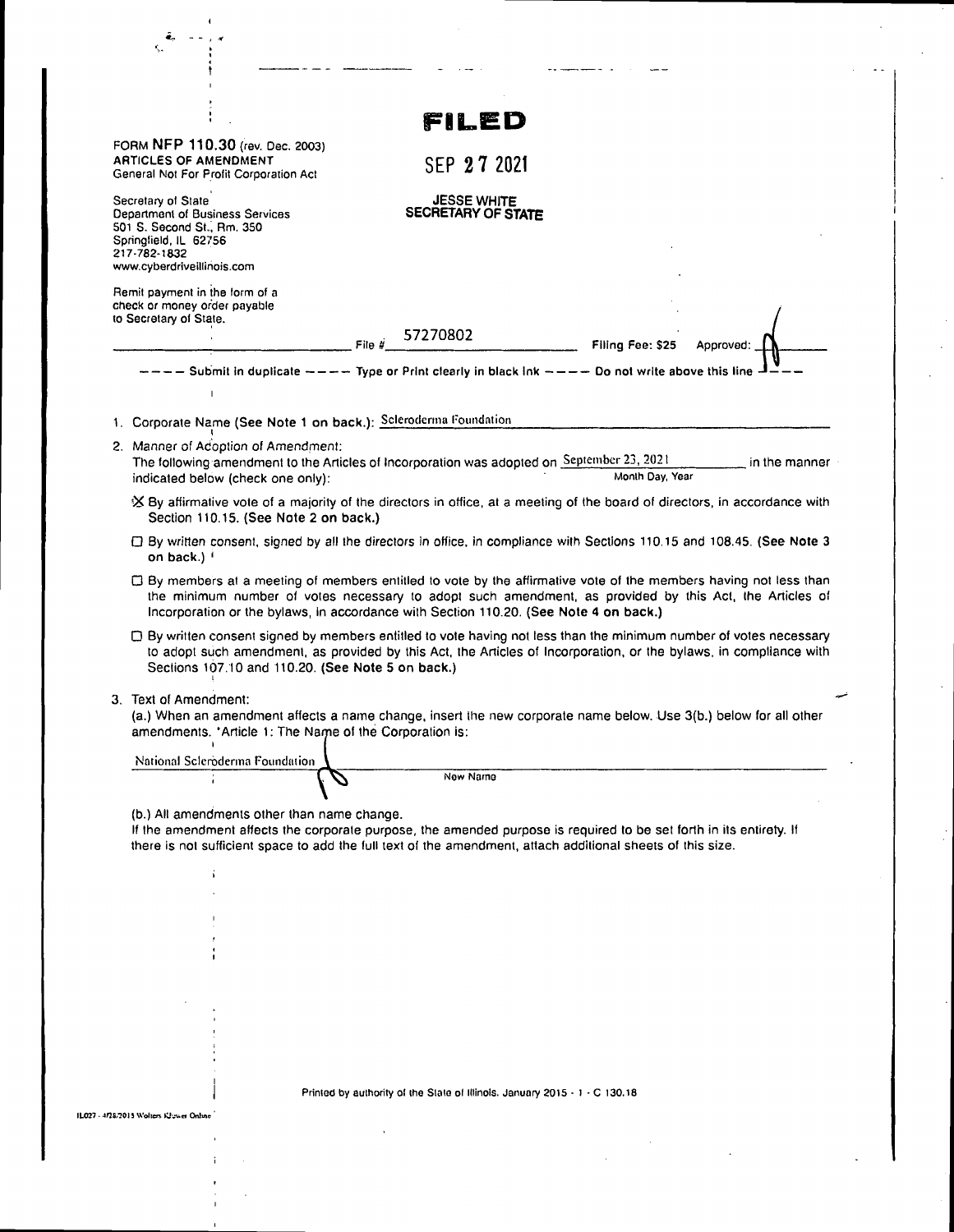| ê,<br>Κ.                                                                                                                                                                                                                                                                                                              |                                                                            |                              |               |
|-----------------------------------------------------------------------------------------------------------------------------------------------------------------------------------------------------------------------------------------------------------------------------------------------------------------------|----------------------------------------------------------------------------|------------------------------|---------------|
|                                                                                                                                                                                                                                                                                                                       |                                                                            |                              |               |
|                                                                                                                                                                                                                                                                                                                       |                                                                            |                              |               |
|                                                                                                                                                                                                                                                                                                                       | FILED                                                                      |                              |               |
| FORM NFP 110.30 (rev. Dec. 2003)<br><b>ARTICLES OF AMENDMENT</b>                                                                                                                                                                                                                                                      |                                                                            |                              |               |
| General Not For Profit Corporation Act                                                                                                                                                                                                                                                                                | SEP 27 2021                                                                |                              |               |
| Secretary of State<br>Department of Business Services<br>501 S. Second St., Rm. 350                                                                                                                                                                                                                                   | <b>JESSE WHITE</b><br>SECRETARY OF STATE                                   |                              |               |
| Springfield, IL 62756<br>217-782-1832                                                                                                                                                                                                                                                                                 |                                                                            |                              |               |
| www.cyberdriveillinois.com                                                                                                                                                                                                                                                                                            |                                                                            |                              |               |
| Remit payment in the form of a<br>check or money order payable                                                                                                                                                                                                                                                        |                                                                            |                              |               |
| to Secretary of State.                                                                                                                                                                                                                                                                                                |                                                                            |                              |               |
| File $\vec{H}$                                                                                                                                                                                                                                                                                                        | 57270802                                                                   | Filing Fee: \$25<br>Aoorovad |               |
| $---$ Submit in duplicate $---$ Type or Print clearly in black lnk $---$ Do not write above this line -                                                                                                                                                                                                               |                                                                            |                              |               |
|                                                                                                                                                                                                                                                                                                                       |                                                                            |                              |               |
| 1. Corporate Name (See Note 1 on back.): Scleroderma Foundation                                                                                                                                                                                                                                                       |                                                                            |                              |               |
| 2. Manner of Adoption of Amendment:                                                                                                                                                                                                                                                                                   |                                                                            |                              |               |
| The following amendment to the Articles of Incorporation was adopted on September 23, 2021<br>indicated below (check one only):                                                                                                                                                                                       |                                                                            | Month Day, Year              | in the manner |
| X By affirmative vote of a majority of the directors in office, at a meeting of the board of directors, in accordance with<br>Section 110.15. (See Note 2 on back.)                                                                                                                                                   |                                                                            |                              |               |
| □ By written consent, signed by all the directors in office, in compliance with Sections 110.15 and 108.45. (See Note 3<br>on back.) '                                                                                                                                                                                |                                                                            |                              |               |
| □ By members at a meeting of members entitled to vote by the affirmative vote of the members having not less than<br>the minimum number of votes necessary to adopt such amendment, as provided by this Act, the Articles of<br>Incorporation or the bylaws, in accordance with Section 110.20. (See Note 4 on back.) |                                                                            |                              |               |
| □ By written consent signed by members entitled to vote having not less than the minimum number of votes necessary<br>to adopt such amendment, as provided by this Act, the Articles of Incorporation, or the bylaws, in compliance with<br>Sections 107.10 and 110.20. (See Note 5 on back.)                         |                                                                            |                              |               |
| 3. Text of Amendment:<br>(a.) When an amendment affects a name change, insert the new corporate name below. Use 3(b.) below for all other<br>amendments. 'Article 1: The Name of the Corporation is:                                                                                                                  |                                                                            |                              |               |
| National Scleroderma Foundation                                                                                                                                                                                                                                                                                       | New Name                                                                   |                              |               |
| (b.) All amendments other than name change.<br>If the amendment affects the corporate purpose, the amended purpose is required to be set forth in its entirety. If<br>there is not sufficient space to add the full text of the amendment, attach additional sheets of this size.                                     |                                                                            |                              |               |
| í                                                                                                                                                                                                                                                                                                                     |                                                                            |                              |               |
|                                                                                                                                                                                                                                                                                                                       |                                                                            |                              |               |
|                                                                                                                                                                                                                                                                                                                       |                                                                            |                              |               |
|                                                                                                                                                                                                                                                                                                                       |                                                                            |                              |               |
|                                                                                                                                                                                                                                                                                                                       |                                                                            |                              |               |
|                                                                                                                                                                                                                                                                                                                       |                                                                            |                              |               |
|                                                                                                                                                                                                                                                                                                                       |                                                                            |                              |               |
|                                                                                                                                                                                                                                                                                                                       |                                                                            |                              |               |
|                                                                                                                                                                                                                                                                                                                       |                                                                            |                              |               |
|                                                                                                                                                                                                                                                                                                                       | Printed by authority of the State of Illinois. January 2015 - 1 - C 130.18 |                              |               |
| IL027 - 4/28/2015 Wolters Kluwer Online                                                                                                                                                                                                                                                                               |                                                                            |                              |               |
|                                                                                                                                                                                                                                                                                                                       |                                                                            |                              |               |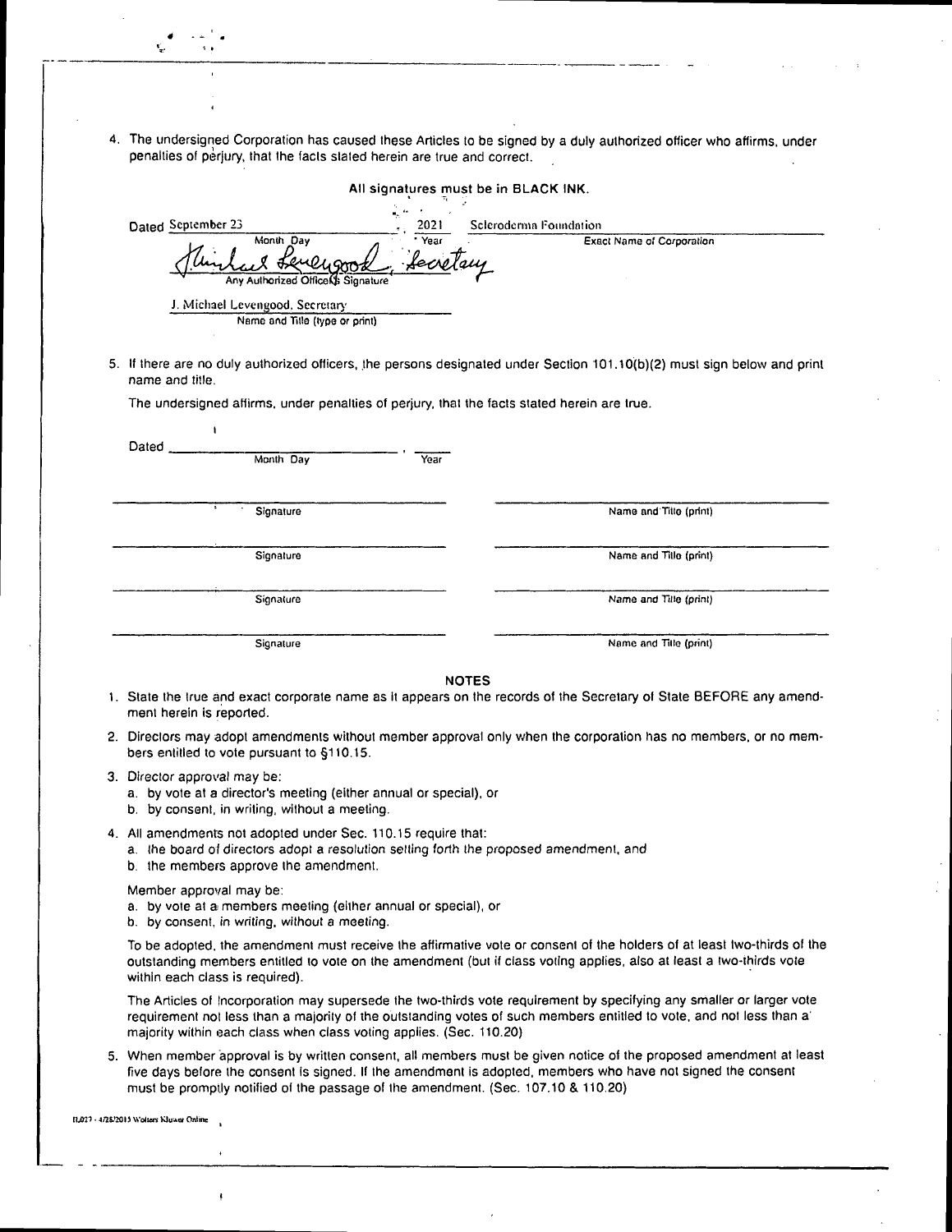4. The undersigned Corporation has caused these Articles to be signed by a duly authorized officer who affirms, under penalties of perjury, that the facts slated herein are true and correct.

All signatures must be in BLACK INK.

|                                                                                             |                | All signatures must be in BLACK INK.                                                                                     |
|---------------------------------------------------------------------------------------------|----------------|--------------------------------------------------------------------------------------------------------------------------|
| Dated September 23                                                                          | 2021           | Scleroderma Foundation                                                                                                   |
| Month Day<br>Any Authorized Office Signature                                                | Year<br>fecret | <b>Exact Name of Corporation</b>                                                                                         |
| J. Michael Levengood, Secretary<br>Name and Title (type or print)                           |                |                                                                                                                          |
| name and title.                                                                             |                | 5. If there are no duly authorized officers, the persons designated under Section 101.10(b)(2) must sign below and print |
| The undersigned affirms, under penalties of perjury, that the facts stated herein are true. |                |                                                                                                                          |
| ۱                                                                                           |                |                                                                                                                          |
| Dated<br>Month Day                                                                          | Year           |                                                                                                                          |
| Signature                                                                                   |                | Name and Title (print)                                                                                                   |
|                                                                                             |                |                                                                                                                          |
| Signature                                                                                   |                | Name and Title (print)                                                                                                   |
| Signature                                                                                   |                | Name and Tille (print)                                                                                                   |
|                                                                                             |                |                                                                                                                          |
| Signature                                                                                   |                | Name and Title (print)                                                                                                   |

- 2. Directors may adopt amendments without member approval only when the corporation has no members, or no members entitled to vote pursuant to §110.15.
- 3. Director approval may be:
	- a. by vote at a director's meeting (either annual or special), or
	- b. by consent, in writing, without a meeting.
- 4. All amendments not adopted under Sec. 110.15 require that:
	- a. the board of directors adopt a resolution setting forth the proposed amendment, and
	- b. the members approve the amendment.

Member approval may be:

ţ

- a. by vote at a members meeting (either annual or special), or
- b. by consent, in writing, without a meeting.

To be adopted. the amendment must receive the affirmative vote or consent of the holders of at least two-thirds of the outstanding members entitled to vote on the amendment (but if class voting applies, also at least a two-thirds vote within each class is required).

The Articles of Incorporation may supersede the two-thirds vote requirement by specifying any smaller or larger vote requirement not less than a majority of the outstanding votes of such members entitled to vote, and not less than a' majority within each class when class voting applies. (Sec. 110.20)

5. When member approval is by written consent, all members must be given notice of the proposed amendment at least five days before the consent is signed. If the amendment is adopted, members who have not signed the consent must be promptly notified of the passage of the amendment, (Sec. 107.10 & 110.20)

11.027 • 4/28/2015 Wolters Kluwer Online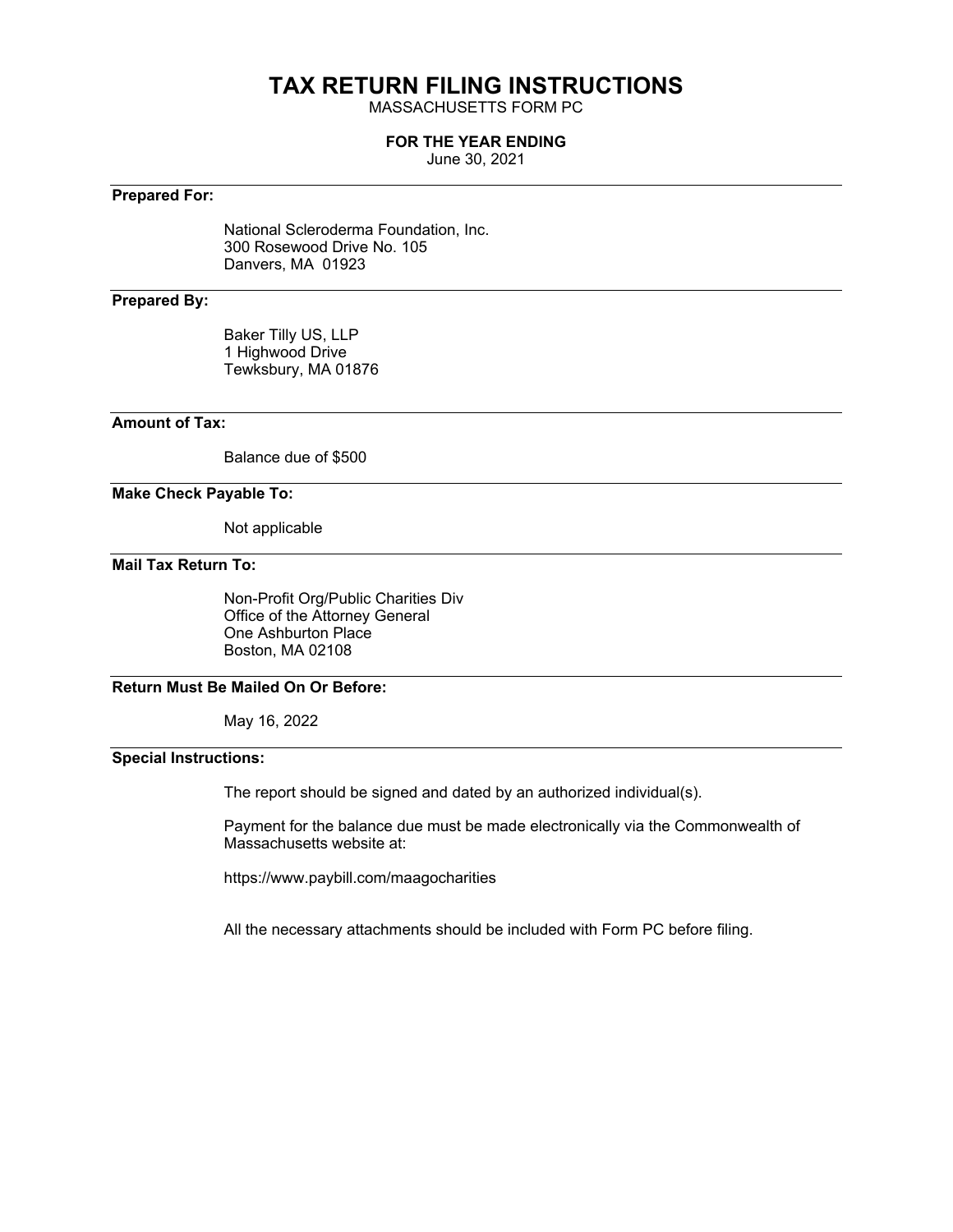# **TAX RETURN FILING INSTRUCTIONS**

MASSACHUSETTS FORM PC

### **FOR THE YEAR ENDING**

June 30, 2021

## **Prepared For:**

National Scleroderma Foundation, Inc. 300 Rosewood Drive No. 105 Danvers, MA 01923

## **Prepared By:**

Baker Tilly US, LLP 1 Highwood Drive Tewksbury, MA 01876

## **Amount of Tax:**

Balance due of \$500

## **Make Check Payable To:**

Not applicable

## **Mail Tax Return To:**

Non-Profit Org/Public Charities Div Office of the Attorney General One Ashburton Place Boston, MA 02108

## **Return Must Be Mailed On Or Before:**

May 16, 2022

## **Special Instructions:**

The report should be signed and dated by an authorized individual(s).

Payment for the balance due must be made electronically via the Commonwealth of Massachusetts website at:

https://www.paybill.com/maagocharities

All the necessary attachments should be included with Form PC before filing.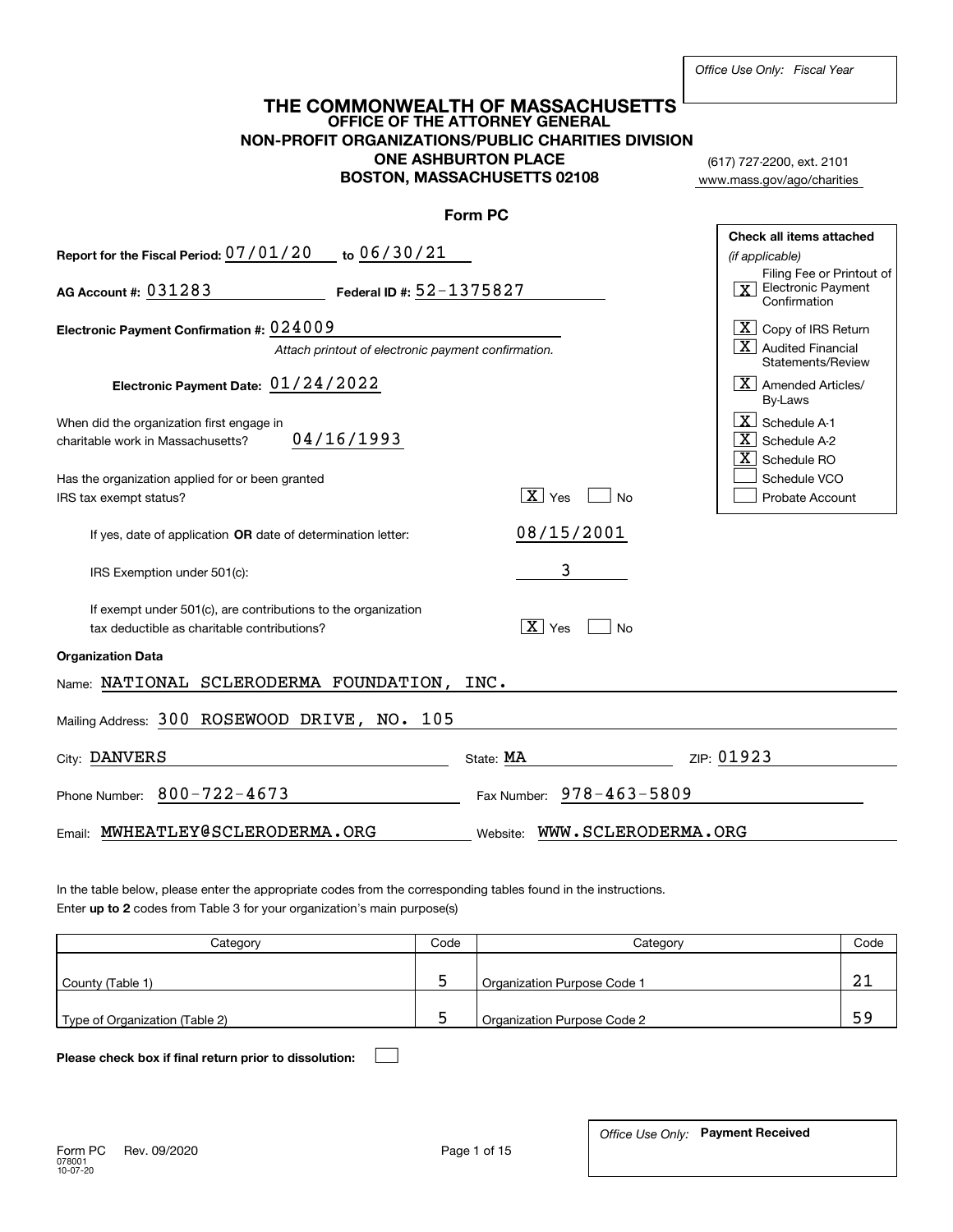| THE COMMONWEALTH OF MASSACHUSETTS<br>OFFICE OF THE ATTORNEY<br><b>NON-PROFIT ORGANIZATIONS/PUBLIC CHARITIES DIVISION</b> |                                                                                      |                                       |                                                                  |  |  |  |
|--------------------------------------------------------------------------------------------------------------------------|--------------------------------------------------------------------------------------|---------------------------------------|------------------------------------------------------------------|--|--|--|
|                                                                                                                          |                                                                                      |                                       |                                                                  |  |  |  |
|                                                                                                                          | (617) 727-2200, ext. 2101                                                            |                                       |                                                                  |  |  |  |
|                                                                                                                          | <b>BOSTON, MASSACHUSETTS 02108</b>                                                   |                                       | www.mass.gov/ago/charities                                       |  |  |  |
|                                                                                                                          | <b>Form PC</b>                                                                       |                                       |                                                                  |  |  |  |
| Report for the Fiscal Period: 07/01/20 to 06/30/21                                                                       |                                                                                      |                                       | Check all items attached<br>(if applicable)                      |  |  |  |
| AG Account #: 031283                                                                                                     | Filing Fee or Printout of<br>$\boxed{\mathbf{X}}$ Electronic Payment<br>Confirmation |                                       |                                                                  |  |  |  |
| Electronic Payment Confirmation #: 024009                                                                                |                                                                                      |                                       | $\boxed{\textbf{X}}$ Copy of IRS Return                          |  |  |  |
|                                                                                                                          | Attach printout of electronic payment confirmation.                                  |                                       | $\mid$ $X \mid$ Audited Financial<br>Statements/Review           |  |  |  |
| Electronic Payment Date: 01/24/2022                                                                                      |                                                                                      |                                       | $\vert \overline{\mathrm{X}} \vert$ Amended Articles/<br>By-Laws |  |  |  |
| When did the organization first engage in<br>charitable work in Massachusetts?                                           | 04/16/1993                                                                           |                                       | X Schedule A-1<br>$\overline{X}$ Schedule A-2<br>$X$ Schedule RO |  |  |  |
| Has the organization applied for or been granted<br>IRS tax exempt status?                                               |                                                                                      | $\boxed{\mathbf{X}}$ Yes<br>∣No       | Schedule VCO<br>Probate Account                                  |  |  |  |
| If yes, date of application OR date of determination letter:                                                             |                                                                                      | 08/15/2001                            |                                                                  |  |  |  |
| IRS Exemption under 501(c):                                                                                              |                                                                                      | 3                                     |                                                                  |  |  |  |
| If exempt under 501(c), are contributions to the organization<br>tax deductible as charitable contributions?             |                                                                                      | $\boxed{\mathbf{X}}$ Yes<br><b>No</b> |                                                                  |  |  |  |
| <b>Organization Data</b>                                                                                                 |                                                                                      |                                       |                                                                  |  |  |  |
| Name: NATIONAL SCLERODERMA FOUNDATION, INC.                                                                              |                                                                                      |                                       |                                                                  |  |  |  |
| Mailing Address: 300 ROSEWOOD DRIVE, NO. 105                                                                             |                                                                                      |                                       |                                                                  |  |  |  |
| City: DANVERS                                                                                                            |                                                                                      | State: MA                             | ZIP: 01923                                                       |  |  |  |
| Phone Number: $800 - 722 - 4673$                                                                                         |                                                                                      | Fax Number: 978-463-5809              |                                                                  |  |  |  |
| MWHEATLEY@SCLERODERMA.ORG<br>Email:                                                                                      |                                                                                      | WWW.SCLERODERMA.ORG<br>Website:       |                                                                  |  |  |  |

Enter **up to 2** codes from Table 3 for your organization's main purpose(s) In the table below, please enter the appropriate codes from the corresponding tables found in the instructions.

| Category                       | Code | Category                    | Code |
|--------------------------------|------|-----------------------------|------|
| County (Table 1)               |      | Organization Purpose Code 1 | ິ    |
| Type of Organization (Table 2) |      | Organization Purpose Code 2 |      |

**Please check box if final return prior to dissolution:**  $\mathcal{L}_{\mathcal{A}}$ 

**Payment Received** *Office Use Only:*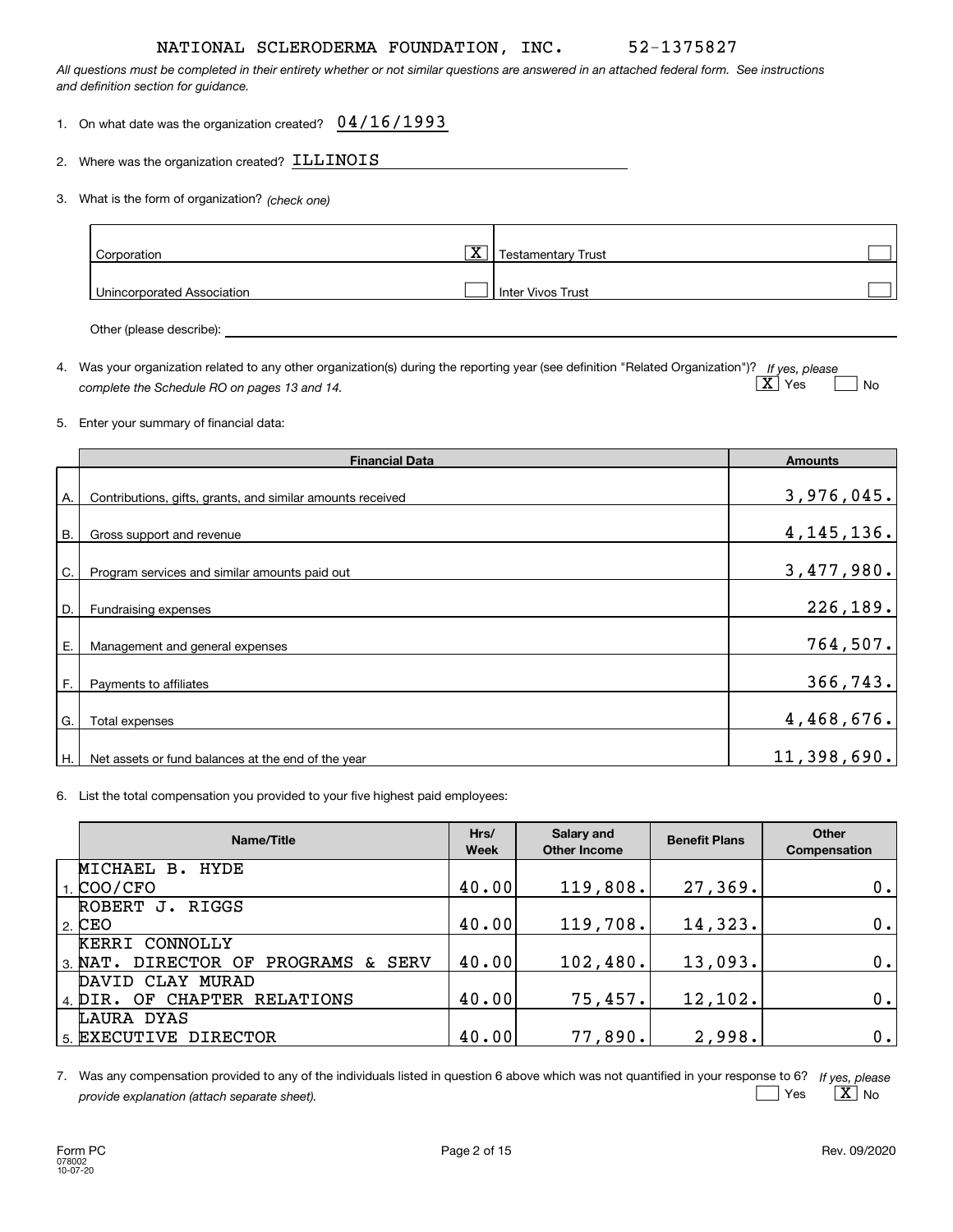*All questions must be completed in their entirety whether or not similar questions are answered in an attached federal form. See instructions and definition section for guidance.*

1. On what date was the organization created?  $\,$   $\,04$  /  $16$  /  $1993$ 

2.Where was the organization created?  ${\tt ILLINOIS}$ 

*(check one)* 3. What is the form of organization?

| Corporation                | $\overline{\text{X}}$ ) | Testamentary Trust       |  |
|----------------------------|-------------------------|--------------------------|--|
| Unincorporated Association |                         | <b>Inter Vivos Trust</b> |  |

Other (please describe):

4. Was your organization related to any other organization(s) during the reporting year (see definition "Related Organization")? If yes, please *complete the Schedule RO on pages 13 and 14.*  $\boxed{\text{X}}$  Yes  $\boxed{\phantom{0}}$  $\Box$  No

### 5. Enter your summary of financial data:

|           | <b>Financial Data</b>                                      | <b>Amounts</b> |
|-----------|------------------------------------------------------------|----------------|
| А.        | Contributions, gifts, grants, and similar amounts received | 3,976,045.     |
| <b>B.</b> | Gross support and revenue                                  | 4, 145, 136.   |
| C.        | Program services and similar amounts paid out              | 3,477,980.     |
| D.        | Fundraising expenses                                       | 226,189.       |
| Е.        | Management and general expenses                            | 764,507.       |
| F.        | Payments to affiliates                                     | 366,743.       |
| G.        | Total expenses                                             | 4,468,676.     |
| Η.        | Net assets or fund balances at the end of the year         | 11,398,690.    |

6. List the total compensation you provided to your five highest paid employees:

| Name/Title                             | Hrs/<br><b>Week</b> | Salary and<br><b>Other Income</b> | <b>Benefit Plans</b> | Other<br><b>Compensation</b> |
|----------------------------------------|---------------------|-----------------------------------|----------------------|------------------------------|
| MICHAEL B. HYDE                        |                     |                                   |                      |                              |
| COO/CFO                                | 40.00               | 119,808.                          | 27,369.              | 0.1                          |
| ROBERT J.<br>RIGGS                     |                     |                                   |                      |                              |
| $^{\prime}$ 2. $ {\rm CEO} $           | 40.00               | 119,708.                          | 14,323.              | 0.1                          |
| <b>KERRI CONNOLLY</b>                  |                     |                                   |                      |                              |
| DIRECTOR OF PROGRAMS & SERV<br>3. NAT. | 40.00               | 102,480.                          | 13,093.              | 0.1                          |
| DAVID CLAY MURAD                       |                     |                                   |                      |                              |
| 4. DIR. OF CHAPTER RELATIONS           | 40.00               | 75,457.                           | 12, 102.             | 0.1                          |
| LAURA DYAS                             |                     |                                   |                      |                              |
| 5. EXECUTIVE DIRECTOR                  | 40.00               | 77,890.                           | 2,998.               | 0.1                          |

*If yes, please* 7. Was any compensation provided to any of the individuals listed in question 6 above which was not quantified in your response to 6? *provide explanation (attach separate sheet).*  $\sqrt{X}$ es  $\mid$   $\rm X\mid$  No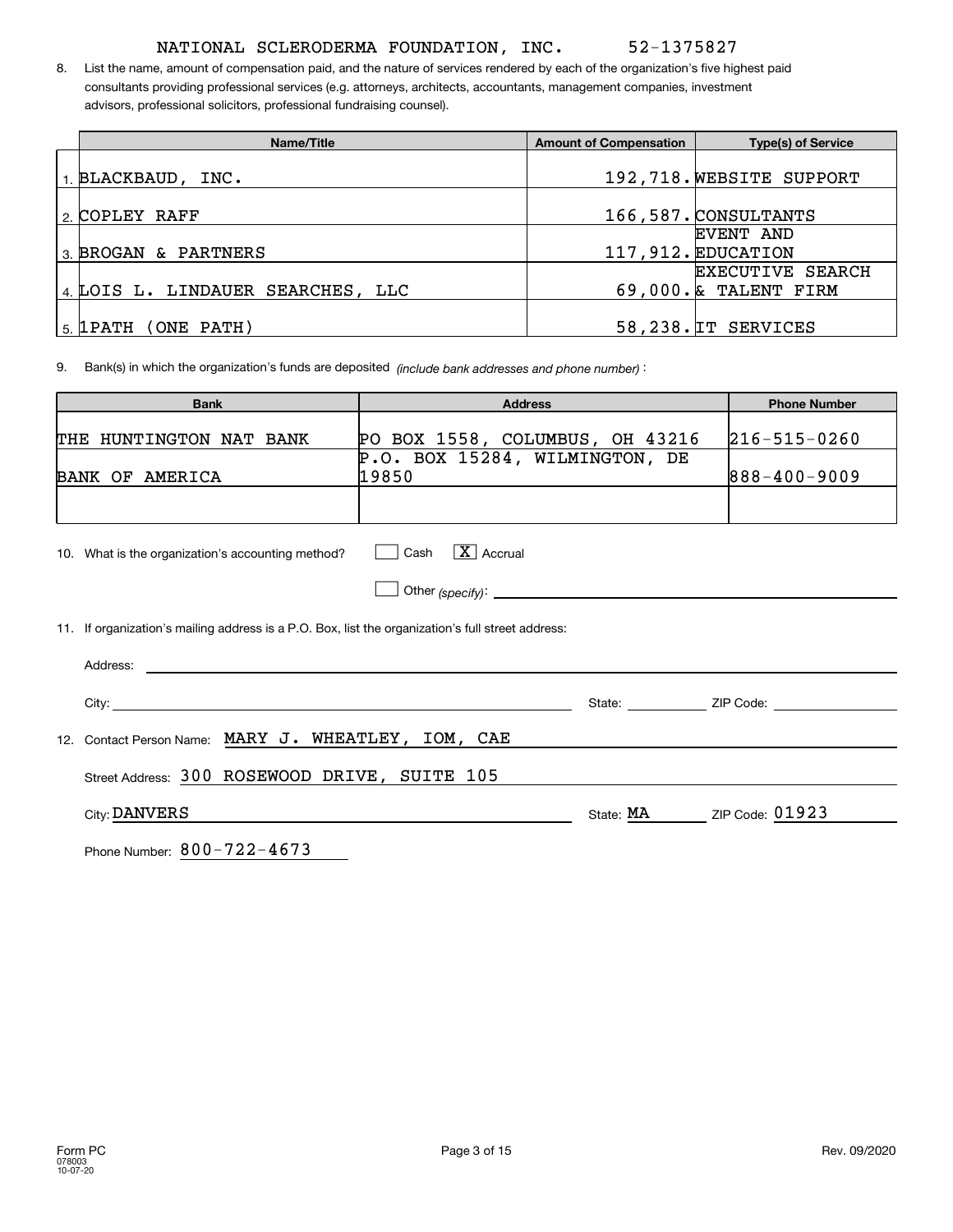8. List the name, amount of compensation paid, and the nature of services rendered by each of the organization's five highest paid consultants providing professional services (e.g. attorneys, architects, accountants, management companies, investment advisors, professional solicitors, professional fundraising counsel).

| Name/Title                           | <b>Amount of Compensation</b> | <b>Type(s) of Service</b> |
|--------------------------------------|-------------------------------|---------------------------|
|                                      |                               |                           |
| $_1$ BLACKBAUD, INC.                 |                               | 192,718. WEBSITE SUPPORT  |
|                                      |                               |                           |
| 2. COPLEY RAFF                       |                               | 166,587. CONSULTANTS      |
|                                      |                               | EVENT AND                 |
| 3. BROGAN & PARTNERS                 |                               | 117,912. EDUCATION        |
|                                      |                               | <b>EXECUTIVE SEARCH</b>   |
| 4. LOIS L. LINDAUER SEARCHES, LLC    |                               | $69,000$ . & TALENT FIRM  |
|                                      |                               |                           |
| $\,$ <sub>5.</sub> [1PATH (ONE PATH) |                               | 58,238. IT SERVICES       |

). Bank(s) in which the organization's funds are deposited *(include bank addresses and phone number)* 9.

| <b>Bank</b>                                                                                       | <b>Address</b>                          | <b>Phone Number</b>                                                                                                   |
|---------------------------------------------------------------------------------------------------|-----------------------------------------|-----------------------------------------------------------------------------------------------------------------------|
| THE HUNTINGTON NAT BANK                                                                           | PO BOX 1558, COLUMBUS, OH 43216         | $ 216 - 515 - 0260$                                                                                                   |
| BANK OF AMERICA                                                                                   | P.O. BOX 15284, WILMINGTON, DE<br>19850 | $888 - 400 - 9009$                                                                                                    |
|                                                                                                   |                                         |                                                                                                                       |
| 10. What is the organization's accounting method?                                                 | $\Box$ Cash $\Box$ Accrual              |                                                                                                                       |
|                                                                                                   |                                         |                                                                                                                       |
| 11. If organization's mailing address is a P.O. Box, list the organization's full street address: |                                         |                                                                                                                       |
|                                                                                                   |                                         |                                                                                                                       |
|                                                                                                   |                                         |                                                                                                                       |
| 12. Contact Person Name: MARY J. WHEATLEY, IOM, CAE                                               |                                         | <u> 1980 - Jan Sarajević, politički politički politički karaljski politički karaljski politički karaljski politič</u> |
| Street Address: 300 ROSEWOOD DRIVE, SUITE 105                                                     |                                         |                                                                                                                       |
| City: DANVERS                                                                                     |                                         | State: MA ZIP Code: 01923                                                                                             |
| Phone Number: 800-722-4673                                                                        |                                         |                                                                                                                       |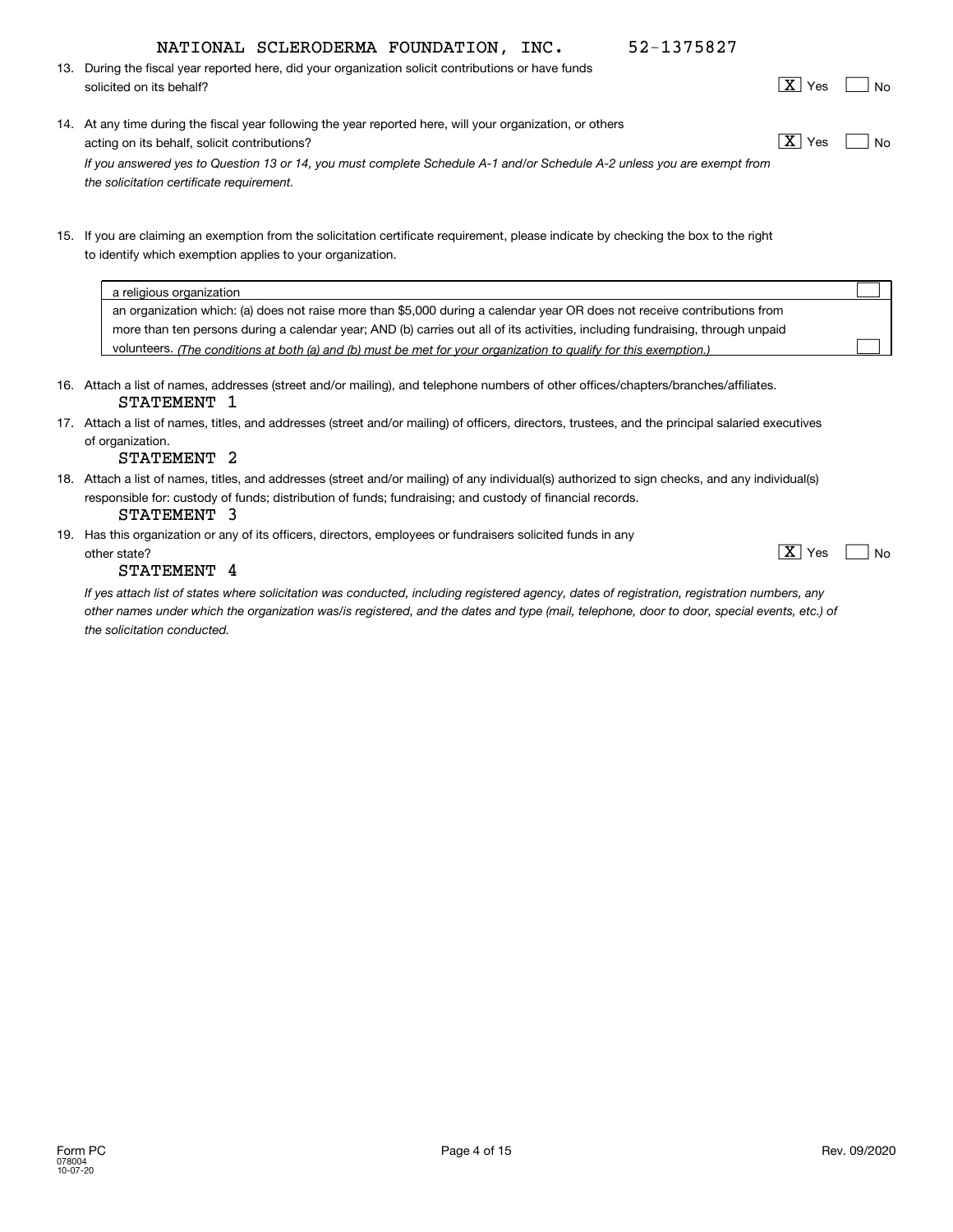$X$  Yes

52-1375827

- *(The conditions at both (a) and (b) must be met for your organization to qualify for this exemption.)* volunteers. 13. During the fiscal year reported here, did your organization solicit contributions or have funds 14. At any time during the fiscal year following the year reported here, will your organization, or others 15. If you are claiming an exemption from the solicitation certificate requirement, please indicate by checking the box to the right 16. Attach a list of names, addresses (street and/or mailing), and telephone numbers of other offices/chapters/branches/affiliates. 17. Attach a list of names, titles, and addresses (street and/or mailing) of officers, directors, trustees, and the principal salaried executives 18. Attach a list of names, titles, and addresses (street and/or mailing) of any individual(s) authorized to sign checks, and any individual(s) solicited on its behalf? Note that the solution of the solution of  $X$  Yes Note that the Note that the solution of  $X$  Yes Note that the solution of the solution of the solution of the solution of the solution of the solu acting on its behalf, solicit contributions?  $X \times Y$ to identify which exemption applies to your organization. a religious organization an organization which: (a) does not raise more than \$5,000 during a calendar year OR does not receive contributions from more than ten persons during a calendar year; AND (b) carries out all of its activities, including fundraising, through unpaid of organization. *If you answered yes to Question 13 or 14, you must complete Schedule A-1 and/or Schedule A-2 unless you are exempt from the solicitation certificate requirement.*  $X$  Yes  $X$  Yes  $\mathcal{L}^{\text{max}}$  $\mathcal{L}^{\text{max}}$ STATEMENT 1 STATEMENT 2
- 19. Has this organization or any of its officers, directors, employees or fundraisers solicited funds in any other state?  $\boxtimes$  Yes  $\qquad \qquad$  No STATEMENT 3

responsible for: custody of funds; distribution of funds; fundraising; and custody of financial records.

## STATEMENT 4

*If yes attach list of states where solicitation was conducted, including registered agency, dates of registration, registration numbers, any other names under which the organization was/is registered, and the dates and type (mail, telephone, door to door, special events, etc.) of the solicitation conducted.*

| NATIONAL SCLERODERMA FOUNDATION, INC. |  |
|---------------------------------------|--|
|---------------------------------------|--|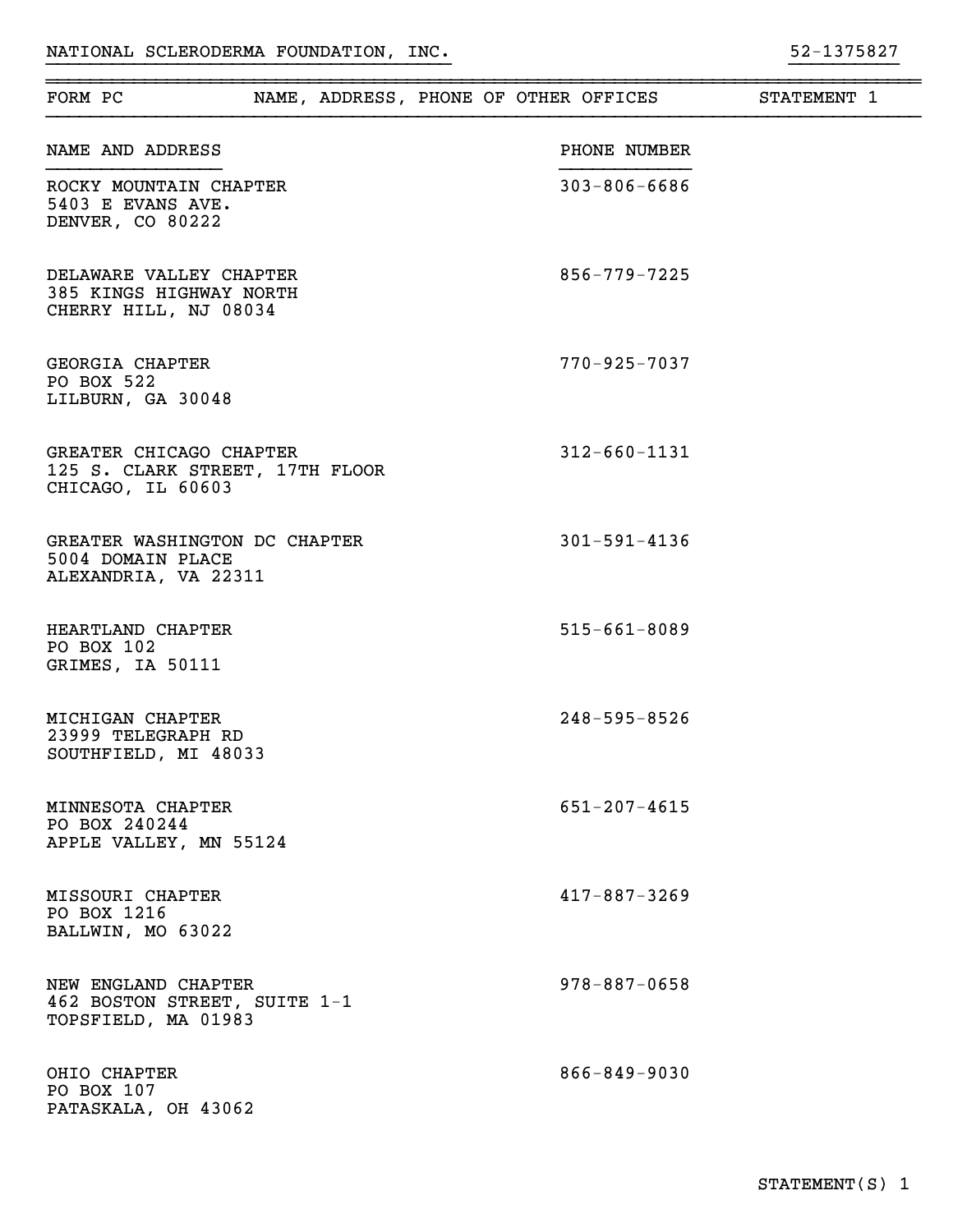<del>. . . . . . . . . . . . . . . .</del>

| FORM PC                                                                         |  |  | NAME, ADDRESS, PHONE OF OTHER OFFICES | STATEMENT 1 |  |
|---------------------------------------------------------------------------------|--|--|---------------------------------------|-------------|--|
| NAME AND ADDRESS                                                                |  |  | PHONE NUMBER                          |             |  |
| ROCKY MOUNTAIN CHAPTER<br>5403 E EVANS AVE.<br>DENVER, CO 80222                 |  |  | $303 - 806 - 6686$                    |             |  |
| DELAWARE VALLEY CHAPTER<br>385 KINGS HIGHWAY NORTH<br>CHERRY HILL, NJ 08034     |  |  | $856 - 779 - 7225$                    |             |  |
| GEORGIA CHAPTER<br>PO BOX 522<br>LILBURN, GA 30048                              |  |  | $770 - 925 - 7037$                    |             |  |
| GREATER CHICAGO CHAPTER<br>125 S. CLARK STREET, 17TH FLOOR<br>CHICAGO, IL 60603 |  |  | $312 - 660 - 1131$                    |             |  |
| GREATER WASHINGTON DC CHAPTER<br>5004 DOMAIN PLACE<br>ALEXANDRIA, VA 22311      |  |  | $301 - 591 - 4136$                    |             |  |
| HEARTLAND CHAPTER<br>PO BOX 102<br>GRIMES, IA 50111                             |  |  | $515 - 661 - 8089$                    |             |  |
| MICHIGAN CHAPTER<br>23999 TELEGRAPH RD<br>SOUTHFIELD, MI 48033                  |  |  | $248 - 595 - 8526$                    |             |  |
| MINNESOTA CHAPTER<br>PO BOX 240244<br>APPLE VALLEY, MN 55124                    |  |  | $651 - 207 - 4615$                    |             |  |
| MISSOURI CHAPTER<br>PO BOX 1216<br>BALLWIN, MO 63022                            |  |  | $417 - 887 - 3269$                    |             |  |
| NEW ENGLAND CHAPTER<br>462 BOSTON STREET, SUITE 1-1<br>TOPSFIELD, MA 01983      |  |  | $978 - 887 - 0658$                    |             |  |
| OHIO CHAPTER<br>PO BOX 107<br>PATASKALA, OH 43062                               |  |  | $866 - 849 - 9030$                    |             |  |

}}}}}}}}}}}}}}}}}}}}}}}}}}}}}}}}}}}}} }}}}}}}}}}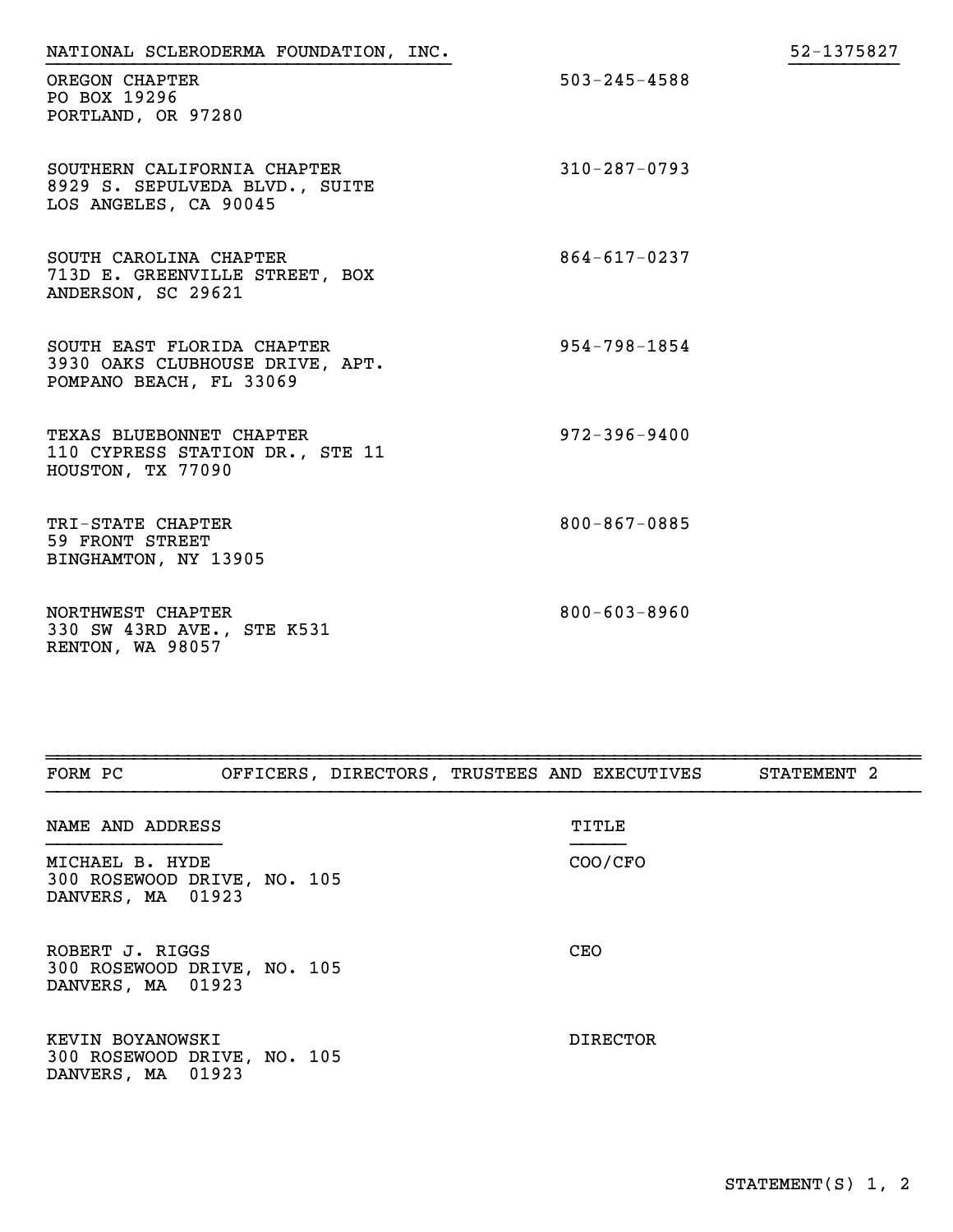| NATIONAL SCLERODERMA FOUNDATION, INC.                                                    |                    | 52-1375827 |
|------------------------------------------------------------------------------------------|--------------------|------------|
| OREGON CHAPTER<br>PO BOX 19296<br>PORTLAND, OR 97280                                     | $503 - 245 - 4588$ |            |
| SOUTHERN CALIFORNIA CHAPTER<br>8929 S. SEPULVEDA BLVD., SUITE<br>LOS ANGELES, CA 90045   | $310 - 287 - 0793$ |            |
| SOUTH CAROLINA CHAPTER<br>713D E. GREENVILLE STREET, BOX<br>ANDERSON, SC 29621           | $864 - 617 - 0237$ |            |
| SOUTH EAST FLORIDA CHAPTER<br>3930 OAKS CLUBHOUSE DRIVE, APT.<br>POMPANO BEACH, FL 33069 | $954 - 798 - 1854$ |            |
| TEXAS BLUEBONNET CHAPTER<br>110 CYPRESS STATION DR., STE 11<br>HOUSTON, TX 77090         | $972 - 396 - 9400$ |            |
| TRI-STATE CHAPTER<br>59 FRONT STREET<br>BINGHAMTON, NY 13905                             | $800 - 867 - 0885$ |            |
| NORTHWEST CHAPTER<br>330 SW 43RD AVE., STE K531<br>RENTON, WA 98057                      | $800 - 603 - 8960$ |            |

| FORM PC                                                              | OFFICERS, DIRECTORS, TRUSTEES AND EXECUTIVES | STATEMENT 2 |
|----------------------------------------------------------------------|----------------------------------------------|-------------|
| NAME AND ADDRESS                                                     | TITLE                                        |             |
| MICHAEL B. HYDE<br>300 ROSEWOOD DRIVE, NO. 105<br>DANVERS, MA 01923  | COO/CFO                                      |             |
| ROBERT J. RIGGS<br>300 ROSEWOOD DRIVE, NO. 105<br>DANVERS, MA 01923  | <b>CEO</b>                                   |             |
| KEVIN BOYANOWSKI<br>300 ROSEWOOD DRIVE, NO. 105<br>DANVERS, MA 01923 | DIRECTOR                                     |             |

~~~~~~~~~~~~~~~~~~~~~~~~~~~~~~~~~~~~~~~~~~~~~~~~~~~~~~~~~~~~~~~~~~~~~~~~~~~~~~~~

52-1375827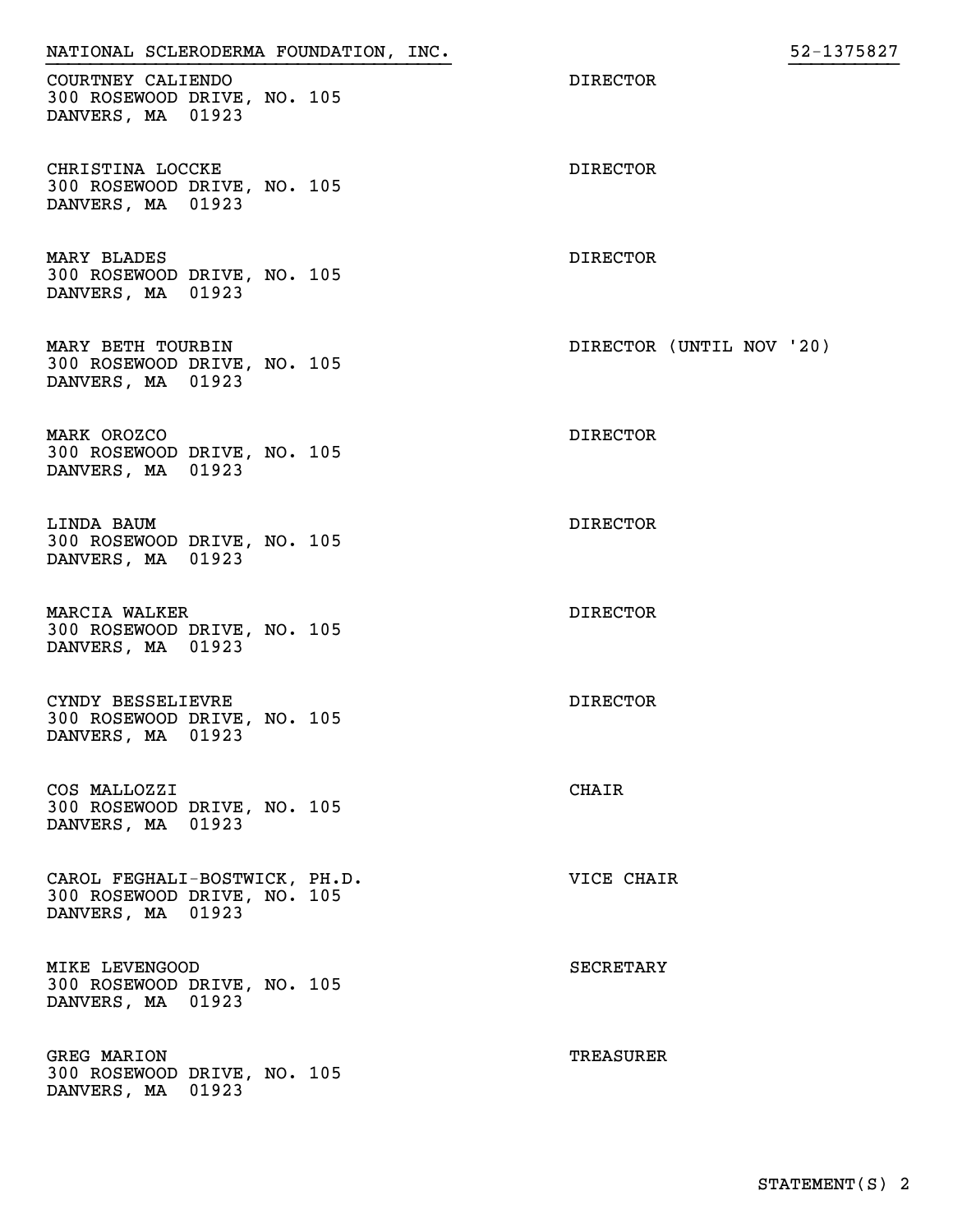| NATIONAL SCLERODERMA FOUNDATION, INC.                                             |                          | 52-1375827 |
|-----------------------------------------------------------------------------------|--------------------------|------------|
| COURTNEY CALIENDO<br>300 ROSEWOOD DRIVE, NO. 105<br>DANVERS, MA 01923             | <b>DIRECTOR</b>          |            |
| CHRISTINA LOCCKE<br>300 ROSEWOOD DRIVE, NO. 105<br>DANVERS, MA 01923              | <b>DIRECTOR</b>          |            |
| MARY BLADES<br>300 ROSEWOOD DRIVE, NO. 105<br>DANVERS, MA 01923                   | <b>DIRECTOR</b>          |            |
| MARY BETH TOURBIN<br>300 ROSEWOOD DRIVE, NO. 105<br>DANVERS, MA 01923             | DIRECTOR (UNTIL NOV '20) |            |
| MARK OROZCO<br>300 ROSEWOOD DRIVE, NO. 105<br>DANVERS, MA 01923                   | <b>DIRECTOR</b>          |            |
| LINDA BAUM<br>300 ROSEWOOD DRIVE, NO. 105<br>DANVERS, MA 01923                    | <b>DIRECTOR</b>          |            |
| MARCIA WALKER<br>300 ROSEWOOD DRIVE, NO. 105<br>DANVERS, MA 01923                 | <b>DIRECTOR</b>          |            |
| CYNDY BESSELIEVRE<br>300 ROSEWOOD DRIVE, NO. 105<br>DANVERS, MA 01923             | <b>DIRECTOR</b>          |            |
| COS MALLOZZI<br>300 ROSEWOOD DRIVE, NO. 105<br>DANVERS, MA 01923                  | CHAIR                    |            |
| CAROL FEGHALI-BOSTWICK, PH.D.<br>300 ROSEWOOD DRIVE, NO. 105<br>DANVERS, MA 01923 | VICE CHAIR               |            |
| MIKE LEVENGOOD<br>300 ROSEWOOD DRIVE, NO. 105<br>DANVERS, MA 01923                | SECRETARY                |            |
| GREG MARION<br>300 ROSEWOOD DRIVE, NO. 105<br>DANVERS, MA 01923                   | TREASURER                |            |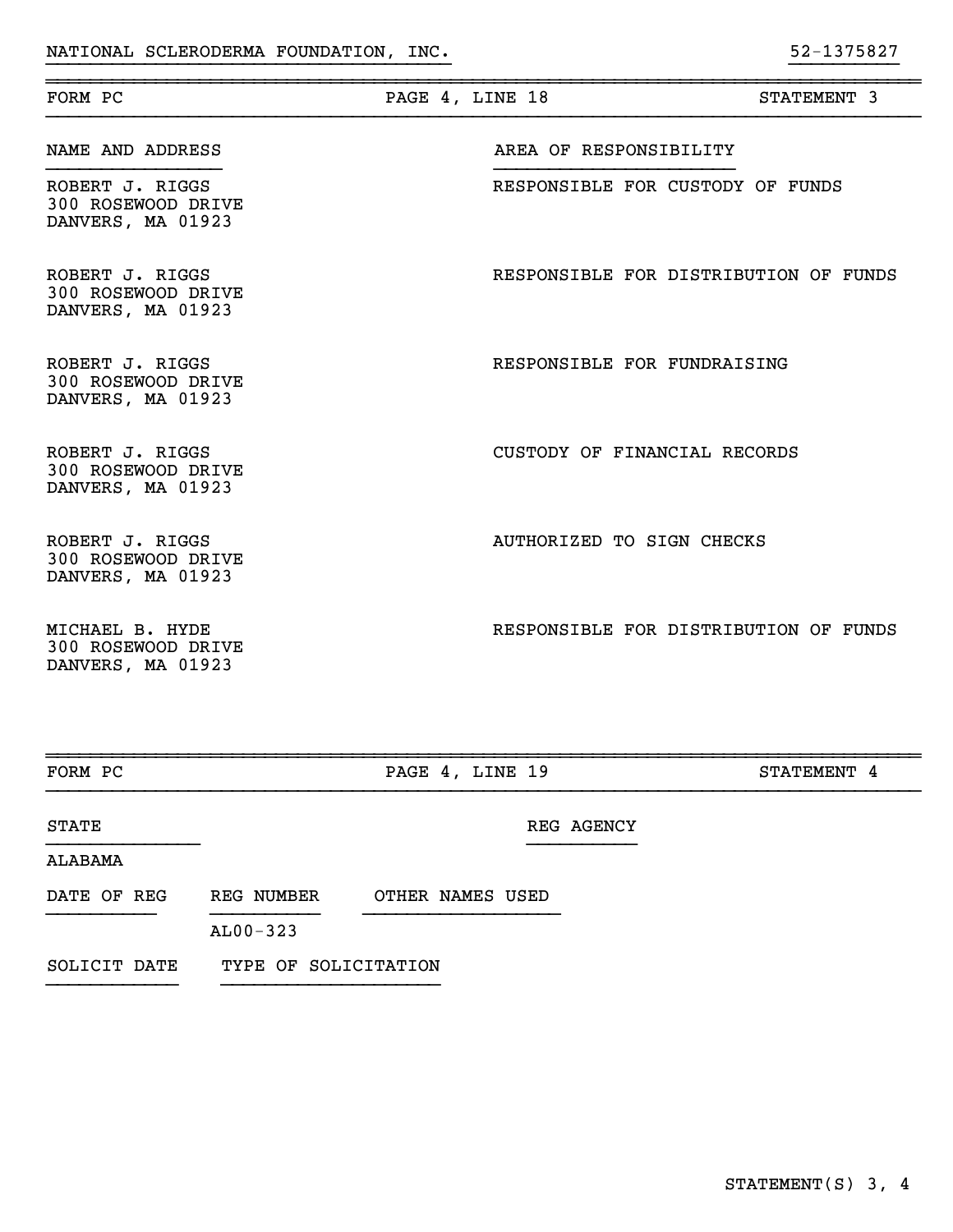| FORM PC                                                    | PAGE 4, LINE 18 |                                       | STATEMENT 3 |
|------------------------------------------------------------|-----------------|---------------------------------------|-------------|
| NAME AND ADDRESS                                           |                 | AREA OF RESPONSIBILITY                |             |
| ROBERT J. RIGGS<br>300 ROSEWOOD DRIVE<br>DANVERS, MA 01923 |                 | RESPONSIBLE FOR CUSTODY OF FUNDS      |             |
| ROBERT J. RIGGS<br>300 ROSEWOOD DRIVE<br>DANVERS, MA 01923 |                 | RESPONSIBLE FOR DISTRIBUTION OF FUNDS |             |
| ROBERT J. RIGGS<br>300 ROSEWOOD DRIVE<br>DANVERS, MA 01923 |                 | RESPONSIBLE FOR FUNDRAISING           |             |
| ROBERT J. RIGGS<br>300 ROSEWOOD DRIVE<br>DANVERS, MA 01923 |                 | CUSTODY OF FINANCIAL RECORDS          |             |
| ROBERT J. RIGGS<br>300 ROSEWOOD DRIVE<br>DANVERS, MA 01923 |                 | AUTHORIZED TO SIGN CHECKS             |             |
| MICHAEL B. HYDE<br>300 ROSEWOOD DRIVE<br>DANVERS, MA 01923 |                 | RESPONSIBLE FOR DISTRIBUTION OF FUNDS |             |

}}}}}}}}}}}}}}}}}}}}}}}}}}}}}}}}}}}}} }}}}}}}}}}

~~~~~~~~~~~~~~~~~~~~~~~~~~~~~~~~~~~~~~~~~~~~~~~~~~~~~~~~~~~~~~~~~~~~~~~~~~~~~~~~

| FORM PC      |                                 | PAGE 4, LINE 19  | STATEMENT 4 |
|--------------|---------------------------------|------------------|-------------|
| <b>STATE</b> |                                 | REG AGENCY       |             |
| ALABAMA      |                                 |                  |             |
| DATE OF REG  | <b>REG NUMBER</b><br>$AL00-323$ | OTHER NAMES USED |             |

~~~~~~~~~~~~~~~~~~~~~~~~~~~~~~~~~~~~~~~~~~~~~~~~~~~~~~~~~~~~~~~~~~~~~~~~~~~~~~~~

## SOLICIT DATE TYPE OF SOLICITATION }}}}}}}}}}}} }}}}}}}}}}}}}}}}}}}}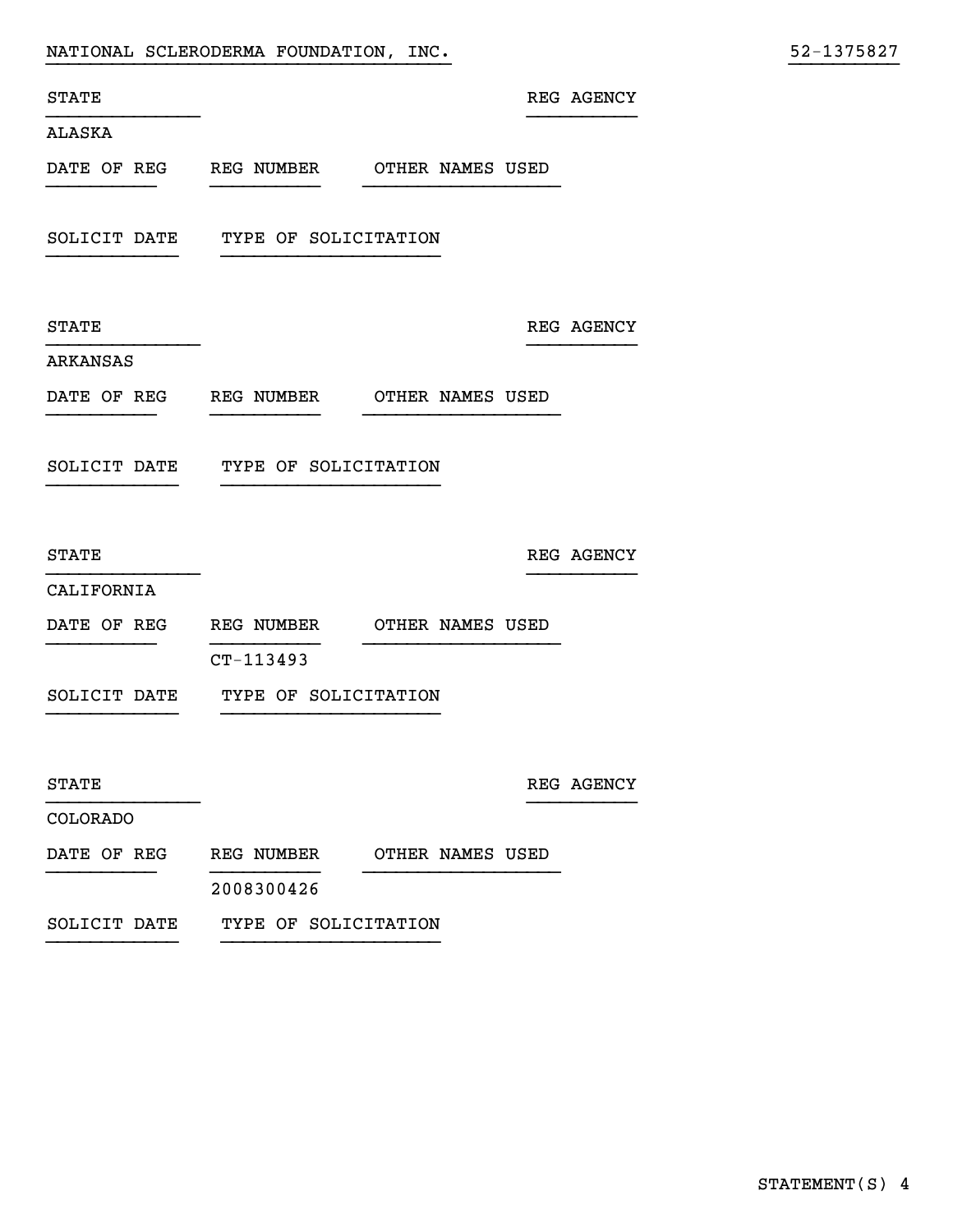|                        |                                                                                                                                                                              |                                                                                                                                                   | 52-1375827                                           |
|------------------------|------------------------------------------------------------------------------------------------------------------------------------------------------------------------------|---------------------------------------------------------------------------------------------------------------------------------------------------|------------------------------------------------------|
|                        |                                                                                                                                                                              |                                                                                                                                                   |                                                      |
|                        |                                                                                                                                                                              |                                                                                                                                                   |                                                      |
|                        |                                                                                                                                                                              |                                                                                                                                                   |                                                      |
|                        |                                                                                                                                                                              |                                                                                                                                                   |                                                      |
|                        |                                                                                                                                                                              |                                                                                                                                                   |                                                      |
|                        |                                                                                                                                                                              |                                                                                                                                                   |                                                      |
| DATE OF REG REG NUMBER |                                                                                                                                                                              |                                                                                                                                                   |                                                      |
|                        |                                                                                                                                                                              |                                                                                                                                                   |                                                      |
|                        |                                                                                                                                                                              |                                                                                                                                                   |                                                      |
|                        |                                                                                                                                                                              |                                                                                                                                                   |                                                      |
|                        |                                                                                                                                                                              |                                                                                                                                                   |                                                      |
| CT-113493              |                                                                                                                                                                              |                                                                                                                                                   |                                                      |
| SOLICIT DATE           |                                                                                                                                                                              |                                                                                                                                                   |                                                      |
|                        |                                                                                                                                                                              |                                                                                                                                                   |                                                      |
|                        |                                                                                                                                                                              |                                                                                                                                                   |                                                      |
|                        |                                                                                                                                                                              |                                                                                                                                                   |                                                      |
| 2008300426             |                                                                                                                                                                              |                                                                                                                                                   |                                                      |
|                        |                                                                                                                                                                              |                                                                                                                                                   |                                                      |
|                        | NATIONAL SCLERODERMA FOUNDATION, INC.<br>SOLICIT DATE TYPE OF SOLICITATION<br>SOLICIT DATE TYPE OF SOLICITATION<br>TYPE OF SOLICITATION<br>SOLICIT DATE TYPE OF SOLICITATION | DATE OF REG REG NUMBER OTHER NAMES USED<br>OTHER NAMES USED<br>DATE OF REG REG NUMBER OTHER NAMES USED<br>DATE OF REG REG NUMBER OTHER NAMES USED | REG AGENCY<br>REG AGENCY<br>REG AGENCY<br>REG AGENCY |

}}}}}}}}}}}} }}}}}}}}}}}}}}}}}}}}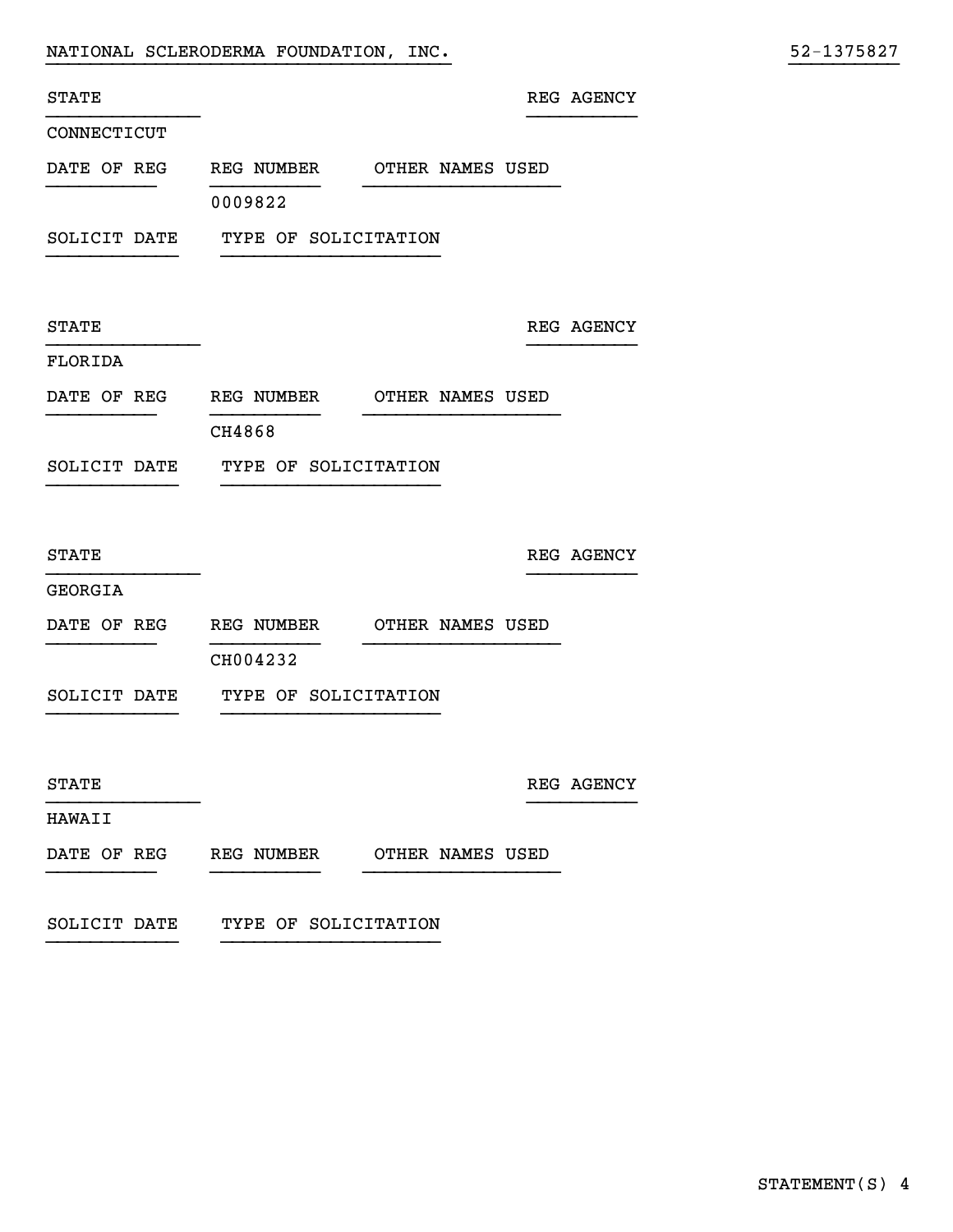| NATIONAL SCLERODERMA FOUNDATION, INC. |  |
|---------------------------------------|--|
|                                       |  |

| STATE         |                                         |                  | REG AGENCY |
|---------------|-----------------------------------------|------------------|------------|
| CONNECTICUT   |                                         |                  |            |
|               | DATE OF REG REG NUMBER OTHER NAMES USED |                  |            |
|               | 0009822                                 |                  |            |
|               | SOLICIT DATE TYPE OF SOLICITATION       |                  |            |
|               |                                         |                  |            |
| STATE         |                                         |                  | REG AGENCY |
| FLORIDA       |                                         |                  |            |
|               | DATE OF REG REG NUMBER OTHER NAMES USED |                  |            |
|               | CH4868                                  |                  |            |
| SOLICIT DATE  | TYPE OF SOLICITATION                    |                  |            |
|               |                                         |                  |            |
| STATE         |                                         |                  | REG AGENCY |
| GEORGIA       |                                         |                  |            |
|               | DATE OF REG REG NUMBER OTHER NAMES USED |                  |            |
|               | CH004232                                |                  |            |
|               | SOLICIT DATE TYPE OF SOLICITATION       |                  |            |
|               |                                         |                  |            |
| STATE         |                                         |                  | REG AGENCY |
| <b>HAWAII</b> |                                         |                  |            |
|               | DATE OF REG REG NUMBER                  | OTHER NAMES USED |            |

}}}}}}}}}}}}}}}}}}}}}}}}}}}}}}}}}}}}} }}}}}}}}}}

SOLICIT DATE TYPE OF SOLICITATION }}}}}}}}}}}} }}}}}}}}}}}}}}}}}}}}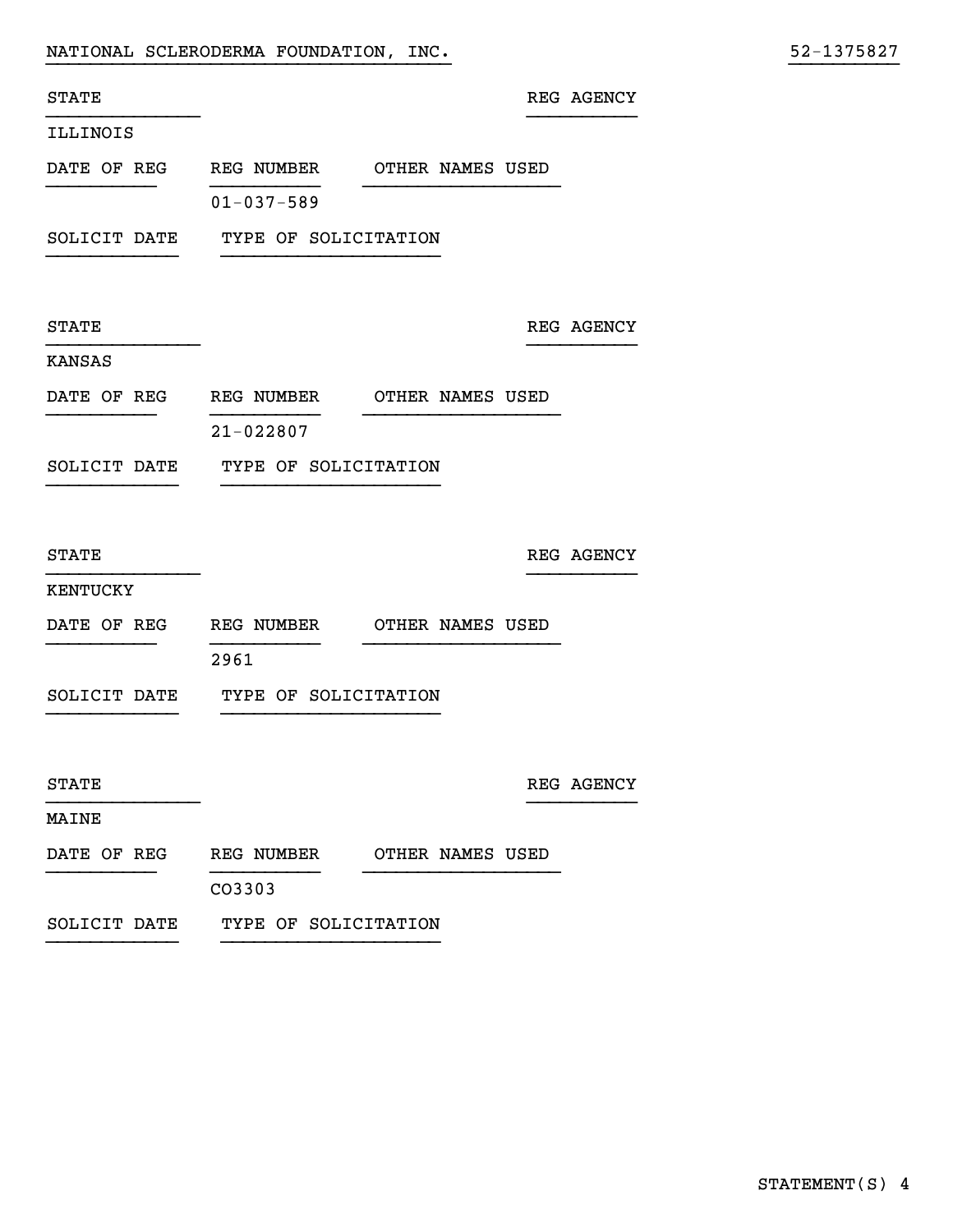|  |  | NATIONAL SCLERODERMA FOUNDATION, |  | INC. |
|--|--|----------------------------------|--|------|
|--|--|----------------------------------|--|------|

| <b>STATE</b> |                                         |                  | REG AGENCY |
|--------------|-----------------------------------------|------------------|------------|
| ILLINOIS     |                                         |                  |            |
|              | DATE OF REG REG NUMBER OTHER NAMES USED |                  |            |
|              | $01 - 037 - 589$                        |                  |            |
|              | SOLICIT DATE TYPE OF SOLICITATION       |                  |            |
| <b>STATE</b> |                                         |                  | REG AGENCY |
| KANSAS       |                                         |                  |            |
|              | DATE OF REG REG NUMBER OTHER NAMES USED |                  |            |
|              | $21 - 022807$                           |                  |            |
|              | SOLICIT DATE TYPE OF SOLICITATION       |                  |            |
|              |                                         |                  |            |
| <b>STATE</b> |                                         |                  | REG AGENCY |
| KENTUCKY     |                                         |                  |            |
|              | DATE OF REG REG NUMBER OTHER NAMES USED |                  |            |
|              | 2961                                    |                  |            |
|              | SOLICIT DATE TYPE OF SOLICITATION       |                  |            |
|              |                                         |                  |            |
| <b>STATE</b> |                                         |                  | REG AGENCY |
| MAINE        |                                         |                  |            |
| DATE OF REG  | <b>REG NUMBER</b>                       | OTHER NAMES USED |            |
|              | CO3303                                  |                  |            |

}}}}}}}}}}}}}}}}}}}}}}}}}}}}}}}}}}}}} }}}}}}}}}}

SOLICIT DATE TYPE OF SOLICITATION

}}}}}}}}}}}} }}}}}}}}}}}}}}}}}}}}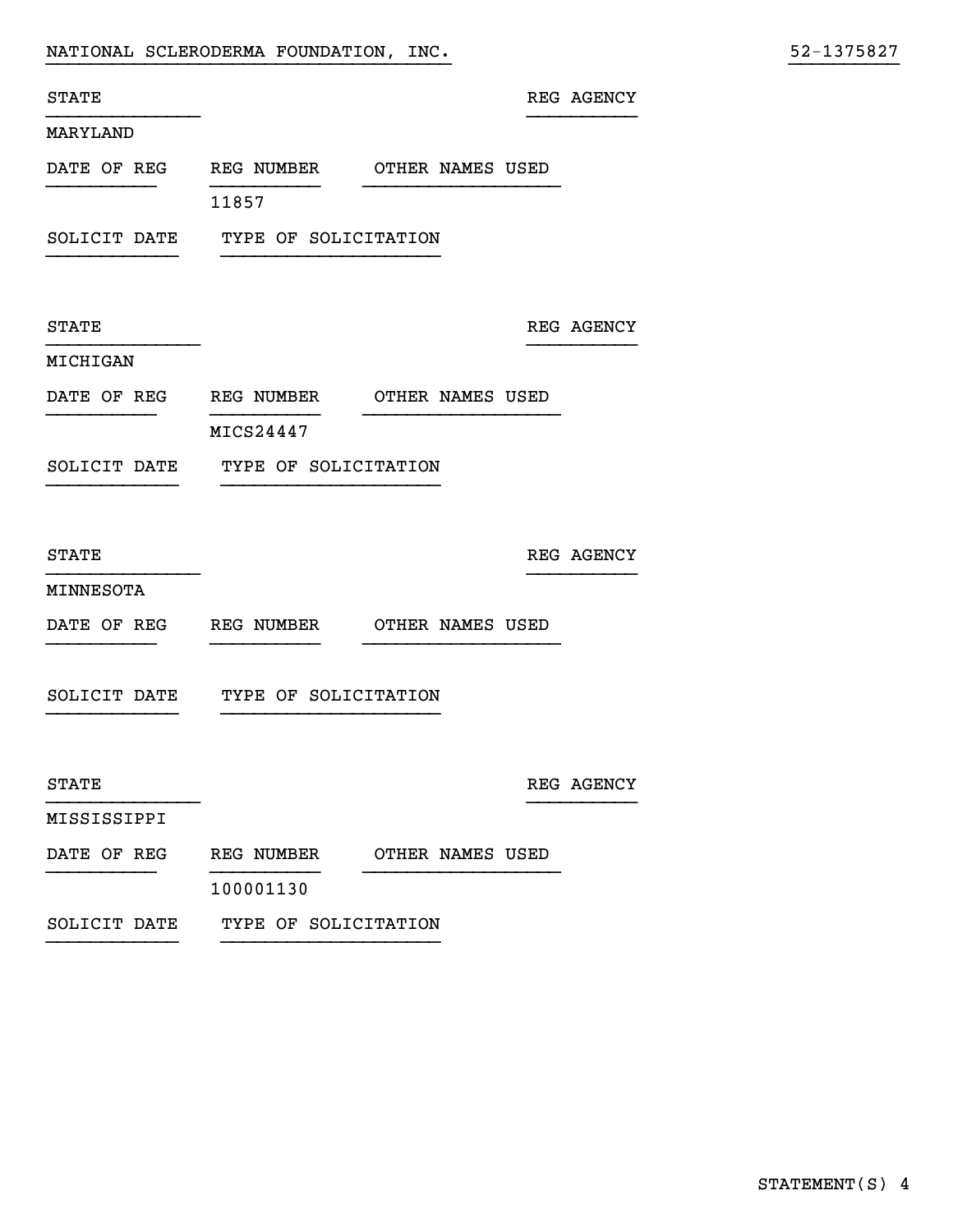|                           |           |            |                                                                                                                                                    |                                                                                                                |                                                      | 52-1375827 |
|---------------------------|-----------|------------|----------------------------------------------------------------------------------------------------------------------------------------------------|----------------------------------------------------------------------------------------------------------------|------------------------------------------------------|------------|
|                           |           |            |                                                                                                                                                    |                                                                                                                |                                                      |            |
|                           |           |            |                                                                                                                                                    |                                                                                                                |                                                      |            |
|                           |           |            |                                                                                                                                                    |                                                                                                                |                                                      |            |
| 11857                     |           |            |                                                                                                                                                    |                                                                                                                |                                                      |            |
|                           |           |            |                                                                                                                                                    |                                                                                                                |                                                      |            |
|                           |           |            |                                                                                                                                                    |                                                                                                                |                                                      |            |
|                           |           |            |                                                                                                                                                    |                                                                                                                |                                                      |            |
|                           |           |            |                                                                                                                                                    |                                                                                                                |                                                      |            |
| MICS24447                 |           |            |                                                                                                                                                    |                                                                                                                |                                                      |            |
|                           |           |            |                                                                                                                                                    |                                                                                                                |                                                      |            |
|                           |           |            |                                                                                                                                                    |                                                                                                                |                                                      |            |
|                           |           |            |                                                                                                                                                    |                                                                                                                |                                                      |            |
|                           |           |            |                                                                                                                                                    |                                                                                                                |                                                      |            |
| DATE OF REG<br>REG NUMBER |           |            |                                                                                                                                                    |                                                                                                                |                                                      |            |
|                           |           |            |                                                                                                                                                    |                                                                                                                |                                                      |            |
|                           |           |            |                                                                                                                                                    |                                                                                                                |                                                      |            |
|                           |           |            |                                                                                                                                                    |                                                                                                                |                                                      |            |
|                           |           |            |                                                                                                                                                    |                                                                                                                |                                                      |            |
|                           |           |            |                                                                                                                                                    |                                                                                                                |                                                      |            |
|                           |           |            |                                                                                                                                                    |                                                                                                                |                                                      |            |
|                           |           |            |                                                                                                                                                    |                                                                                                                |                                                      |            |
|                           | 100001130 | REG NUMBER | NATIONAL SCLERODERMA FOUNDATION, INC.<br>SOLICIT DATE TYPE OF SOLICITATION<br>TYPE OF SOLICITATION<br>TYPE OF SOLICITATION<br>TYPE OF SOLICITATION | DATE OF REG REG NUMBER OTHER NAMES USED<br>REG NUMBER OTHER NAMES USED<br>OTHER NAMES USED<br>OTHER NAMES USED | REG AGENCY<br>REG AGENCY<br>REG AGENCY<br>REG AGENCY |            |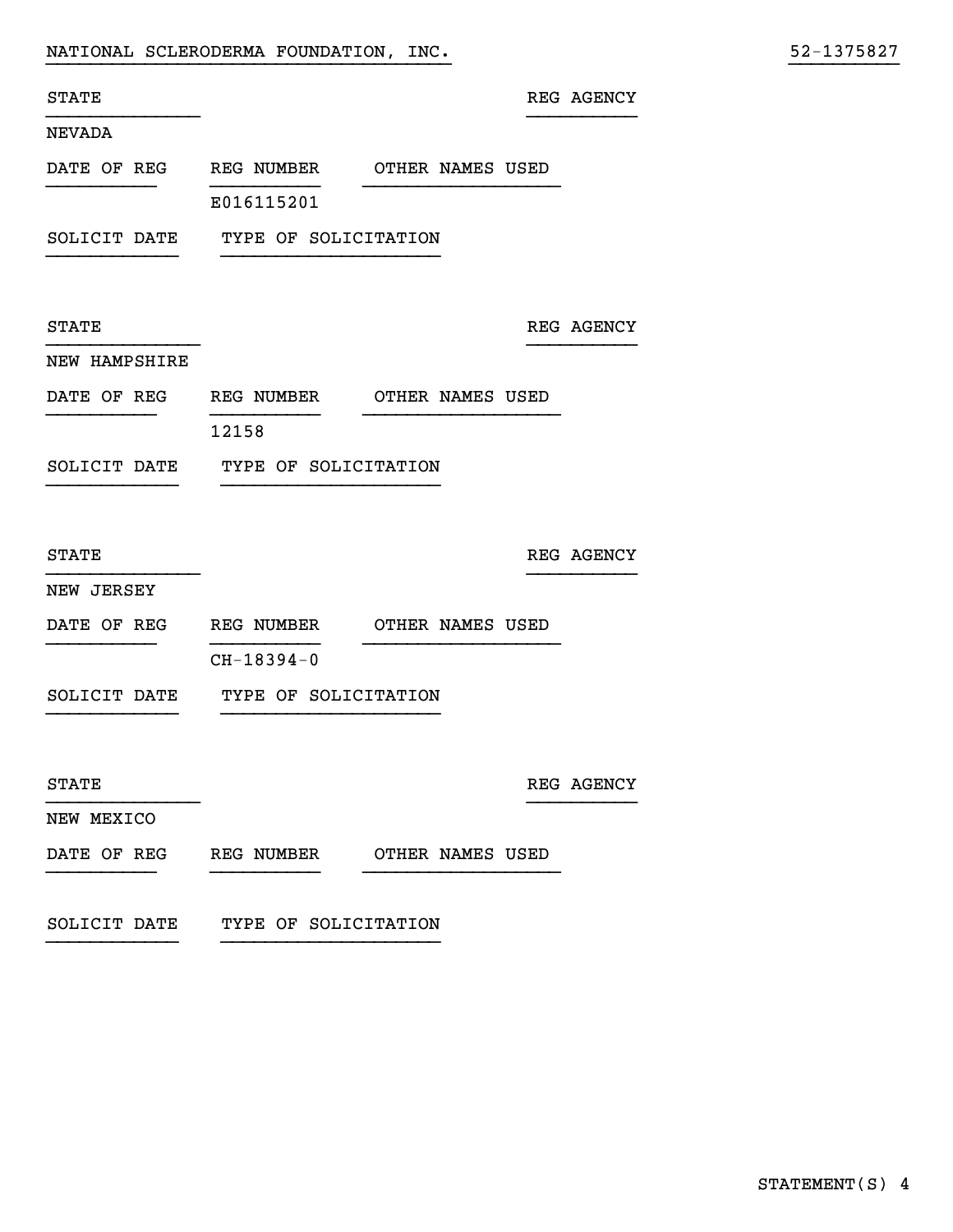STATE REG AGENCY

}}}}}}}}}}}}}}}}}}}}}}}}}}}}}}}}}}}}} }}}}}}}}}}

### NEVADA

DATE OF REG REG NUMBER OTHER NAMES USED }}}}}}}}}} }}}}}}}}}} }}}}}}}}}}}}}}}}}} E016115201

}}}}}}}}}}}}}} }}}}}}}}}}

}}}}}}}}}}}}}} }}}}}}}}}}

}}}}}}}}}}}}}} }}}}}}}}}}

}}}}}}}}}}}}}} }}}}}}}}}}

SOLICIT DATE TYPE OF SOLICITATION }}}}}}}}}}}} }}}}}}}}}}}}}}}}}}}}

STATE REG AGENCY

### NEW HAMPSHIRE

| DATE OF REG | REG NUMBER | OTHER NAMES USED |
|-------------|------------|------------------|
|             |            |                  |

12158

SOLICIT DATE TYPE OF SOLICITATION }}}}}}}}}}}} }}}}}}}}}}}}}}}}}}}}

STATE REG AGENCY

### NEW JERSEY

- DATE OF REG REG NUMBER OTHER NAMES USED }}}}}}}}}} }}}}}}}}}} }}}}}}}}}}}}}}}}}} CH-18394-0
- SOLICIT DATE TYPE OF SOLICITATION }}}}}}}}}}}} }}}}}}}}}}}}}}}}}}}}

 ${\tt STATE}$  REG AGENCY

NEW MEXICO

- DATE OF REG REG NUMBER OTHER NAMES USED }}}}}}}}}} }}}}}}}}}} }}}}}}}}}}}}}}}}}}
- SOLICIT DATE TYPE OF SOLICITATION }}}}}}}}}}}} }}}}}}}}}}}}}}}}}}}}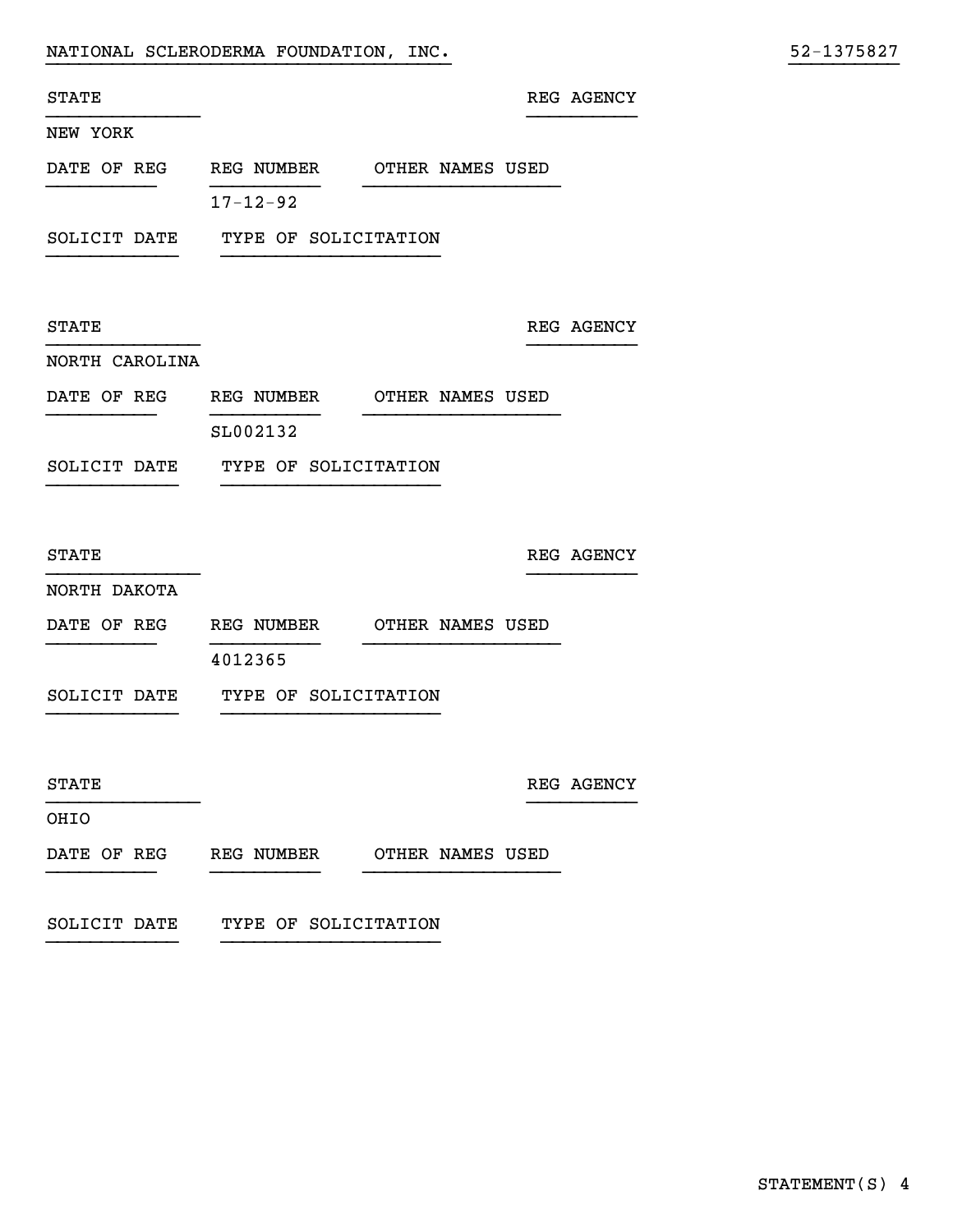STATE STATE SERVICES AND REG. ASSESSMENT REG. ASSESSMENT REG. ASSESSMENT REG. ASSESSMENT REG. ASSESSMENT REG. ASSESSMENT REG. ASSESSMENT REG. ASSESSMENT REG. ASSESSMENT REG. ASSESSMENT REG. ASSESSMENT REG. ASSESSMENT REG.

}}}}}}}}}}}}}}}}}}}}}}}}}}}}}}}}}}}}} }}}}}}}}}}

#### NEW YORK

DATE OF REG REG NUMBER OTHER NAMES USED }}}}}}}}}} }}}}}}}}}} }}}}}}}}}}}}}}}}}} 17-12-92

}}}}}}}}}}}}}} }}}}}}}}}}

}}}}}}}}}}}}}} }}}}}}}}}}

}}}}}}}}}}}}}} }}}}}}}}}}

}}}}}}}}}}}}}} }}}}}}}}}}

SOLICIT DATE TYPE OF SOLICITATION }}}}}}}}}}}} }}}}}}}}}}}}}}}}}}}}

STATE REG AGENCY

### NORTH CAROLINA

DATE OF REG REG NUMBER OTHER NAMES USED }}}}}}}}}} }}}}}}}}}} }}}}}}}}}}}}}}}}}}

SL002132

SOLICIT DATE TYPE OF SOLICITATION }}}}}}}}}}}} }}}}}}}}}}}}}}}}}}}}

STATE REG AGENCY

#### NORTH DAKOTA

DATE OF REG REG NUMBER OTHER NAMES USED }}}}}}}}}} }}}}}}}}}} }}}}}}}}}}}}}}}}}}

4012365

SOLICIT DATE TYPE OF SOLICITATION }}}}}}}}}}}} }}}}}}}}}}}}}}}}}}}}

STATE REG AGENCY

OHIO

## DATE OF REG REG NUMBER OTHER NAMES USED

}}}}}}}}}} }}}}}}}}}} }}}}}}}}}}}}}}}}}}

SOLICIT DATE TYPE OF SOLICITATION }}}}}}}}}}}} }}}}}}}}}}}}}}}}}}}}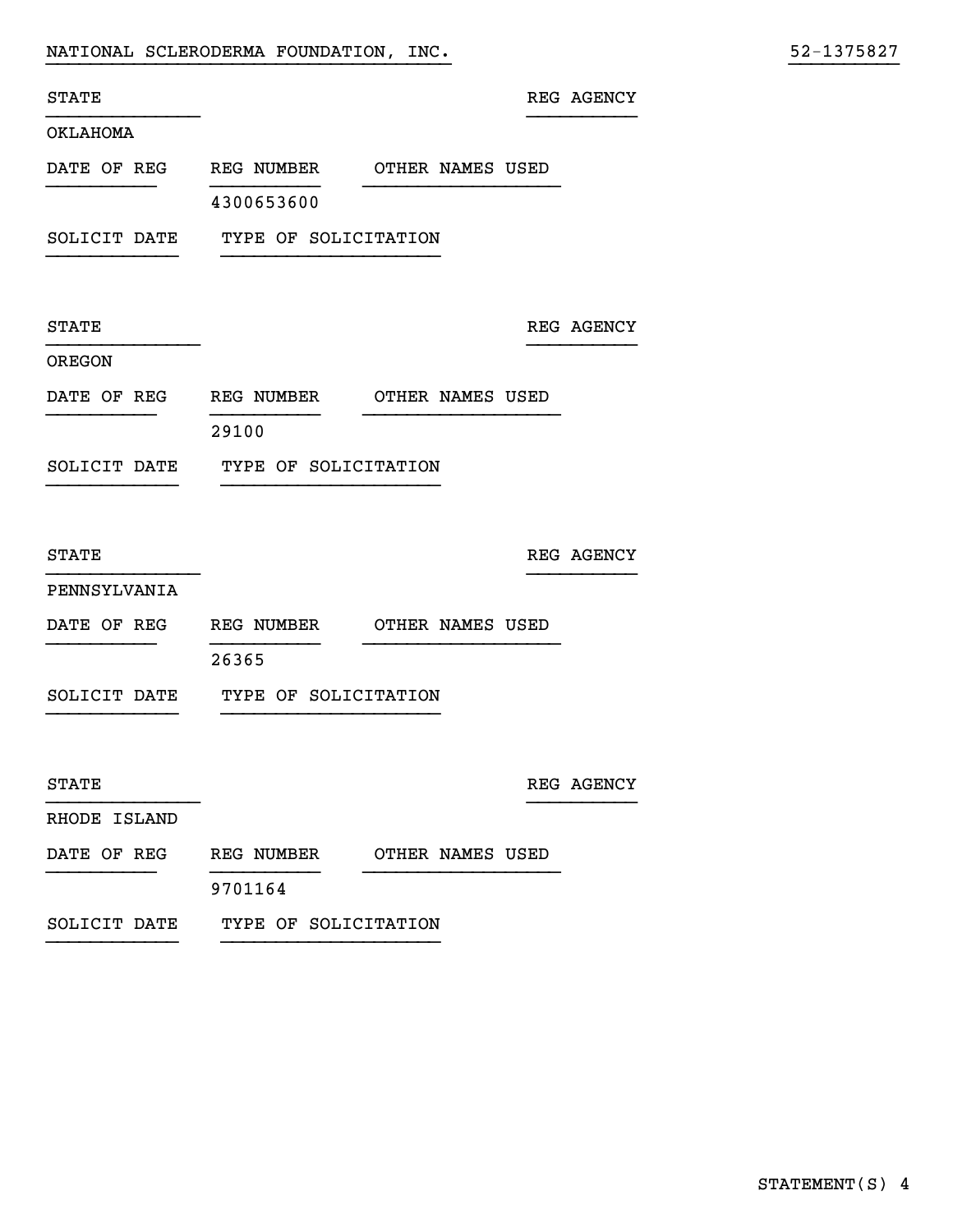|  | NATIONAL SCLERODERMA FOUNDATION, INC. |  |  |  | 52-1375827 |  |  |  |  |  |
|--|---------------------------------------|--|--|--|------------|--|--|--|--|--|
|--|---------------------------------------|--|--|--|------------|--|--|--|--|--|

| 52-1375827 |
|------------|
|------------|

| STATE                  |                                         |                  |                  | REG AGENCY |
|------------------------|-----------------------------------------|------------------|------------------|------------|
| OKLAHOMA               |                                         |                  |                  |            |
|                        | DATE OF REG REG NUMBER OTHER NAMES USED |                  |                  |            |
|                        | 4300653600                              |                  |                  |            |
|                        | SOLICIT DATE TYPE OF SOLICITATION       |                  |                  |            |
|                        |                                         |                  |                  |            |
| <b>STATE</b>           |                                         |                  |                  | REG AGENCY |
| <b>OREGON</b>          |                                         |                  |                  |            |
| DATE OF REG REG NUMBER |                                         | OTHER NAMES USED |                  |            |
|                        | 29100                                   |                  |                  |            |
|                        | SOLICIT DATE TYPE OF SOLICITATION       |                  |                  |            |
|                        |                                         |                  |                  |            |
| <b>STATE</b>           |                                         |                  |                  | REG AGENCY |
| PENNSYLVANIA           |                                         |                  |                  |            |
| DATE OF REG            | REG NUMBER                              | OTHER NAMES USED |                  |            |
|                        | 26365                                   |                  |                  |            |
| SOLICIT DATE           | TYPE OF SOLICITATION                    |                  |                  |            |
|                        |                                         |                  |                  |            |
| <b>STATE</b>           |                                         |                  |                  | REG AGENCY |
| RHODE ISLAND           |                                         |                  |                  |            |
| DATE OF REG            | REG NUMBER                              |                  | OTHER NAMES USED |            |
|                        | 9701164                                 |                  |                  |            |

SOLICIT DATE TYPE OF SOLICITATION }}}}}}}}}}}} }}}}}}}}}}}}}}}}}}}}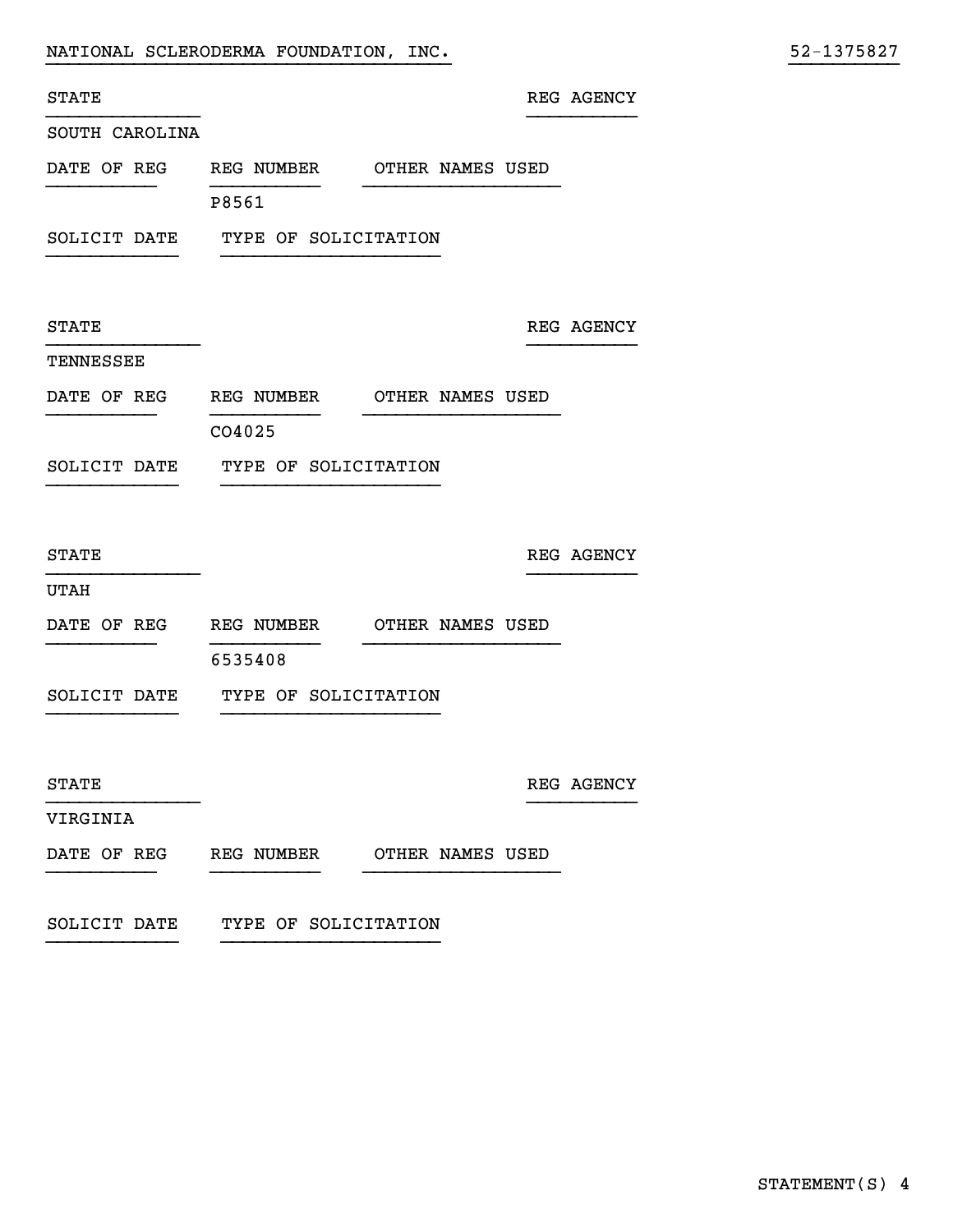|  | NATIONAL SCLERODERMA FOUNDATION, |  | $\_$ INC . $\_$ |  | 52-1375827 |  |  |  |  |  |
|--|----------------------------------|--|-----------------|--|------------|--|--|--|--|--|
|--|----------------------------------|--|-----------------|--|------------|--|--|--|--|--|

| 52-1375827 |  |  |  |  |
|------------|--|--|--|--|
|            |  |  |  |  |

| <b>STATE</b>                            |                                   |                  |                  | REG AGENCY |
|-----------------------------------------|-----------------------------------|------------------|------------------|------------|
| SOUTH CAROLINA                          |                                   |                  |                  |            |
| DATE OF REG REG NUMBER OTHER NAMES USED |                                   |                  |                  |            |
|                                         | P8561                             |                  |                  |            |
|                                         | SOLICIT DATE TYPE OF SOLICITATION |                  |                  |            |
|                                         |                                   |                  |                  |            |
| <b>STATE</b>                            |                                   |                  |                  | REG AGENCY |
| TENNESSEE                               |                                   |                  |                  |            |
| DATE OF REG REG NUMBER                  |                                   | OTHER NAMES USED |                  |            |
|                                         | CO4025                            |                  |                  |            |
|                                         | SOLICIT DATE TYPE OF SOLICITATION |                  |                  |            |
|                                         |                                   |                  |                  |            |
| <b>STATE</b>                            |                                   |                  |                  | REG AGENCY |
| <b>UTAH</b>                             |                                   |                  |                  |            |
| DATE OF REG REG NUMBER OTHER NAMES USED |                                   |                  |                  |            |
|                                         | 6535408                           |                  |                  |            |
| SOLICIT DATE                            | TYPE OF SOLICITATION              |                  |                  |            |
|                                         |                                   |                  |                  |            |
| STATE                                   |                                   |                  |                  | REG AGENCY |
| VIRGINIA                                |                                   |                  |                  |            |
| DATE OF REG                             | REG NUMBER                        |                  | OTHER NAMES USED |            |
|                                         |                                   |                  |                  |            |

SOLICIT DATE TYPE OF SOLICITATION

}}}}}}}}}}}} }}}}}}}}}}}}}}}}}}}}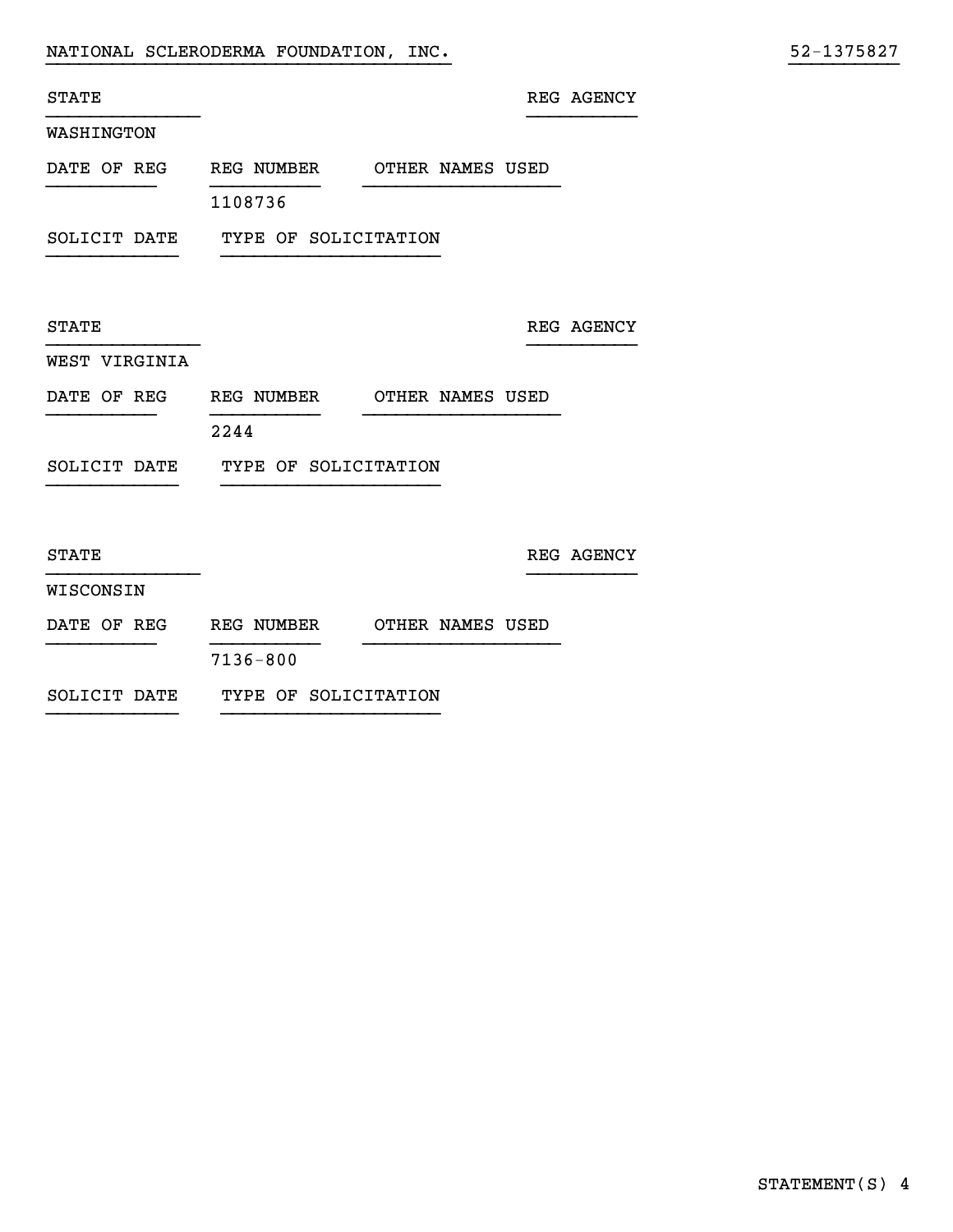STATE REG AGENCY

}}}}}}}}}}}}}}}}}}}}}}}}}}}}}}}}}}}}} }}}}}}}}}}

### WASHINGTON

| DATE OF REG |         | REG NUMBER |  | OTHER NAMES USED |  |
|-------------|---------|------------|--|------------------|--|
|             |         |            |  |                  |  |
|             | 1108736 |            |  |                  |  |

}}}}}}}}}}}}}} }}}}}}}}}}

}}}}}}}}}}}}}} }}}}}}}}}}

}}}}}}}}}}}}}} }}}}}}}}}}

SOLICIT DATE TYPE OF SOLICITATION }}}}}}}}}}}} }}}}}}}}}}}}}}}}}}}}

 ${\tt STATE}$  REG AGENCY

## WEST VIRGINIA

| DATE OF REG | REG NUMBER | OTHER NAMES USED |
|-------------|------------|------------------|
|             |            |                  |

2244

SOLICIT DATE TYPE OF SOLICITATION }}}}}}}}}}}} }}}}}}}}}}}}}}}}}}}}

 ${\tt STATE} \hspace{20mm} {\tt REG \hspace{10mm} AGENCY}$ 

### WISCONSIN

| DATE OF REG | REG NUMBER | OTHER NAMES USED |
|-------------|------------|------------------|
|             |            |                  |

7136-800

SOLICIT DATE TYPE OF SOLICITATION }}}}}}}}}}}} }}}}}}}}}}}}}}}}}}}}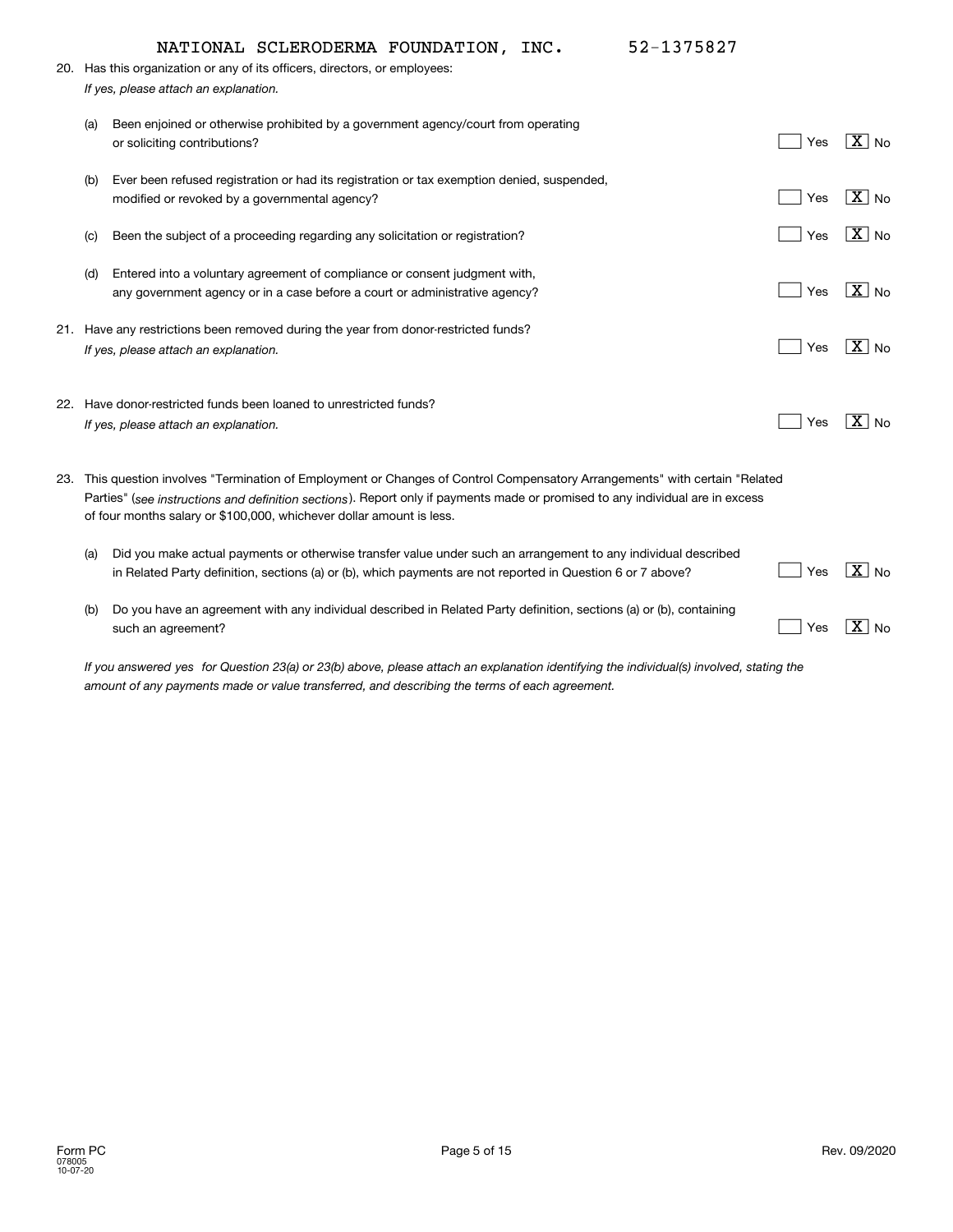|     | 52-1375827<br>NATIONAL SCLERODERMA FOUNDATION, INC.                                                                                                                                                                                                                                                                                   |     |                       |
|-----|---------------------------------------------------------------------------------------------------------------------------------------------------------------------------------------------------------------------------------------------------------------------------------------------------------------------------------------|-----|-----------------------|
|     | 20. Has this organization or any of its officers, directors, or employees:                                                                                                                                                                                                                                                            |     |                       |
|     | If yes, please attach an explanation.                                                                                                                                                                                                                                                                                                 |     |                       |
| (a) | Been enjoined or otherwise prohibited by a government agency/court from operating<br>or soliciting contributions?                                                                                                                                                                                                                     | Yes | $ \mathbf{X} $ No     |
| (b) | Ever been refused registration or had its registration or tax exemption denied, suspended,<br>modified or revoked by a governmental agency?                                                                                                                                                                                           | Yes | $\boxed{\text{X}}$ No |
| (C) | Been the subject of a proceeding regarding any solicitation or registration?                                                                                                                                                                                                                                                          | Yes | $ X $ No              |
| (d) | Entered into a voluntary agreement of compliance or consent judgment with,<br>any government agency or in a case before a court or administrative agency?                                                                                                                                                                             | Yes | $\boxed{\text{X}}$ No |
|     | 21. Have any restrictions been removed during the year from donor-restricted funds?<br>If yes, please attach an explanation.                                                                                                                                                                                                          | Yes | $ \mathbf{X} $ No     |
|     | 22. Have donor-restricted funds been loaned to unrestricted funds?<br>If yes, please attach an explanation.                                                                                                                                                                                                                           | Yes | $ X $ No              |
|     | 23. This question involves "Termination of Employment or Changes of Control Compensatory Arrangements" with certain "Related<br>Parties" (see instructions and definition sections). Report only if payments made or promised to any individual are in excess<br>of four months salary or \$100,000, whichever dollar amount is less. |     |                       |
| (a) | Did you make actual payments or otherwise transfer value under such an arrangement to any individual described<br>in Related Party definition, sections (a) or (b), which payments are not reported in Question 6 or 7 above?                                                                                                         | Yes | $X_{\text{No}}$       |
| (b) | Do you have an agreement with any individual described in Related Party definition, sections (a) or (b), containing<br>such an agreement?                                                                                                                                                                                             | Yes | $\boxed{\text{X}}$ No |

If you answered yes for Question 23(a) or 23(b) above, please attach an explanation identifying the individual(s) involved, stating the *amount of any payments made or value transferred, and describing the terms of each agreement.*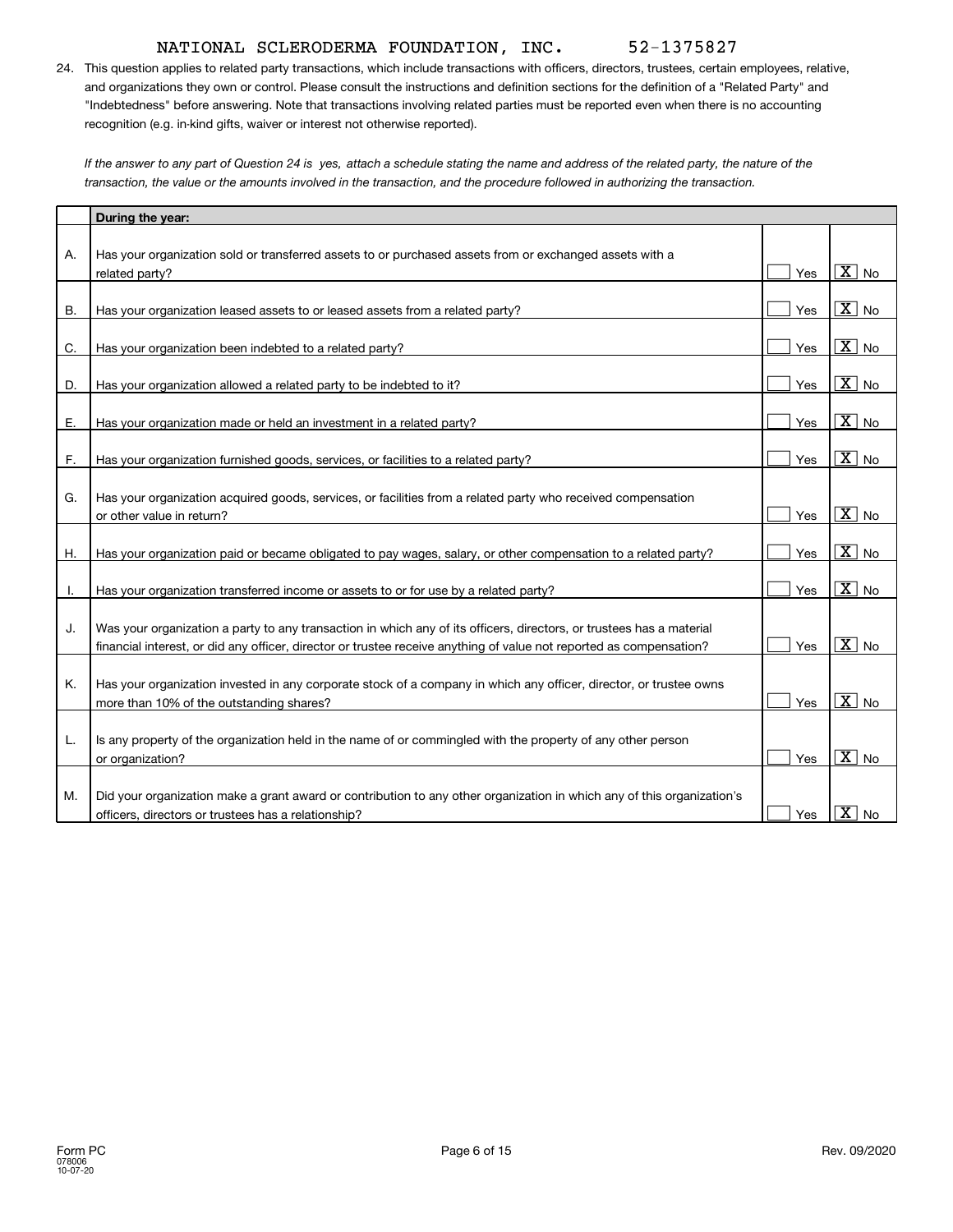24. This question applies to related party transactions, which include transactions with officers, directors, trustees, certain employees, relative, and organizations they own or control. Please consult the instructions and definition sections for the definition of a "Related Party" and "Indebtedness" before answering. Note that transactions involving related parties must be reported even when there is no accounting recognition (e.g. in-kind gifts, waiver or interest not otherwise reported).

If the answer to any part of Question 24 is yes, attach a schedule stating the name and address of the related party, the nature of the *transaction, the value or the amounts involved in the transaction, and the procedure followed in authorizing the transaction.*

|    | During the year:                                                                                                       |     |                                      |
|----|------------------------------------------------------------------------------------------------------------------------|-----|--------------------------------------|
|    |                                                                                                                        |     |                                      |
| Α. | Has your organization sold or transferred assets to or purchased assets from or exchanged assets with a                |     |                                      |
|    | related party?                                                                                                         | Yes | $\overline{\mathbf{x}}$<br>No        |
|    |                                                                                                                        |     |                                      |
| Β. | Has your organization leased assets to or leased assets from a related party?                                          | Yes | $\overline{\mathtt{x}}$<br><b>No</b> |
|    |                                                                                                                        | Yes | $\overline{X}$ No                    |
| C. | Has your organization been indebted to a related party?                                                                |     |                                      |
| D. | Has your organization allowed a related party to be indebted to it?                                                    | Yes | $\overline{\mathbf{x}}$<br><b>No</b> |
|    |                                                                                                                        |     |                                      |
| Е. | Has your organization made or held an investment in a related party?                                                   | Yes | $\overline{\mathbf{x}}$<br><b>No</b> |
|    |                                                                                                                        |     |                                      |
| F. | Has your organization furnished goods, services, or facilities to a related party?                                     | Yes | $\overline{\mathtt{x}}$<br><b>No</b> |
|    |                                                                                                                        |     |                                      |
| G. | Has your organization acquired goods, services, or facilities from a related party who received compensation           |     |                                      |
|    | or other value in return?                                                                                              | Yes | $\overline{\mathbf{x}}$<br>No        |
|    |                                                                                                                        |     | $\overline{X}$ No                    |
| Η. | Has your organization paid or became obligated to pay wages, salary, or other compensation to a related party?         | Yes |                                      |
| ۱. | Has your organization transferred income or assets to or for use by a related party?                                   | Yes | $\overline{\mathtt{x}}$<br><b>No</b> |
|    |                                                                                                                        |     |                                      |
| J. | Was your organization a party to any transaction in which any of its officers, directors, or trustees has a material   |     |                                      |
|    | financial interest, or did any officer, director or trustee receive anything of value not reported as compensation?    | Yes | $\overline{\mathbf{x}}$<br><b>No</b> |
|    |                                                                                                                        |     |                                      |
| Κ. | Has your organization invested in any corporate stock of a company in which any officer, director, or trustee owns     |     |                                      |
|    | more than 10% of the outstanding shares?                                                                               | Yes | $\overline{X}$ No                    |
|    |                                                                                                                        |     |                                      |
| L. | Is any property of the organization held in the name of or commingled with the property of any other person            |     |                                      |
|    | or organization?                                                                                                       | Yes | $\overline{X}$ No                    |
|    |                                                                                                                        |     |                                      |
| М. | Did your organization make a grant award or contribution to any other organization in which any of this organization's |     |                                      |
|    | officers, directors or trustees has a relationship?                                                                    | Yes | $\overline{\mathtt{x}}$<br><b>No</b> |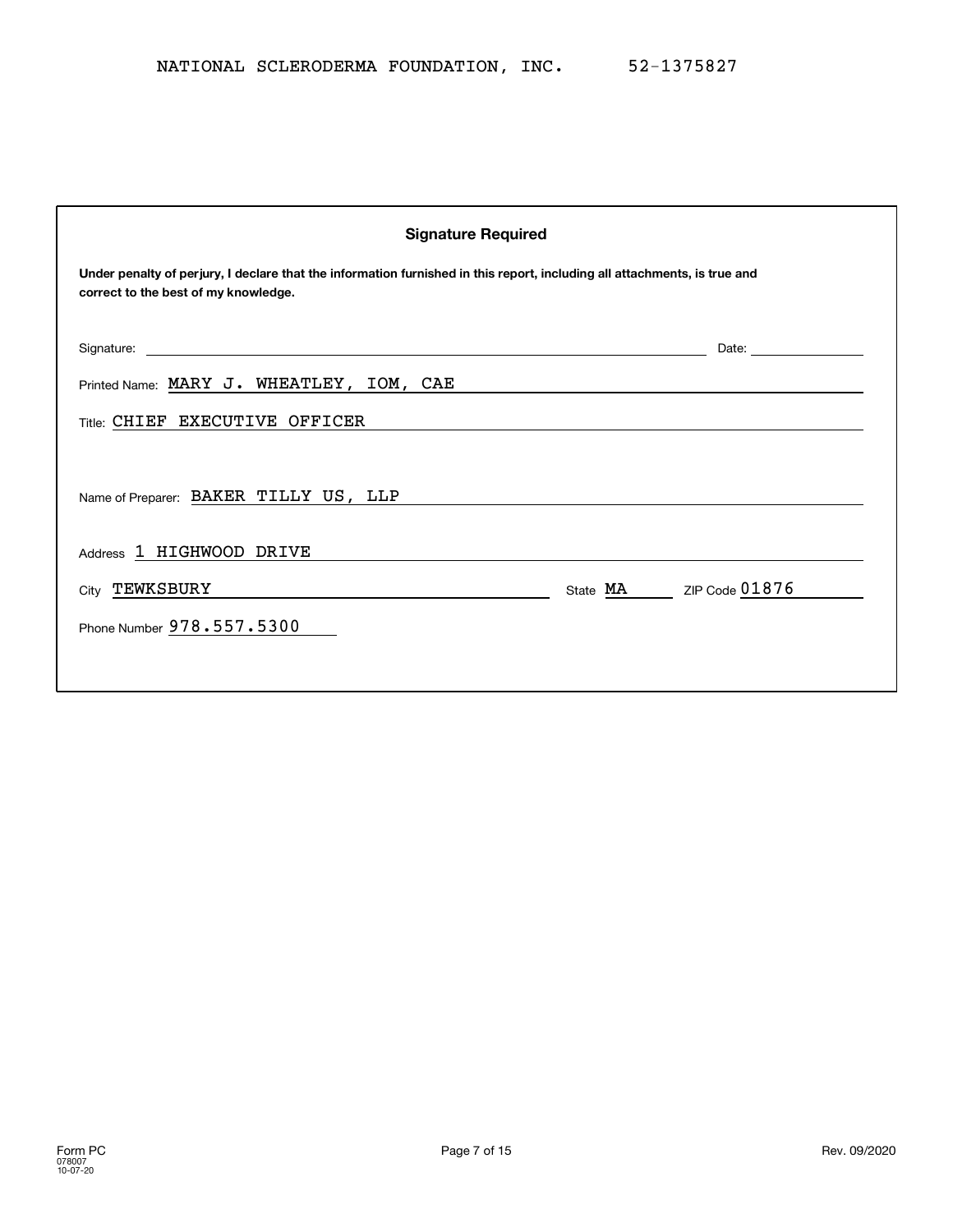| <b>Signature Required</b>                                                                                                                                         |                                                                                                                                                                                                                                |  |  |  |  |
|-------------------------------------------------------------------------------------------------------------------------------------------------------------------|--------------------------------------------------------------------------------------------------------------------------------------------------------------------------------------------------------------------------------|--|--|--|--|
| Under penalty of perjury, I declare that the information furnished in this report, including all attachments, is true and<br>correct to the best of my knowledge. |                                                                                                                                                                                                                                |  |  |  |  |
| Signature:<br><u> 1999 - Johann John Stone, meilich aus der Stone (* 1950)</u>                                                                                    | Date: the contract of the contract of the contract of the contract of the contract of the contract of the contract of the contract of the contract of the contract of the contract of the contract of the contract of the cont |  |  |  |  |
| Printed Name: MARY J. WHEATLEY, IOM, CAE<br><u> 1999 - Johann Stein, marwolaethau a bhann an t-Amhain ann an t-Amhain an t-Amhain an t-Amhain an t-Amhain an </u> |                                                                                                                                                                                                                                |  |  |  |  |
| Title: CHIEF EXECUTIVE OFFICER                                                                                                                                    |                                                                                                                                                                                                                                |  |  |  |  |
| Name of Preparer: BAKER TILLY US, LLP                                                                                                                             |                                                                                                                                                                                                                                |  |  |  |  |
| Address 1 HIGHWOOD DRIVE                                                                                                                                          |                                                                                                                                                                                                                                |  |  |  |  |
| State MA ZIP Code 01876<br>City TEWKSBURY                                                                                                                         |                                                                                                                                                                                                                                |  |  |  |  |
| Phone Number 978.557.5300                                                                                                                                         |                                                                                                                                                                                                                                |  |  |  |  |
|                                                                                                                                                                   |                                                                                                                                                                                                                                |  |  |  |  |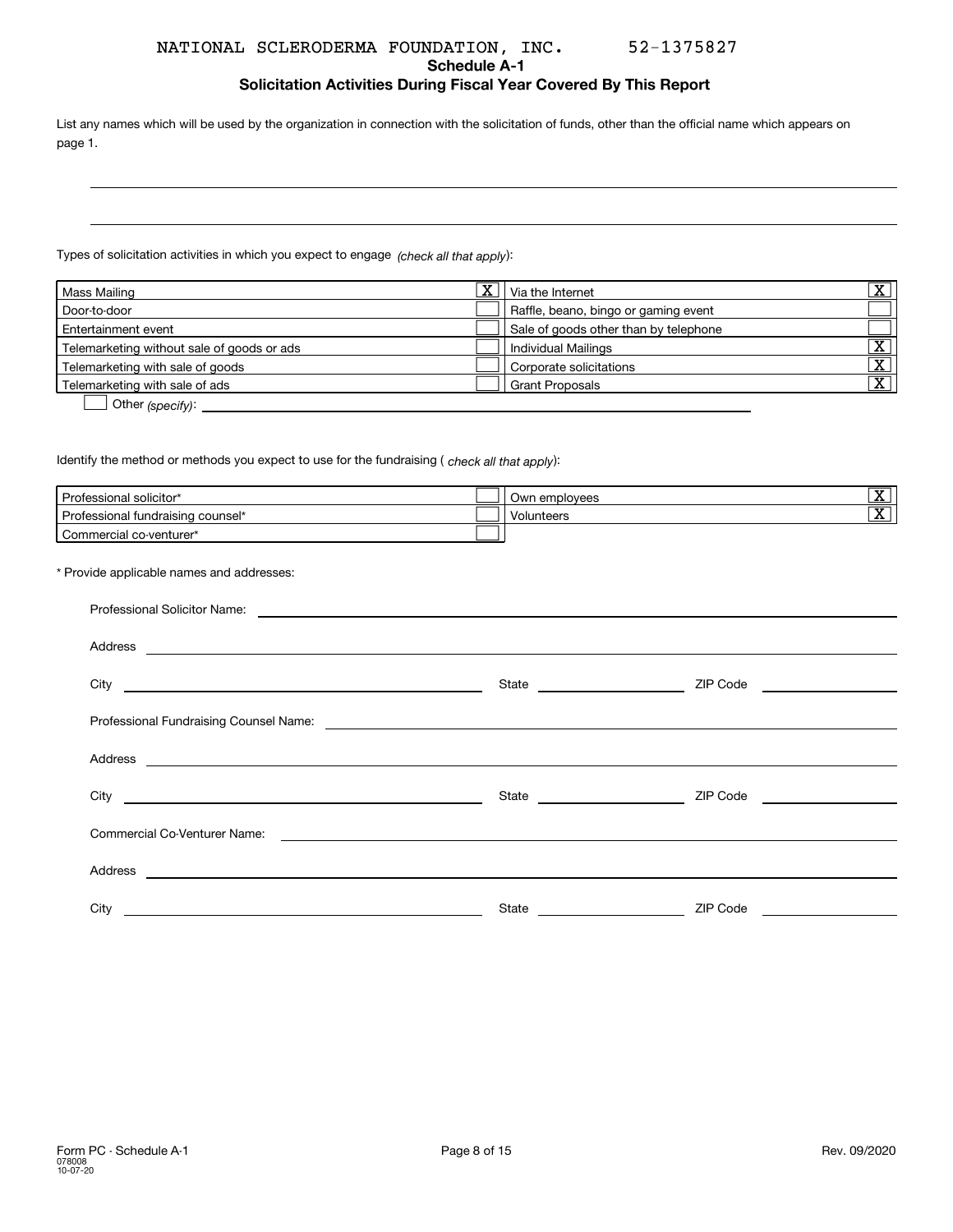### **Schedule A-1**

**Solicitation Activities During Fiscal Year Covered By This Report**

List any names which will be used by the organization in connection with the solicitation of funds, other than the official name which appears on page 1.

Types of solicitation activities in which you expect to engage *(check all that apply*):

| Mass Mailing                               | $\overline{\text{x}}$ | Via the Internet                      | $\overline{\mathbf{v}}$ |
|--------------------------------------------|-----------------------|---------------------------------------|-------------------------|
| Door-to-door                               |                       | Raffle, beano, bingo or gaming event  |                         |
| Entertainment event                        |                       | Sale of goods other than by telephone |                         |
| Telemarketing without sale of goods or ads |                       | Individual Mailings                   | ᠊ᢦᡔ                     |
| Telemarketing with sale of goods           |                       | Corporate solicitations               | $\overline{\mathbf{v}}$ |
| Telemarketing with sale of ads             |                       | <b>Grant Proposals</b>                | ᠊ᢦ                      |
| $\sim$                                     |                       |                                       |                         |

**D** Other (specify):

ldentify the method or methods you expect to use for the fundraising ( *check all that apply*):

| Professional solicitor*           | Own employees | रु<br>-41 |
|-----------------------------------|---------------|-----------|
| Professional fundraising counsel* | Volunteers    | रु<br>-43 |
| Commercial co-venturer*           |               |           |

### \* Provide applicable names and addresses:

| City <u>and the second second second second second second second second second second second second second second second second second second second second second second second second second second second second second secon</u> | State ________________________ | ZIP Code <u>____________________</u> |  |
|--------------------------------------------------------------------------------------------------------------------------------------------------------------------------------------------------------------------------------------|--------------------------------|--------------------------------------|--|
|                                                                                                                                                                                                                                      |                                |                                      |  |
|                                                                                                                                                                                                                                      |                                |                                      |  |
|                                                                                                                                                                                                                                      | State _______________________  | ZIP Code <u>____________________</u> |  |
|                                                                                                                                                                                                                                      |                                |                                      |  |
|                                                                                                                                                                                                                                      |                                |                                      |  |
| City                                                                                                                                                                                                                                 | State                          | ZIP Code                             |  |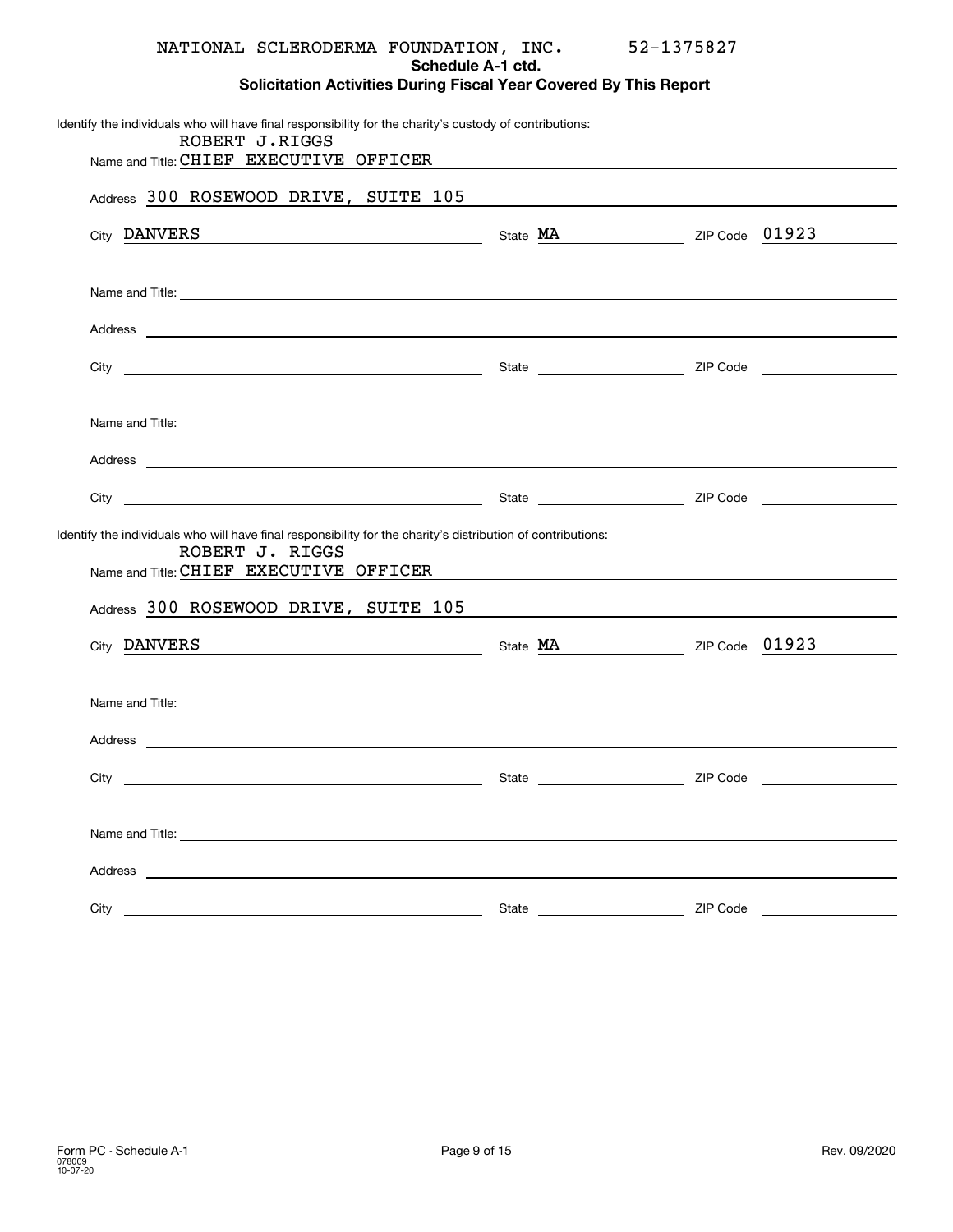|         |                 | NATIONAL SCLERODERMA FOUNDATION, INC.<br>Schedule A-1 ctd.                                                      | 52-1375827 |  |
|---------|-----------------|-----------------------------------------------------------------------------------------------------------------|------------|--|
|         |                 | <b>Solicitation Activities During Fiscal Year Covered By This Report</b>                                        |            |  |
|         | ROBERT J.RIGGS  | Identify the individuals who will have final responsibility for the charity's custody of contributions:         |            |  |
|         |                 | Name and Title: CHIEF EXECUTIVE OFFICER Name and Title: CHIEF EXECUTIVE OFFICER                                 |            |  |
|         |                 | Address 300 ROSEWOOD DRIVE, SUITE 105                                                                           |            |  |
|         |                 | City DANVERS Contact City Capacity Code 01923                                                                   |            |  |
|         |                 |                                                                                                                 |            |  |
|         |                 |                                                                                                                 |            |  |
|         |                 |                                                                                                                 |            |  |
|         |                 |                                                                                                                 |            |  |
|         |                 |                                                                                                                 |            |  |
|         |                 |                                                                                                                 |            |  |
|         | ROBERT J. RIGGS | Identify the individuals who will have final responsibility for the charity's distribution of contributions:    |            |  |
|         |                 | Name and Title: CHIEF EXECUTIVE OFFICER NAMES AND RESIDENCE A RESIDENCE A RESIDENCE AND RESIDENCE A RESIDENCE A |            |  |
|         |                 | Address 300 ROSEWOOD DRIVE, SUITE 105                                                                           |            |  |
|         |                 | City DANVERS Content City Code 01923                                                                            |            |  |
|         |                 |                                                                                                                 |            |  |
| Address |                 |                                                                                                                 |            |  |
|         |                 | State and the state of the state of the state                                                                   | ZIP Code   |  |
|         |                 |                                                                                                                 |            |  |
|         |                 |                                                                                                                 |            |  |
|         |                 |                                                                                                                 |            |  |
| City    |                 |                                                                                                                 | ZIP Code   |  |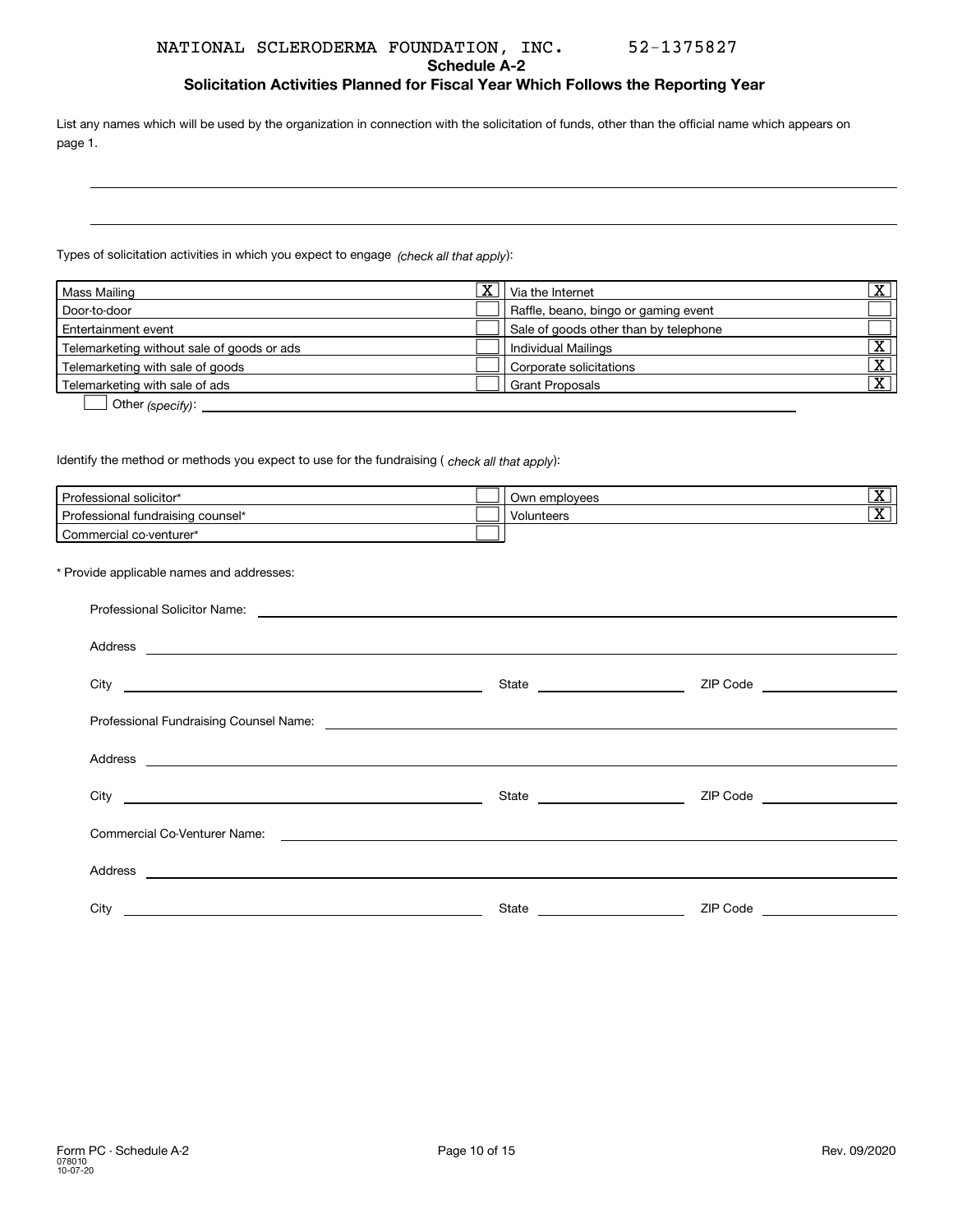#### **Schedule A-2**

**Solicitation Activities Planned for Fiscal Year Which Follows the Reporting Year**

List any names which will be used by the organization in connection with the solicitation of funds, other than the official name which appears on page 1.

Types of solicitation activities in which you expect to engage *(check all that apply*):

| Mass Mailing                               | $\overline{\text{x}}$ | Via the Internet                      | $\overline{\mathbf{v}}$ |
|--------------------------------------------|-----------------------|---------------------------------------|-------------------------|
| Door-to-door                               |                       | Raffle, beano, bingo or gaming event  |                         |
| Entertainment event                        |                       | Sale of goods other than by telephone |                         |
| Telemarketing without sale of goods or ads |                       | Individual Mailings                   | ᠊ᢦᡔ                     |
| Telemarketing with sale of goods           |                       | Corporate solicitations               | $\overline{\mathbf{v}}$ |
| Telemarketing with sale of ads             |                       | <b>Grant Proposals</b>                | ᠊ᢦ                      |
| $\sim$                                     |                       |                                       |                         |

**b** Other (specify):

ldentify the method or methods you expect to use for the fundraising ( *check all that apply*):

| Professional solicitor*           | Own employees | $\overline{\mathbf{v}}$<br>$\Delta$ |
|-----------------------------------|---------------|-------------------------------------|
| Professional fundraising counsel* | Volunteers    | $\overline{\mathbf{v}}$<br>▵        |
| Commercial co-venturer*           |               |                                     |

### \* Provide applicable names and addresses:

| City <u>and the second second second second second second second second second second second second second second second second second second second second second second second second second second second second second secon</u> |                               | ZIP Code ___________________   |
|--------------------------------------------------------------------------------------------------------------------------------------------------------------------------------------------------------------------------------------|-------------------------------|--------------------------------|
|                                                                                                                                                                                                                                      |                               |                                |
|                                                                                                                                                                                                                                      |                               |                                |
|                                                                                                                                                                                                                                      | State _______________________ | ZIP Code _____________________ |
|                                                                                                                                                                                                                                      |                               |                                |
|                                                                                                                                                                                                                                      |                               |                                |
| City                                                                                                                                                                                                                                 | State                         | ZIP Code                       |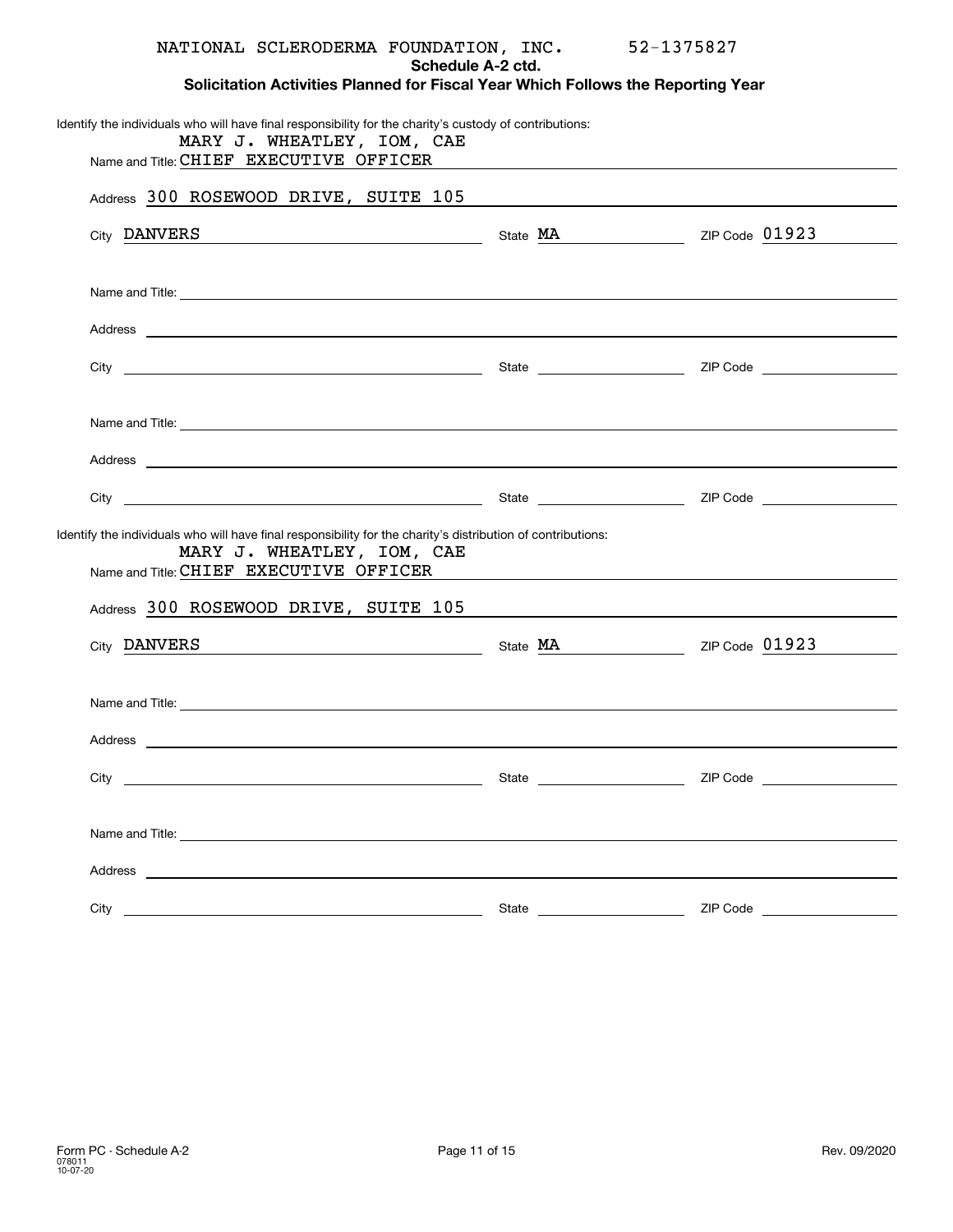| NATIONAL SCLERODERMA FOUNDATION, INC. 52-1375827                                                                                                                                                                                     | Schedule A-2 ctd. |                                |
|--------------------------------------------------------------------------------------------------------------------------------------------------------------------------------------------------------------------------------------|-------------------|--------------------------------|
| Solicitation Activities Planned for Fiscal Year Which Follows the Reporting Year                                                                                                                                                     |                   |                                |
| Identify the individuals who will have final responsibility for the charity's custody of contributions:<br>MARY J. WHEATLEY, IOM, CAE<br>Name and Title: CHIEF EXECUTIVE OFFICER                                                     |                   |                                |
| Address 300 ROSEWOOD DRIVE, SUITE 105                                                                                                                                                                                                |                   |                                |
|                                                                                                                                                                                                                                      |                   |                                |
| City DANVERS Content City DANVERS Content City DANVERS Content City Of DANVERS Content City Of Danvers Content City Of Danvers Content City Of Danvers Content City Of Danvers Content City Of Danvers Content City Of Danvers       |                   |                                |
| Name and Title: <u>example and the contract of the contract of the contract of the contract of the contract of the contract of the contract of the contract of the contract of the contract of the contract of the contract of t</u> |                   |                                |
|                                                                                                                                                                                                                                      |                   |                                |
|                                                                                                                                                                                                                                      |                   |                                |
|                                                                                                                                                                                                                                      |                   |                                |
| Name and Title: <u>Commission Commission Commission Commission Commission Commission Commission Commission Commission</u>                                                                                                            |                   |                                |
|                                                                                                                                                                                                                                      |                   |                                |
|                                                                                                                                                                                                                                      |                   |                                |
| Identify the individuals who will have final responsibility for the charity's distribution of contributions:<br>MARY J. WHEATLEY, IOM, CAE                                                                                           |                   |                                |
| Name and Title: CHIEF EXECUTIVE OFFICER                                                                                                                                                                                              |                   |                                |
| Address 300 ROSEWOOD DRIVE, SUITE 105                                                                                                                                                                                                |                   |                                |
| City DANVERS State MA State MA 2IP Code 01923                                                                                                                                                                                        |                   |                                |
| Name and Title: <u>example and the service</u> and the service of the service of the service of the service of the service of the service of the service of the service of the service of the service of the service of the service  |                   |                                |
| Address                                                                                                                                                                                                                              |                   |                                |
|                                                                                                                                                                                                                                      |                   |                                |
|                                                                                                                                                                                                                                      |                   |                                |
|                                                                                                                                                                                                                                      |                   |                                |
| Address experience and the contract of the contract of the contract of the contract of the contract of the contract of the contract of the contract of the contract of the contract of the contract of the contract of the con       |                   |                                |
|                                                                                                                                                                                                                                      |                   | ZIP Code _____________________ |
|                                                                                                                                                                                                                                      |                   |                                |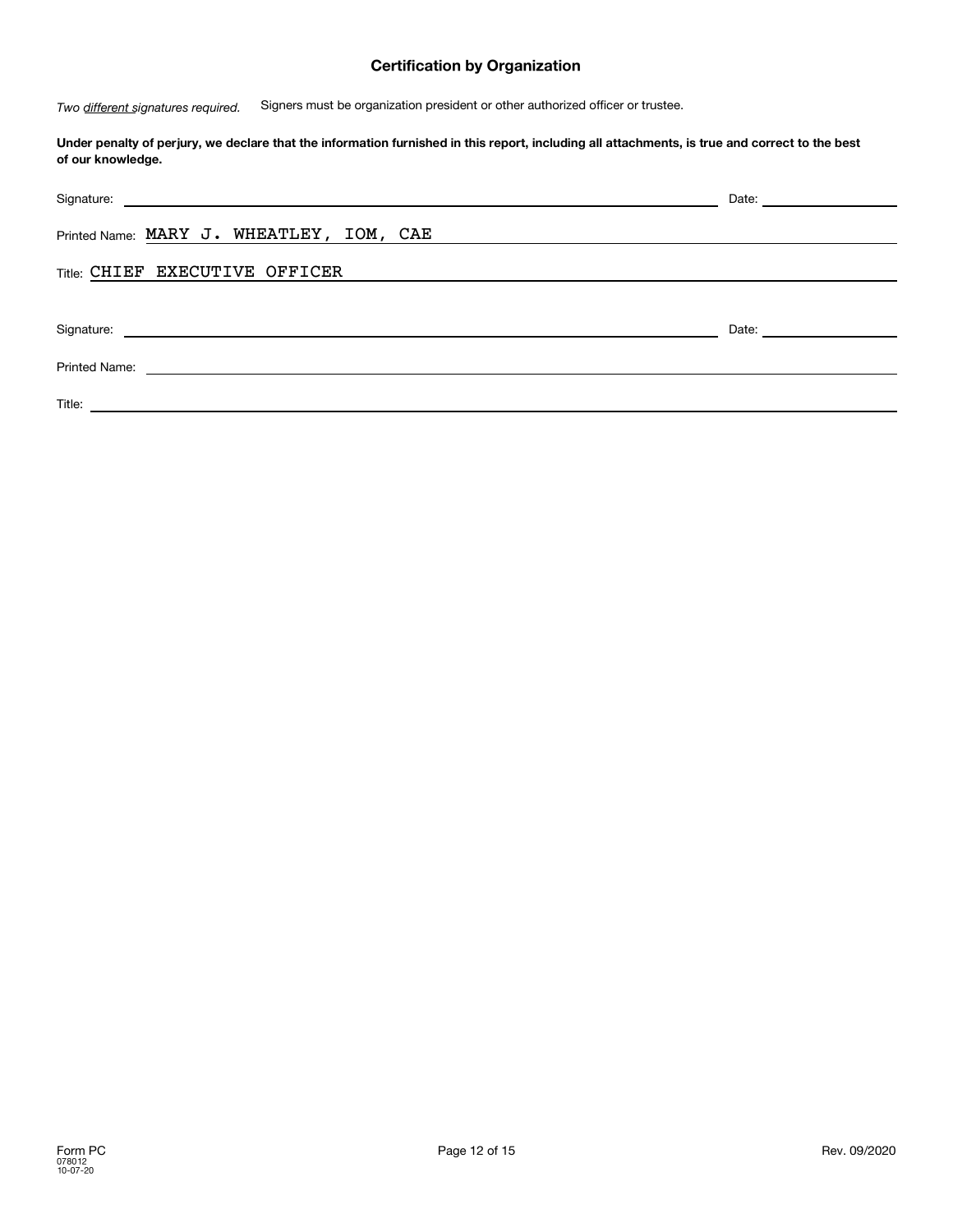## **Certification by Organization**

 Signers must be organization president or other authorized officer or trustee. *Two different signatures required.*

### **Under penalty of perjury, we declare that the information furnished in this report, including all attachments, is true and correct to the best of our knowledge.**

| Printed Name: MARY J. WHEATLEY, IOM, CAE                                                                                                                                                                                             |                                                                                                                                                                                                                                |
|--------------------------------------------------------------------------------------------------------------------------------------------------------------------------------------------------------------------------------------|--------------------------------------------------------------------------------------------------------------------------------------------------------------------------------------------------------------------------------|
| Title: CHIEF EXECUTIVE OFFICER                                                                                                                                                                                                       |                                                                                                                                                                                                                                |
|                                                                                                                                                                                                                                      |                                                                                                                                                                                                                                |
| Signature: <u>contract and contract and contract and contract and contract and contract and contract and contract and contract and contract and contract and contract and contract and contract and contract and contract and co</u> | Date: the contract of the contract of the contract of the contract of the contract of the contract of the contract of the contract of the contract of the contract of the contract of the contract of the contract of the cont |
| Printed Name:<br><u> 1980 - Jan Samuel Barbara, margaret eta idazlea (h. 1980).</u>                                                                                                                                                  |                                                                                                                                                                                                                                |
| Title:<br><u> 1989 - Johann Barn, amerikansk politiker (</u>                                                                                                                                                                         |                                                                                                                                                                                                                                |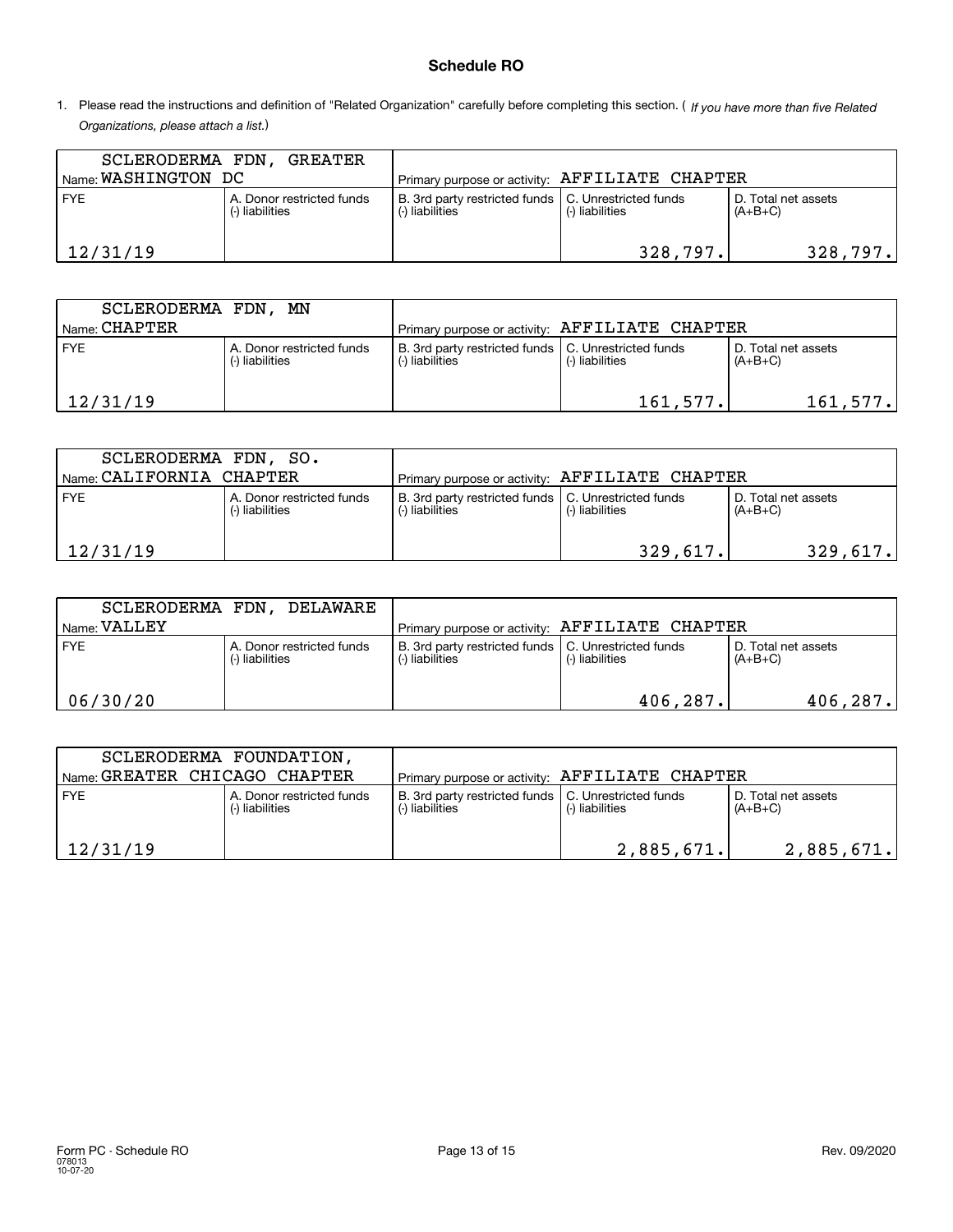## **Schedule RO**

1. Please read the instructions and definition of "Related Organization" carefully before completing this section. (*If you have more than five Related Organizations, please attach a list.* )

| SCLERODERMA FDN,<br>Name: WASHINGTON DC                    | . GREATER |                                                                          |                 |                                  |
|------------------------------------------------------------|-----------|--------------------------------------------------------------------------|-----------------|----------------------------------|
|                                                            |           | Primary purpose or activity: AFFILIATE CHAPTER                           |                 |                                  |
| <b>FYE</b><br>A. Donor restricted funds<br>(-) liabilities |           | B. 3rd party restricted funds   C. Unrestricted funds<br>(-) liabilities | (-) liabilities | D. Total net assets<br>$(A+B+C)$ |
| 12/31/19                                                   |           |                                                                          | 328,797.        | 328,797.                         |

| SCLERODERMA FDN, MN                |                                              |                                                                          |                 |                                  |
|------------------------------------|----------------------------------------------|--------------------------------------------------------------------------|-----------------|----------------------------------|
| $^{\prime}$ Name: $\text{CHAPTER}$ |                                              | Primary purpose or activity: AFFILIATE CHAPTER                           |                 |                                  |
| <b>FYE</b>                         | A. Donor restricted funds<br>(-) liabilities | B. 3rd party restricted funds   C. Unrestricted funds<br>(-) liabilities | (-) liabilities | D. Total net assets<br>$(A+B+C)$ |
| 12/31/19                           |                                              |                                                                          | 161,577.        | 161, 577.                        |

| SCLERODERMA FDN, SO.    |                                              |                                                                         |                 |                                  |
|-------------------------|----------------------------------------------|-------------------------------------------------------------------------|-----------------|----------------------------------|
| Name CALIFORNIA CHAPTER |                                              | 'Primary purpose or activity: AFFILIATE CHAPTER                         |                 |                                  |
| <b>FYE</b>              | A. Donor restricted funds<br>(-) liabilities | B. 3rd party restricted funds   C. Unrestricted funds<br>-) liabilities | (-) liabilities | D. Total net assets<br>$(A+B+C)$ |
| 12/31/19                |                                              |                                                                         | 329,617.        | 329,617.                         |

|              | SCLERODERMA FDN, DELAWARE                    |                                                                          |                 |                                  |
|--------------|----------------------------------------------|--------------------------------------------------------------------------|-----------------|----------------------------------|
| Name: VALLEY |                                              | Primary purpose or activity: AFFILIATE CHAPTER                           |                 |                                  |
| <b>FYE</b>   | A. Donor restricted funds<br>(-) liabilities | B. 3rd party restricted funds   C. Unrestricted funds<br>(-) liabilities | (-) liabilities | D. Total net assets<br>$(A+B+C)$ |
| 06/30/20     |                                              |                                                                          | 406, 287.       | 406, 287.                        |

| Name: GREATER CHICAGO CHAPTER | SCLERODERMA FOUNDATION,                      | Primary purpose or activity: AFFILIATE CHAPTER                           |                 |                                  |
|-------------------------------|----------------------------------------------|--------------------------------------------------------------------------|-----------------|----------------------------------|
| <b>FYE</b>                    | A. Donor restricted funds<br>(-) liabilities | B. 3rd party restricted funds   C. Unrestricted funds<br>(-) liabilities | (-) liabilities | D. Total net assets<br>$(A+B+C)$ |
| 12/31/19                      |                                              |                                                                          | 2,885,671.      | 2,885,671.                       |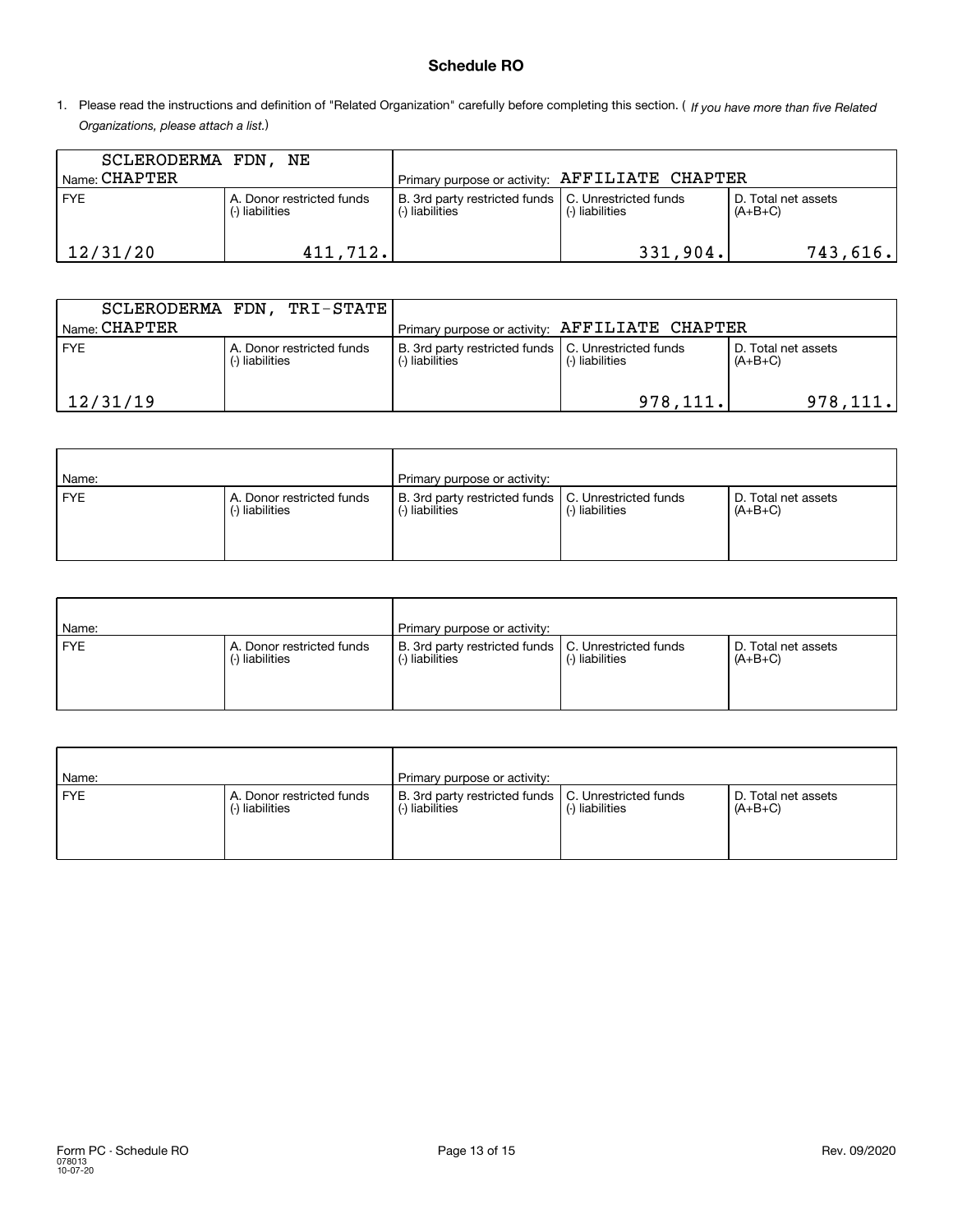## **Schedule RO**

1. Please read the instructions and definition of "Related Organization" carefully before completing this section. (*If you have more than five Related Organizations, please attach a list.* )

| SCLERODERMA FDN, NE |                                              |                                                                          |                 |                                  |
|---------------------|----------------------------------------------|--------------------------------------------------------------------------|-----------------|----------------------------------|
| $I$ Name: $CHAPTER$ |                                              | Primary purpose or activity: AFFILIATE CHAPTER                           |                 |                                  |
| <b>FYE</b>          | A. Donor restricted funds<br>(-) liabilities | B. 3rd party restricted funds   C. Unrestricted funds<br>(-) liabilities | (-) liabilities | D. Total net assets<br>$(A+B+C)$ |
| 12/31/20            | 411,712.                                     |                                                                          | 331,904.        | 743,616.                         |

|                                    | SCLERODERMA FDN, TRI-STATE                   |                                                                          |                 |                                  |
|------------------------------------|----------------------------------------------|--------------------------------------------------------------------------|-----------------|----------------------------------|
| $^{\prime}$ Name: $\text{CHAPTER}$ |                                              | Primary purpose or activity: AFFILIATE CHAPTER                           |                 |                                  |
| <b>FYE</b>                         | A. Donor restricted funds<br>(-) liabilities | B. 3rd party restricted funds   C. Unrestricted funds<br>(-) liabilities | (-) liabilities | D. Total net assets<br>$(A+B+C)$ |
| 12/31/19                           |                                              |                                                                          | 978, 111.       | 978, 111.                        |

| Name:      |                                              | Primary purpose or activity:                                             |                 |                                  |
|------------|----------------------------------------------|--------------------------------------------------------------------------|-----------------|----------------------------------|
| <b>FYE</b> | A. Donor restricted funds<br>(-) liabilities | B. 3rd party restricted funds   C. Unrestricted funds<br>(-) liabilities | (-) liabilities | D. Total net assets<br>$(A+B+C)$ |

| Name:      |                                              | Primary purpose or activity:                                             |                 |                                  |
|------------|----------------------------------------------|--------------------------------------------------------------------------|-----------------|----------------------------------|
| <b>FYE</b> | A. Donor restricted funds<br>(-) liabilities | B. 3rd party restricted funds   C. Unrestricted funds<br>(-) liabilities | (-) liabilities | D. Total net assets<br>$(A+B+C)$ |

| Name:      |                                              | Primary purpose or activity:                                             |                 |                                  |
|------------|----------------------------------------------|--------------------------------------------------------------------------|-----------------|----------------------------------|
| <b>FYE</b> | A. Donor restricted funds<br>(-) liabilities | B. 3rd party restricted funds   C. Unrestricted funds<br>(-) liabilities | (-) liabilities | D. Total net assets<br>$(A+B+C)$ |